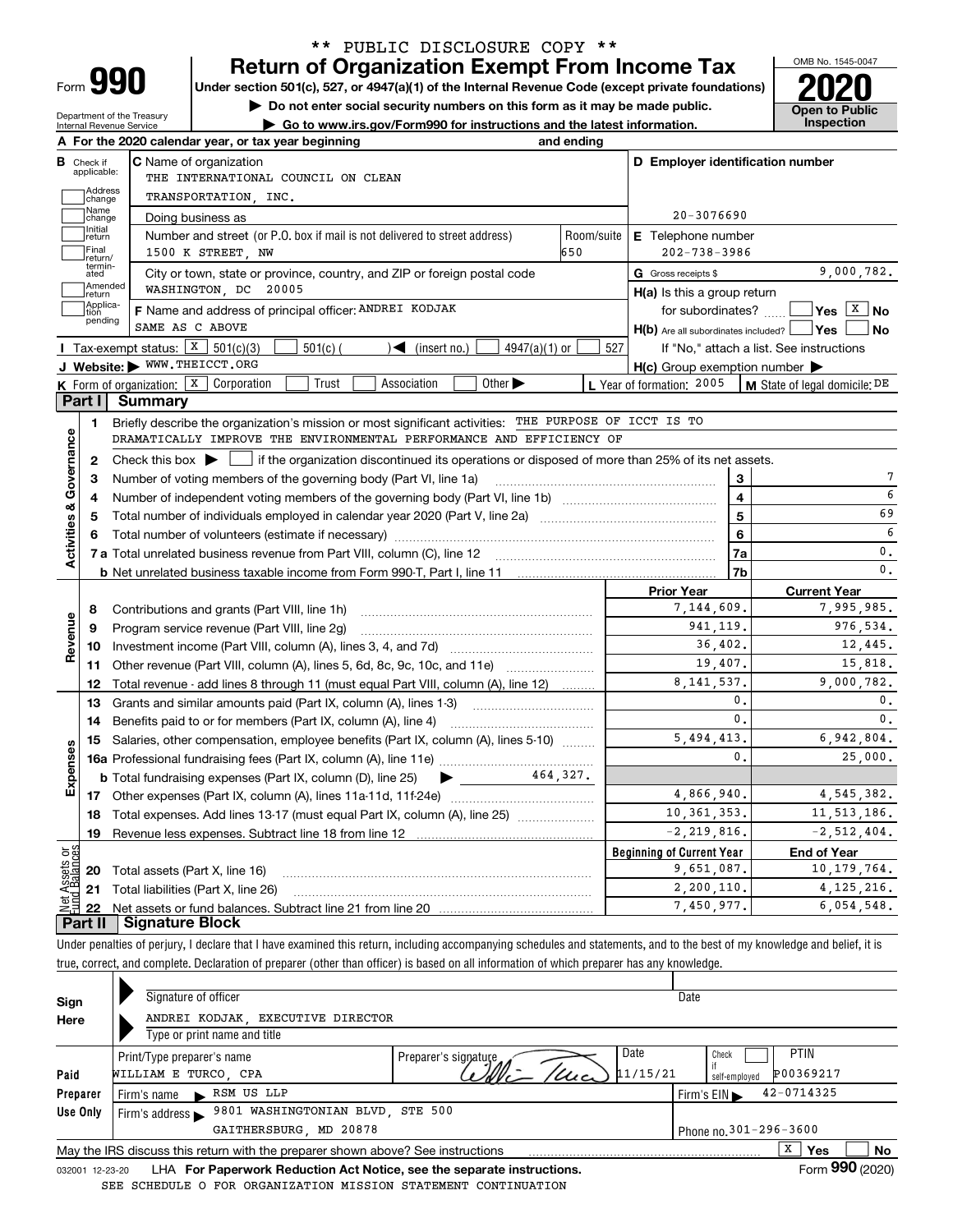| -orm |  |
|------|--|

Department of the Treasury Internal Revenue Service

### **Return of Organization Exempt From Income Tax** \*\* PUBLIC DISCLOSURE COPY \*\*

**Under section 501(c), 527, or 4947(a)(1) of the Internal Revenue Code (except private foundations) 2020**

**| Do not enter social security numbers on this form as it may be made public.**

**| Go to www.irs.gov/Form990 for instructions and the latest information. Inspection**



|                         |                                  | A For the 2020 calendar year, or tax year beginning                                                                                     | and ending    |                                                     |                |                                          |
|-------------------------|----------------------------------|-----------------------------------------------------------------------------------------------------------------------------------------|---------------|-----------------------------------------------------|----------------|------------------------------------------|
|                         | <b>B</b> Check if<br>applicable: | <b>C</b> Name of organization<br>THE INTERNATIONAL COUNCIL ON CLEAN                                                                     |               | D Employer identification number                    |                |                                          |
|                         | Address<br>change                | TRANSPORTATION, INC.                                                                                                                    |               |                                                     |                |                                          |
|                         | Name<br>change                   | Doing business as                                                                                                                       |               | $20 - 3076690$                                      |                |                                          |
|                         | Initial<br>return                | Number and street (or P.O. box if mail is not delivered to street address)                                                              | Room/suite    | <b>E</b> Telephone number                           |                |                                          |
|                         | Final<br>return/                 | 1500 K STREET, NW                                                                                                                       | 650           | $202 - 738 - 3986$                                  |                |                                          |
|                         | termin-<br>ated                  | City or town, state or province, country, and ZIP or foreign postal code                                                                |               | G Gross receipts \$                                 |                | 9,000,782.                               |
|                         | Amended<br>return                | WASHINGTON, DC 20005                                                                                                                    |               | $H(a)$ is this a group return                       |                |                                          |
|                         | Applica-<br>tion<br>pending      | F Name and address of principal officer: ANDREI KODJAK                                                                                  |               | for subordinates?                                   |                | $\sqrt{Y}$ es $\sqrt{X}$ No              |
|                         |                                  | SAME AS C ABOVE                                                                                                                         |               | $H(b)$ Are all subordinates included? $\Box$ Yes    |                | ∣No                                      |
|                         |                                  | Tax-exempt status: $X \mid 501(c)(3)$<br>$\mathcal{L}$ (insert no.)<br>$4947(a)(1)$ or<br>$501(c)$ (                                    | 527           |                                                     |                | If "No," attach a list. See instructions |
|                         |                                  | J Website: WWW.THEICCT.ORG                                                                                                              |               | $H(c)$ Group exemption number $\blacktriangleright$ |                |                                          |
|                         |                                  | K Form of organization: X Corporation<br>Trust<br>Association<br>Other $\blacktriangleright$                                            |               | L Year of formation: 2005                           |                | M State of legal domicile: DE            |
|                         | Part I                           | <b>Summary</b>                                                                                                                          |               |                                                     |                |                                          |
|                         | 1.                               | Briefly describe the organization's mission or most significant activities: THE PURPOSE OF ICCT IS TO                                   |               |                                                     |                |                                          |
|                         |                                  | DRAMATICALLY IMPROVE THE ENVIRONMENTAL PERFORMANCE AND EFFICIENCY OF                                                                    |               |                                                     |                |                                          |
| Activities & Governance | $\mathbf{2}$                     | Check this box $\blacktriangleright$<br>if the organization discontinued its operations or disposed of more than 25% of its net assets. |               |                                                     |                |                                          |
|                         | 3                                | Number of voting members of the governing body (Part VI, line 1a)                                                                       |               |                                                     | 3              | 7                                        |
|                         | 4                                |                                                                                                                                         |               |                                                     | $\overline{4}$ | 6                                        |
|                         | 5                                |                                                                                                                                         |               |                                                     | 5              | 69                                       |
|                         |                                  |                                                                                                                                         |               |                                                     | 6              | 6<br>$\mathbf{0}$ .                      |
|                         |                                  |                                                                                                                                         |               |                                                     | 7a             | 0.                                       |
|                         |                                  |                                                                                                                                         |               | <b>Prior Year</b>                                   | 7b             |                                          |
|                         |                                  |                                                                                                                                         |               | 7,144,609.                                          |                | <b>Current Year</b><br>7,995,985.        |
|                         | 8<br>9                           | Contributions and grants (Part VIII, line 1h)<br>Program service revenue (Part VIII, line 2g)                                           |               | 941, 119.                                           |                | 976,534.                                 |
| Revenue                 | 10                               |                                                                                                                                         |               | 36.402.                                             |                | 12,445.                                  |
|                         | 11                               | Other revenue (Part VIII, column (A), lines 5, 6d, 8c, 9c, 10c, and 11e)                                                                |               | 19,407.                                             |                | 15,818.                                  |
|                         | 12                               | Total revenue - add lines 8 through 11 (must equal Part VIII, column (A), line 12)                                                      |               | 8, 141, 537.                                        |                | 9,000,782.                               |
|                         | 13                               | Grants and similar amounts paid (Part IX, column (A), lines 1-3) <i>managerous</i> managerous                                           |               |                                                     | 0.             | 0.                                       |
|                         | 14                               |                                                                                                                                         |               |                                                     | $\mathbf{0}$ . | 0.                                       |
|                         | 15                               | Salaries, other compensation, employee benefits (Part IX, column (A), lines 5-10)                                                       | 5, 494, 413.  |                                                     | 6,942,804.     |                                          |
| Expenses                |                                  |                                                                                                                                         |               |                                                     | 0.             | 25,000.                                  |
|                         |                                  | 464.327.<br><b>b</b> Total fundraising expenses (Part IX, column (D), line 25)<br>$\blacktriangleright$ and $\blacktriangleright$       |               |                                                     |                |                                          |
|                         |                                  |                                                                                                                                         | 4,866,940.    |                                                     | 4, 545, 382.   |                                          |
|                         | 18                               | Total expenses. Add lines 13-17 (must equal Part IX, column (A), line 25) [                                                             | 10, 361, 353. |                                                     | 11, 513, 186.  |                                          |
|                         | 19                               |                                                                                                                                         |               | $-2, 219, 816.$                                     |                | $-2, 512, 404.$                          |
| بۆچ                     |                                  |                                                                                                                                         |               | <b>Beginning of Current Year</b>                    |                | <b>End of Year</b>                       |
|                         |                                  | <b>20</b> Total assets (Part X, line 16)                                                                                                |               | 9,651,087.                                          |                | 10, 179, 764.                            |
| ssets                   |                                  | 21 Total liabilities (Part X, line 26)                                                                                                  |               | 2,200,110.                                          |                | 4.125.216.                               |
|                         | 22                               |                                                                                                                                         |               | 7,450,977.                                          |                | 6,054,548.                               |
|                         |                                  | <b>Part II   Signature Block</b>                                                                                                        |               |                                                     |                |                                          |

Under penalties of perjury, I declare that I have examined this return, including accompanying schedules and statements, and to the best of my knowledge and belief, it is true, correct, and complete. Declaration of preparer (other than officer) is based on all information of which preparer has any knowledge.

| Sign            | Signature of officer                                                            |                              | Date                                           |
|-----------------|---------------------------------------------------------------------------------|------------------------------|------------------------------------------------|
| Here            | ANDREI KODJAK, EXECUTIVE DIRECTOR                                               |                              |                                                |
|                 | Type or print name and title                                                    |                              |                                                |
|                 | Print/Type preparer's name                                                      | Date<br>Preparer's signature | <b>PTIN</b><br>Check                           |
| Paid            | WILLIAM E TURCO, CPA                                                            | 11/15/21                     | P00369217<br>self-employed                     |
| Preparer        | RSM US LLP<br>Firm's name<br>$\blacksquare$                                     |                              | 42-0714325<br>Firm's $EIN \blacktriangleright$ |
| Use Only        | 9801 WASHINGTONIAN BLVD, STE 500<br>Firm's address $\blacktriangleright$        |                              |                                                |
|                 | GAITHERSBURG, MD 20878                                                          |                              | Phone no. 301-296-3600                         |
|                 | May the IRS discuss this return with the preparer shown above? See instructions |                              | х<br><b>No</b><br>Yes                          |
| 032001 12-23-20 | LHA For Paperwork Reduction Act Notice, see the separate instructions.          |                              | Form 990 (2020)                                |
|                 | SEE SCHEDULE O FOR ORGANIZATION MISSION STATEMENT CONTINUATION                  |                              |                                                |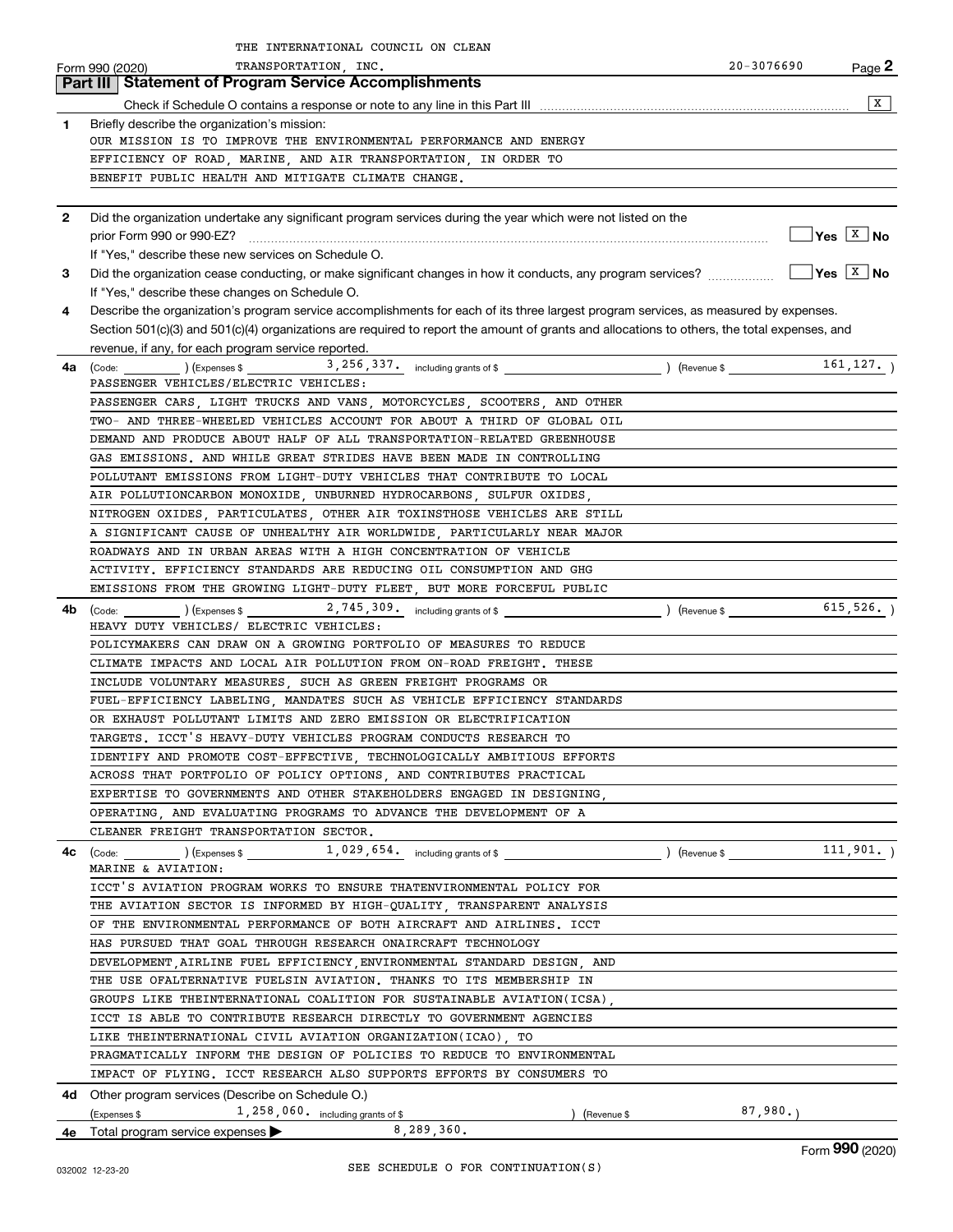|              | THE INTERNATIONAL COUNCIL ON CLEAN                                                                                                           |            |                                                               |
|--------------|----------------------------------------------------------------------------------------------------------------------------------------------|------------|---------------------------------------------------------------|
|              | TRANSPORTATION, INC.<br>Form 990 (2020)                                                                                                      | 20-3076690 | Page 2                                                        |
|              | <b>Part III   Statement of Program Service Accomplishments</b>                                                                               |            |                                                               |
|              |                                                                                                                                              |            | x                                                             |
| 1            | Briefly describe the organization's mission:                                                                                                 |            |                                                               |
|              | OUR MISSION IS TO IMPROVE THE ENVIRONMENTAL PERFORMANCE AND ENERGY                                                                           |            |                                                               |
|              | EFFICIENCY OF ROAD, MARINE, AND AIR TRANSPORTATION, IN ORDER TO                                                                              |            |                                                               |
|              | BENEFIT PUBLIC HEALTH AND MITIGATE CLIMATE CHANGE.                                                                                           |            |                                                               |
|              |                                                                                                                                              |            |                                                               |
| $\mathbf{2}$ | Did the organization undertake any significant program services during the year which were not listed on the                                 |            |                                                               |
|              | prior Form 990 or 990-EZ?                                                                                                                    |            | $Yes \begin{array}{ c c } \hline X & \textbf{No} \end{array}$ |
|              | If "Yes," describe these new services on Schedule O.                                                                                         |            |                                                               |
| 3            |                                                                                                                                              |            | $\sqrt{\mathsf{Yes} \mid \mathsf{X} \mid \mathsf{No}}$        |
|              | If "Yes," describe these changes on Schedule O.                                                                                              |            |                                                               |
| 4            | Describe the organization's program service accomplishments for each of its three largest program services, as measured by expenses.         |            |                                                               |
|              | Section 501(c)(3) and 501(c)(4) organizations are required to report the amount of grants and allocations to others, the total expenses, and |            |                                                               |
|              | revenue, if any, for each program service reported.                                                                                          |            |                                                               |
| 4a           |                                                                                                                                              |            |                                                               |
|              | PASSENGER VEHICLES/ELECTRIC VEHICLES:                                                                                                        |            |                                                               |
|              | PASSENGER CARS, LIGHT TRUCKS AND VANS, MOTORCYCLES, SCOOTERS, AND OTHER                                                                      |            |                                                               |
|              | TWO- AND THREE-WHEELED VEHICLES ACCOUNT FOR ABOUT A THIRD OF GLOBAL OIL                                                                      |            |                                                               |
|              | DEMAND AND PRODUCE ABOUT HALF OF ALL TRANSPORTATION-RELATED GREENHOUSE                                                                       |            |                                                               |
|              | GAS EMISSIONS. AND WHILE GREAT STRIDES HAVE BEEN MADE IN CONTROLLING                                                                         |            |                                                               |
|              | POLLUTANT EMISSIONS FROM LIGHT-DUTY VEHICLES THAT CONTRIBUTE TO LOCAL                                                                        |            |                                                               |
|              | AIR POLLUTIONCARBON MONOXIDE, UNBURNED HYDROCARBONS, SULFUR OXIDES,                                                                          |            |                                                               |
|              | NITROGEN OXIDES, PARTICULATES, OTHER AIR TOXINSTHOSE VEHICLES ARE STILL                                                                      |            |                                                               |
|              | A SIGNIFICANT CAUSE OF UNHEALTHY AIR WORLDWIDE, PARTICULARLY NEAR MAJOR                                                                      |            |                                                               |
|              | ROADWAYS AND IN URBAN AREAS WITH A HIGH CONCENTRATION OF VEHICLE                                                                             |            |                                                               |
|              | ACTIVITY. EFFICIENCY STANDARDS ARE REDUCING OIL CONSUMPTION AND GHG                                                                          |            |                                                               |
|              | EMISSIONS FROM THE GROWING LIGHT-DUTY FLEET, BUT MORE FORCEFUL PUBLIC                                                                        |            |                                                               |
| 4b           | (Code:                                                                                                                                       |            |                                                               |
|              | HEAVY DUTY VEHICLES/ ELECTRIC VEHICLES:                                                                                                      |            |                                                               |
|              | POLICYMAKERS CAN DRAW ON A GROWING PORTFOLIO OF MEASURES TO REDUCE                                                                           |            |                                                               |
|              | CLIMATE IMPACTS AND LOCAL AIR POLLUTION FROM ON-ROAD FREIGHT. THESE                                                                          |            |                                                               |
|              | INCLUDE VOLUNTARY MEASURES, SUCH AS GREEN FREIGHT PROGRAMS OR                                                                                |            |                                                               |
|              | FUEL-EFFICIENCY LABELING, MANDATES SUCH AS VEHICLE EFFICIENCY STANDARDS                                                                      |            |                                                               |
|              | OR EXHAUST POLLUTANT LIMITS AND ZERO EMISSION OR ELECTRIFICATION                                                                             |            |                                                               |
|              | TARGETS. ICCT'S HEAVY-DUTY VEHICLES PROGRAM CONDUCTS RESEARCH TO                                                                             |            |                                                               |
|              | IDENTIFY AND PROMOTE COST-EFFECTIVE TECHNOLOGICALLY AMBITIOUS EFFORTS                                                                        |            |                                                               |
|              | ACROSS THAT PORTFOLIO OF POLICY OPTIONS, AND CONTRIBUTES PRACTICAL                                                                           |            |                                                               |
|              | EXPERTISE TO GOVERNMENTS AND OTHER STAKEHOLDERS ENGAGED IN DESIGNING                                                                         |            |                                                               |
|              | OPERATING, AND EVALUATING PROGRAMS TO ADVANCE THE DEVELOPMENT OF A                                                                           |            |                                                               |
|              | CLEANER FREIGHT TRANSPORTATION SECTOR.                                                                                                       |            |                                                               |
|              | 4c (Code: 111,901.) (Expenses \$2000,000) (Expenses \$2000,000) (Revenue \$200,000) (Revenue \$200,000)                                      |            |                                                               |
|              | MARINE & AVIATION:                                                                                                                           |            |                                                               |
|              | ICCT'S AVIATION PROGRAM WORKS TO ENSURE THATENVIRONMENTAL POLICY FOR                                                                         |            |                                                               |
|              | THE AVIATION SECTOR IS INFORMED BY HIGH-QUALITY TRANSPARENT ANALYSIS                                                                         |            |                                                               |
|              | OF THE ENVIRONMENTAL PERFORMANCE OF BOTH AIRCRAFT AND AIRLINES. ICCT                                                                         |            |                                                               |
|              | HAS PURSUED THAT GOAL THROUGH RESEARCH ONAIRCRAFT TECHNOLOGY                                                                                 |            |                                                               |
|              | DEVELOPMENT AIRLINE FUEL EFFICIENCY ENVIRONMENTAL STANDARD DESIGN AND                                                                        |            |                                                               |
|              | THE USE OFALTERNATIVE FUELSIN AVIATION. THANKS TO ITS MEMBERSHIP IN                                                                          |            |                                                               |
|              | GROUPS LIKE THEINTERNATIONAL COALITION FOR SUSTAINABLE AVIATION(ICSA),                                                                       |            |                                                               |
|              | ICCT IS ABLE TO CONTRIBUTE RESEARCH DIRECTLY TO GOVERNMENT AGENCIES                                                                          |            |                                                               |
|              | LIKE THEINTERNATIONAL CIVIL AVIATION ORGANIZATION(ICAO), TO                                                                                  |            |                                                               |
|              | PRAGMATICALLY INFORM THE DESIGN OF POLICIES TO REDUCE TO ENVIRONMENTAL                                                                       |            |                                                               |
|              | IMPACT OF FLYING. ICCT RESEARCH ALSO SUPPORTS EFFORTS BY CONSUMERS TO                                                                        |            |                                                               |
|              | 4d Other program services (Describe on Schedule O.)                                                                                          |            |                                                               |
|              | $1,258,060.$ including grants of \$<br>(Expenses \$<br>) (Revenue \$<br>8,289,360.                                                           | 87,980.    |                                                               |
|              | 4e Total program service expenses                                                                                                            |            |                                                               |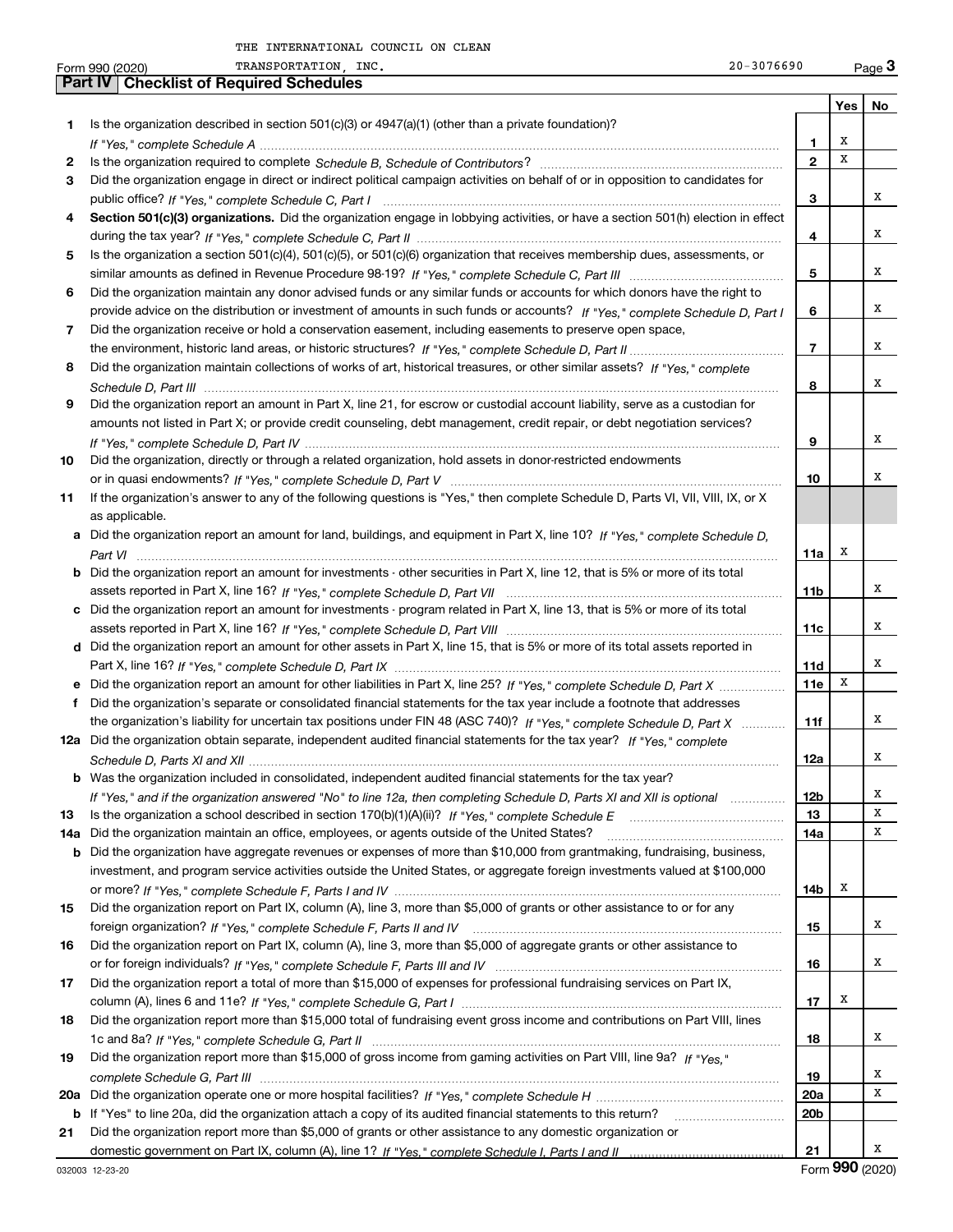|     | TRANSPORTATION INC.<br>$20 - 3076690$<br>Form 990 (2020)                                                                         |                 |     | Page $3$         |
|-----|----------------------------------------------------------------------------------------------------------------------------------|-----------------|-----|------------------|
|     | <b>Part IV   Checklist of Required Schedules</b>                                                                                 |                 |     |                  |
|     |                                                                                                                                  |                 | Yes | No               |
| 1   | Is the organization described in section $501(c)(3)$ or $4947(a)(1)$ (other than a private foundation)?                          |                 |     |                  |
|     |                                                                                                                                  | 1               | х   |                  |
| 2   |                                                                                                                                  | $\mathbf{2}$    | x   |                  |
| 3   | Did the organization engage in direct or indirect political campaign activities on behalf of or in opposition to candidates for  |                 |     |                  |
|     |                                                                                                                                  | 3               |     | х                |
| 4   | Section 501(c)(3) organizations. Did the organization engage in lobbying activities, or have a section 501(h) election in effect |                 |     |                  |
|     |                                                                                                                                  |                 |     | x                |
|     |                                                                                                                                  | 4               |     |                  |
| 5   | Is the organization a section 501(c)(4), 501(c)(5), or 501(c)(6) organization that receives membership dues, assessments, or     |                 |     |                  |
|     |                                                                                                                                  | 5               |     | x                |
| 6   | Did the organization maintain any donor advised funds or any similar funds or accounts for which donors have the right to        |                 |     |                  |
|     | provide advice on the distribution or investment of amounts in such funds or accounts? If "Yes," complete Schedule D, Part I     | 6               |     | x                |
| 7   | Did the organization receive or hold a conservation easement, including easements to preserve open space,                        |                 |     |                  |
|     |                                                                                                                                  | $\overline{7}$  |     | х                |
| 8   | Did the organization maintain collections of works of art, historical treasures, or other similar assets? If "Yes," complete     |                 |     |                  |
|     |                                                                                                                                  | 8               |     | х                |
| 9   | Did the organization report an amount in Part X, line 21, for escrow or custodial account liability, serve as a custodian for    |                 |     |                  |
|     | amounts not listed in Part X; or provide credit counseling, debt management, credit repair, or debt negotiation services?        |                 |     |                  |
|     |                                                                                                                                  |                 |     | х                |
|     |                                                                                                                                  | 9               |     |                  |
| 10  | Did the organization, directly or through a related organization, hold assets in donor-restricted endowments                     |                 |     |                  |
|     |                                                                                                                                  | 10              |     | х                |
| 11  | If the organization's answer to any of the following questions is "Yes," then complete Schedule D, Parts VI, VII, VIII, IX, or X |                 |     |                  |
|     | as applicable.                                                                                                                   |                 |     |                  |
|     | a Did the organization report an amount for land, buildings, and equipment in Part X, line 10? If "Yes," complete Schedule D,    |                 |     |                  |
|     |                                                                                                                                  | 11a             | Х   |                  |
| b   | Did the organization report an amount for investments - other securities in Part X, line 12, that is 5% or more of its total     |                 |     |                  |
|     |                                                                                                                                  | 11 <sub>b</sub> |     | х                |
|     | c Did the organization report an amount for investments - program related in Part X, line 13, that is 5% or more of its total    |                 |     |                  |
|     |                                                                                                                                  | 11c             |     | х                |
|     | d Did the organization report an amount for other assets in Part X, line 15, that is 5% or more of its total assets reported in  |                 |     |                  |
|     |                                                                                                                                  |                 |     | х                |
|     |                                                                                                                                  | 11d             | X   |                  |
|     | e Did the organization report an amount for other liabilities in Part X, line 25? If "Yes," complete Schedule D, Part X          | 11e             |     |                  |
| f   | Did the organization's separate or consolidated financial statements for the tax year include a footnote that addresses          |                 |     |                  |
|     | the organization's liability for uncertain tax positions under FIN 48 (ASC 740)? If "Yes," complete Schedule D, Part X           | 11f             |     | х                |
|     | 12a Did the organization obtain separate, independent audited financial statements for the tax year? If "Yes," complete          |                 |     |                  |
|     |                                                                                                                                  | 12a             |     |                  |
|     | <b>b</b> Was the organization included in consolidated, independent audited financial statements for the tax year?               |                 |     |                  |
|     | If "Yes," and if the organization answered "No" to line 12a, then completing Schedule D, Parts XI and XII is optional            | 12 <sub>b</sub> |     | x                |
| 13  |                                                                                                                                  | 13              |     | х                |
| 14a | Did the organization maintain an office, employees, or agents outside of the United States?                                      | 14a             |     | х                |
| b   | Did the organization have aggregate revenues or expenses of more than \$10,000 from grantmaking, fundraising, business,          |                 |     |                  |
|     | investment, and program service activities outside the United States, or aggregate foreign investments valued at \$100,000       |                 |     |                  |
|     |                                                                                                                                  | 14b             | x   |                  |
| 15  | Did the organization report on Part IX, column (A), line 3, more than \$5,000 of grants or other assistance to or for any        |                 |     |                  |
|     |                                                                                                                                  |                 |     | х                |
|     |                                                                                                                                  | 15              |     |                  |
| 16  | Did the organization report on Part IX, column (A), line 3, more than \$5,000 of aggregate grants or other assistance to         |                 |     |                  |
|     |                                                                                                                                  | 16              |     | x                |
| 17  | Did the organization report a total of more than \$15,000 of expenses for professional fundraising services on Part IX,          |                 |     |                  |
|     |                                                                                                                                  | 17              | x   |                  |
| 18  | Did the organization report more than \$15,000 total of fundraising event gross income and contributions on Part VIII, lines     |                 |     |                  |
|     |                                                                                                                                  | 18              |     | х                |
| 19  | Did the organization report more than \$15,000 of gross income from gaming activities on Part VIII, line 9a? If "Yes."           |                 |     |                  |
|     |                                                                                                                                  | 19              |     | х                |
| 20a |                                                                                                                                  | 20a             |     | х                |
| b   | If "Yes" to line 20a, did the organization attach a copy of its audited financial statements to this return?                     | 20 <sub>b</sub> |     |                  |
|     |                                                                                                                                  |                 |     |                  |
| 21  | Did the organization report more than \$5,000 of grants or other assistance to any domestic organization or                      |                 |     | х                |
|     |                                                                                                                                  | 21              |     | $000 \times 000$ |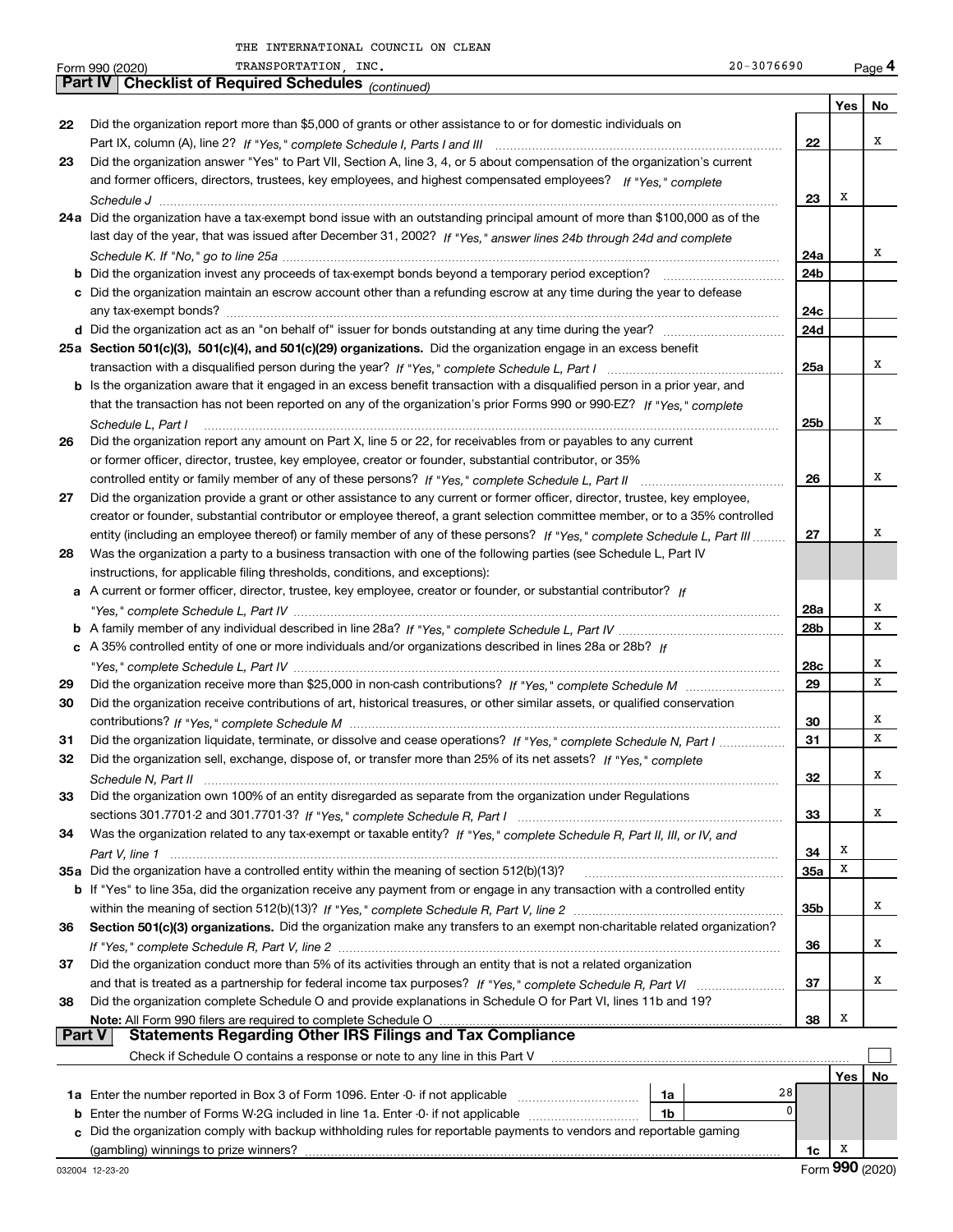|          | TRANSPORTATION, INC.<br>$20 - 3076690$<br>Form 990 (2020)                                                                                                                                                   |                 |     | Page 4 |
|----------|-------------------------------------------------------------------------------------------------------------------------------------------------------------------------------------------------------------|-----------------|-----|--------|
|          | <b>Part IV   Checklist of Required Schedules</b> (continued)                                                                                                                                                |                 |     |        |
|          |                                                                                                                                                                                                             |                 | Yes | No     |
| 22       | Did the organization report more than \$5,000 of grants or other assistance to or for domestic individuals on                                                                                               |                 |     |        |
|          |                                                                                                                                                                                                             | 22              |     | X      |
| 23       | Did the organization answer "Yes" to Part VII, Section A, line 3, 4, or 5 about compensation of the organization's current                                                                                  |                 |     |        |
|          | and former officers, directors, trustees, key employees, and highest compensated employees? If "Yes," complete                                                                                              |                 |     |        |
|          |                                                                                                                                                                                                             | 23              | X   |        |
|          | 24a Did the organization have a tax-exempt bond issue with an outstanding principal amount of more than \$100,000 as of the                                                                                 |                 |     |        |
|          | last day of the year, that was issued after December 31, 2002? If "Yes," answer lines 24b through 24d and complete                                                                                          |                 |     |        |
|          |                                                                                                                                                                                                             | 24a             |     | X      |
|          |                                                                                                                                                                                                             | 24b             |     |        |
|          | c Did the organization maintain an escrow account other than a refunding escrow at any time during the year to defease                                                                                      |                 |     |        |
|          |                                                                                                                                                                                                             | 24c             |     |        |
|          |                                                                                                                                                                                                             | 24d             |     |        |
|          | 25a Section 501(c)(3), 501(c)(4), and 501(c)(29) organizations. Did the organization engage in an excess benefit                                                                                            |                 |     |        |
|          |                                                                                                                                                                                                             | 25a             |     | X      |
|          | b Is the organization aware that it engaged in an excess benefit transaction with a disqualified person in a prior year, and                                                                                |                 |     |        |
|          | that the transaction has not been reported on any of the organization's prior Forms 990 or 990-EZ? If "Yes," complete                                                                                       |                 |     |        |
|          | Schedule L, Part I                                                                                                                                                                                          | 25 <sub>b</sub> |     | X      |
| 26       | Did the organization report any amount on Part X, line 5 or 22, for receivables from or payables to any current                                                                                             |                 |     |        |
|          | or former officer, director, trustee, key employee, creator or founder, substantial contributor, or 35%                                                                                                     |                 |     |        |
|          |                                                                                                                                                                                                             | 26              |     | X      |
| 27       | Did the organization provide a grant or other assistance to any current or former officer, director, trustee, key employee,                                                                                 |                 |     |        |
|          | creator or founder, substantial contributor or employee thereof, a grant selection committee member, or to a 35% controlled                                                                                 |                 |     |        |
|          | entity (including an employee thereof) or family member of any of these persons? If "Yes," complete Schedule L, Part III                                                                                    | 27              |     | X      |
| 28       | Was the organization a party to a business transaction with one of the following parties (see Schedule L, Part IV                                                                                           |                 |     |        |
|          | instructions, for applicable filing thresholds, conditions, and exceptions):                                                                                                                                |                 |     |        |
|          | a A current or former officer, director, trustee, key employee, creator or founder, or substantial contributor? If                                                                                          |                 |     |        |
|          |                                                                                                                                                                                                             | 28a             |     | х      |
|          |                                                                                                                                                                                                             | 28b             |     | x      |
|          | c A 35% controlled entity of one or more individuals and/or organizations described in lines 28a or 28b? If                                                                                                 |                 |     |        |
|          |                                                                                                                                                                                                             | 28c             |     | х      |
| 29       |                                                                                                                                                                                                             | 29              |     | x      |
| 30       | Did the organization receive contributions of art, historical treasures, or other similar assets, or qualified conservation                                                                                 |                 |     |        |
|          |                                                                                                                                                                                                             | 30              |     | х      |
| 31       | Did the organization liquidate, terminate, or dissolve and cease operations? If "Yes," complete Schedule N, Part I                                                                                          | 31              |     | x      |
| 32       | Did the organization sell, exchange, dispose of, or transfer more than 25% of its net assets? If "Yes," complete                                                                                            |                 |     |        |
|          |                                                                                                                                                                                                             | 32              |     | х      |
| 33       | Did the organization own 100% of an entity disregarded as separate from the organization under Regulations                                                                                                  |                 |     |        |
|          |                                                                                                                                                                                                             | 33              |     | х      |
| 34       | Was the organization related to any tax-exempt or taxable entity? If "Yes," complete Schedule R, Part II, III, or IV, and                                                                                   |                 |     |        |
|          |                                                                                                                                                                                                             | 34              | х   |        |
|          | 35a Did the organization have a controlled entity within the meaning of section 512(b)(13)?                                                                                                                 | 35a             | x   |        |
|          | <b>b</b> If "Yes" to line 35a, did the organization receive any payment from or engage in any transaction with a controlled entity                                                                          |                 |     |        |
|          |                                                                                                                                                                                                             | 35b             |     | х      |
| 36       | Section 501(c)(3) organizations. Did the organization make any transfers to an exempt non-charitable related organization?                                                                                  |                 |     |        |
|          |                                                                                                                                                                                                             | 36              |     | х      |
| 37       | Did the organization conduct more than 5% of its activities through an entity that is not a related organization                                                                                            |                 |     |        |
|          |                                                                                                                                                                                                             | 37              |     | х      |
|          |                                                                                                                                                                                                             |                 |     |        |
| 38       | Did the organization complete Schedule O and provide explanations in Schedule O for Part VI, lines 11b and 19?<br>Note: All Form 990 filers are required to complete Schedule O                             | 38              | х   |        |
| ∣ Part V | <b>Statements Regarding Other IRS Filings and Tax Compliance</b>                                                                                                                                            |                 |     |        |
|          | Check if Schedule O contains a response or note to any line in this Part V                                                                                                                                  |                 |     |        |
|          |                                                                                                                                                                                                             |                 |     |        |
|          | 28                                                                                                                                                                                                          |                 | Yes | No     |
|          | 1a<br>0                                                                                                                                                                                                     |                 |     |        |
| b        | Enter the number of Forms W-2G included in line 1a. Enter -0- if not applicable<br>1b<br>Did the organization comply with backup withholding rules for reportable payments to vendors and reportable gaming |                 |     |        |
| c        |                                                                                                                                                                                                             |                 | x   |        |
|          | (gambling) winnings to prize winners?                                                                                                                                                                       | 1c              |     |        |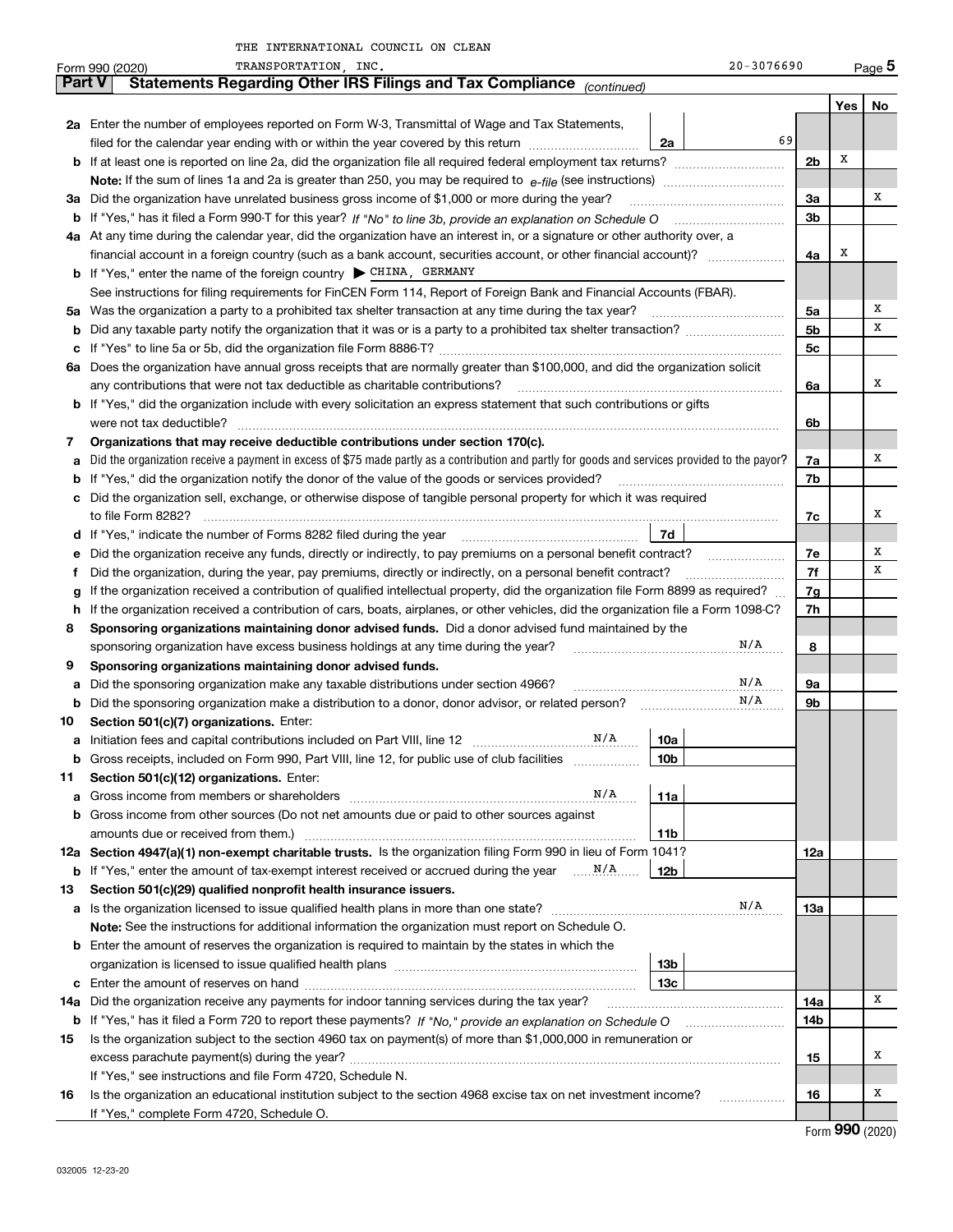|     | TRANSPORTATION, INC.<br>$20 - 3076690$<br>Form 990 (2020)                                                                                       |     |     | Page 5  |  |  |  |  |  |  |  |  |
|-----|-------------------------------------------------------------------------------------------------------------------------------------------------|-----|-----|---------|--|--|--|--|--|--|--|--|
|     | Statements Regarding Other IRS Filings and Tax Compliance (continued)<br><b>Part V</b>                                                          |     |     |         |  |  |  |  |  |  |  |  |
|     |                                                                                                                                                 |     | Yes | No      |  |  |  |  |  |  |  |  |
|     | 2a Enter the number of employees reported on Form W-3, Transmittal of Wage and Tax Statements,                                                  |     |     |         |  |  |  |  |  |  |  |  |
|     | 69<br>filed for the calendar year ending with or within the year covered by this return<br>2a                                                   |     |     |         |  |  |  |  |  |  |  |  |
|     | <b>b</b> If at least one is reported on line 2a, did the organization file all required federal employment tax returns?                         |     |     |         |  |  |  |  |  |  |  |  |
|     |                                                                                                                                                 |     |     |         |  |  |  |  |  |  |  |  |
|     | 3a Did the organization have unrelated business gross income of \$1,000 or more during the year?                                                |     |     |         |  |  |  |  |  |  |  |  |
| b   |                                                                                                                                                 |     |     |         |  |  |  |  |  |  |  |  |
|     | 4a At any time during the calendar year, did the organization have an interest in, or a signature or other authority over, a                    |     |     |         |  |  |  |  |  |  |  |  |
|     | financial account in a foreign country (such as a bank account, securities account, or other financial account)?                                | 4a  | х   |         |  |  |  |  |  |  |  |  |
|     | <b>b</b> If "Yes," enter the name of the foreign country $\triangleright$ CHINA, GERMANY                                                        |     |     |         |  |  |  |  |  |  |  |  |
|     | See instructions for filing requirements for FinCEN Form 114, Report of Foreign Bank and Financial Accounts (FBAR).                             |     |     |         |  |  |  |  |  |  |  |  |
|     | 5a Was the organization a party to a prohibited tax shelter transaction at any time during the tax year?                                        | 5a  |     | х       |  |  |  |  |  |  |  |  |
| b   |                                                                                                                                                 | 5b  |     | х       |  |  |  |  |  |  |  |  |
| c   |                                                                                                                                                 | 5c  |     |         |  |  |  |  |  |  |  |  |
|     | 6a Does the organization have annual gross receipts that are normally greater than \$100,000, and did the organization solicit                  |     |     |         |  |  |  |  |  |  |  |  |
|     | any contributions that were not tax deductible as charitable contributions?                                                                     | 6a  |     | х       |  |  |  |  |  |  |  |  |
|     | <b>b</b> If "Yes," did the organization include with every solicitation an express statement that such contributions or gifts                   |     |     |         |  |  |  |  |  |  |  |  |
|     | were not tax deductible?                                                                                                                        | 6b  |     |         |  |  |  |  |  |  |  |  |
| 7   | Organizations that may receive deductible contributions under section 170(c).                                                                   |     |     |         |  |  |  |  |  |  |  |  |
| а   | Did the organization receive a payment in excess of \$75 made partly as a contribution and partly for goods and services provided to the payor? | 7a  |     | х       |  |  |  |  |  |  |  |  |
| b   | If "Yes," did the organization notify the donor of the value of the goods or services provided?                                                 | 7b  |     |         |  |  |  |  |  |  |  |  |
| c   | Did the organization sell, exchange, or otherwise dispose of tangible personal property for which it was required                               |     |     |         |  |  |  |  |  |  |  |  |
|     |                                                                                                                                                 | 7c  |     | х       |  |  |  |  |  |  |  |  |
|     | 7d                                                                                                                                              |     |     |         |  |  |  |  |  |  |  |  |
| е   | Did the organization receive any funds, directly or indirectly, to pay premiums on a personal benefit contract?                                 | 7e  |     | х       |  |  |  |  |  |  |  |  |
| f   | Did the organization, during the year, pay premiums, directly or indirectly, on a personal benefit contract?                                    | 7f  |     | х       |  |  |  |  |  |  |  |  |
| g   | If the organization received a contribution of qualified intellectual property, did the organization file Form 8899 as required?                | 7g  |     |         |  |  |  |  |  |  |  |  |
| h   | If the organization received a contribution of cars, boats, airplanes, or other vehicles, did the organization file a Form 1098-C?              | 7h  |     |         |  |  |  |  |  |  |  |  |
| 8   | Sponsoring organizations maintaining donor advised funds. Did a donor advised fund maintained by the                                            |     |     |         |  |  |  |  |  |  |  |  |
|     | N/A<br>sponsoring organization have excess business holdings at any time during the year?                                                       | 8   |     |         |  |  |  |  |  |  |  |  |
| 9   | Sponsoring organizations maintaining donor advised funds.                                                                                       |     |     |         |  |  |  |  |  |  |  |  |
| а   | N/A<br>Did the sponsoring organization make any taxable distributions under section 4966?                                                       | 9a  |     |         |  |  |  |  |  |  |  |  |
| b   | N/A<br>Did the sponsoring organization make a distribution to a donor, donor advisor, or related person?                                        | 9b  |     |         |  |  |  |  |  |  |  |  |
| 10  | Section 501(c)(7) organizations. Enter:                                                                                                         |     |     |         |  |  |  |  |  |  |  |  |
| а   | N/A<br>Initiation fees and capital contributions included on Part VIII, line 12 [11, 111] [12]<br>10a                                           |     |     |         |  |  |  |  |  |  |  |  |
|     | 10 <sub>b</sub><br>Gross receipts, included on Form 990, Part VIII, line 12, for public use of club facilities                                  |     |     |         |  |  |  |  |  |  |  |  |
| 11  | Section 501(c)(12) organizations. Enter:                                                                                                        |     |     |         |  |  |  |  |  |  |  |  |
| a   | N/A<br>Gross income from members or shareholders<br>11a                                                                                         |     |     |         |  |  |  |  |  |  |  |  |
| b   | Gross income from other sources (Do not net amounts due or paid to other sources against                                                        |     |     |         |  |  |  |  |  |  |  |  |
|     | amounts due or received from them.)<br>11 <sub>b</sub>                                                                                          |     |     |         |  |  |  |  |  |  |  |  |
|     | 12a Section 4947(a)(1) non-exempt charitable trusts. Is the organization filing Form 990 in lieu of Form 1041?                                  | 12a |     |         |  |  |  |  |  |  |  |  |
| b   | If "Yes," enter the amount of tax-exempt interest received or accrued during the year<br>12b                                                    |     |     |         |  |  |  |  |  |  |  |  |
| 13  | Section 501(c)(29) qualified nonprofit health insurance issuers.                                                                                |     |     |         |  |  |  |  |  |  |  |  |
| а   | N/A<br>Is the organization licensed to issue qualified health plans in more than one state?                                                     | 13а |     |         |  |  |  |  |  |  |  |  |
|     | Note: See the instructions for additional information the organization must report on Schedule O.                                               |     |     |         |  |  |  |  |  |  |  |  |
| b   | Enter the amount of reserves the organization is required to maintain by the states in which the                                                |     |     |         |  |  |  |  |  |  |  |  |
|     | 13b                                                                                                                                             |     |     |         |  |  |  |  |  |  |  |  |
|     | 13c                                                                                                                                             |     |     |         |  |  |  |  |  |  |  |  |
| 14a | Did the organization receive any payments for indoor tanning services during the tax year?                                                      | 14a |     | x       |  |  |  |  |  |  |  |  |
| b   | If "Yes," has it filed a Form 720 to report these payments? If "No," provide an explanation on Schedule O                                       | 14b |     |         |  |  |  |  |  |  |  |  |
| 15  | Is the organization subject to the section 4960 tax on payment(s) of more than \$1,000,000 in remuneration or                                   |     |     |         |  |  |  |  |  |  |  |  |
|     |                                                                                                                                                 | 15  |     | х       |  |  |  |  |  |  |  |  |
|     | If "Yes," see instructions and file Form 4720, Schedule N.                                                                                      |     |     |         |  |  |  |  |  |  |  |  |
| 16  | Is the organization an educational institution subject to the section 4968 excise tax on net investment income?                                 | 16  |     | Х       |  |  |  |  |  |  |  |  |
|     | If "Yes," complete Form 4720, Schedule O.                                                                                                       |     |     | റററ കാര |  |  |  |  |  |  |  |  |
|     |                                                                                                                                                 |     |     |         |  |  |  |  |  |  |  |  |

Form (2020) **990**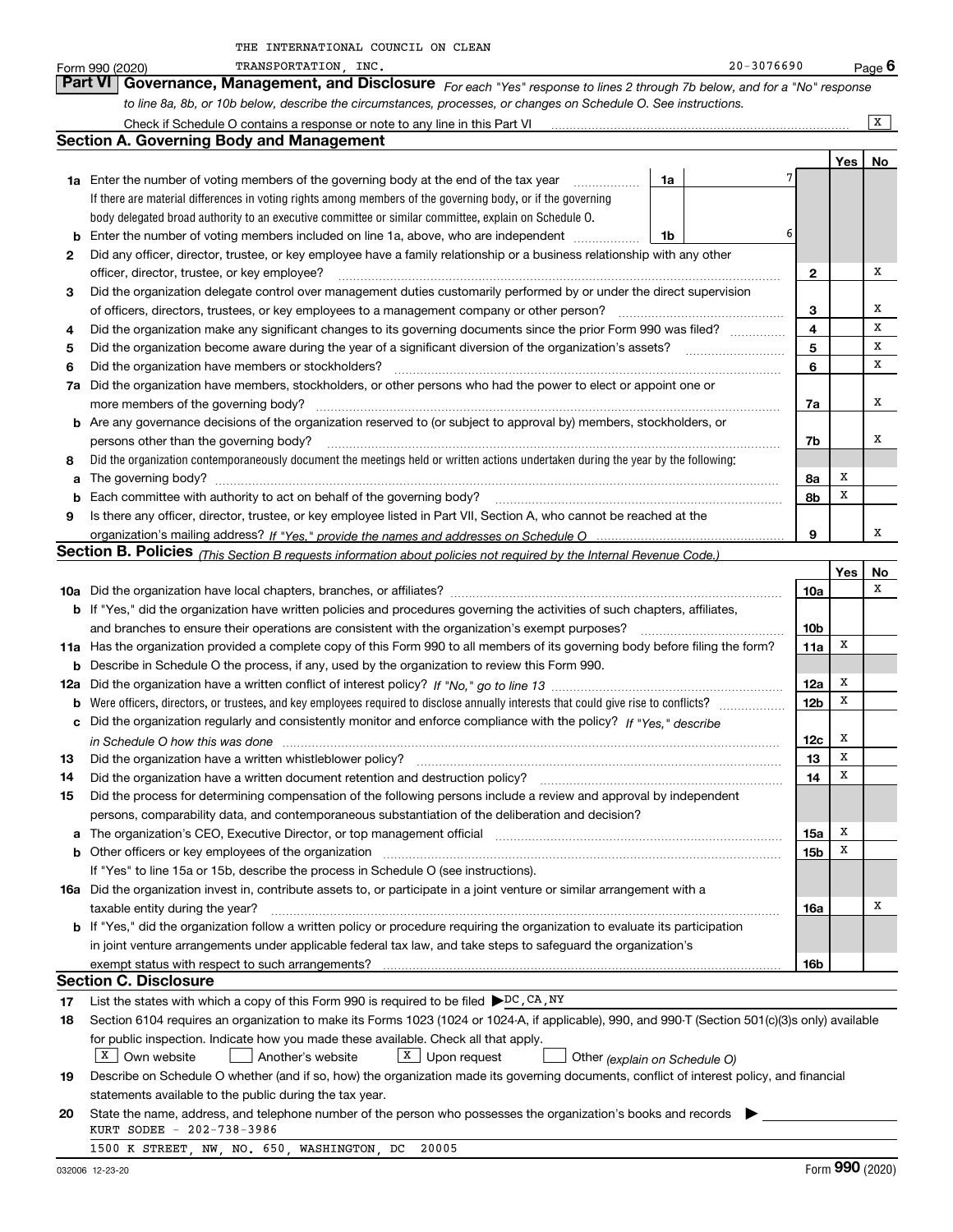|    | TRANSPORTATION, INC.<br>Form 990 (2020)                                                                                                                               |    | $20 - 3076690$ |                 |     | $Page$ 6 |
|----|-----------------------------------------------------------------------------------------------------------------------------------------------------------------------|----|----------------|-----------------|-----|----------|
|    | Part VI<br>Governance, Management, and Disclosure For each "Yes" response to lines 2 through 7b below, and for a "No" response                                        |    |                |                 |     |          |
|    | to line 8a, 8b, or 10b below, describe the circumstances, processes, or changes on Schedule O. See instructions.                                                      |    |                |                 |     |          |
|    | Check if Schedule O contains a response or note to any line in this Part VI                                                                                           |    |                |                 |     | X        |
|    | <b>Section A. Governing Body and Management</b>                                                                                                                       |    |                |                 |     |          |
|    |                                                                                                                                                                       |    |                |                 | Yes | No       |
|    | <b>1a</b> Enter the number of voting members of the governing body at the end of the tax year                                                                         | 1a |                | 7               |     |          |
|    | If there are material differences in voting rights among members of the governing body, or if the governing                                                           |    |                |                 |     |          |
|    | body delegated broad authority to an executive committee or similar committee, explain on Schedule O.                                                                 |    |                |                 |     |          |
| b  | Enter the number of voting members included on line 1a, above, who are independent                                                                                    | 1b |                | 6               |     |          |
| 2  | Did any officer, director, trustee, or key employee have a family relationship or a business relationship with any other                                              |    |                |                 |     |          |
|    | officer, director, trustee, or key employee?                                                                                                                          |    |                | 2               |     | Χ        |
| 3  | Did the organization delegate control over management duties customarily performed by or under the direct supervision                                                 |    |                |                 |     |          |
|    | of officers, directors, trustees, or key employees to a management company or other person?                                                                           |    |                | З               |     | х        |
| 4  | Did the organization make any significant changes to its governing documents since the prior Form 990 was filed?                                                      |    |                | 4               |     | х        |
| 5  |                                                                                                                                                                       |    |                | 5               |     | x        |
| 6  | Did the organization have members or stockholders?                                                                                                                    |    |                | 6               |     | х        |
| 7a | Did the organization have members, stockholders, or other persons who had the power to elect or appoint one or                                                        |    |                |                 |     |          |
|    | more members of the governing body?                                                                                                                                   |    |                | 7a              |     | х        |
|    | <b>b</b> Are any governance decisions of the organization reserved to (or subject to approval by) members, stockholders, or                                           |    |                |                 |     |          |
|    | persons other than the governing body?                                                                                                                                |    |                | 7b              |     | x        |
| 8  | Did the organization contemporaneously document the meetings held or written actions undertaken during the year by the following:                                     |    |                |                 |     |          |
|    |                                                                                                                                                                       |    |                | 8a              | х   |          |
| a  |                                                                                                                                                                       |    |                | 8b              | х   |          |
| b  |                                                                                                                                                                       |    |                |                 |     |          |
| 9  | Is there any officer, director, trustee, or key employee listed in Part VII, Section A, who cannot be reached at the                                                  |    |                | 9               |     | x        |
|    |                                                                                                                                                                       |    |                |                 |     |          |
|    | Section B. Policies (This Section B requests information about policies not required by the Internal Revenue Code.)                                                   |    |                |                 |     |          |
|    |                                                                                                                                                                       |    |                |                 | Yes | No<br>х  |
|    |                                                                                                                                                                       |    |                | 10a             |     |          |
|    | <b>b</b> If "Yes," did the organization have written policies and procedures governing the activities of such chapters, affiliates,                                   |    |                |                 |     |          |
|    | and branches to ensure their operations are consistent with the organization's exempt purposes?                                                                       |    |                | 10b             |     |          |
|    | 11a Has the organization provided a complete copy of this Form 990 to all members of its governing body before filing the form?                                       |    |                | 11a             | Х   |          |
|    | <b>b</b> Describe in Schedule O the process, if any, used by the organization to review this Form 990.                                                                |    |                |                 |     |          |
|    |                                                                                                                                                                       |    |                | 12a             | Х   |          |
|    |                                                                                                                                                                       |    |                | 12 <sub>b</sub> | х   |          |
|    | c Did the organization regularly and consistently monitor and enforce compliance with the policy? If "Yes," describe                                                  |    |                |                 |     |          |
|    | in Schedule O how this was done manufactured and contain an according to the state of the state of the state o                                                        |    |                | 12c             | x   |          |
|    |                                                                                                                                                                       |    |                | 13              | X   |          |
| 14 | Did the organization have a written document retention and destruction policy?                                                                                        |    |                | 14              | х   |          |
| 15 | Did the process for determining compensation of the following persons include a review and approval by independent                                                    |    |                |                 |     |          |
|    | persons, comparability data, and contemporaneous substantiation of the deliberation and decision?                                                                     |    |                |                 |     |          |
| a  | The organization's CEO, Executive Director, or top management official manufactured content of the organization's CEO, Executive Director, or top management official |    |                | 15a             | x   |          |
|    |                                                                                                                                                                       |    |                | 15b             | х   |          |
|    | If "Yes" to line 15a or 15b, describe the process in Schedule O (see instructions).                                                                                   |    |                |                 |     |          |
|    | 16a Did the organization invest in, contribute assets to, or participate in a joint venture or similar arrangement with a                                             |    |                |                 |     |          |
|    | taxable entity during the year?                                                                                                                                       |    |                | 16a             |     | x        |
|    | b If "Yes," did the organization follow a written policy or procedure requiring the organization to evaluate its participation                                        |    |                |                 |     |          |
|    | in joint venture arrangements under applicable federal tax law, and take steps to safeguard the organization's                                                        |    |                |                 |     |          |
|    | exempt status with respect to such arrangements?                                                                                                                      |    |                | 16b             |     |          |
|    | <b>Section C. Disclosure</b>                                                                                                                                          |    |                |                 |     |          |
| 17 | List the states with which a copy of this Form 990 is required to be filed $\blacktriangleright$ DC, CA, NY                                                           |    |                |                 |     |          |
| 18 | Section 6104 requires an organization to make its Forms 1023 (1024 or 1024-A, if applicable), 990, and 990-T (Section 501(c)(3)s only) available                      |    |                |                 |     |          |
|    | for public inspection. Indicate how you made these available. Check all that apply.                                                                                   |    |                |                 |     |          |
|    | $X$ Own website<br>$X$ Upon request<br>Another's website<br>Other (explain on Schedule O)                                                                             |    |                |                 |     |          |
| 19 | Describe on Schedule O whether (and if so, how) the organization made its governing documents, conflict of interest policy, and financial                             |    |                |                 |     |          |
|    | statements available to the public during the tax year.                                                                                                               |    |                |                 |     |          |
| 20 | State the name, address, and telephone number of the person who possesses the organization's books and records                                                        |    |                |                 |     |          |
|    | KURT SODEE - 202-738-3986                                                                                                                                             |    |                |                 |     |          |
|    | 1500 K STREET, NW, NO. 650, WASHINGTON, DC<br>20005                                                                                                                   |    |                |                 |     |          |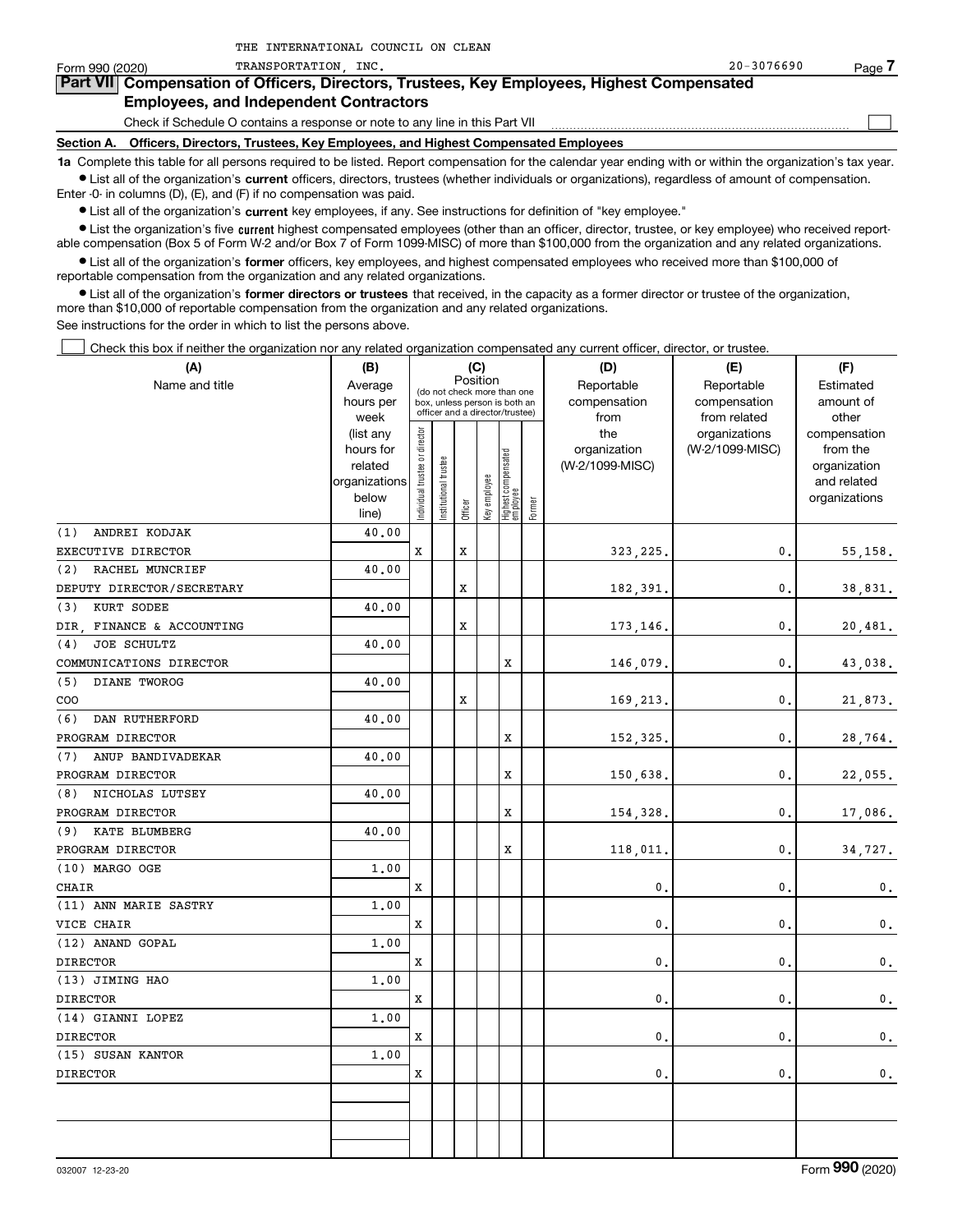| Form 990 (2020) | TRANSPORTATION<br>INC.                                                                                                                                     | $20 - 3076690$ | Page |  |  |  |  |  |
|-----------------|------------------------------------------------------------------------------------------------------------------------------------------------------------|----------------|------|--|--|--|--|--|
|                 | <b>Part VII</b> Compensation of Officers, Directors, Trustees, Key Employees, Highest Compensated                                                          |                |      |  |  |  |  |  |
|                 | <b>Employees, and Independent Contractors</b>                                                                                                              |                |      |  |  |  |  |  |
|                 | Check if Schedule O contains a response or note to any line in this Part VII                                                                               |                |      |  |  |  |  |  |
| Section A.      | Officers, Directors, Trustees, Key Employees, and Highest Compensated Employees                                                                            |                |      |  |  |  |  |  |
|                 | 1a Complete this table for all persons required to be listed. Report compensation for the calendar year ending with or within the organization's tax year. |                |      |  |  |  |  |  |
|                 | • List all of the organization's current officers, directors, trustees (whether individuals or organizations), regardless of amount of compensation.       |                |      |  |  |  |  |  |

Enter -0- in columns (D), (E), and (F) if no compensation was paid.

 $\bullet$  List all of the organization's  $\,$ current key employees, if any. See instructions for definition of "key employee."

THE INTERNATIONAL COUNCIL ON CLEAN

**•** List the organization's five current highest compensated employees (other than an officer, director, trustee, or key employee) who received reportable compensation (Box 5 of Form W-2 and/or Box 7 of Form 1099-MISC) of more than \$100,000 from the organization and any related organizations.

**•** List all of the organization's former officers, key employees, and highest compensated employees who received more than \$100,000 of reportable compensation from the organization and any related organizations.

**former directors or trustees**  ¥ List all of the organization's that received, in the capacity as a former director or trustee of the organization, more than \$10,000 of reportable compensation from the organization and any related organizations.

See instructions for the order in which to list the persons above.

Check this box if neither the organization nor any related organization compensated any current officer, director, or trustee.  $\mathcal{L}^{\text{max}}$ 

| (A)                       | (B)            |                                |                       | (C)      |              |                                                                  |        | (D)             | (E)             | (F)           |  |  |
|---------------------------|----------------|--------------------------------|-----------------------|----------|--------------|------------------------------------------------------------------|--------|-----------------|-----------------|---------------|--|--|
| Name and title            | Average        |                                |                       | Position |              | (do not check more than one                                      |        | Reportable      | Reportable      | Estimated     |  |  |
|                           | hours per      |                                |                       |          |              | box, unless person is both an<br>officer and a director/trustee) |        | compensation    | compensation    | amount of     |  |  |
|                           | week           |                                |                       |          |              |                                                                  |        | from            | from related    | other         |  |  |
|                           | (list any      |                                |                       |          |              |                                                                  |        | the             | organizations   | compensation  |  |  |
|                           | hours for      |                                |                       |          |              |                                                                  |        | organization    | (W-2/1099-MISC) | from the      |  |  |
|                           | related        |                                |                       |          |              |                                                                  |        | (W-2/1099-MISC) |                 | organization  |  |  |
|                           | organizations  |                                |                       |          |              |                                                                  |        |                 |                 | and related   |  |  |
|                           | below<br>line) | Individual trustee or director | Institutional trustee | Officer  | Key employee | Highest compensated<br> employee                                 | Former |                 |                 | organizations |  |  |
| (1)<br>ANDREI KODJAK      | 40.00          |                                |                       |          |              |                                                                  |        |                 |                 |               |  |  |
| EXECUTIVE DIRECTOR        |                | X                              |                       | X        |              |                                                                  |        | 323,225.        | $\mathbf{0}$ .  | 55,158.       |  |  |
| RACHEL MUNCRIEF<br>(2)    | 40.00          |                                |                       |          |              |                                                                  |        |                 |                 |               |  |  |
| DEPUTY DIRECTOR/SECRETARY |                |                                |                       | X        |              |                                                                  |        | 182,391.        | $\mathbf{0}$ .  | 38,831.       |  |  |
| (3)<br>KURT SODEE         | 40.00          |                                |                       |          |              |                                                                  |        |                 |                 |               |  |  |
| DIR FINANCE & ACCOUNTING  |                |                                |                       | X        |              |                                                                  |        | 173,146.        | $\mathbf{0}$ .  | 20,481.       |  |  |
| JOE SCHULTZ<br>(4)        | 40.00          |                                |                       |          |              |                                                                  |        |                 |                 |               |  |  |
| COMMUNICATIONS DIRECTOR   |                |                                |                       |          |              | X                                                                |        | 146,079.        | $\mathbf{0}$    | 43,038.       |  |  |
| (5)<br>DIANE TWOROG       | 40.00          |                                |                       |          |              |                                                                  |        |                 |                 |               |  |  |
| COO                       |                |                                |                       | x        |              |                                                                  |        | 169,213.        | 0.              | 21,873.       |  |  |
| DAN RUTHERFORD<br>(6)     | 40.00          |                                |                       |          |              |                                                                  |        |                 |                 |               |  |  |
| PROGRAM DIRECTOR          |                |                                |                       |          |              | X                                                                |        | 152,325.        | 0.              | 28,764.       |  |  |
| ANUP BANDIVADEKAR<br>(7)  | 40.00          |                                |                       |          |              |                                                                  |        |                 |                 |               |  |  |
| PROGRAM DIRECTOR          |                |                                |                       |          |              | $\mathbf x$                                                      |        | 150,638.        | $\mathbf{0}$    | 22,055.       |  |  |
| NICHOLAS LUTSEY<br>(8)    | 40.00          |                                |                       |          |              |                                                                  |        |                 |                 |               |  |  |
| PROGRAM DIRECTOR          |                |                                |                       |          |              | X                                                                |        | 154,328.        | $\mathbf{0}$    | 17,086.       |  |  |
| KATE BLUMBERG<br>(9)      | 40.00          |                                |                       |          |              |                                                                  |        |                 |                 |               |  |  |
| PROGRAM DIRECTOR          |                |                                |                       |          |              | X                                                                |        | 118,011         | $\mathbf{0}$    | 34,727.       |  |  |
| (10) MARGO OGE            | 1.00           |                                |                       |          |              |                                                                  |        |                 |                 |               |  |  |
| CHAIR                     |                | X                              |                       |          |              |                                                                  |        | 0.              | $\mathbf 0$     | 0.            |  |  |
| (11) ANN MARIE SASTRY     | 1.00           |                                |                       |          |              |                                                                  |        |                 |                 |               |  |  |
| VICE CHAIR                |                | x                              |                       |          |              |                                                                  |        | 0.              | $\mathbf{0}$    | $\mathbf 0$ . |  |  |
| (12) ANAND GOPAL          | 1,00           |                                |                       |          |              |                                                                  |        |                 |                 |               |  |  |
| <b>DIRECTOR</b>           |                | X                              |                       |          |              |                                                                  |        | 0.              | $\mathbf 0$     | $\mathbf 0$ . |  |  |
| (13) JIMING HAO           | 1.00           |                                |                       |          |              |                                                                  |        |                 |                 |               |  |  |
| <b>DIRECTOR</b>           |                | x                              |                       |          |              |                                                                  |        | $\mathbf{0}$ .  | 0               | $\mathbf 0$ . |  |  |
| (14) GIANNI LOPEZ         | 1.00           |                                |                       |          |              |                                                                  |        |                 |                 |               |  |  |
| <b>DIRECTOR</b>           |                | x                              |                       |          |              |                                                                  |        | 0.              | 0.              | 0.            |  |  |
| (15) SUSAN KANTOR         | 1,00           |                                |                       |          |              |                                                                  |        |                 |                 |               |  |  |
| <b>DIRECTOR</b>           |                | x                              |                       |          |              |                                                                  |        | 0.              | 0.              | 0.            |  |  |
|                           |                |                                |                       |          |              |                                                                  |        |                 |                 |               |  |  |
|                           |                |                                |                       |          |              |                                                                  |        |                 |                 |               |  |  |
|                           |                |                                |                       |          |              |                                                                  |        |                 |                 |               |  |  |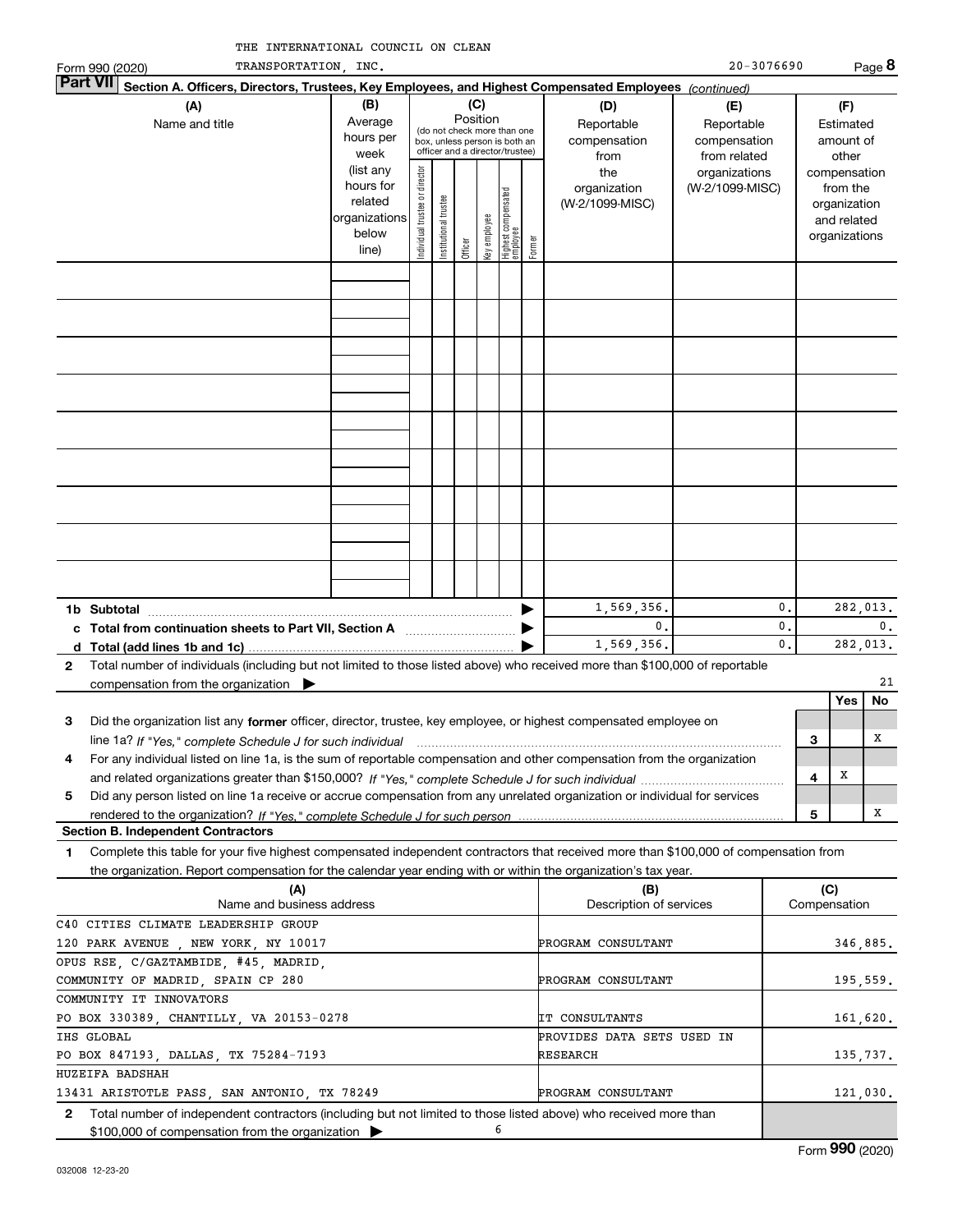| THE INTERNATIONAL COUNCIL ON CLEAN |  |  |
|------------------------------------|--|--|
|                                    |  |  |

|              | TRANSPORTATION, INC.<br>Form 990 (2020)                                                                                                              |                                                                                                                                                           |                                |                            |         |              |                                 |        |                                           | $20 - 3076690$                                    |          |     |                                                                          | Page 8         |
|--------------|------------------------------------------------------------------------------------------------------------------------------------------------------|-----------------------------------------------------------------------------------------------------------------------------------------------------------|--------------------------------|----------------------------|---------|--------------|---------------------------------|--------|-------------------------------------------|---------------------------------------------------|----------|-----|--------------------------------------------------------------------------|----------------|
|              | <b>Part VI</b><br>Section A. Officers, Directors, Trustees, Key Employees, and Highest Compensated Employees (continued)                             |                                                                                                                                                           |                                |                            |         |              |                                 |        |                                           |                                                   |          |     |                                                                          |                |
|              | (A)<br>Name and title                                                                                                                                | (C)<br>(B)<br>Position<br>Average<br>(do not check more than one<br>hours per<br>box, unless person is both an<br>officer and a director/trustee)<br>week |                                |                            |         |              |                                 |        | (D)<br>Reportable<br>compensation<br>from | (E)<br>Reportable<br>compensation<br>from related |          |     | (F)<br>Estimated<br>amount of<br>other                                   |                |
|              |                                                                                                                                                      | (list any<br>hours for<br>related<br>organizations<br>below<br>line)                                                                                      | Individual trustee or director | trustee<br>Institutional t | Officer | key employee | Highest compensated<br>employee | Former | the<br>organization<br>(W-2/1099-MISC)    | organizations<br>(W-2/1099-MISC)                  |          |     | compensation<br>from the<br>organization<br>and related<br>organizations |                |
|              |                                                                                                                                                      |                                                                                                                                                           |                                |                            |         |              |                                 |        |                                           |                                                   |          |     |                                                                          |                |
|              |                                                                                                                                                      |                                                                                                                                                           |                                |                            |         |              |                                 |        |                                           |                                                   |          |     |                                                                          |                |
|              |                                                                                                                                                      |                                                                                                                                                           |                                |                            |         |              |                                 |        |                                           |                                                   |          |     |                                                                          |                |
|              |                                                                                                                                                      |                                                                                                                                                           |                                |                            |         |              |                                 |        |                                           |                                                   |          |     |                                                                          |                |
|              |                                                                                                                                                      |                                                                                                                                                           |                                |                            |         |              |                                 |        |                                           |                                                   |          |     |                                                                          |                |
|              |                                                                                                                                                      |                                                                                                                                                           |                                |                            |         |              |                                 |        |                                           |                                                   |          |     |                                                                          |                |
|              |                                                                                                                                                      |                                                                                                                                                           |                                |                            |         |              |                                 |        |                                           |                                                   |          |     |                                                                          |                |
|              |                                                                                                                                                      |                                                                                                                                                           |                                |                            |         |              |                                 |        |                                           |                                                   |          |     |                                                                          |                |
|              | 1b Subtotal                                                                                                                                          |                                                                                                                                                           |                                |                            |         |              |                                 |        | 1,569,356.<br>0.                          |                                                   | 0.<br>0. |     |                                                                          | 282,013.<br>0. |
|              | c Total from continuation sheets to Part VII, Section A manufactured in the Total from continuum                                                     |                                                                                                                                                           |                                |                            |         |              |                                 |        | 1,569,356.                                |                                                   | 0.       |     |                                                                          | 282,013.       |
| $\mathbf{2}$ | Total number of individuals (including but not limited to those listed above) who received more than \$100,000 of reportable                         |                                                                                                                                                           |                                |                            |         |              |                                 |        |                                           |                                                   |          |     |                                                                          |                |
|              | compensation from the organization $\qquad \qquad$                                                                                                   |                                                                                                                                                           |                                |                            |         |              |                                 |        |                                           |                                                   |          |     |                                                                          | 21             |
|              |                                                                                                                                                      |                                                                                                                                                           |                                |                            |         |              |                                 |        |                                           |                                                   |          |     | Yes                                                                      | No             |
| 3            | Did the organization list any former officer, director, trustee, key employee, or highest compensated employee on                                    |                                                                                                                                                           |                                |                            |         |              |                                 |        |                                           |                                                   |          |     |                                                                          |                |
|              | line 1a? If "Yes," complete Schedule J for such individual manufactured contained and the line 1a? If "Yes," complete Schedule J for such individual |                                                                                                                                                           |                                |                            |         |              |                                 |        |                                           |                                                   |          | 3   |                                                                          | x              |
| 4            | For any individual listed on line 1a, is the sum of reportable compensation and other compensation from the organization                             |                                                                                                                                                           |                                |                            |         |              |                                 |        |                                           |                                                   |          |     | X                                                                        |                |
| 5            | Did any person listed on line 1a receive or accrue compensation from any unrelated organization or individual for services                           |                                                                                                                                                           |                                |                            |         |              |                                 |        |                                           |                                                   |          | 4   |                                                                          |                |
|              |                                                                                                                                                      |                                                                                                                                                           |                                |                            |         |              |                                 |        |                                           |                                                   |          | 5   |                                                                          | x              |
|              | <b>Section B. Independent Contractors</b>                                                                                                            |                                                                                                                                                           |                                |                            |         |              |                                 |        |                                           |                                                   |          |     |                                                                          |                |
| 1            | Complete this table for your five highest compensated independent contractors that received more than \$100,000 of compensation from                 |                                                                                                                                                           |                                |                            |         |              |                                 |        |                                           |                                                   |          |     |                                                                          |                |
|              | the organization. Report compensation for the calendar year ending with or within the organization's tax year.                                       |                                                                                                                                                           |                                |                            |         |              |                                 |        |                                           |                                                   |          |     |                                                                          |                |
|              | (A)<br>Name and business address                                                                                                                     |                                                                                                                                                           |                                |                            |         |              |                                 |        | (B)<br>Description of services            |                                                   |          | (C) | Compensation                                                             |                |
|              | C40 CITIES CLIMATE LEADERSHIP GROUP                                                                                                                  |                                                                                                                                                           |                                |                            |         |              |                                 |        |                                           |                                                   |          |     |                                                                          |                |
|              | 120 PARK AVENUE, NEW YORK, NY 10017                                                                                                                  |                                                                                                                                                           |                                |                            |         |              |                                 |        | PROGRAM CONSULTANT                        |                                                   |          |     |                                                                          | 346,885.       |
|              | OPUS RSE, C/GAZTAMBIDE, #45, MADRID,                                                                                                                 |                                                                                                                                                           |                                |                            |         |              |                                 |        |                                           |                                                   |          |     |                                                                          |                |
|              | COMMUNITY OF MADRID, SPAIN CP 280                                                                                                                    |                                                                                                                                                           |                                |                            |         |              |                                 |        | PROGRAM CONSULTANT                        |                                                   |          |     |                                                                          | 195,559.       |
|              | COMMUNITY IT INNOVATORS                                                                                                                              |                                                                                                                                                           |                                |                            |         |              |                                 |        |                                           |                                                   |          |     |                                                                          |                |

**2**Total number of independent contractors (including but not limited to those listed above) who received more than \$100,000 of compensation from the organization  $\blacktriangleright$ PO BOX 330389, CHANTILLY, VA 20153-0278 PO BOX 847193, DALLAS, TX 75284-7193 13431 ARISTOTLE PASS, SAN ANTONIO, TX 78249 6IHS GLOBAL HUZEIFA BADSHAH IT CONSULTANTS RESEARCHPROVIDES DATA SETS USED IN PROGRAM CONSULTANT 161,620. 135,737. 121,030.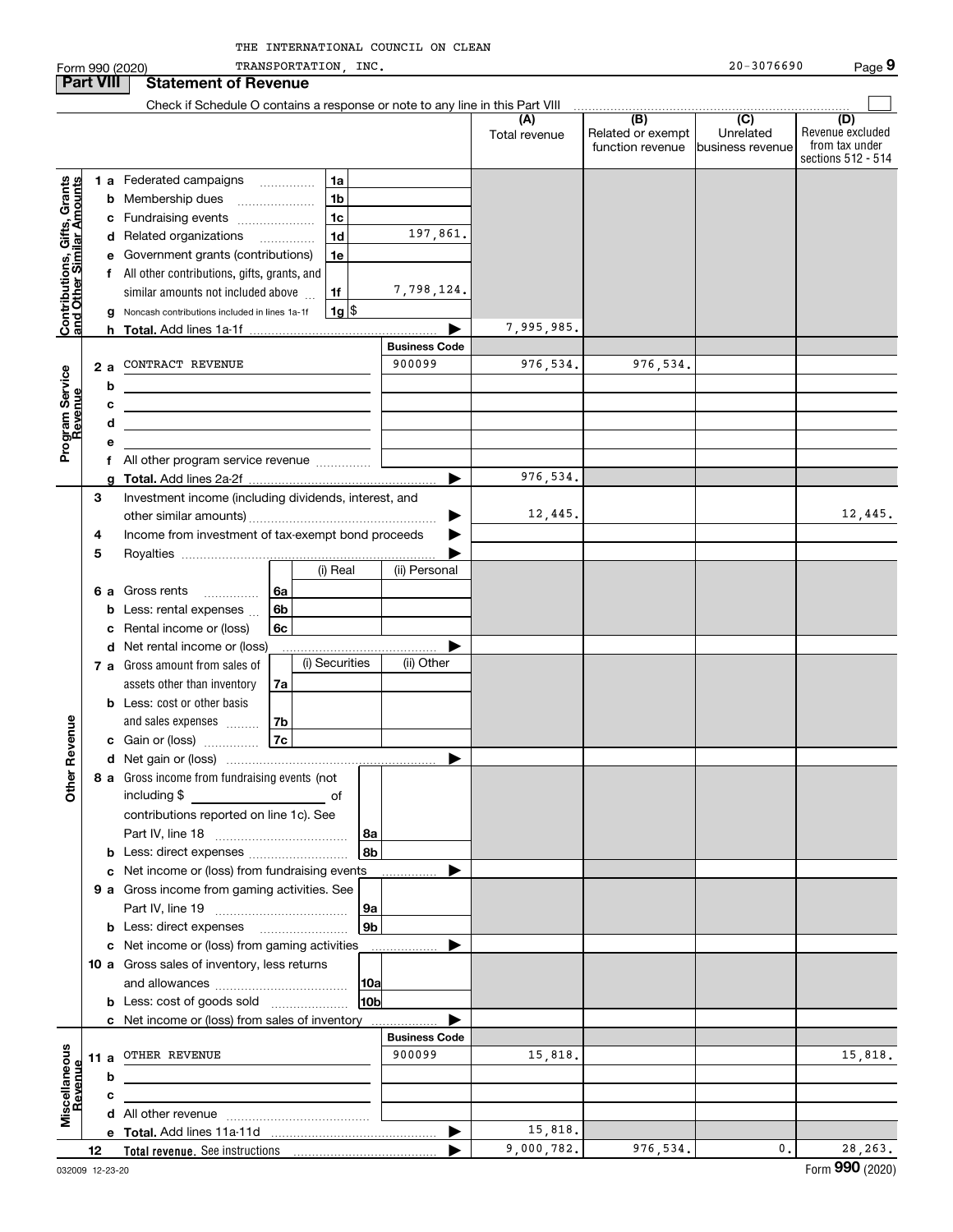|                                                           |                  | Form 990 (2020)                                                                                                       |                | TRANSPORTATION, INC. |                |                      |                      |                                                           | $20 - 3076690$                                    | Page 9                                                          |
|-----------------------------------------------------------|------------------|-----------------------------------------------------------------------------------------------------------------------|----------------|----------------------|----------------|----------------------|----------------------|-----------------------------------------------------------|---------------------------------------------------|-----------------------------------------------------------------|
|                                                           | <b>Part VIII</b> | <b>Statement of Revenue</b>                                                                                           |                |                      |                |                      |                      |                                                           |                                                   |                                                                 |
|                                                           |                  | Check if Schedule O contains a response or note to any line in this Part VIII                                         |                |                      |                |                      |                      |                                                           |                                                   |                                                                 |
|                                                           |                  |                                                                                                                       |                |                      |                |                      | (A)<br>Total revenue | $\overline{(B)}$<br>Related or exempt<br>function revenue | $\overline{(C)}$<br>Unrelated<br>business revenue | (D)<br>Revenue excluded<br>from tax under<br>sections 512 - 514 |
|                                                           |                  | 1 a Federated campaigns                                                                                               |                | 1a                   |                |                      |                      |                                                           |                                                   |                                                                 |
|                                                           | b                | Membership dues<br>$\ldots \ldots \ldots \ldots \ldots$                                                               |                | 1 <sub>b</sub>       |                |                      |                      |                                                           |                                                   |                                                                 |
| Contributions, Gifts, Grants<br>and Other Similar Amounts |                  | c Fundraising events                                                                                                  |                | 1 <sub>c</sub>       |                |                      |                      |                                                           |                                                   |                                                                 |
|                                                           |                  | d Related organizations                                                                                               |                | 1 <sub>d</sub>       |                | 197,861.             |                      |                                                           |                                                   |                                                                 |
|                                                           |                  | e Government grants (contributions)                                                                                   |                | 1e                   |                |                      |                      |                                                           |                                                   |                                                                 |
|                                                           |                  | f All other contributions, gifts, grants, and                                                                         |                |                      |                |                      |                      |                                                           |                                                   |                                                                 |
|                                                           |                  | similar amounts not included above                                                                                    |                | 1f                   |                | 7,798,124.           |                      |                                                           |                                                   |                                                                 |
|                                                           |                  | Noncash contributions included in lines 1a-1f                                                                         |                | $1g$ \$              |                |                      |                      |                                                           |                                                   |                                                                 |
|                                                           |                  |                                                                                                                       |                |                      |                |                      | 7,995,985.           |                                                           |                                                   |                                                                 |
|                                                           |                  |                                                                                                                       |                |                      |                | <b>Business Code</b> |                      |                                                           |                                                   |                                                                 |
|                                                           | 2a               | CONTRACT REVENUE                                                                                                      |                |                      |                | 900099               | 976,534.             | 976,534.                                                  |                                                   |                                                                 |
| Program Service<br>Revenue                                | b                |                                                                                                                       |                |                      |                |                      |                      |                                                           |                                                   |                                                                 |
|                                                           |                  | the control of the control of the control of the control of the control of the control of                             |                |                      |                |                      |                      |                                                           |                                                   |                                                                 |
|                                                           | d                | <u> 1989 - Johann Barn, mars eta bainar eta bat erroman erroman erroman erroman erroman erroman erroman erroman e</u> |                |                      |                |                      |                      |                                                           |                                                   |                                                                 |
|                                                           |                  |                                                                                                                       |                |                      |                |                      |                      |                                                           |                                                   |                                                                 |
|                                                           |                  | f All other program service revenue                                                                                   |                |                      |                |                      |                      |                                                           |                                                   |                                                                 |
|                                                           |                  |                                                                                                                       |                |                      |                | ▶                    | 976,534.             |                                                           |                                                   |                                                                 |
|                                                           | 3                | Investment income (including dividends, interest, and                                                                 |                |                      |                |                      |                      |                                                           |                                                   |                                                                 |
|                                                           |                  |                                                                                                                       |                |                      |                | ▶                    | 12,445.              |                                                           |                                                   | 12,445.                                                         |
|                                                           | 4                | Income from investment of tax-exempt bond proceeds                                                                    |                |                      |                |                      |                      |                                                           |                                                   |                                                                 |
|                                                           | 5                |                                                                                                                       |                |                      |                |                      |                      |                                                           |                                                   |                                                                 |
|                                                           |                  |                                                                                                                       |                | (i) Real             |                | (ii) Personal        |                      |                                                           |                                                   |                                                                 |
|                                                           | 6а               | Gross rents<br>$\overline{\phantom{a}}$                                                                               | 6a             |                      |                |                      |                      |                                                           |                                                   |                                                                 |
|                                                           | b                | Less: rental expenses                                                                                                 | 6 <sub>b</sub> |                      |                |                      |                      |                                                           |                                                   |                                                                 |
|                                                           | с                | Rental income or (loss)                                                                                               | 6с             |                      |                |                      |                      |                                                           |                                                   |                                                                 |
|                                                           | d                | Net rental income or (loss)                                                                                           |                |                      |                |                      |                      |                                                           |                                                   |                                                                 |
|                                                           |                  | 7 a Gross amount from sales of                                                                                        |                | (i) Securities       |                | (ii) Other           |                      |                                                           |                                                   |                                                                 |
|                                                           |                  | assets other than inventory                                                                                           | 7a             |                      |                |                      |                      |                                                           |                                                   |                                                                 |
|                                                           |                  | <b>b</b> Less: cost or other basis                                                                                    |                |                      |                |                      |                      |                                                           |                                                   |                                                                 |
|                                                           |                  | and sales expenses                                                                                                    | 7b             |                      |                |                      |                      |                                                           |                                                   |                                                                 |
| evenue                                                    |                  | c Gain or (loss)                                                                                                      | 7c             |                      |                |                      |                      |                                                           |                                                   |                                                                 |
|                                                           |                  |                                                                                                                       |                |                      |                |                      |                      |                                                           |                                                   |                                                                 |
| Other                                                     |                  | 8 a Gross income from fundraising events (not                                                                         |                |                      |                |                      |                      |                                                           |                                                   |                                                                 |
|                                                           |                  |                                                                                                                       |                |                      |                |                      |                      |                                                           |                                                   |                                                                 |
|                                                           |                  | contributions reported on line 1c). See                                                                               |                |                      |                |                      |                      |                                                           |                                                   |                                                                 |
|                                                           |                  |                                                                                                                       |                |                      | 8а             |                      |                      |                                                           |                                                   |                                                                 |
|                                                           |                  | <b>b</b> Less: direct expenses                                                                                        |                |                      | 8b             |                      |                      |                                                           |                                                   |                                                                 |
|                                                           |                  | c Net income or (loss) from fundraising events                                                                        |                |                      |                |                      |                      |                                                           |                                                   |                                                                 |
|                                                           |                  | 9 a Gross income from gaming activities. See                                                                          |                |                      |                |                      |                      |                                                           |                                                   |                                                                 |
|                                                           |                  |                                                                                                                       |                |                      | 9а             |                      |                      |                                                           |                                                   |                                                                 |
|                                                           |                  | <b>b</b> Less: direct expenses <b>manually</b>                                                                        |                |                      | 9 <sub>b</sub> |                      |                      |                                                           |                                                   |                                                                 |
|                                                           |                  | c Net income or (loss) from gaming activities                                                                         |                |                      |                |                      |                      |                                                           |                                                   |                                                                 |
|                                                           |                  | 10 a Gross sales of inventory, less returns                                                                           |                |                      |                |                      |                      |                                                           |                                                   |                                                                 |
|                                                           |                  |                                                                                                                       |                |                      | 10a            |                      |                      |                                                           |                                                   |                                                                 |
|                                                           |                  | <b>b</b> Less: cost of goods sold                                                                                     |                |                      | 10bl           |                      |                      |                                                           |                                                   |                                                                 |
|                                                           |                  | c Net income or (loss) from sales of inventory                                                                        |                |                      |                |                      |                      |                                                           |                                                   |                                                                 |
|                                                           |                  |                                                                                                                       |                |                      |                | <b>Business Code</b> |                      |                                                           |                                                   |                                                                 |
|                                                           |                  | 11 a OTHER REVENUE                                                                                                    |                |                      |                | 900099               | 15,818.              |                                                           |                                                   | 15,818.                                                         |
|                                                           | b                |                                                                                                                       |                |                      |                |                      |                      |                                                           |                                                   |                                                                 |
| Revenue                                                   |                  | the control of the control of the control of the control of the control of the control of                             |                |                      |                |                      |                      |                                                           |                                                   |                                                                 |
| Miscellaneous                                             |                  |                                                                                                                       |                |                      |                |                      |                      |                                                           |                                                   |                                                                 |
|                                                           |                  |                                                                                                                       |                |                      |                |                      | 15,818.              |                                                           |                                                   |                                                                 |
|                                                           | 12               |                                                                                                                       |                |                      |                |                      | 9,000,782.           | 976,534.                                                  | 0.                                                | 28, 263.                                                        |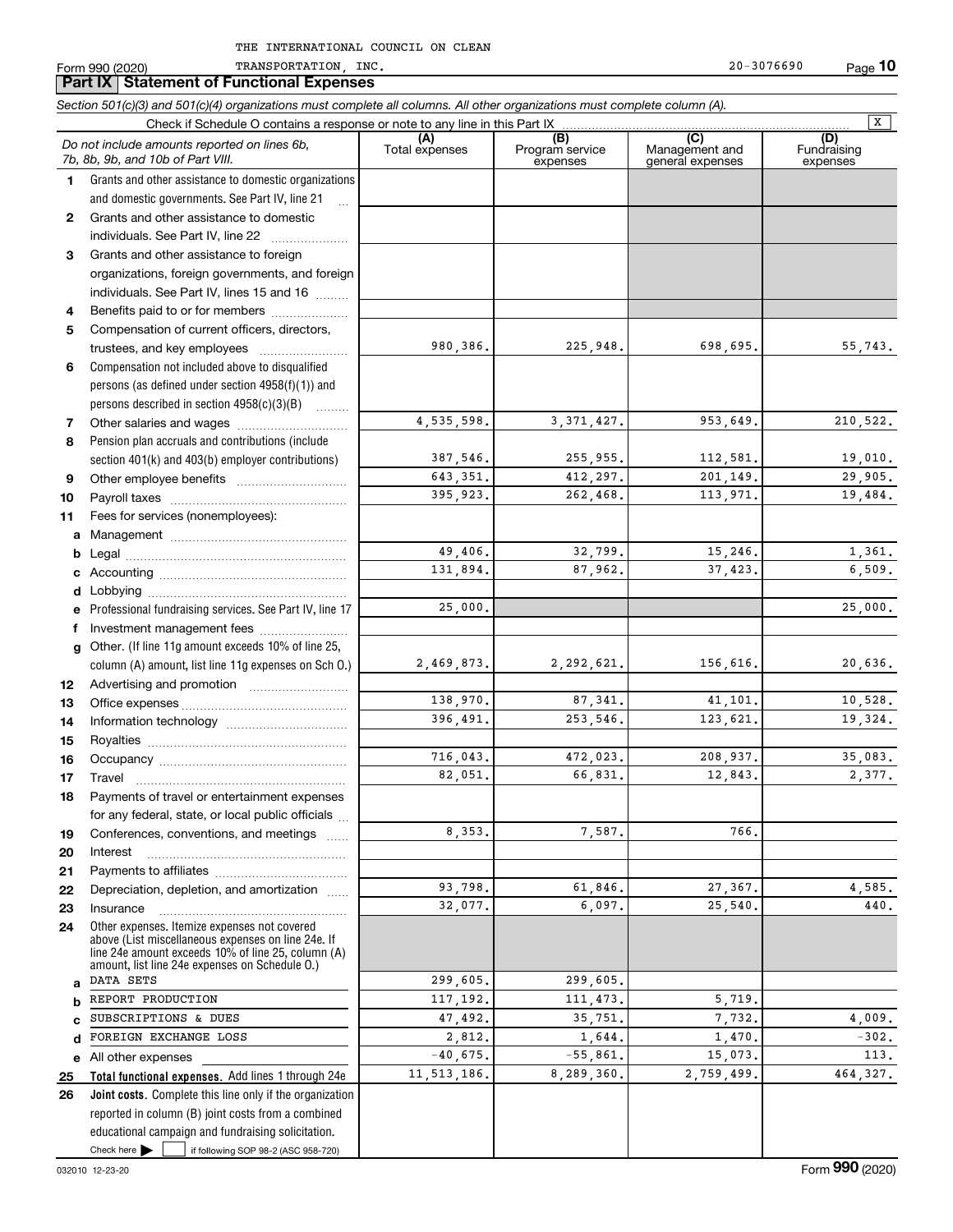|              | Section 501(c)(3) and 501(c)(4) organizations must complete all columns. All other organizations must complete column (A).<br>Check if Schedule O contains a response or note to any line in this Part IX  |                       |                                    |                                           | $\overline{X}$                 |
|--------------|------------------------------------------------------------------------------------------------------------------------------------------------------------------------------------------------------------|-----------------------|------------------------------------|-------------------------------------------|--------------------------------|
|              | Do not include amounts reported on lines 6b,<br>7b, 8b, 9b, and 10b of Part VIII.                                                                                                                          | (A)<br>Total expenses | (B)<br>Program service<br>expenses | (C)<br>Management and<br>general expenses | (D)<br>Fundraising<br>expenses |
| 1            | Grants and other assistance to domestic organizations<br>and domestic governments. See Part IV, line 21                                                                                                    |                       |                                    |                                           |                                |
| $\mathbf{2}$ | Grants and other assistance to domestic<br>individuals. See Part IV, line 22                                                                                                                               |                       |                                    |                                           |                                |
| 3            | Grants and other assistance to foreign<br>organizations, foreign governments, and foreign<br>individuals. See Part IV, lines 15 and 16                                                                     |                       |                                    |                                           |                                |
| 4            | Benefits paid to or for members                                                                                                                                                                            |                       |                                    |                                           |                                |
| 5            | Compensation of current officers, directors,<br>trustees, and key employees                                                                                                                                | 980,386.              | 225,948.                           | 698,695.                                  | 55,743.                        |
| 6            | Compensation not included above to disqualified<br>persons (as defined under section $4958(f)(1)$ ) and<br>persons described in section 4958(c)(3)(B)<br>.                                                 |                       |                                    |                                           |                                |
| 7            |                                                                                                                                                                                                            | 4,535,598.            | 3, 371, 427.                       | 953,649.                                  | 210,522.                       |
| 8            | Pension plan accruals and contributions (include<br>section 401(k) and 403(b) employer contributions)                                                                                                      | 387,546.              | 255,955.                           | 112,581.                                  | 19,010.                        |
| 9            |                                                                                                                                                                                                            | 643, 351.             | 412,297.                           | 201,149.                                  | 29,905.                        |
| 10           |                                                                                                                                                                                                            | 395,923.              | 262,468.                           | 113,971.                                  | 19,484.                        |
| 11           | Fees for services (nonemployees):                                                                                                                                                                          |                       |                                    |                                           |                                |
| а            |                                                                                                                                                                                                            |                       |                                    |                                           |                                |
| b            |                                                                                                                                                                                                            | 49,406.               | 32,799.                            | 15,246.                                   | 1,361.                         |
| с            |                                                                                                                                                                                                            | 131,894.              | 87,962.                            | 37,423.                                   | 6,509.                         |
| d            |                                                                                                                                                                                                            |                       |                                    |                                           |                                |
| е            | Professional fundraising services. See Part IV, line 17                                                                                                                                                    | 25,000.               |                                    |                                           | 25,000.                        |
| f            | Investment management fees                                                                                                                                                                                 |                       |                                    |                                           |                                |
| g            | Other. (If line 11g amount exceeds 10% of line 25,                                                                                                                                                         |                       |                                    |                                           |                                |
|              | column (A) amount, list line 11g expenses on Sch 0.)                                                                                                                                                       | 2,469,873.            | 2,292,621.                         | 156,616.                                  | 20,636.                        |
| 12           |                                                                                                                                                                                                            |                       |                                    |                                           |                                |
| 13           |                                                                                                                                                                                                            | 138,970.              | 87, 341.                           | 41,101.                                   | 10,528.                        |
| 14           |                                                                                                                                                                                                            | 396,491.              | 253,546.                           | 123,621.                                  | 19,324.                        |
| 15           |                                                                                                                                                                                                            |                       |                                    |                                           |                                |
| 16           |                                                                                                                                                                                                            | 716,043.              | 472,023.                           | 208,937.                                  | 35,083.                        |
| 17           | Travel                                                                                                                                                                                                     | 82,051.               | 66.831.                            | 12,843.                                   | 2.377.                         |
| 18           | Payments of travel or entertainment expenses                                                                                                                                                               |                       |                                    |                                           |                                |
|              | for any federal, state, or local public officials                                                                                                                                                          | 8,353.                | 7,587.                             | 766.                                      |                                |
| 19           | Conferences, conventions, and meetings<br>$\ldots$<br>Interest                                                                                                                                             |                       |                                    |                                           |                                |
| 20           |                                                                                                                                                                                                            |                       |                                    |                                           |                                |
| 21<br>22     | Depreciation, depletion, and amortization                                                                                                                                                                  | 93,798.               | 61,846.                            | 27,367.                                   | 4,585.                         |
| 23           | Insurance                                                                                                                                                                                                  | 32,077.               | 6,097.                             | 25,540.                                   | 440.                           |
| 24           | Other expenses. Itemize expenses not covered<br>above (List miscellaneous expenses on line 24e. If<br>line 24e amount exceeds 10% of line 25, column (A)<br>amount, list line 24e expenses on Schedule O.) |                       |                                    |                                           |                                |
| a            | DATA SETS                                                                                                                                                                                                  | 299,605.              | 299,605.                           |                                           |                                |
| b            | REPORT PRODUCTION                                                                                                                                                                                          | 117,192.              | 111,473.                           | 5,719.                                    |                                |
| с            | SUBSCRIPTIONS & DUES                                                                                                                                                                                       | 47,492.               | 35,751.                            | 7,732.                                    | 4,009.                         |
| d            | FOREIGN EXCHANGE LOSS                                                                                                                                                                                      | 2,812.                | 1,644.                             | 1,470.                                    | $-302.$                        |
| е            | All other expenses                                                                                                                                                                                         | $-40,675.$            | $-55,861.$                         | 15,073.                                   | 113.                           |
| 25           | Total functional expenses. Add lines 1 through 24e                                                                                                                                                         | 11,513,186.           | 8,289,360.                         | 2,759,499.                                | 464,327.                       |
| 26           | Joint costs. Complete this line only if the organization<br>reported in column (B) joint costs from a combined                                                                                             |                       |                                    |                                           |                                |
|              | educational campaign and fundraising solicitation.                                                                                                                                                         |                       |                                    |                                           |                                |

Check here

Check here  $\bullet$  if following SOP 98-2 (ASC 958-720)

**Part IX Statement of Functional Expert IX Statement of Functional Expenses**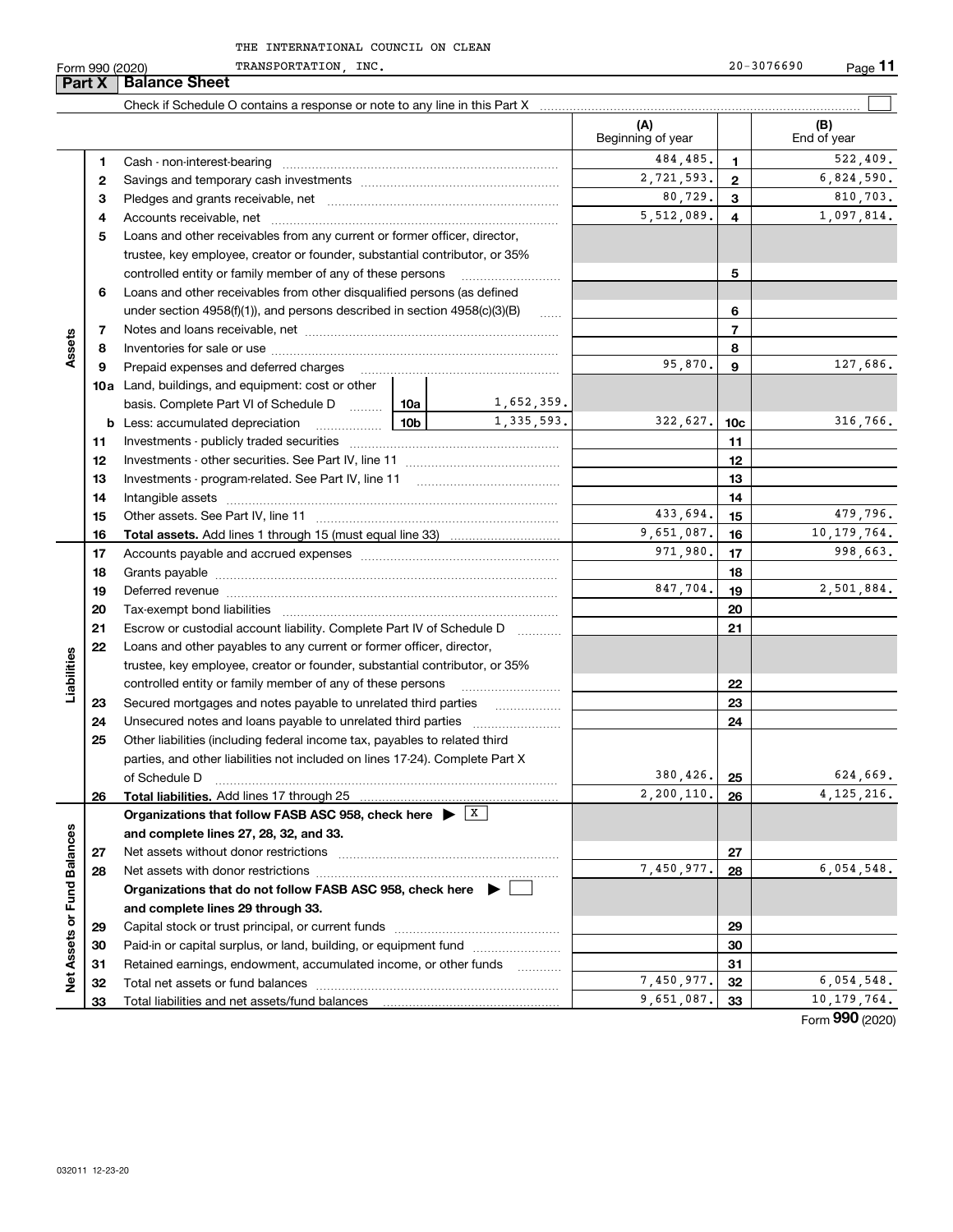Form 990 (2020) TRANSPORTATION,INC. 20-3076690 Page **11** TRANSPORTATION, INC. 20-3076690

| <b>Part X</b>               |          | <b>Balance Sheet</b>                                                                                                                                                                                                           |          |                     |                          |                |                          |
|-----------------------------|----------|--------------------------------------------------------------------------------------------------------------------------------------------------------------------------------------------------------------------------------|----------|---------------------|--------------------------|----------------|--------------------------|
|                             |          |                                                                                                                                                                                                                                |          |                     |                          |                |                          |
|                             |          |                                                                                                                                                                                                                                |          |                     | (A)<br>Beginning of year |                | (B)<br>End of year       |
|                             | 1        |                                                                                                                                                                                                                                |          |                     | 484,485.                 | 1              | 522,409.                 |
|                             | 2        |                                                                                                                                                                                                                                |          |                     | 2,721,593.               | $\mathbf{2}$   | 6,824,590.               |
|                             | з        |                                                                                                                                                                                                                                |          |                     | 80,729.                  | 3              | 810,703.                 |
|                             | 4        |                                                                                                                                                                                                                                |          |                     | 5,512,089.               | 4              | 1,097,814.               |
|                             | 5        | Loans and other receivables from any current or former officer, director,                                                                                                                                                      |          |                     |                          |                |                          |
|                             |          | trustee, key employee, creator or founder, substantial contributor, or 35%                                                                                                                                                     |          |                     |                          |                |                          |
|                             |          | controlled entity or family member of any of these persons                                                                                                                                                                     |          |                     |                          | 5              |                          |
|                             | 6        | Loans and other receivables from other disqualified persons (as defined<br>under section $4958(f)(1)$ , and persons described in section $4958(c)(3)(B)$                                                                       |          |                     |                          |                |                          |
|                             |          |                                                                                                                                                                                                                                |          |                     |                          | 6              |                          |
|                             | 7        |                                                                                                                                                                                                                                |          |                     |                          | $\overline{7}$ |                          |
| Assets                      | 8        |                                                                                                                                                                                                                                |          |                     |                          | 8              |                          |
|                             | 9        | Prepaid expenses and deferred charges                                                                                                                                                                                          |          |                     | 95,870.                  | 9              | 127,686.                 |
|                             |          | <b>10a</b> Land, buildings, and equipment: cost or other                                                                                                                                                                       |          |                     |                          |                |                          |
|                             |          | basis. Complete Part VI of Schedule D  10a                                                                                                                                                                                     |          | 1,652,359.          |                          |                |                          |
|                             |          | <u>  10b</u> 10m<br><b>b</b> Less: accumulated depreciation                                                                                                                                                                    |          | 1,335,593.          | 322,627.                 | 10c            | 316,766.                 |
|                             | 11       |                                                                                                                                                                                                                                |          |                     |                          | 11             |                          |
|                             | 12       |                                                                                                                                                                                                                                |          | 12                  |                          |                |                          |
|                             | 13       |                                                                                                                                                                                                                                |          |                     | 13                       |                |                          |
|                             | 14       |                                                                                                                                                                                                                                |          | 14                  |                          |                |                          |
|                             | 15       |                                                                                                                                                                                                                                |          |                     | 433,694.                 | 15             | 479,796.                 |
|                             | 16       |                                                                                                                                                                                                                                |          |                     | 9,651,087.               | 16             | 10, 179, 764.            |
|                             | 17       |                                                                                                                                                                                                                                | 971,980. | 17                  | 998,663.                 |                |                          |
|                             | 18       |                                                                                                                                                                                                                                |          | 18                  |                          |                |                          |
|                             | 19       | Deferred revenue manual contracts and contracts are all the manual contracts and contracts are contracted and contracts are contracted and contract are contracted and contract are contracted and contract are contracted and |          |                     | 847,704.                 | 19             | 2,501,884.               |
|                             | 20       |                                                                                                                                                                                                                                |          |                     |                          | 20             |                          |
|                             | 21       | Escrow or custodial account liability. Complete Part IV of Schedule D                                                                                                                                                          |          | 1.1.1.1.1.1.1.1.1.1 |                          | 21             |                          |
|                             | 22       | Loans and other payables to any current or former officer, director,                                                                                                                                                           |          |                     |                          |                |                          |
| Liabilities                 |          | trustee, key employee, creator or founder, substantial contributor, or 35%                                                                                                                                                     |          |                     |                          |                |                          |
|                             |          | controlled entity or family member of any of these persons                                                                                                                                                                     |          |                     |                          | 22             |                          |
|                             | 23       | Secured mortgages and notes payable to unrelated third parties                                                                                                                                                                 |          |                     |                          | 23             |                          |
|                             | 24       | Unsecured notes and loans payable to unrelated third parties                                                                                                                                                                   |          |                     |                          | 24             |                          |
|                             | 25       | Other liabilities (including federal income tax, payables to related third                                                                                                                                                     |          |                     |                          |                |                          |
|                             |          | parties, and other liabilities not included on lines 17-24). Complete Part X                                                                                                                                                   |          |                     |                          |                |                          |
|                             |          | of Schedule D                                                                                                                                                                                                                  |          |                     | 380,426.<br>2, 200, 110. | 25             | 624,669.<br>4, 125, 216. |
|                             | 26       | Total liabilities. Add lines 17 through 25                                                                                                                                                                                     |          |                     |                          | 26             |                          |
|                             |          | Organizations that follow FASB ASC 958, check here $\blacktriangleright$ $\boxed{\text{X}}$                                                                                                                                    |          |                     |                          |                |                          |
|                             |          | and complete lines 27, 28, 32, and 33.<br>Net assets without donor restrictions                                                                                                                                                |          |                     |                          | 27             |                          |
|                             | 27<br>28 |                                                                                                                                                                                                                                |          |                     | 7,450,977.               | 28             | 6,054,548.               |
|                             |          | Organizations that do not follow FASB ASC 958, check here $\blacktriangleright$                                                                                                                                                |          |                     |                          |                |                          |
|                             |          | and complete lines 29 through 33.                                                                                                                                                                                              |          |                     |                          |                |                          |
|                             | 29       |                                                                                                                                                                                                                                |          |                     |                          | 29             |                          |
|                             | 30       | Paid-in or capital surplus, or land, building, or equipment fund                                                                                                                                                               |          |                     |                          | 30             |                          |
|                             | 31       | Retained earnings, endowment, accumulated income, or other funds                                                                                                                                                               |          |                     |                          | 31             |                          |
| Net Assets or Fund Balances | 32       | Total net assets or fund balances                                                                                                                                                                                              |          |                     | 7,450,977.               | 32             | 6,054,548.               |
|                             | 33       |                                                                                                                                                                                                                                |          |                     | 9,651,087.               | 33             | 10, 179, 764.            |
|                             |          |                                                                                                                                                                                                                                |          |                     |                          |                | Form 990 (2020)          |

Formym **990** (2020)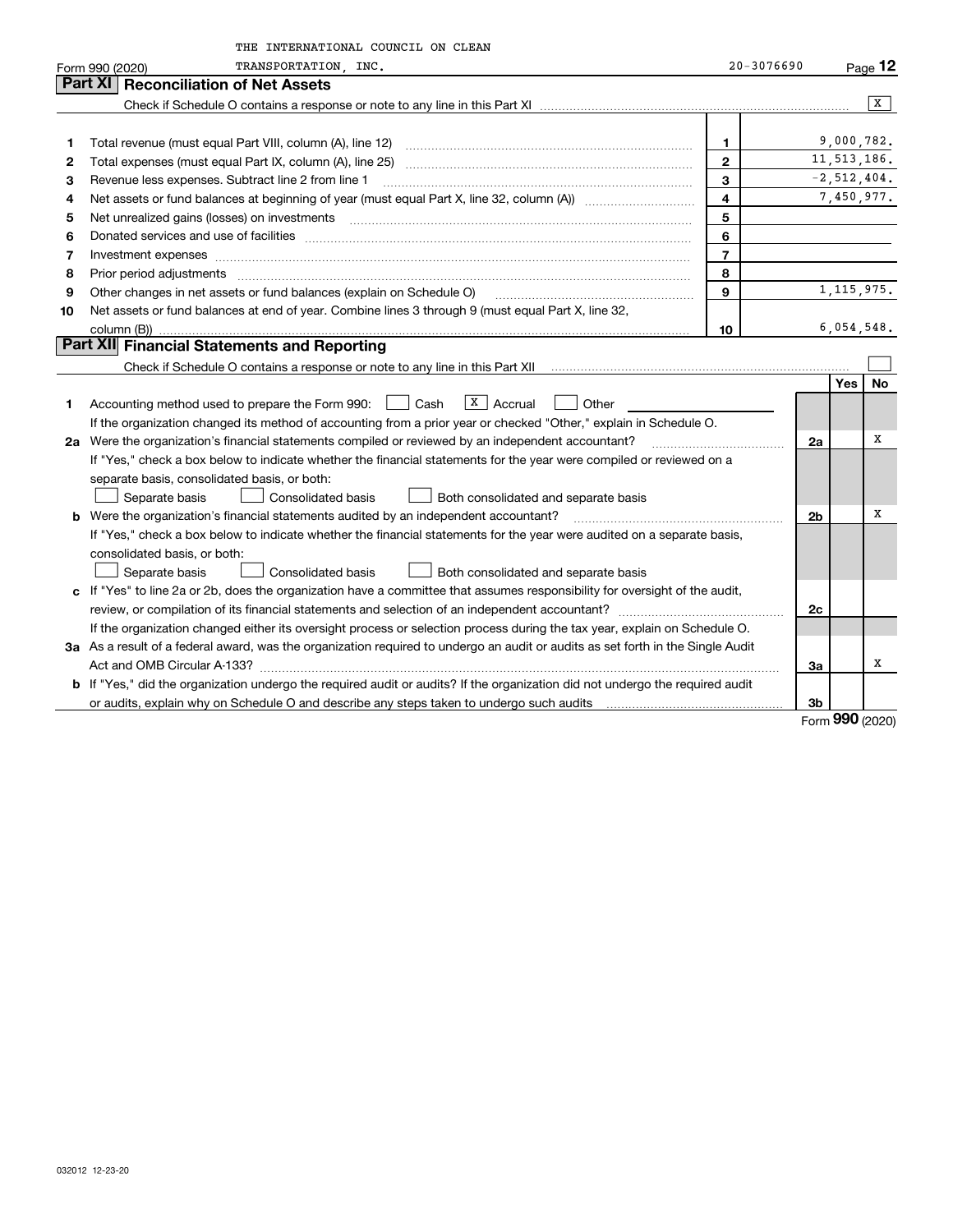|    | THE INTERNATIONAL COUNCIL ON CLEAN                                                                                                                                                                                                                                                                                                                                                                                                                                      |                |                |               |              |
|----|-------------------------------------------------------------------------------------------------------------------------------------------------------------------------------------------------------------------------------------------------------------------------------------------------------------------------------------------------------------------------------------------------------------------------------------------------------------------------|----------------|----------------|---------------|--------------|
|    | TRANSPORTATION NNC.<br>Form 990 (2020)                                                                                                                                                                                                                                                                                                                                                                                                                                  | $20 - 3076690$ |                |               | Page 12      |
|    | <b>Reconciliation of Net Assets</b><br>Part XI                                                                                                                                                                                                                                                                                                                                                                                                                          |                |                |               |              |
|    |                                                                                                                                                                                                                                                                                                                                                                                                                                                                         |                |                |               | x            |
|    |                                                                                                                                                                                                                                                                                                                                                                                                                                                                         |                |                |               |              |
| 1  |                                                                                                                                                                                                                                                                                                                                                                                                                                                                         | 1.             |                | 9,000,782.    |              |
| 2  |                                                                                                                                                                                                                                                                                                                                                                                                                                                                         | $\mathbf{2}$   |                | 11, 513, 186. |              |
| З  | Revenue less expenses. Subtract line 2 from line 1                                                                                                                                                                                                                                                                                                                                                                                                                      | 3              |                | $-2,512,404.$ |              |
| 4  | Net assets or fund balances at beginning of year (must equal Part X, line 32, column (A)) <i></i>                                                                                                                                                                                                                                                                                                                                                                       | 4              |                |               | 7,450,977.   |
| 5  |                                                                                                                                                                                                                                                                                                                                                                                                                                                                         | 5              |                |               |              |
| 6  |                                                                                                                                                                                                                                                                                                                                                                                                                                                                         | 6              |                |               |              |
| 7  | Investment expenses www.communication.com/www.communication.com/www.communication.com/www.com                                                                                                                                                                                                                                                                                                                                                                           | $\overline{7}$ |                |               |              |
| 8  | Prior period adjustments<br>$\begin{minipage}{0.5\textwidth} \begin{tabular}{ l l l } \hline \multicolumn{1}{ l l l } \hline \multicolumn{1}{ l l } \multicolumn{1}{ l } \multicolumn{1}{ l } \multicolumn{1}{ l } \multicolumn{1}{ l } \multicolumn{1}{ l } \multicolumn{1}{ l } \multicolumn{1}{ l } \multicolumn{1}{ l } \multicolumn{1}{ l } \multicolumn{1}{ l } \multicolumn{1}{ l } \multicolumn{1}{ l } \multicolumn{1}{ l } \multicolumn{1}{ l } \multicolumn$ | 8              |                |               |              |
| 9  | Other changes in net assets or fund balances (explain on Schedule O)                                                                                                                                                                                                                                                                                                                                                                                                    | 9              |                |               | 1, 115, 975. |
| 10 | Net assets or fund balances at end of year. Combine lines 3 through 9 (must equal Part X, line 32,                                                                                                                                                                                                                                                                                                                                                                      |                |                |               |              |
|    | column (B))                                                                                                                                                                                                                                                                                                                                                                                                                                                             | 10             |                | 6,054,548.    |              |
|    | Part XII Financial Statements and Reporting                                                                                                                                                                                                                                                                                                                                                                                                                             |                |                |               |              |
|    |                                                                                                                                                                                                                                                                                                                                                                                                                                                                         |                |                |               |              |
|    |                                                                                                                                                                                                                                                                                                                                                                                                                                                                         |                |                | <b>Yes</b>    | No           |
| 1  | X   Accrual<br>Accounting method used to prepare the Form 990: <u>[16</u> ] Cash<br>Other                                                                                                                                                                                                                                                                                                                                                                               |                |                |               |              |
|    | If the organization changed its method of accounting from a prior year or checked "Other," explain in Schedule O.                                                                                                                                                                                                                                                                                                                                                       |                |                |               |              |
|    | 2a Were the organization's financial statements compiled or reviewed by an independent accountant?                                                                                                                                                                                                                                                                                                                                                                      |                | 2a             |               | x            |
|    | If "Yes," check a box below to indicate whether the financial statements for the year were compiled or reviewed on a                                                                                                                                                                                                                                                                                                                                                    |                |                |               |              |
|    | separate basis, consolidated basis, or both:                                                                                                                                                                                                                                                                                                                                                                                                                            |                |                |               |              |
|    | Separate basis<br><b>Consolidated basis</b><br>Both consolidated and separate basis                                                                                                                                                                                                                                                                                                                                                                                     |                |                |               |              |
|    | <b>b</b> Were the organization's financial statements audited by an independent accountant?                                                                                                                                                                                                                                                                                                                                                                             |                | 2 <sub>b</sub> |               | х            |
|    | If "Yes," check a box below to indicate whether the financial statements for the year were audited on a separate basis,                                                                                                                                                                                                                                                                                                                                                 |                |                |               |              |
|    | consolidated basis, or both:                                                                                                                                                                                                                                                                                                                                                                                                                                            |                |                |               |              |
|    | Consolidated basis<br>Separate basis<br>Both consolidated and separate basis                                                                                                                                                                                                                                                                                                                                                                                            |                |                |               |              |
|    | c If "Yes" to line 2a or 2b, does the organization have a committee that assumes responsibility for oversight of the audit,                                                                                                                                                                                                                                                                                                                                             |                |                |               |              |
|    |                                                                                                                                                                                                                                                                                                                                                                                                                                                                         |                | 2c             |               |              |
|    | If the organization changed either its oversight process or selection process during the tax year, explain on Schedule O.                                                                                                                                                                                                                                                                                                                                               |                |                |               |              |
|    | 3a As a result of a federal award, was the organization required to undergo an audit or audits as set forth in the Single Audit                                                                                                                                                                                                                                                                                                                                         |                |                |               |              |
|    |                                                                                                                                                                                                                                                                                                                                                                                                                                                                         |                | За             |               | x            |
|    | b If "Yes," did the organization undergo the required audit or audits? If the organization did not undergo the required audit                                                                                                                                                                                                                                                                                                                                           |                |                |               |              |
|    |                                                                                                                                                                                                                                                                                                                                                                                                                                                                         |                | 3b             |               |              |
|    |                                                                                                                                                                                                                                                                                                                                                                                                                                                                         |                |                | <u>nnn</u>    |              |

Form (2020) **990**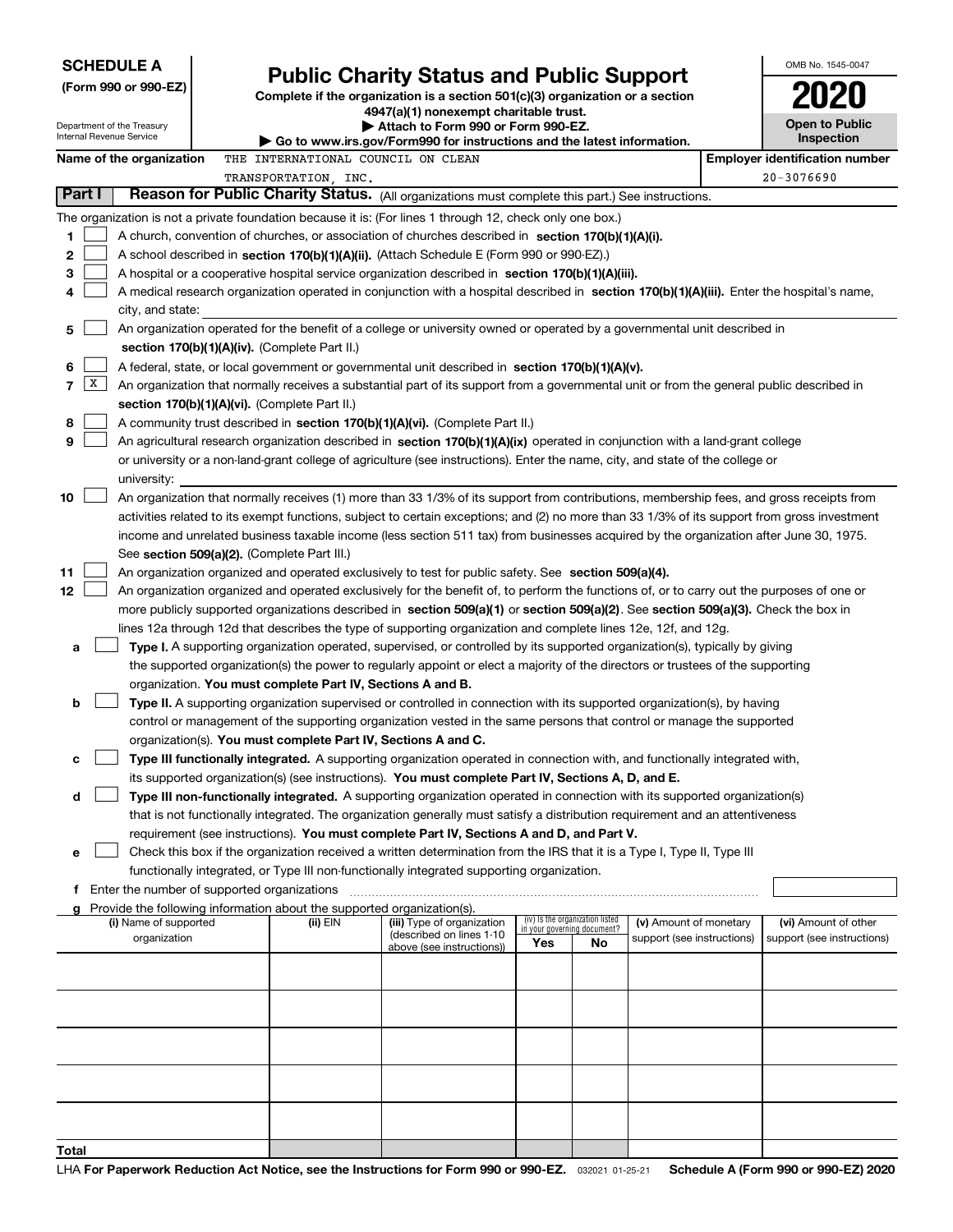| <b>SCHEDULE A</b><br><b>Public Charity Status and Public Support</b><br>(Form 990 or 990-EZ)<br>Complete if the organization is a section 501(c)(3) organization or a section<br>4947(a)(1) nonexempt charitable trust.<br>Department of the Treasury<br>Attach to Form 990 or Form 990-EZ.<br>Internal Revenue Service |                          |  |                                                                                                |                                                                                                                                                                                                                                                                                                                                                                                                                                                                                                                                                                                                                                                                                                 |                                                                |    | OMB No. 1545-0047<br><b>Open to Public</b> |  |                                       |
|-------------------------------------------------------------------------------------------------------------------------------------------------------------------------------------------------------------------------------------------------------------------------------------------------------------------------|--------------------------|--|------------------------------------------------------------------------------------------------|-------------------------------------------------------------------------------------------------------------------------------------------------------------------------------------------------------------------------------------------------------------------------------------------------------------------------------------------------------------------------------------------------------------------------------------------------------------------------------------------------------------------------------------------------------------------------------------------------------------------------------------------------------------------------------------------------|----------------------------------------------------------------|----|--------------------------------------------|--|---------------------------------------|
|                                                                                                                                                                                                                                                                                                                         |                          |  |                                                                                                | ▶ Go to www.irs.gov/Form990 for instructions and the latest information.                                                                                                                                                                                                                                                                                                                                                                                                                                                                                                                                                                                                                        |                                                                |    |                                            |  | <b>Inspection</b>                     |
|                                                                                                                                                                                                                                                                                                                         | Name of the organization |  | THE INTERNATIONAL COUNCIL ON CLEAN                                                             |                                                                                                                                                                                                                                                                                                                                                                                                                                                                                                                                                                                                                                                                                                 |                                                                |    |                                            |  | <b>Employer identification number</b> |
|                                                                                                                                                                                                                                                                                                                         |                          |  | TRANSPORTATION, INC.                                                                           |                                                                                                                                                                                                                                                                                                                                                                                                                                                                                                                                                                                                                                                                                                 |                                                                |    |                                            |  | $20 - 3076690$                        |
| Part I                                                                                                                                                                                                                                                                                                                  |                          |  |                                                                                                | Reason for Public Charity Status. (All organizations must complete this part.) See instructions.                                                                                                                                                                                                                                                                                                                                                                                                                                                                                                                                                                                                |                                                                |    |                                            |  |                                       |
| 1<br>2<br>з<br>4<br>5                                                                                                                                                                                                                                                                                                   | city, and state:         |  |                                                                                                | The organization is not a private foundation because it is: (For lines 1 through 12, check only one box.)<br>A church, convention of churches, or association of churches described in section 170(b)(1)(A)(i).<br>A school described in section 170(b)(1)(A)(ii). (Attach Schedule E (Form 990 or 990-EZ).)<br>A hospital or a cooperative hospital service organization described in section $170(b)(1)(A)(iii)$ .<br>A medical research organization operated in conjunction with a hospital described in section 170(b)(1)(A)(iii). Enter the hospital's name,<br>An organization operated for the benefit of a college or university owned or operated by a governmental unit described in |                                                                |    |                                            |  |                                       |
|                                                                                                                                                                                                                                                                                                                         |                          |  |                                                                                                |                                                                                                                                                                                                                                                                                                                                                                                                                                                                                                                                                                                                                                                                                                 |                                                                |    |                                            |  |                                       |
| 6<br> X <br>7<br>8<br>9                                                                                                                                                                                                                                                                                                 |                          |  | section 170(b)(1)(A)(iv). (Complete Part II.)<br>section 170(b)(1)(A)(vi). (Complete Part II.) | A federal, state, or local government or governmental unit described in section 170(b)(1)(A)(v).<br>An organization that normally receives a substantial part of its support from a governmental unit or from the general public described in<br>A community trust described in section 170(b)(1)(A)(vi). (Complete Part II.)<br>An agricultural research organization described in section 170(b)(1)(A)(ix) operated in conjunction with a land-grant college<br>or university or a non-land-grant college of agriculture (see instructions). Enter the name, city, and state of the college or                                                                                                |                                                                |    |                                            |  |                                       |
|                                                                                                                                                                                                                                                                                                                         | university:              |  |                                                                                                |                                                                                                                                                                                                                                                                                                                                                                                                                                                                                                                                                                                                                                                                                                 |                                                                |    |                                            |  |                                       |
| 10                                                                                                                                                                                                                                                                                                                      |                          |  | See section 509(a)(2). (Complete Part III.)                                                    | An organization that normally receives (1) more than 33 1/3% of its support from contributions, membership fees, and gross receipts from<br>activities related to its exempt functions, subject to certain exceptions; and (2) no more than 33 1/3% of its support from gross investment<br>income and unrelated business taxable income (less section 511 tax) from businesses acquired by the organization after June 30, 1975.                                                                                                                                                                                                                                                               |                                                                |    |                                            |  |                                       |
| 11                                                                                                                                                                                                                                                                                                                      |                          |  |                                                                                                | An organization organized and operated exclusively to test for public safety. See section 509(a)(4).                                                                                                                                                                                                                                                                                                                                                                                                                                                                                                                                                                                            |                                                                |    |                                            |  |                                       |
| 12                                                                                                                                                                                                                                                                                                                      |                          |  |                                                                                                | An organization organized and operated exclusively for the benefit of, to perform the functions of, or to carry out the purposes of one or                                                                                                                                                                                                                                                                                                                                                                                                                                                                                                                                                      |                                                                |    |                                            |  |                                       |
|                                                                                                                                                                                                                                                                                                                         |                          |  |                                                                                                | more publicly supported organizations described in section 509(a)(1) or section 509(a)(2). See section 509(a)(3). Check the box in                                                                                                                                                                                                                                                                                                                                                                                                                                                                                                                                                              |                                                                |    |                                            |  |                                       |
|                                                                                                                                                                                                                                                                                                                         |                          |  |                                                                                                | lines 12a through 12d that describes the type of supporting organization and complete lines 12e, 12f, and 12g.                                                                                                                                                                                                                                                                                                                                                                                                                                                                                                                                                                                  |                                                                |    |                                            |  |                                       |
| a                                                                                                                                                                                                                                                                                                                       |                          |  |                                                                                                | Type I. A supporting organization operated, supervised, or controlled by its supported organization(s), typically by giving                                                                                                                                                                                                                                                                                                                                                                                                                                                                                                                                                                     |                                                                |    |                                            |  |                                       |
|                                                                                                                                                                                                                                                                                                                         |                          |  |                                                                                                | the supported organization(s) the power to regularly appoint or elect a majority of the directors or trustees of the supporting                                                                                                                                                                                                                                                                                                                                                                                                                                                                                                                                                                 |                                                                |    |                                            |  |                                       |
|                                                                                                                                                                                                                                                                                                                         |                          |  | organization. You must complete Part IV, Sections A and B.                                     |                                                                                                                                                                                                                                                                                                                                                                                                                                                                                                                                                                                                                                                                                                 |                                                                |    |                                            |  |                                       |
|                                                                                                                                                                                                                                                                                                                         |                          |  |                                                                                                |                                                                                                                                                                                                                                                                                                                                                                                                                                                                                                                                                                                                                                                                                                 |                                                                |    |                                            |  |                                       |
| b                                                                                                                                                                                                                                                                                                                       |                          |  |                                                                                                | Type II. A supporting organization supervised or controlled in connection with its supported organization(s), by having                                                                                                                                                                                                                                                                                                                                                                                                                                                                                                                                                                         |                                                                |    |                                            |  |                                       |
|                                                                                                                                                                                                                                                                                                                         |                          |  |                                                                                                | control or management of the supporting organization vested in the same persons that control or manage the supported                                                                                                                                                                                                                                                                                                                                                                                                                                                                                                                                                                            |                                                                |    |                                            |  |                                       |
|                                                                                                                                                                                                                                                                                                                         |                          |  | organization(s). You must complete Part IV, Sections A and C.                                  |                                                                                                                                                                                                                                                                                                                                                                                                                                                                                                                                                                                                                                                                                                 |                                                                |    |                                            |  |                                       |
| c                                                                                                                                                                                                                                                                                                                       |                          |  |                                                                                                | Type III functionally integrated. A supporting organization operated in connection with, and functionally integrated with,                                                                                                                                                                                                                                                                                                                                                                                                                                                                                                                                                                      |                                                                |    |                                            |  |                                       |
|                                                                                                                                                                                                                                                                                                                         |                          |  |                                                                                                | its supported organization(s) (see instructions). You must complete Part IV, Sections A, D, and E.                                                                                                                                                                                                                                                                                                                                                                                                                                                                                                                                                                                              |                                                                |    |                                            |  |                                       |
| d                                                                                                                                                                                                                                                                                                                       |                          |  |                                                                                                | Type III non-functionally integrated. A supporting organization operated in connection with its supported organization(s)                                                                                                                                                                                                                                                                                                                                                                                                                                                                                                                                                                       |                                                                |    |                                            |  |                                       |
|                                                                                                                                                                                                                                                                                                                         |                          |  |                                                                                                | that is not functionally integrated. The organization generally must satisfy a distribution requirement and an attentiveness                                                                                                                                                                                                                                                                                                                                                                                                                                                                                                                                                                    |                                                                |    |                                            |  |                                       |
|                                                                                                                                                                                                                                                                                                                         |                          |  |                                                                                                | requirement (see instructions). You must complete Part IV, Sections A and D, and Part V.                                                                                                                                                                                                                                                                                                                                                                                                                                                                                                                                                                                                        |                                                                |    |                                            |  |                                       |
| е                                                                                                                                                                                                                                                                                                                       |                          |  |                                                                                                | Check this box if the organization received a written determination from the IRS that it is a Type I, Type II, Type III                                                                                                                                                                                                                                                                                                                                                                                                                                                                                                                                                                         |                                                                |    |                                            |  |                                       |
|                                                                                                                                                                                                                                                                                                                         |                          |  |                                                                                                | functionally integrated, or Type III non-functionally integrated supporting organization.                                                                                                                                                                                                                                                                                                                                                                                                                                                                                                                                                                                                       |                                                                |    |                                            |  |                                       |
|                                                                                                                                                                                                                                                                                                                         |                          |  |                                                                                                |                                                                                                                                                                                                                                                                                                                                                                                                                                                                                                                                                                                                                                                                                                 |                                                                |    |                                            |  |                                       |
|                                                                                                                                                                                                                                                                                                                         |                          |  | g Provide the following information about the supported organization(s).                       |                                                                                                                                                                                                                                                                                                                                                                                                                                                                                                                                                                                                                                                                                                 |                                                                |    |                                            |  |                                       |
|                                                                                                                                                                                                                                                                                                                         | (i) Name of supported    |  | (ii) EIN                                                                                       | (iii) Type of organization<br>(described on lines 1-10                                                                                                                                                                                                                                                                                                                                                                                                                                                                                                                                                                                                                                          | (iv) Is the organization listed<br>in your governing document? |    | (v) Amount of monetary                     |  | (vi) Amount of other                  |
|                                                                                                                                                                                                                                                                                                                         | organization             |  |                                                                                                | above (see instructions))                                                                                                                                                                                                                                                                                                                                                                                                                                                                                                                                                                                                                                                                       | Yes                                                            | No | support (see instructions)                 |  | support (see instructions)            |
|                                                                                                                                                                                                                                                                                                                         |                          |  |                                                                                                |                                                                                                                                                                                                                                                                                                                                                                                                                                                                                                                                                                                                                                                                                                 |                                                                |    |                                            |  |                                       |
|                                                                                                                                                                                                                                                                                                                         |                          |  |                                                                                                |                                                                                                                                                                                                                                                                                                                                                                                                                                                                                                                                                                                                                                                                                                 |                                                                |    |                                            |  |                                       |
|                                                                                                                                                                                                                                                                                                                         |                          |  |                                                                                                |                                                                                                                                                                                                                                                                                                                                                                                                                                                                                                                                                                                                                                                                                                 |                                                                |    |                                            |  |                                       |
|                                                                                                                                                                                                                                                                                                                         |                          |  |                                                                                                |                                                                                                                                                                                                                                                                                                                                                                                                                                                                                                                                                                                                                                                                                                 |                                                                |    |                                            |  |                                       |
|                                                                                                                                                                                                                                                                                                                         |                          |  |                                                                                                |                                                                                                                                                                                                                                                                                                                                                                                                                                                                                                                                                                                                                                                                                                 |                                                                |    |                                            |  |                                       |
|                                                                                                                                                                                                                                                                                                                         |                          |  |                                                                                                |                                                                                                                                                                                                                                                                                                                                                                                                                                                                                                                                                                                                                                                                                                 |                                                                |    |                                            |  |                                       |
|                                                                                                                                                                                                                                                                                                                         |                          |  |                                                                                                |                                                                                                                                                                                                                                                                                                                                                                                                                                                                                                                                                                                                                                                                                                 |                                                                |    |                                            |  |                                       |
|                                                                                                                                                                                                                                                                                                                         |                          |  |                                                                                                |                                                                                                                                                                                                                                                                                                                                                                                                                                                                                                                                                                                                                                                                                                 |                                                                |    |                                            |  |                                       |
|                                                                                                                                                                                                                                                                                                                         |                          |  |                                                                                                |                                                                                                                                                                                                                                                                                                                                                                                                                                                                                                                                                                                                                                                                                                 |                                                                |    |                                            |  |                                       |
|                                                                                                                                                                                                                                                                                                                         |                          |  |                                                                                                |                                                                                                                                                                                                                                                                                                                                                                                                                                                                                                                                                                                                                                                                                                 |                                                                |    |                                            |  |                                       |
| Total                                                                                                                                                                                                                                                                                                                   |                          |  |                                                                                                |                                                                                                                                                                                                                                                                                                                                                                                                                                                                                                                                                                                                                                                                                                 |                                                                |    |                                            |  |                                       |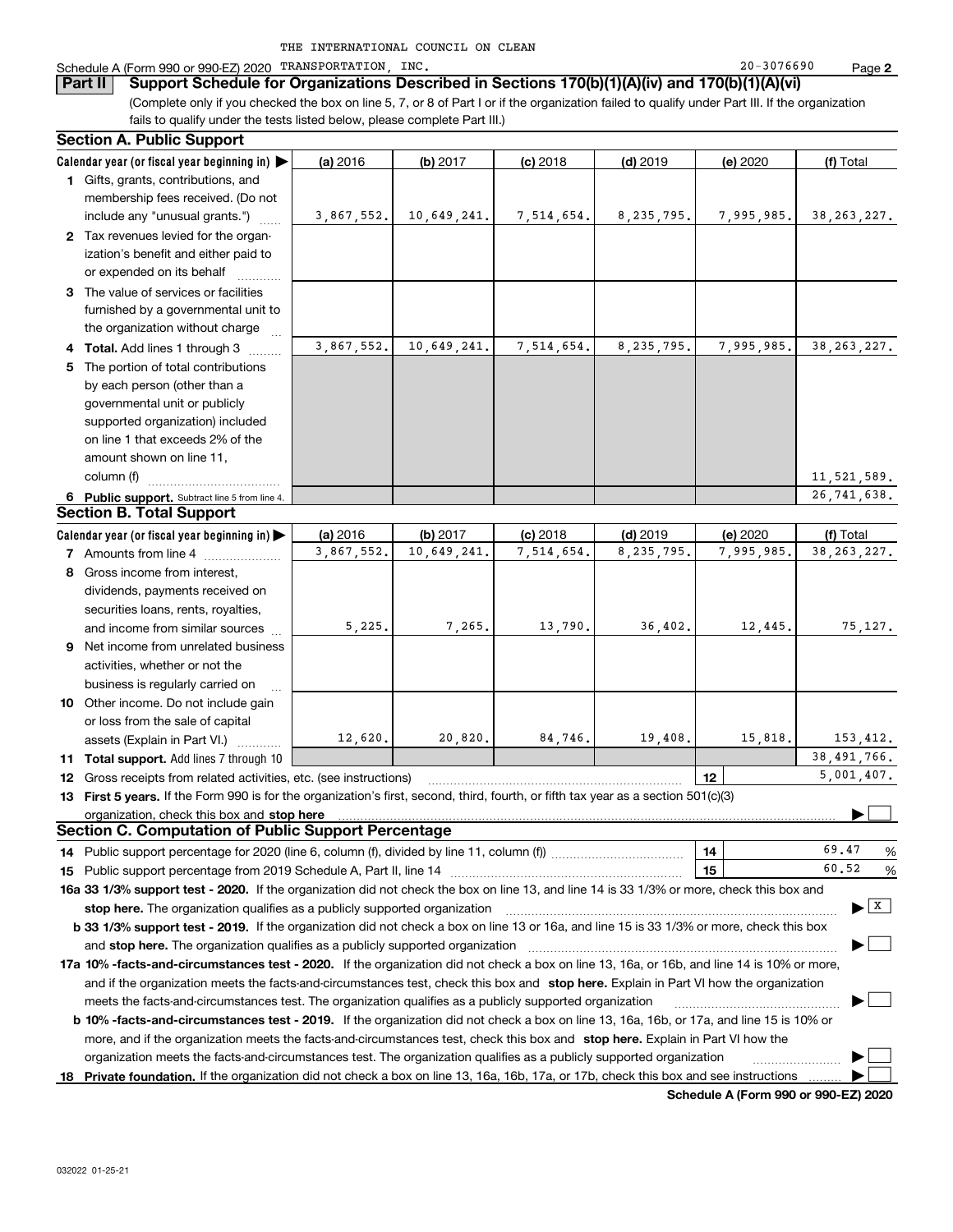| THE INTERNATIONAL COUNCIL ON CLEAN |  |  |  |  |  |
|------------------------------------|--|--|--|--|--|
|------------------------------------|--|--|--|--|--|

#### Schedule A (Form 990 or 990-EZ) 2020 TRANSPORTATION,INC. Page

(Complete only if you checked the box on line 5, 7, or 8 of Part I or if the organization failed to qualify under Part III. If the organization **Part II Support Schedule for Organizations Described in Sections 170(b)(1)(A)(iv) and 170(b)(1)(A)(vi)**

fails to qualify under the tests listed below, please complete Part III.) **Section A. Public Support**

| Calendar year (or fiscal year beginning in) $\blacktriangleright$<br>(a) 2016<br>(b) 2017<br>$(d)$ 2019<br>(f) Total<br>$(c)$ 2018<br>(e) 2020<br>1 Gifts, grants, contributions, and<br>membership fees received. (Do not<br>10,649,241.<br>8, 235, 795.<br>7,995,985.<br>38, 263, 227.<br>include any "unusual grants.")<br>3,867,552.<br>7,514,654.<br>2 Tax revenues levied for the organ-<br>ization's benefit and either paid to<br>or expended on its behalf<br>3 The value of services or facilities<br>furnished by a governmental unit to<br>the organization without charge<br>3,867,552.<br>10,649,241.<br>7,514,654.<br>8, 235, 795.<br>7,995,985.<br>38, 263, 227.<br>4 Total. Add lines 1 through 3<br>5 The portion of total contributions<br>by each person (other than a<br>governmental unit or publicly<br>supported organization) included<br>on line 1 that exceeds 2% of the<br>amount shown on line 11,<br>column (f)<br>11,521,589.<br>26, 741, 638.<br>6 Public support. Subtract line 5 from line 4.<br><b>Section B. Total Support</b><br>Calendar year (or fiscal year beginning in)<br>(a) 2016<br>(b) 2017<br>$(c)$ 2018<br>$(d)$ 2019<br>(e) 2020<br>(f) Total<br>3.867.552.<br>10,649,241.<br>7,514,654.<br>8, 235, 795.<br>38, 263, 227.<br>7,995,985.<br><b>7</b> Amounts from line 4<br>8 Gross income from interest,<br>dividends, payments received on<br>securities loans, rents, royalties,<br>5,225.<br>7,265.<br>13,790.<br>36,402.<br>12,445.<br>75, 127.<br>and income from similar sources<br>9 Net income from unrelated business<br>activities, whether or not the<br>business is regularly carried on<br>10 Other income. Do not include gain<br>or loss from the sale of capital<br>12,620.<br>20,820.<br>84,746.<br>19,408.<br>15,818.<br>153,412.<br>assets (Explain in Part VI.)<br>38,491,766.<br>11 Total support. Add lines 7 through 10<br>5,001,407.<br>12 Gross receipts from related activities, etc. (see instructions)<br>12<br>13 First 5 years. If the Form 990 is for the organization's first, second, third, fourth, or fifth tax year as a section 501(c)(3)<br>organization, check this box and stop here<br><b>Section C. Computation of Public Support Percentage</b><br>69.47<br>%<br>14<br>60.52<br>15<br>%<br>16a 33 1/3% support test - 2020. If the organization did not check the box on line 13, and line 14 is 33 1/3% or more, check this box and<br>  X  <br>stop here. The organization qualifies as a publicly supported organization<br>b 33 1/3% support test - 2019. If the organization did not check a box on line 13 or 16a, and line 15 is 33 1/3% or more, check this box<br>17a 10% -facts-and-circumstances test - 2020. If the organization did not check a box on line 13, 16a, or 16b, and line 14 is 10% or more,<br>and if the organization meets the facts-and-circumstances test, check this box and stop here. Explain in Part VI how the organization<br>meets the facts-and-circumstances test. The organization qualifies as a publicly supported organization<br><b>b 10% -facts-and-circumstances test - 2019.</b> If the organization did not check a box on line 13, 16a, 16b, or 17a, and line 15 is 10% or<br>more, and if the organization meets the facts-and-circumstances test, check this box and stop here. Explain in Part VI how the<br>organization meets the facts-and-circumstances test. The organization qualifies as a publicly supported organization<br>18 Private foundation. If the organization did not check a box on line 13, 16a, 16b, 17a, or 17b, check this box and see instructions | Section A. Public Support |  |  |  |
|----------------------------------------------------------------------------------------------------------------------------------------------------------------------------------------------------------------------------------------------------------------------------------------------------------------------------------------------------------------------------------------------------------------------------------------------------------------------------------------------------------------------------------------------------------------------------------------------------------------------------------------------------------------------------------------------------------------------------------------------------------------------------------------------------------------------------------------------------------------------------------------------------------------------------------------------------------------------------------------------------------------------------------------------------------------------------------------------------------------------------------------------------------------------------------------------------------------------------------------------------------------------------------------------------------------------------------------------------------------------------------------------------------------------------------------------------------------------------------------------------------------------------------------------------------------------------------------------------------------------------------------------------------------------------------------------------------------------------------------------------------------------------------------------------------------------------------------------------------------------------------------------------------------------------------------------------------------------------------------------------------------------------------------------------------------------------------------------------------------------------------------------------------------------------------------------------------------------------------------------------------------------------------------------------------------------------------------------------------------------------------------------------------------------------------------------------------------------------------------------------------------------------------------------------------------------------------------------------------------------------------------------------------------------------------------------------------------------------------------------------------------------------------------------------------------------------------------------------------------------------------------------------------------------------------------------------------------------------------------------------------------------------------------------------------------------------------------------------------------------------------------------------------------------------------------------------------------------------------------------------------------------------------------------------------------------------------------------------------------------------------------------------------------------------------------------------------------------------------------------------------------------------------------------------------------------------------------------------------------------------|---------------------------|--|--|--|
|                                                                                                                                                                                                                                                                                                                                                                                                                                                                                                                                                                                                                                                                                                                                                                                                                                                                                                                                                                                                                                                                                                                                                                                                                                                                                                                                                                                                                                                                                                                                                                                                                                                                                                                                                                                                                                                                                                                                                                                                                                                                                                                                                                                                                                                                                                                                                                                                                                                                                                                                                                                                                                                                                                                                                                                                                                                                                                                                                                                                                                                                                                                                                                                                                                                                                                                                                                                                                                                                                                                                                                                                                            |                           |  |  |  |
|                                                                                                                                                                                                                                                                                                                                                                                                                                                                                                                                                                                                                                                                                                                                                                                                                                                                                                                                                                                                                                                                                                                                                                                                                                                                                                                                                                                                                                                                                                                                                                                                                                                                                                                                                                                                                                                                                                                                                                                                                                                                                                                                                                                                                                                                                                                                                                                                                                                                                                                                                                                                                                                                                                                                                                                                                                                                                                                                                                                                                                                                                                                                                                                                                                                                                                                                                                                                                                                                                                                                                                                                                            |                           |  |  |  |
|                                                                                                                                                                                                                                                                                                                                                                                                                                                                                                                                                                                                                                                                                                                                                                                                                                                                                                                                                                                                                                                                                                                                                                                                                                                                                                                                                                                                                                                                                                                                                                                                                                                                                                                                                                                                                                                                                                                                                                                                                                                                                                                                                                                                                                                                                                                                                                                                                                                                                                                                                                                                                                                                                                                                                                                                                                                                                                                                                                                                                                                                                                                                                                                                                                                                                                                                                                                                                                                                                                                                                                                                                            |                           |  |  |  |
|                                                                                                                                                                                                                                                                                                                                                                                                                                                                                                                                                                                                                                                                                                                                                                                                                                                                                                                                                                                                                                                                                                                                                                                                                                                                                                                                                                                                                                                                                                                                                                                                                                                                                                                                                                                                                                                                                                                                                                                                                                                                                                                                                                                                                                                                                                                                                                                                                                                                                                                                                                                                                                                                                                                                                                                                                                                                                                                                                                                                                                                                                                                                                                                                                                                                                                                                                                                                                                                                                                                                                                                                                            |                           |  |  |  |
|                                                                                                                                                                                                                                                                                                                                                                                                                                                                                                                                                                                                                                                                                                                                                                                                                                                                                                                                                                                                                                                                                                                                                                                                                                                                                                                                                                                                                                                                                                                                                                                                                                                                                                                                                                                                                                                                                                                                                                                                                                                                                                                                                                                                                                                                                                                                                                                                                                                                                                                                                                                                                                                                                                                                                                                                                                                                                                                                                                                                                                                                                                                                                                                                                                                                                                                                                                                                                                                                                                                                                                                                                            |                           |  |  |  |
|                                                                                                                                                                                                                                                                                                                                                                                                                                                                                                                                                                                                                                                                                                                                                                                                                                                                                                                                                                                                                                                                                                                                                                                                                                                                                                                                                                                                                                                                                                                                                                                                                                                                                                                                                                                                                                                                                                                                                                                                                                                                                                                                                                                                                                                                                                                                                                                                                                                                                                                                                                                                                                                                                                                                                                                                                                                                                                                                                                                                                                                                                                                                                                                                                                                                                                                                                                                                                                                                                                                                                                                                                            |                           |  |  |  |
|                                                                                                                                                                                                                                                                                                                                                                                                                                                                                                                                                                                                                                                                                                                                                                                                                                                                                                                                                                                                                                                                                                                                                                                                                                                                                                                                                                                                                                                                                                                                                                                                                                                                                                                                                                                                                                                                                                                                                                                                                                                                                                                                                                                                                                                                                                                                                                                                                                                                                                                                                                                                                                                                                                                                                                                                                                                                                                                                                                                                                                                                                                                                                                                                                                                                                                                                                                                                                                                                                                                                                                                                                            |                           |  |  |  |
|                                                                                                                                                                                                                                                                                                                                                                                                                                                                                                                                                                                                                                                                                                                                                                                                                                                                                                                                                                                                                                                                                                                                                                                                                                                                                                                                                                                                                                                                                                                                                                                                                                                                                                                                                                                                                                                                                                                                                                                                                                                                                                                                                                                                                                                                                                                                                                                                                                                                                                                                                                                                                                                                                                                                                                                                                                                                                                                                                                                                                                                                                                                                                                                                                                                                                                                                                                                                                                                                                                                                                                                                                            |                           |  |  |  |
|                                                                                                                                                                                                                                                                                                                                                                                                                                                                                                                                                                                                                                                                                                                                                                                                                                                                                                                                                                                                                                                                                                                                                                                                                                                                                                                                                                                                                                                                                                                                                                                                                                                                                                                                                                                                                                                                                                                                                                                                                                                                                                                                                                                                                                                                                                                                                                                                                                                                                                                                                                                                                                                                                                                                                                                                                                                                                                                                                                                                                                                                                                                                                                                                                                                                                                                                                                                                                                                                                                                                                                                                                            |                           |  |  |  |
|                                                                                                                                                                                                                                                                                                                                                                                                                                                                                                                                                                                                                                                                                                                                                                                                                                                                                                                                                                                                                                                                                                                                                                                                                                                                                                                                                                                                                                                                                                                                                                                                                                                                                                                                                                                                                                                                                                                                                                                                                                                                                                                                                                                                                                                                                                                                                                                                                                                                                                                                                                                                                                                                                                                                                                                                                                                                                                                                                                                                                                                                                                                                                                                                                                                                                                                                                                                                                                                                                                                                                                                                                            |                           |  |  |  |
|                                                                                                                                                                                                                                                                                                                                                                                                                                                                                                                                                                                                                                                                                                                                                                                                                                                                                                                                                                                                                                                                                                                                                                                                                                                                                                                                                                                                                                                                                                                                                                                                                                                                                                                                                                                                                                                                                                                                                                                                                                                                                                                                                                                                                                                                                                                                                                                                                                                                                                                                                                                                                                                                                                                                                                                                                                                                                                                                                                                                                                                                                                                                                                                                                                                                                                                                                                                                                                                                                                                                                                                                                            |                           |  |  |  |
|                                                                                                                                                                                                                                                                                                                                                                                                                                                                                                                                                                                                                                                                                                                                                                                                                                                                                                                                                                                                                                                                                                                                                                                                                                                                                                                                                                                                                                                                                                                                                                                                                                                                                                                                                                                                                                                                                                                                                                                                                                                                                                                                                                                                                                                                                                                                                                                                                                                                                                                                                                                                                                                                                                                                                                                                                                                                                                                                                                                                                                                                                                                                                                                                                                                                                                                                                                                                                                                                                                                                                                                                                            |                           |  |  |  |
|                                                                                                                                                                                                                                                                                                                                                                                                                                                                                                                                                                                                                                                                                                                                                                                                                                                                                                                                                                                                                                                                                                                                                                                                                                                                                                                                                                                                                                                                                                                                                                                                                                                                                                                                                                                                                                                                                                                                                                                                                                                                                                                                                                                                                                                                                                                                                                                                                                                                                                                                                                                                                                                                                                                                                                                                                                                                                                                                                                                                                                                                                                                                                                                                                                                                                                                                                                                                                                                                                                                                                                                                                            |                           |  |  |  |
|                                                                                                                                                                                                                                                                                                                                                                                                                                                                                                                                                                                                                                                                                                                                                                                                                                                                                                                                                                                                                                                                                                                                                                                                                                                                                                                                                                                                                                                                                                                                                                                                                                                                                                                                                                                                                                                                                                                                                                                                                                                                                                                                                                                                                                                                                                                                                                                                                                                                                                                                                                                                                                                                                                                                                                                                                                                                                                                                                                                                                                                                                                                                                                                                                                                                                                                                                                                                                                                                                                                                                                                                                            |                           |  |  |  |
|                                                                                                                                                                                                                                                                                                                                                                                                                                                                                                                                                                                                                                                                                                                                                                                                                                                                                                                                                                                                                                                                                                                                                                                                                                                                                                                                                                                                                                                                                                                                                                                                                                                                                                                                                                                                                                                                                                                                                                                                                                                                                                                                                                                                                                                                                                                                                                                                                                                                                                                                                                                                                                                                                                                                                                                                                                                                                                                                                                                                                                                                                                                                                                                                                                                                                                                                                                                                                                                                                                                                                                                                                            |                           |  |  |  |
|                                                                                                                                                                                                                                                                                                                                                                                                                                                                                                                                                                                                                                                                                                                                                                                                                                                                                                                                                                                                                                                                                                                                                                                                                                                                                                                                                                                                                                                                                                                                                                                                                                                                                                                                                                                                                                                                                                                                                                                                                                                                                                                                                                                                                                                                                                                                                                                                                                                                                                                                                                                                                                                                                                                                                                                                                                                                                                                                                                                                                                                                                                                                                                                                                                                                                                                                                                                                                                                                                                                                                                                                                            |                           |  |  |  |
|                                                                                                                                                                                                                                                                                                                                                                                                                                                                                                                                                                                                                                                                                                                                                                                                                                                                                                                                                                                                                                                                                                                                                                                                                                                                                                                                                                                                                                                                                                                                                                                                                                                                                                                                                                                                                                                                                                                                                                                                                                                                                                                                                                                                                                                                                                                                                                                                                                                                                                                                                                                                                                                                                                                                                                                                                                                                                                                                                                                                                                                                                                                                                                                                                                                                                                                                                                                                                                                                                                                                                                                                                            |                           |  |  |  |
|                                                                                                                                                                                                                                                                                                                                                                                                                                                                                                                                                                                                                                                                                                                                                                                                                                                                                                                                                                                                                                                                                                                                                                                                                                                                                                                                                                                                                                                                                                                                                                                                                                                                                                                                                                                                                                                                                                                                                                                                                                                                                                                                                                                                                                                                                                                                                                                                                                                                                                                                                                                                                                                                                                                                                                                                                                                                                                                                                                                                                                                                                                                                                                                                                                                                                                                                                                                                                                                                                                                                                                                                                            |                           |  |  |  |
|                                                                                                                                                                                                                                                                                                                                                                                                                                                                                                                                                                                                                                                                                                                                                                                                                                                                                                                                                                                                                                                                                                                                                                                                                                                                                                                                                                                                                                                                                                                                                                                                                                                                                                                                                                                                                                                                                                                                                                                                                                                                                                                                                                                                                                                                                                                                                                                                                                                                                                                                                                                                                                                                                                                                                                                                                                                                                                                                                                                                                                                                                                                                                                                                                                                                                                                                                                                                                                                                                                                                                                                                                            |                           |  |  |  |
|                                                                                                                                                                                                                                                                                                                                                                                                                                                                                                                                                                                                                                                                                                                                                                                                                                                                                                                                                                                                                                                                                                                                                                                                                                                                                                                                                                                                                                                                                                                                                                                                                                                                                                                                                                                                                                                                                                                                                                                                                                                                                                                                                                                                                                                                                                                                                                                                                                                                                                                                                                                                                                                                                                                                                                                                                                                                                                                                                                                                                                                                                                                                                                                                                                                                                                                                                                                                                                                                                                                                                                                                                            |                           |  |  |  |
|                                                                                                                                                                                                                                                                                                                                                                                                                                                                                                                                                                                                                                                                                                                                                                                                                                                                                                                                                                                                                                                                                                                                                                                                                                                                                                                                                                                                                                                                                                                                                                                                                                                                                                                                                                                                                                                                                                                                                                                                                                                                                                                                                                                                                                                                                                                                                                                                                                                                                                                                                                                                                                                                                                                                                                                                                                                                                                                                                                                                                                                                                                                                                                                                                                                                                                                                                                                                                                                                                                                                                                                                                            |                           |  |  |  |
|                                                                                                                                                                                                                                                                                                                                                                                                                                                                                                                                                                                                                                                                                                                                                                                                                                                                                                                                                                                                                                                                                                                                                                                                                                                                                                                                                                                                                                                                                                                                                                                                                                                                                                                                                                                                                                                                                                                                                                                                                                                                                                                                                                                                                                                                                                                                                                                                                                                                                                                                                                                                                                                                                                                                                                                                                                                                                                                                                                                                                                                                                                                                                                                                                                                                                                                                                                                                                                                                                                                                                                                                                            |                           |  |  |  |
|                                                                                                                                                                                                                                                                                                                                                                                                                                                                                                                                                                                                                                                                                                                                                                                                                                                                                                                                                                                                                                                                                                                                                                                                                                                                                                                                                                                                                                                                                                                                                                                                                                                                                                                                                                                                                                                                                                                                                                                                                                                                                                                                                                                                                                                                                                                                                                                                                                                                                                                                                                                                                                                                                                                                                                                                                                                                                                                                                                                                                                                                                                                                                                                                                                                                                                                                                                                                                                                                                                                                                                                                                            |                           |  |  |  |
|                                                                                                                                                                                                                                                                                                                                                                                                                                                                                                                                                                                                                                                                                                                                                                                                                                                                                                                                                                                                                                                                                                                                                                                                                                                                                                                                                                                                                                                                                                                                                                                                                                                                                                                                                                                                                                                                                                                                                                                                                                                                                                                                                                                                                                                                                                                                                                                                                                                                                                                                                                                                                                                                                                                                                                                                                                                                                                                                                                                                                                                                                                                                                                                                                                                                                                                                                                                                                                                                                                                                                                                                                            |                           |  |  |  |
|                                                                                                                                                                                                                                                                                                                                                                                                                                                                                                                                                                                                                                                                                                                                                                                                                                                                                                                                                                                                                                                                                                                                                                                                                                                                                                                                                                                                                                                                                                                                                                                                                                                                                                                                                                                                                                                                                                                                                                                                                                                                                                                                                                                                                                                                                                                                                                                                                                                                                                                                                                                                                                                                                                                                                                                                                                                                                                                                                                                                                                                                                                                                                                                                                                                                                                                                                                                                                                                                                                                                                                                                                            |                           |  |  |  |
|                                                                                                                                                                                                                                                                                                                                                                                                                                                                                                                                                                                                                                                                                                                                                                                                                                                                                                                                                                                                                                                                                                                                                                                                                                                                                                                                                                                                                                                                                                                                                                                                                                                                                                                                                                                                                                                                                                                                                                                                                                                                                                                                                                                                                                                                                                                                                                                                                                                                                                                                                                                                                                                                                                                                                                                                                                                                                                                                                                                                                                                                                                                                                                                                                                                                                                                                                                                                                                                                                                                                                                                                                            |                           |  |  |  |
|                                                                                                                                                                                                                                                                                                                                                                                                                                                                                                                                                                                                                                                                                                                                                                                                                                                                                                                                                                                                                                                                                                                                                                                                                                                                                                                                                                                                                                                                                                                                                                                                                                                                                                                                                                                                                                                                                                                                                                                                                                                                                                                                                                                                                                                                                                                                                                                                                                                                                                                                                                                                                                                                                                                                                                                                                                                                                                                                                                                                                                                                                                                                                                                                                                                                                                                                                                                                                                                                                                                                                                                                                            |                           |  |  |  |
|                                                                                                                                                                                                                                                                                                                                                                                                                                                                                                                                                                                                                                                                                                                                                                                                                                                                                                                                                                                                                                                                                                                                                                                                                                                                                                                                                                                                                                                                                                                                                                                                                                                                                                                                                                                                                                                                                                                                                                                                                                                                                                                                                                                                                                                                                                                                                                                                                                                                                                                                                                                                                                                                                                                                                                                                                                                                                                                                                                                                                                                                                                                                                                                                                                                                                                                                                                                                                                                                                                                                                                                                                            |                           |  |  |  |
|                                                                                                                                                                                                                                                                                                                                                                                                                                                                                                                                                                                                                                                                                                                                                                                                                                                                                                                                                                                                                                                                                                                                                                                                                                                                                                                                                                                                                                                                                                                                                                                                                                                                                                                                                                                                                                                                                                                                                                                                                                                                                                                                                                                                                                                                                                                                                                                                                                                                                                                                                                                                                                                                                                                                                                                                                                                                                                                                                                                                                                                                                                                                                                                                                                                                                                                                                                                                                                                                                                                                                                                                                            |                           |  |  |  |
|                                                                                                                                                                                                                                                                                                                                                                                                                                                                                                                                                                                                                                                                                                                                                                                                                                                                                                                                                                                                                                                                                                                                                                                                                                                                                                                                                                                                                                                                                                                                                                                                                                                                                                                                                                                                                                                                                                                                                                                                                                                                                                                                                                                                                                                                                                                                                                                                                                                                                                                                                                                                                                                                                                                                                                                                                                                                                                                                                                                                                                                                                                                                                                                                                                                                                                                                                                                                                                                                                                                                                                                                                            |                           |  |  |  |
|                                                                                                                                                                                                                                                                                                                                                                                                                                                                                                                                                                                                                                                                                                                                                                                                                                                                                                                                                                                                                                                                                                                                                                                                                                                                                                                                                                                                                                                                                                                                                                                                                                                                                                                                                                                                                                                                                                                                                                                                                                                                                                                                                                                                                                                                                                                                                                                                                                                                                                                                                                                                                                                                                                                                                                                                                                                                                                                                                                                                                                                                                                                                                                                                                                                                                                                                                                                                                                                                                                                                                                                                                            |                           |  |  |  |
|                                                                                                                                                                                                                                                                                                                                                                                                                                                                                                                                                                                                                                                                                                                                                                                                                                                                                                                                                                                                                                                                                                                                                                                                                                                                                                                                                                                                                                                                                                                                                                                                                                                                                                                                                                                                                                                                                                                                                                                                                                                                                                                                                                                                                                                                                                                                                                                                                                                                                                                                                                                                                                                                                                                                                                                                                                                                                                                                                                                                                                                                                                                                                                                                                                                                                                                                                                                                                                                                                                                                                                                                                            |                           |  |  |  |
|                                                                                                                                                                                                                                                                                                                                                                                                                                                                                                                                                                                                                                                                                                                                                                                                                                                                                                                                                                                                                                                                                                                                                                                                                                                                                                                                                                                                                                                                                                                                                                                                                                                                                                                                                                                                                                                                                                                                                                                                                                                                                                                                                                                                                                                                                                                                                                                                                                                                                                                                                                                                                                                                                                                                                                                                                                                                                                                                                                                                                                                                                                                                                                                                                                                                                                                                                                                                                                                                                                                                                                                                                            |                           |  |  |  |
|                                                                                                                                                                                                                                                                                                                                                                                                                                                                                                                                                                                                                                                                                                                                                                                                                                                                                                                                                                                                                                                                                                                                                                                                                                                                                                                                                                                                                                                                                                                                                                                                                                                                                                                                                                                                                                                                                                                                                                                                                                                                                                                                                                                                                                                                                                                                                                                                                                                                                                                                                                                                                                                                                                                                                                                                                                                                                                                                                                                                                                                                                                                                                                                                                                                                                                                                                                                                                                                                                                                                                                                                                            |                           |  |  |  |
|                                                                                                                                                                                                                                                                                                                                                                                                                                                                                                                                                                                                                                                                                                                                                                                                                                                                                                                                                                                                                                                                                                                                                                                                                                                                                                                                                                                                                                                                                                                                                                                                                                                                                                                                                                                                                                                                                                                                                                                                                                                                                                                                                                                                                                                                                                                                                                                                                                                                                                                                                                                                                                                                                                                                                                                                                                                                                                                                                                                                                                                                                                                                                                                                                                                                                                                                                                                                                                                                                                                                                                                                                            |                           |  |  |  |
|                                                                                                                                                                                                                                                                                                                                                                                                                                                                                                                                                                                                                                                                                                                                                                                                                                                                                                                                                                                                                                                                                                                                                                                                                                                                                                                                                                                                                                                                                                                                                                                                                                                                                                                                                                                                                                                                                                                                                                                                                                                                                                                                                                                                                                                                                                                                                                                                                                                                                                                                                                                                                                                                                                                                                                                                                                                                                                                                                                                                                                                                                                                                                                                                                                                                                                                                                                                                                                                                                                                                                                                                                            |                           |  |  |  |
|                                                                                                                                                                                                                                                                                                                                                                                                                                                                                                                                                                                                                                                                                                                                                                                                                                                                                                                                                                                                                                                                                                                                                                                                                                                                                                                                                                                                                                                                                                                                                                                                                                                                                                                                                                                                                                                                                                                                                                                                                                                                                                                                                                                                                                                                                                                                                                                                                                                                                                                                                                                                                                                                                                                                                                                                                                                                                                                                                                                                                                                                                                                                                                                                                                                                                                                                                                                                                                                                                                                                                                                                                            |                           |  |  |  |
|                                                                                                                                                                                                                                                                                                                                                                                                                                                                                                                                                                                                                                                                                                                                                                                                                                                                                                                                                                                                                                                                                                                                                                                                                                                                                                                                                                                                                                                                                                                                                                                                                                                                                                                                                                                                                                                                                                                                                                                                                                                                                                                                                                                                                                                                                                                                                                                                                                                                                                                                                                                                                                                                                                                                                                                                                                                                                                                                                                                                                                                                                                                                                                                                                                                                                                                                                                                                                                                                                                                                                                                                                            |                           |  |  |  |
|                                                                                                                                                                                                                                                                                                                                                                                                                                                                                                                                                                                                                                                                                                                                                                                                                                                                                                                                                                                                                                                                                                                                                                                                                                                                                                                                                                                                                                                                                                                                                                                                                                                                                                                                                                                                                                                                                                                                                                                                                                                                                                                                                                                                                                                                                                                                                                                                                                                                                                                                                                                                                                                                                                                                                                                                                                                                                                                                                                                                                                                                                                                                                                                                                                                                                                                                                                                                                                                                                                                                                                                                                            |                           |  |  |  |
|                                                                                                                                                                                                                                                                                                                                                                                                                                                                                                                                                                                                                                                                                                                                                                                                                                                                                                                                                                                                                                                                                                                                                                                                                                                                                                                                                                                                                                                                                                                                                                                                                                                                                                                                                                                                                                                                                                                                                                                                                                                                                                                                                                                                                                                                                                                                                                                                                                                                                                                                                                                                                                                                                                                                                                                                                                                                                                                                                                                                                                                                                                                                                                                                                                                                                                                                                                                                                                                                                                                                                                                                                            |                           |  |  |  |
|                                                                                                                                                                                                                                                                                                                                                                                                                                                                                                                                                                                                                                                                                                                                                                                                                                                                                                                                                                                                                                                                                                                                                                                                                                                                                                                                                                                                                                                                                                                                                                                                                                                                                                                                                                                                                                                                                                                                                                                                                                                                                                                                                                                                                                                                                                                                                                                                                                                                                                                                                                                                                                                                                                                                                                                                                                                                                                                                                                                                                                                                                                                                                                                                                                                                                                                                                                                                                                                                                                                                                                                                                            |                           |  |  |  |
|                                                                                                                                                                                                                                                                                                                                                                                                                                                                                                                                                                                                                                                                                                                                                                                                                                                                                                                                                                                                                                                                                                                                                                                                                                                                                                                                                                                                                                                                                                                                                                                                                                                                                                                                                                                                                                                                                                                                                                                                                                                                                                                                                                                                                                                                                                                                                                                                                                                                                                                                                                                                                                                                                                                                                                                                                                                                                                                                                                                                                                                                                                                                                                                                                                                                                                                                                                                                                                                                                                                                                                                                                            |                           |  |  |  |
|                                                                                                                                                                                                                                                                                                                                                                                                                                                                                                                                                                                                                                                                                                                                                                                                                                                                                                                                                                                                                                                                                                                                                                                                                                                                                                                                                                                                                                                                                                                                                                                                                                                                                                                                                                                                                                                                                                                                                                                                                                                                                                                                                                                                                                                                                                                                                                                                                                                                                                                                                                                                                                                                                                                                                                                                                                                                                                                                                                                                                                                                                                                                                                                                                                                                                                                                                                                                                                                                                                                                                                                                                            |                           |  |  |  |
|                                                                                                                                                                                                                                                                                                                                                                                                                                                                                                                                                                                                                                                                                                                                                                                                                                                                                                                                                                                                                                                                                                                                                                                                                                                                                                                                                                                                                                                                                                                                                                                                                                                                                                                                                                                                                                                                                                                                                                                                                                                                                                                                                                                                                                                                                                                                                                                                                                                                                                                                                                                                                                                                                                                                                                                                                                                                                                                                                                                                                                                                                                                                                                                                                                                                                                                                                                                                                                                                                                                                                                                                                            |                           |  |  |  |
|                                                                                                                                                                                                                                                                                                                                                                                                                                                                                                                                                                                                                                                                                                                                                                                                                                                                                                                                                                                                                                                                                                                                                                                                                                                                                                                                                                                                                                                                                                                                                                                                                                                                                                                                                                                                                                                                                                                                                                                                                                                                                                                                                                                                                                                                                                                                                                                                                                                                                                                                                                                                                                                                                                                                                                                                                                                                                                                                                                                                                                                                                                                                                                                                                                                                                                                                                                                                                                                                                                                                                                                                                            |                           |  |  |  |
|                                                                                                                                                                                                                                                                                                                                                                                                                                                                                                                                                                                                                                                                                                                                                                                                                                                                                                                                                                                                                                                                                                                                                                                                                                                                                                                                                                                                                                                                                                                                                                                                                                                                                                                                                                                                                                                                                                                                                                                                                                                                                                                                                                                                                                                                                                                                                                                                                                                                                                                                                                                                                                                                                                                                                                                                                                                                                                                                                                                                                                                                                                                                                                                                                                                                                                                                                                                                                                                                                                                                                                                                                            |                           |  |  |  |
|                                                                                                                                                                                                                                                                                                                                                                                                                                                                                                                                                                                                                                                                                                                                                                                                                                                                                                                                                                                                                                                                                                                                                                                                                                                                                                                                                                                                                                                                                                                                                                                                                                                                                                                                                                                                                                                                                                                                                                                                                                                                                                                                                                                                                                                                                                                                                                                                                                                                                                                                                                                                                                                                                                                                                                                                                                                                                                                                                                                                                                                                                                                                                                                                                                                                                                                                                                                                                                                                                                                                                                                                                            |                           |  |  |  |
|                                                                                                                                                                                                                                                                                                                                                                                                                                                                                                                                                                                                                                                                                                                                                                                                                                                                                                                                                                                                                                                                                                                                                                                                                                                                                                                                                                                                                                                                                                                                                                                                                                                                                                                                                                                                                                                                                                                                                                                                                                                                                                                                                                                                                                                                                                                                                                                                                                                                                                                                                                                                                                                                                                                                                                                                                                                                                                                                                                                                                                                                                                                                                                                                                                                                                                                                                                                                                                                                                                                                                                                                                            |                           |  |  |  |
|                                                                                                                                                                                                                                                                                                                                                                                                                                                                                                                                                                                                                                                                                                                                                                                                                                                                                                                                                                                                                                                                                                                                                                                                                                                                                                                                                                                                                                                                                                                                                                                                                                                                                                                                                                                                                                                                                                                                                                                                                                                                                                                                                                                                                                                                                                                                                                                                                                                                                                                                                                                                                                                                                                                                                                                                                                                                                                                                                                                                                                                                                                                                                                                                                                                                                                                                                                                                                                                                                                                                                                                                                            |                           |  |  |  |
|                                                                                                                                                                                                                                                                                                                                                                                                                                                                                                                                                                                                                                                                                                                                                                                                                                                                                                                                                                                                                                                                                                                                                                                                                                                                                                                                                                                                                                                                                                                                                                                                                                                                                                                                                                                                                                                                                                                                                                                                                                                                                                                                                                                                                                                                                                                                                                                                                                                                                                                                                                                                                                                                                                                                                                                                                                                                                                                                                                                                                                                                                                                                                                                                                                                                                                                                                                                                                                                                                                                                                                                                                            |                           |  |  |  |

**Schedule A (Form 990 or 990-EZ) 2020**

**2**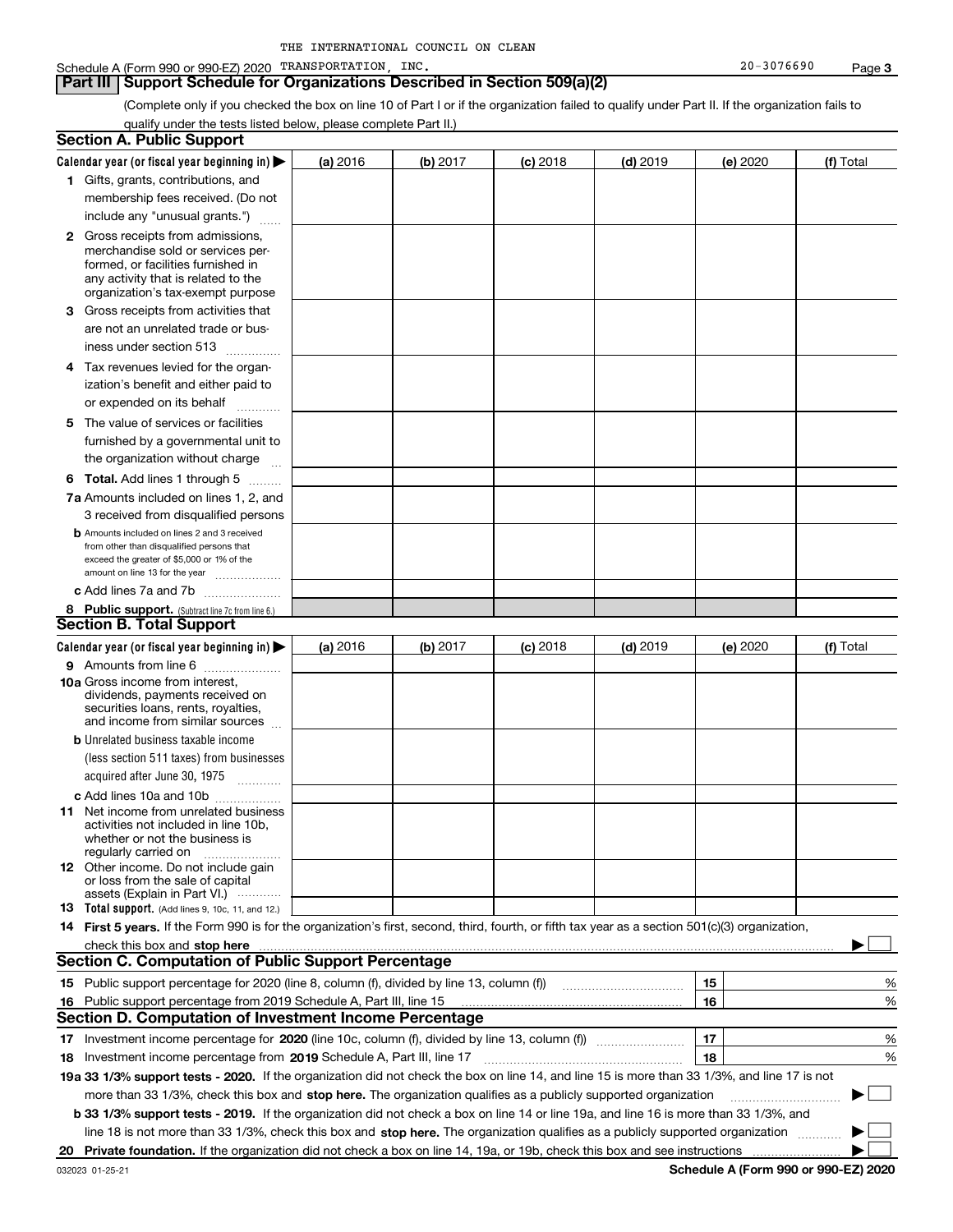| THE INTERNATIONAL COUNCIL ON CLEAN |  |  |  |  |  |
|------------------------------------|--|--|--|--|--|
|------------------------------------|--|--|--|--|--|

#### **Part III Support Schedule for Organizations Described in Section 509(a)(2)**

(Complete only if you checked the box on line 10 of Part I or if the organization failed to qualify under Part II. If the organization fails to qualify under the tests listed below, please complete Part II.)

|    | <b>Section A. Public Support</b>                                                                                                                                                                                                                                         |          |          |            |            |          |           |
|----|--------------------------------------------------------------------------------------------------------------------------------------------------------------------------------------------------------------------------------------------------------------------------|----------|----------|------------|------------|----------|-----------|
|    | Calendar year (or fiscal year beginning in) $\blacktriangleright$                                                                                                                                                                                                        | (a) 2016 | (b) 2017 | $(c)$ 2018 | $(d)$ 2019 | (e) 2020 | (f) Total |
|    | 1 Gifts, grants, contributions, and                                                                                                                                                                                                                                      |          |          |            |            |          |           |
|    | membership fees received. (Do not                                                                                                                                                                                                                                        |          |          |            |            |          |           |
|    | include any "unusual grants.")                                                                                                                                                                                                                                           |          |          |            |            |          |           |
|    | <b>2</b> Gross receipts from admissions,                                                                                                                                                                                                                                 |          |          |            |            |          |           |
|    | merchandise sold or services per-                                                                                                                                                                                                                                        |          |          |            |            |          |           |
|    | formed, or facilities furnished in                                                                                                                                                                                                                                       |          |          |            |            |          |           |
|    | any activity that is related to the<br>organization's tax-exempt purpose                                                                                                                                                                                                 |          |          |            |            |          |           |
|    | 3 Gross receipts from activities that                                                                                                                                                                                                                                    |          |          |            |            |          |           |
|    | are not an unrelated trade or bus-                                                                                                                                                                                                                                       |          |          |            |            |          |           |
|    | iness under section 513                                                                                                                                                                                                                                                  |          |          |            |            |          |           |
|    | 4 Tax revenues levied for the organ-                                                                                                                                                                                                                                     |          |          |            |            |          |           |
|    | ization's benefit and either paid to                                                                                                                                                                                                                                     |          |          |            |            |          |           |
|    | or expended on its behalf<br>.                                                                                                                                                                                                                                           |          |          |            |            |          |           |
|    | 5 The value of services or facilities                                                                                                                                                                                                                                    |          |          |            |            |          |           |
|    | furnished by a governmental unit to                                                                                                                                                                                                                                      |          |          |            |            |          |           |
|    | the organization without charge                                                                                                                                                                                                                                          |          |          |            |            |          |           |
|    | <b>6 Total.</b> Add lines 1 through 5                                                                                                                                                                                                                                    |          |          |            |            |          |           |
|    | 7a Amounts included on lines 1, 2, and                                                                                                                                                                                                                                   |          |          |            |            |          |           |
|    | 3 received from disqualified persons                                                                                                                                                                                                                                     |          |          |            |            |          |           |
|    | <b>b</b> Amounts included on lines 2 and 3 received                                                                                                                                                                                                                      |          |          |            |            |          |           |
|    | from other than disqualified persons that                                                                                                                                                                                                                                |          |          |            |            |          |           |
|    | exceed the greater of \$5,000 or 1% of the<br>amount on line 13 for the year                                                                                                                                                                                             |          |          |            |            |          |           |
|    | c Add lines 7a and 7b                                                                                                                                                                                                                                                    |          |          |            |            |          |           |
|    | 8 Public support. (Subtract line 7c from line 6.)                                                                                                                                                                                                                        |          |          |            |            |          |           |
|    | <b>Section B. Total Support</b>                                                                                                                                                                                                                                          |          |          |            |            |          |           |
|    | Calendar year (or fiscal year beginning in)                                                                                                                                                                                                                              | (a) 2016 | (b) 2017 | $(c)$ 2018 | $(d)$ 2019 | (e) 2020 | (f) Total |
|    | 9 Amounts from line 6                                                                                                                                                                                                                                                    |          |          |            |            |          |           |
|    | <b>10a</b> Gross income from interest,                                                                                                                                                                                                                                   |          |          |            |            |          |           |
|    | dividends, payments received on                                                                                                                                                                                                                                          |          |          |            |            |          |           |
|    | securities loans, rents, royalties,<br>and income from similar sources                                                                                                                                                                                                   |          |          |            |            |          |           |
|    | <b>b</b> Unrelated business taxable income                                                                                                                                                                                                                               |          |          |            |            |          |           |
|    | (less section 511 taxes) from businesses                                                                                                                                                                                                                                 |          |          |            |            |          |           |
|    | acquired after June 30, 1975                                                                                                                                                                                                                                             |          |          |            |            |          |           |
|    | c Add lines 10a and 10b                                                                                                                                                                                                                                                  |          |          |            |            |          |           |
|    | 11 Net income from unrelated business                                                                                                                                                                                                                                    |          |          |            |            |          |           |
|    | activities not included in line 10b,                                                                                                                                                                                                                                     |          |          |            |            |          |           |
|    | whether or not the business is<br>regularly carried on                                                                                                                                                                                                                   |          |          |            |            |          |           |
|    | <b>12</b> Other income. Do not include gain                                                                                                                                                                                                                              |          |          |            |            |          |           |
|    | or loss from the sale of capital                                                                                                                                                                                                                                         |          |          |            |            |          |           |
|    | assets (Explain in Part VI.)<br><b>13</b> Total support. (Add lines 9, 10c, 11, and 12.)                                                                                                                                                                                 |          |          |            |            |          |           |
|    | 14 First 5 years. If the Form 990 is for the organization's first, second, third, fourth, or fifth tax year as a section 501(c)(3) organization,                                                                                                                         |          |          |            |            |          |           |
|    |                                                                                                                                                                                                                                                                          |          |          |            |            |          |           |
|    | check this box and stop here <i>macuum macuum macuum macuum macuum macuum macuum macuum macuum</i><br><b>Section C. Computation of Public Support Percentage</b>                                                                                                         |          |          |            |            |          |           |
|    | 15 Public support percentage for 2020 (line 8, column (f), divided by line 13, column (f))                                                                                                                                                                               |          |          |            |            | 15       | ℀         |
|    | 16 Public support percentage from 2019 Schedule A, Part III, line 15                                                                                                                                                                                                     |          |          |            |            | 16       | %         |
|    | <b>Section D. Computation of Investment Income Percentage</b>                                                                                                                                                                                                            |          |          |            |            |          |           |
|    | Investment income percentage for 2020 (line 10c, column (f), divided by line 13, column (f))                                                                                                                                                                             |          |          |            |            | 17       | %         |
| 17 |                                                                                                                                                                                                                                                                          |          |          |            |            | 18       | %         |
|    | <b>18</b> Investment income percentage from <b>2019</b> Schedule A, Part III, line 17<br>19a 33 1/3% support tests - 2020. If the organization did not check the box on line 14, and line 15 is more than 33 1/3%, and line 17 is not                                    |          |          |            |            |          |           |
|    | more than 33 1/3%, check this box and stop here. The organization qualifies as a publicly supported organization                                                                                                                                                         |          |          |            |            |          |           |
|    |                                                                                                                                                                                                                                                                          |          |          |            |            |          |           |
|    | b 33 1/3% support tests - 2019. If the organization did not check a box on line 14 or line 19a, and line 16 is more than 33 1/3%, and<br>line 18 is not more than 33 1/3%, check this box and stop here. The organization qualifies as a publicly supported organization |          |          |            |            |          |           |
|    |                                                                                                                                                                                                                                                                          |          |          |            |            |          |           |
| 20 |                                                                                                                                                                                                                                                                          |          |          |            |            |          |           |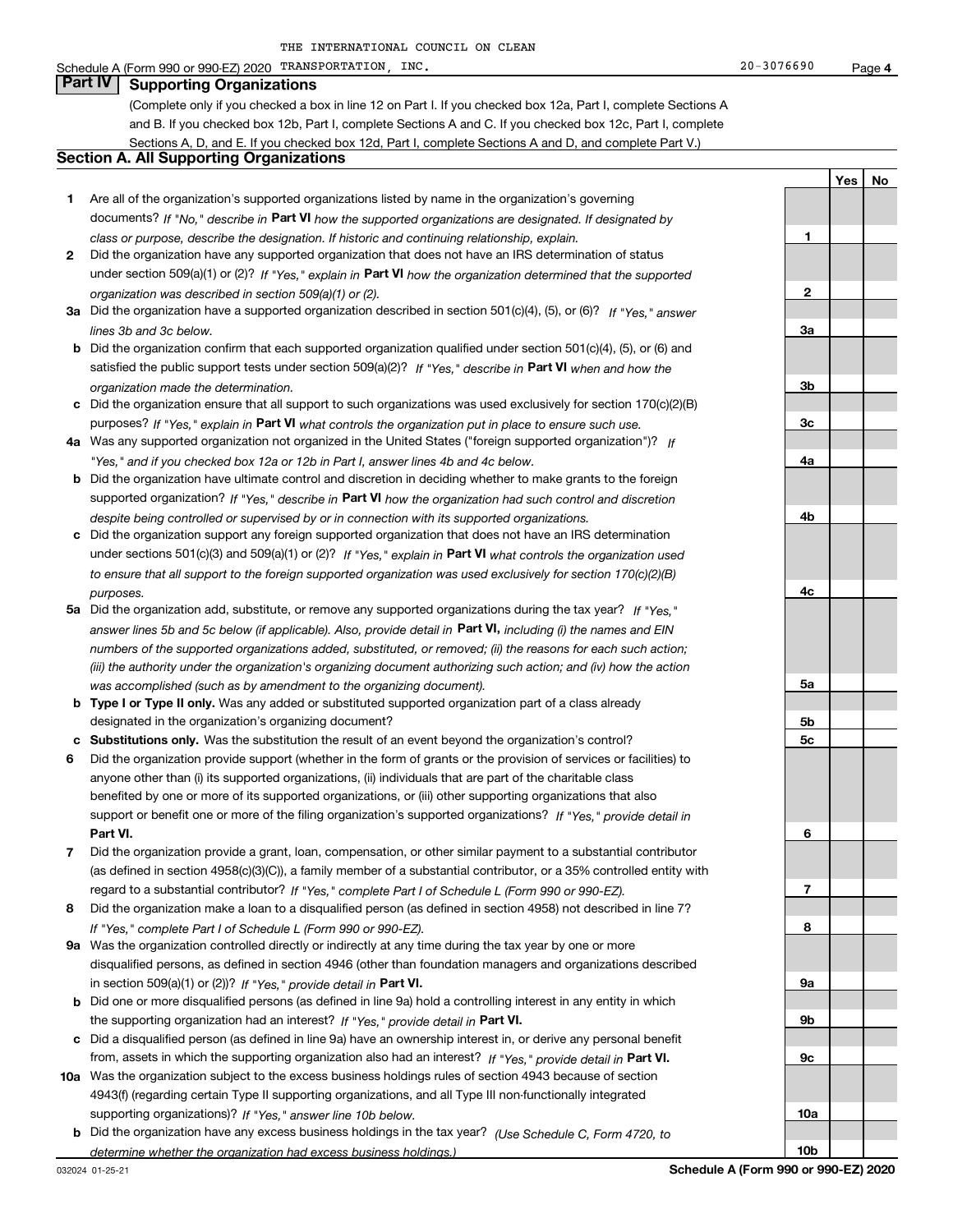#### Schedule A (Form 990 or 990-EZ) 2020 TRANSPORTATION,INC. Page

**Part IV Supporting Organizations**

(Complete only if you checked a box in line 12 on Part I. If you checked box 12a, Part I, complete Sections A and B. If you checked box 12b, Part I, complete Sections A and C. If you checked box 12c, Part I, complete Sections A, D, and E. If you checked box 12d, Part I, complete Sections A and D, and complete Part V.)

#### **Section A. All Supporting Organizations**

- **1** Are all of the organization's supported organizations listed by name in the organization's governing documents? If "No," describe in **Part VI** how the supported organizations are designated. If designated by *class or purpose, describe the designation. If historic and continuing relationship, explain.*
- **2** Did the organization have any supported organization that does not have an IRS determination of status under section 509(a)(1) or (2)? If "Yes," explain in Part VI how the organization determined that the supported *organization was described in section 509(a)(1) or (2).*
- **3a** Did the organization have a supported organization described in section 501(c)(4), (5), or (6)? If "Yes," answer *lines 3b and 3c below.*
- **b** Did the organization confirm that each supported organization qualified under section 501(c)(4), (5), or (6) and satisfied the public support tests under section 509(a)(2)? If "Yes," describe in **Part VI** when and how the *organization made the determination.*
- **c**Did the organization ensure that all support to such organizations was used exclusively for section 170(c)(2)(B) purposes? If "Yes," explain in **Part VI** what controls the organization put in place to ensure such use.
- **4a***If* Was any supported organization not organized in the United States ("foreign supported organization")? *"Yes," and if you checked box 12a or 12b in Part I, answer lines 4b and 4c below.*
- **b** Did the organization have ultimate control and discretion in deciding whether to make grants to the foreign supported organization? If "Yes," describe in **Part VI** how the organization had such control and discretion *despite being controlled or supervised by or in connection with its supported organizations.*
- **c** Did the organization support any foreign supported organization that does not have an IRS determination under sections 501(c)(3) and 509(a)(1) or (2)? If "Yes," explain in **Part VI** what controls the organization used *to ensure that all support to the foreign supported organization was used exclusively for section 170(c)(2)(B) purposes.*
- **5a***If "Yes,"* Did the organization add, substitute, or remove any supported organizations during the tax year? answer lines 5b and 5c below (if applicable). Also, provide detail in **Part VI,** including (i) the names and EIN *numbers of the supported organizations added, substituted, or removed; (ii) the reasons for each such action; (iii) the authority under the organization's organizing document authorizing such action; and (iv) how the action was accomplished (such as by amendment to the organizing document).*
- **b** Type I or Type II only. Was any added or substituted supported organization part of a class already designated in the organization's organizing document?
- **cSubstitutions only.**  Was the substitution the result of an event beyond the organization's control?
- **6** Did the organization provide support (whether in the form of grants or the provision of services or facilities) to **Part VI.** *If "Yes," provide detail in* support or benefit one or more of the filing organization's supported organizations? anyone other than (i) its supported organizations, (ii) individuals that are part of the charitable class benefited by one or more of its supported organizations, or (iii) other supporting organizations that also
- **7**Did the organization provide a grant, loan, compensation, or other similar payment to a substantial contributor *If "Yes," complete Part I of Schedule L (Form 990 or 990-EZ).* regard to a substantial contributor? (as defined in section 4958(c)(3)(C)), a family member of a substantial contributor, or a 35% controlled entity with
- **8** Did the organization make a loan to a disqualified person (as defined in section 4958) not described in line 7? *If "Yes," complete Part I of Schedule L (Form 990 or 990-EZ).*
- **9a** Was the organization controlled directly or indirectly at any time during the tax year by one or more in section 509(a)(1) or (2))? If "Yes," *provide detail in* <code>Part VI.</code> disqualified persons, as defined in section 4946 (other than foundation managers and organizations described
- **b** Did one or more disqualified persons (as defined in line 9a) hold a controlling interest in any entity in which the supporting organization had an interest? If "Yes," provide detail in P**art VI**.
- **c**Did a disqualified person (as defined in line 9a) have an ownership interest in, or derive any personal benefit from, assets in which the supporting organization also had an interest? If "Yes," provide detail in P**art VI.**
- **10a** Was the organization subject to the excess business holdings rules of section 4943 because of section supporting organizations)? If "Yes," answer line 10b below. 4943(f) (regarding certain Type II supporting organizations, and all Type III non-functionally integrated
- **b** Did the organization have any excess business holdings in the tax year? (Use Schedule C, Form 4720, to *determine whether the organization had excess business holdings.)*

032024 01-25-21

**Schedule A (Form 990 or 990-EZ) 2020**

**1**

**2**

**3a**

**3b**

**3c**

**4a**

**4b**

**4c**

**5a**

**5b5c**

**6**

**7**

**8**

**9a**

**9b**

**9c**

**10a**

**10b**

**YesNo**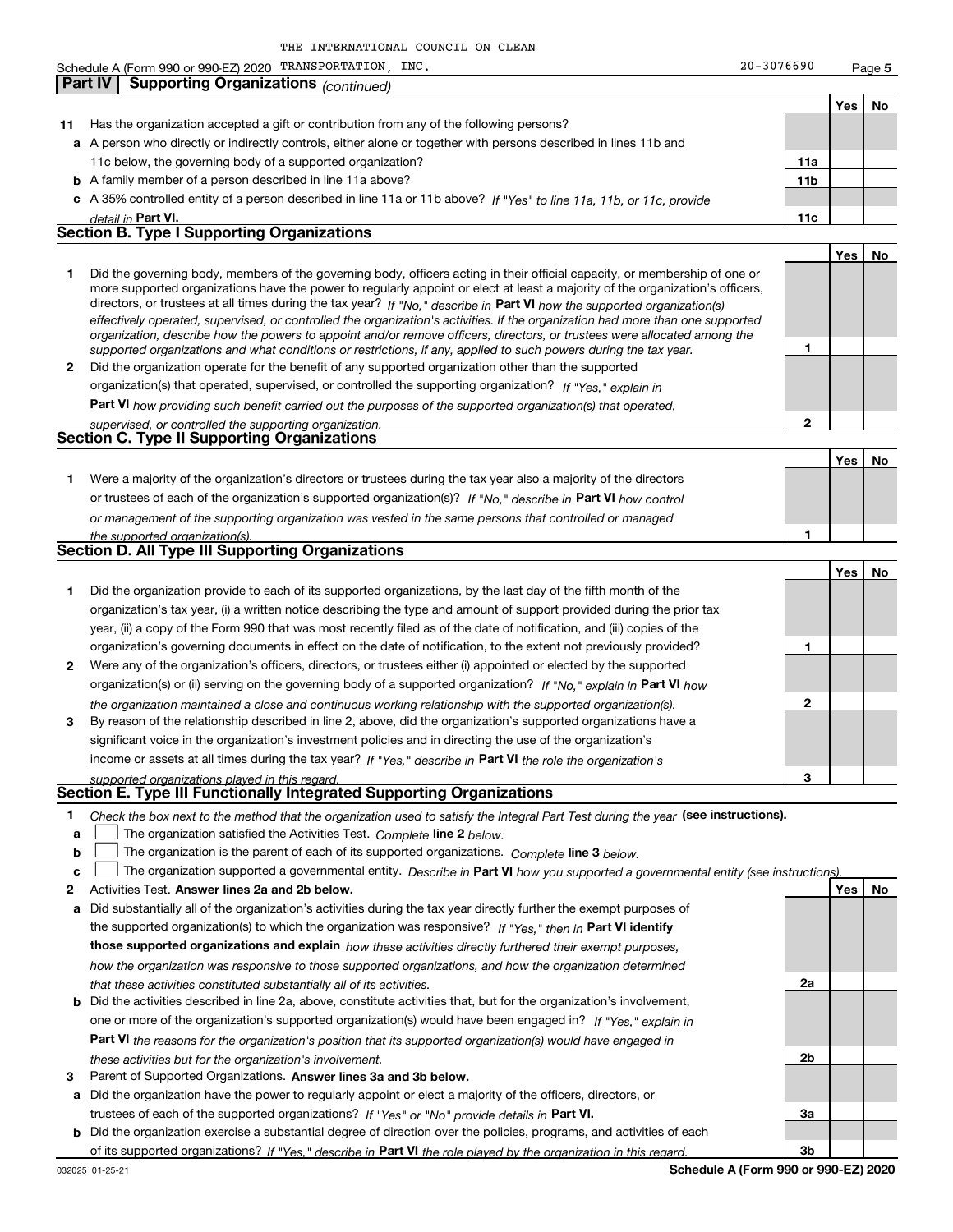|              | Schedule A (Form 990 or 990-EZ) 2020 TRANSPORTATION, INC.                                                                                                                                                               | $20 - 3076690$ |            | Page 5 |
|--------------|-------------------------------------------------------------------------------------------------------------------------------------------------------------------------------------------------------------------------|----------------|------------|--------|
| Part IV      | <b>Supporting Organizations</b> (continued)                                                                                                                                                                             |                |            |        |
|              |                                                                                                                                                                                                                         |                | Yes        | No     |
| 11           | Has the organization accepted a gift or contribution from any of the following persons?                                                                                                                                 |                |            |        |
|              | a A person who directly or indirectly controls, either alone or together with persons described in lines 11b and                                                                                                        |                |            |        |
|              | 11c below, the governing body of a supported organization?                                                                                                                                                              | 11a            |            |        |
|              | <b>b</b> A family member of a person described in line 11a above?                                                                                                                                                       | 11b            |            |        |
|              | c A 35% controlled entity of a person described in line 11a or 11b above? If "Yes" to line 11a, 11b, or 11c, provide                                                                                                    |                |            |        |
|              | detail in Part VI.                                                                                                                                                                                                      | 11c            |            |        |
|              | <b>Section B. Type I Supporting Organizations</b>                                                                                                                                                                       |                |            |        |
|              |                                                                                                                                                                                                                         |                | <b>Yes</b> | No     |
| 1.           | Did the governing body, members of the governing body, officers acting in their official capacity, or membership of one or                                                                                              |                |            |        |
|              | more supported organizations have the power to regularly appoint or elect at least a majority of the organization's officers,                                                                                           |                |            |        |
|              | directors, or trustees at all times during the tax year? If "No," describe in Part VI how the supported organization(s)                                                                                                 |                |            |        |
|              | effectively operated, supervised, or controlled the organization's activities. If the organization had more than one supported                                                                                          |                |            |        |
|              | organization, describe how the powers to appoint and/or remove officers, directors, or trustees were allocated among the                                                                                                | 1              |            |        |
| $\mathbf{2}$ | supported organizations and what conditions or restrictions, if any, applied to such powers during the tax year.<br>Did the organization operate for the benefit of any supported organization other than the supported |                |            |        |
|              | organization(s) that operated, supervised, or controlled the supporting organization? If "Yes," explain in                                                                                                              |                |            |        |
|              |                                                                                                                                                                                                                         |                |            |        |
|              | Part VI how providing such benefit carried out the purposes of the supported organization(s) that operated,                                                                                                             | 2              |            |        |
|              | supervised, or controlled the supporting organization.<br><b>Section C. Type II Supporting Organizations</b>                                                                                                            |                |            |        |
|              |                                                                                                                                                                                                                         |                |            | No     |
|              |                                                                                                                                                                                                                         |                | Yes        |        |
| 1.           | Were a majority of the organization's directors or trustees during the tax year also a majority of the directors                                                                                                        |                |            |        |
|              | or trustees of each of the organization's supported organization(s)? If "No," describe in Part VI how control                                                                                                           |                |            |        |
|              | or management of the supporting organization was vested in the same persons that controlled or managed                                                                                                                  |                |            |        |
|              | the supported organization(s).<br>Section D. All Type III Supporting Organizations                                                                                                                                      | 1              |            |        |
|              |                                                                                                                                                                                                                         |                |            |        |
|              |                                                                                                                                                                                                                         |                | Yes        | No     |
| 1.           | Did the organization provide to each of its supported organizations, by the last day of the fifth month of the                                                                                                          |                |            |        |
|              | organization's tax year, (i) a written notice describing the type and amount of support provided during the prior tax                                                                                                   |                |            |        |
|              | year, (ii) a copy of the Form 990 that was most recently filed as of the date of notification, and (iii) copies of the                                                                                                  |                |            |        |
|              | organization's governing documents in effect on the date of notification, to the extent not previously provided?                                                                                                        | 1              |            |        |
| $\mathbf{2}$ | Were any of the organization's officers, directors, or trustees either (i) appointed or elected by the supported                                                                                                        |                |            |        |
|              | organization(s) or (ii) serving on the governing body of a supported organization? If "No," explain in Part VI how                                                                                                      |                |            |        |
|              | the organization maintained a close and continuous working relationship with the supported organization(s).                                                                                                             | 2              |            |        |
| 3            | By reason of the relationship described in line 2, above, did the organization's supported organizations have a                                                                                                         |                |            |        |
|              | significant voice in the organization's investment policies and in directing the use of the organization's                                                                                                              |                |            |        |
|              | income or assets at all times during the tax year? If "Yes," describe in Part VI the role the organization's                                                                                                            |                |            |        |
|              | supported organizations played in this regard.                                                                                                                                                                          | 3              |            |        |
|              | <b>Section E. Type III Functionally Integrated Supporting Organizations</b>                                                                                                                                             |                |            |        |
| 1.           | Check the box next to the method that the organization used to satisfy the Integral Part Test during the year (see instructions).                                                                                       |                |            |        |
| a            | The organization satisfied the Activities Test. Complete line 2 below.                                                                                                                                                  |                |            |        |
| b            | The organization is the parent of each of its supported organizations. Complete line 3 below.                                                                                                                           |                |            |        |
| c            | The organization supported a governmental entity. Describe in Part VI how you supported a governmental entity (see instructions)                                                                                        |                |            |        |
| 2            | Activities Test. Answer lines 2a and 2b below.                                                                                                                                                                          |                | Yes        | No     |
| а            | Did substantially all of the organization's activities during the tax year directly further the exempt purposes of                                                                                                      |                |            |        |
|              | the supported organization(s) to which the organization was responsive? If "Yes," then in Part VI identify                                                                                                              |                |            |        |
|              | those supported organizations and explain how these activities directly furthered their exempt purposes,                                                                                                                |                |            |        |
|              | how the organization was responsive to those supported organizations, and how the organization determined                                                                                                               |                |            |        |
|              | that these activities constituted substantially all of its activities.                                                                                                                                                  | 2a             |            |        |
|              | Did the activities described in line 2a, above, constitute activities that but for the organization's involvement                                                                                                       |                |            |        |

- **bPart VI**  *the reasons for the organization's position that its supported organization(s) would have engaged in* one or more of the organization's supported organization(s) would have been engaged in? If "Yes," e*xplain in these activities but for the organization's involvement.* lescribed in line 2a, above, constitute activities that, but for the organization's involvement,
- **3** Parent of Supported Organizations. Answer lines 3a and 3b below.

**a** Did the organization have the power to regularly appoint or elect a majority of the officers, directors, or trustees of each of the supported organizations? If "Yes" or "No" provide details in **Part VI.** 

**b** Did the organization exercise a substantial degree of direction over the policies, programs, and activities of each of its supported organizations? If "Yes," describe in Part VI the role played by the organization in this regard.

**2b**

**3a**

**3b**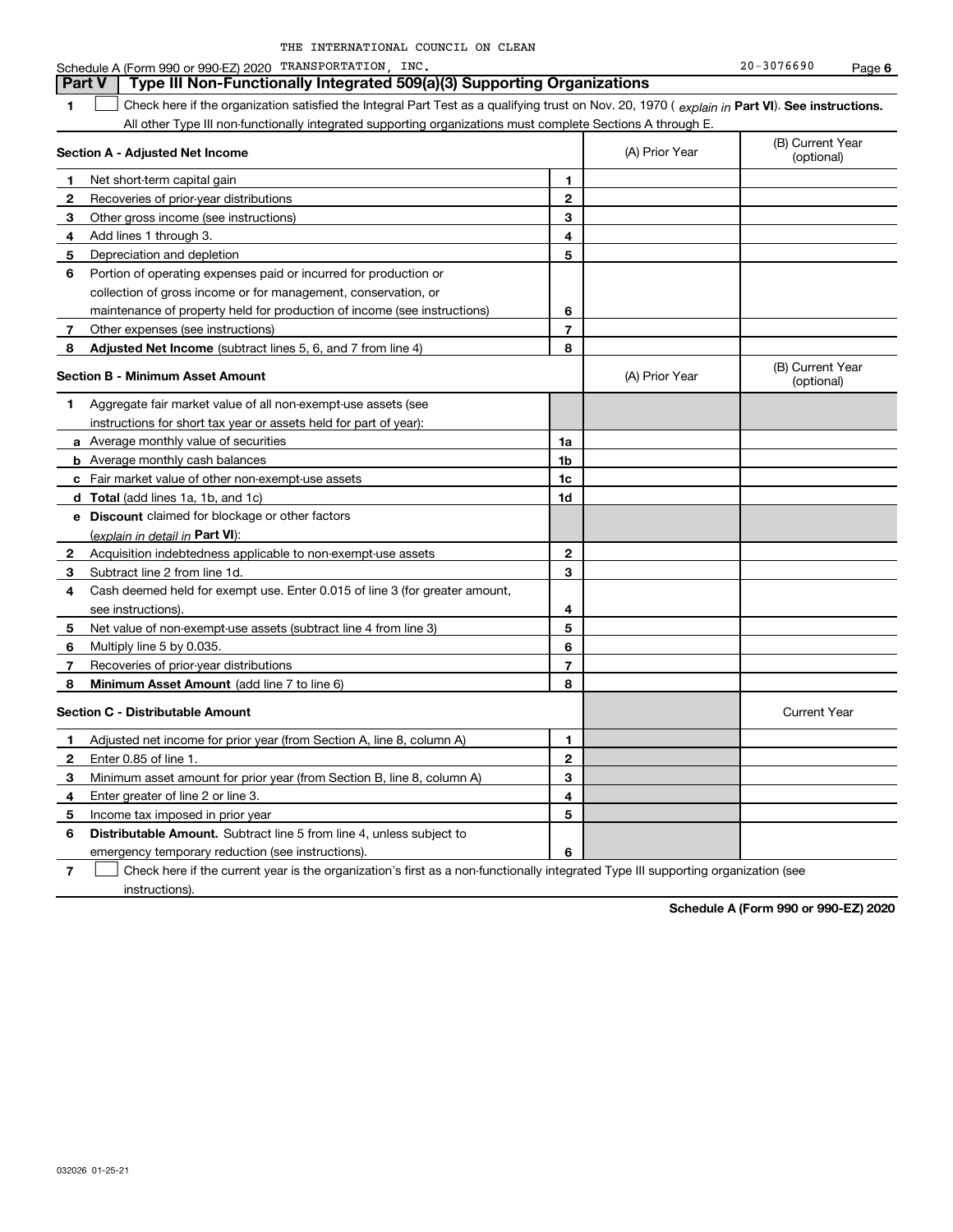| THE INTERNATIONAL COUNCIL ON CLEAN |  |  |  |  |  |
|------------------------------------|--|--|--|--|--|
|------------------------------------|--|--|--|--|--|

**6**Schedule A (Form 990 or 990-EZ) 2020 TRANSPORTATION,INC. Page

#### **1Part VI** Check here if the organization satisfied the Integral Part Test as a qualifying trust on Nov. 20, 1970 ( explain in Part **VI**). See instructions. **Section A - Adjusted Net Income 123** Other gross income (see instructions) **4**Add lines 1 through 3. **56** Portion of operating expenses paid or incurred for production or **7** Other expenses (see instructions) **8** Adjusted Net Income (subtract lines 5, 6, and 7 from line 4) **8 8 1234567Section B - Minimum Asset Amount 1**Aggregate fair market value of all non-exempt-use assets (see **2**Acquisition indebtedness applicable to non-exempt-use assets **3** Subtract line 2 from line 1d. **4**Cash deemed held for exempt use. Enter 0.015 of line 3 (for greater amount, **5** Net value of non-exempt-use assets (subtract line 4 from line 3) **678a** Average monthly value of securities **b** Average monthly cash balances **c**Fair market value of other non-exempt-use assets **dTotal**  (add lines 1a, 1b, and 1c) **eDiscount** claimed for blockage or other factors **1a1b1c1d2345678**(explain in detail in Part VI): **Minimum Asset Amount**  (add line 7 to line 6) **Section C - Distributable Amount 123456123456Distributable Amount.** Subtract line 5 from line 4, unless subject to All other Type III non-functionally integrated supporting organizations must complete Sections A through E. (B) Current Year (optional)(A) Prior Year Net short-term capital gain Recoveries of prior-year distributions Depreciation and depletion collection of gross income or for management, conservation, or maintenance of property held for production of income (see instructions) (B) Current Year (optional)(A) Prior Year instructions for short tax year or assets held for part of year): see instructions). Multiply line 5 by 0.035. Recoveries of prior-year distributions Current Year Adjusted net income for prior year (from Section A, line 8, column A) Enter 0.85 of line 1. Minimum asset amount for prior year (from Section B, line 8, column A) Enter greater of line 2 or line 3. Income tax imposed in prior year emergency temporary reduction (see instructions). **Part V** Type III Non-Functionally Integrated 509(a)(3) Supporting Organizations  $\mathcal{L}^{\text{max}}$

**7**Check here if the current year is the organization's first as a non-functionally integrated Type III supporting organization (see instructions). $\mathcal{L}^{\text{max}}$ 

**Schedule A (Form 990 or 990-EZ) 2020**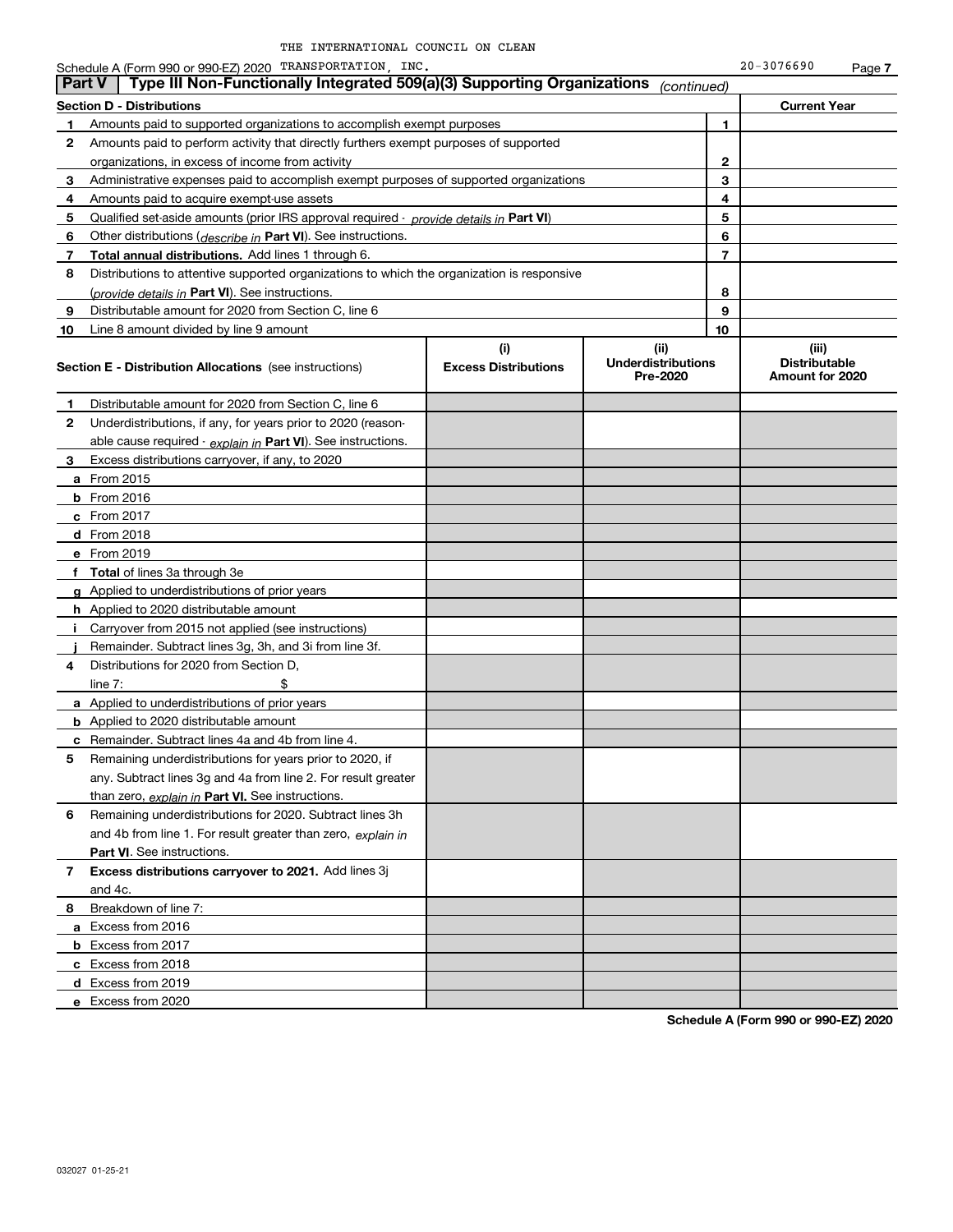Schedule A (Form 990 or 990-EZ) 2020 TRANSPORTATION,INC. Page

**Section D - Distributions Current Year 1**Amounts paid to supported organizations to accomplish exempt purposes **234567891012345678910**Qualified set-aside amounts (prior IRS approval required - *provide details in* Part VI) Other distributions ( *describe in* Part VI). See instructions. **Total annual distributions.** Add lines 1 through 6. (*provide details in* Part VI). See instructions. **(i)Excess Distributions (ii) UnderdistributionsPre-2020(iii) Distributable Amount for 2020 Section E - Distribution Allocations**  (see instructions) **12**Underdistributions, if any, for years prior to 2020 (reason-**3**Excess distributions carryover, if any, to 2020 **4**Distributions for 2020 from Section D, **5** Remaining underdistributions for years prior to 2020, if **6** Remaining underdistributions for 2020. Subtract lines 3h **7Excess distributions carryover to 2021.**  Add lines 3j **8**Breakdown of line 7: <u>able cause required - *explain in* Part VI). See instructions.</u> **a** From 2015 **b** From 2016 **c**From 2017 **d** From 2018 **e** From 2019 **f Total**  of lines 3a through 3e **g**Applied to underdistributions of prior years **h** Applied to 2020 distributable amount **ij** Remainder. Subtract lines 3g, 3h, and 3i from line 3f. **a** Applied to underdistributions of prior years **b** Applied to 2020 distributable amount **c** Remainder. Subtract lines 4a and 4b from line 4. <u>than zero, *explain in* Part VI. See instructions.</u> **Part VI** . See instructions. **a** Excess from 2016 **b** Excess from 2017 **c**Excess from 2018 **d**Excess from 2019 and 4b from line 1. For result greater than zero, *explain in* Amounts paid to perform activity that directly furthers exempt purposes of supported organizations, in excess of income from activity Administrative expenses paid to accomplish exempt purposes of supported organizations Amounts paid to acquire exempt-use assets Distributions to attentive supported organizations to which the organization is responsive Distributable amount for 2020 from Section C, line 6 Line 8 amount divided by line 9 amount Distributable amount for 2020 from Section C, line 6 i Carryover from 2015 not applied (see instructions)  $line 7:$  \$ any. Subtract lines 3g and 4a from line 2. For result greater and 4c. **Part V Type III Non-Functionally Integrated 509(a)(3) Supporting Organizations** *(continued)* 

**Schedule A (Form 990 or 990-EZ) 2020**

**7**

**e**Excess from 2020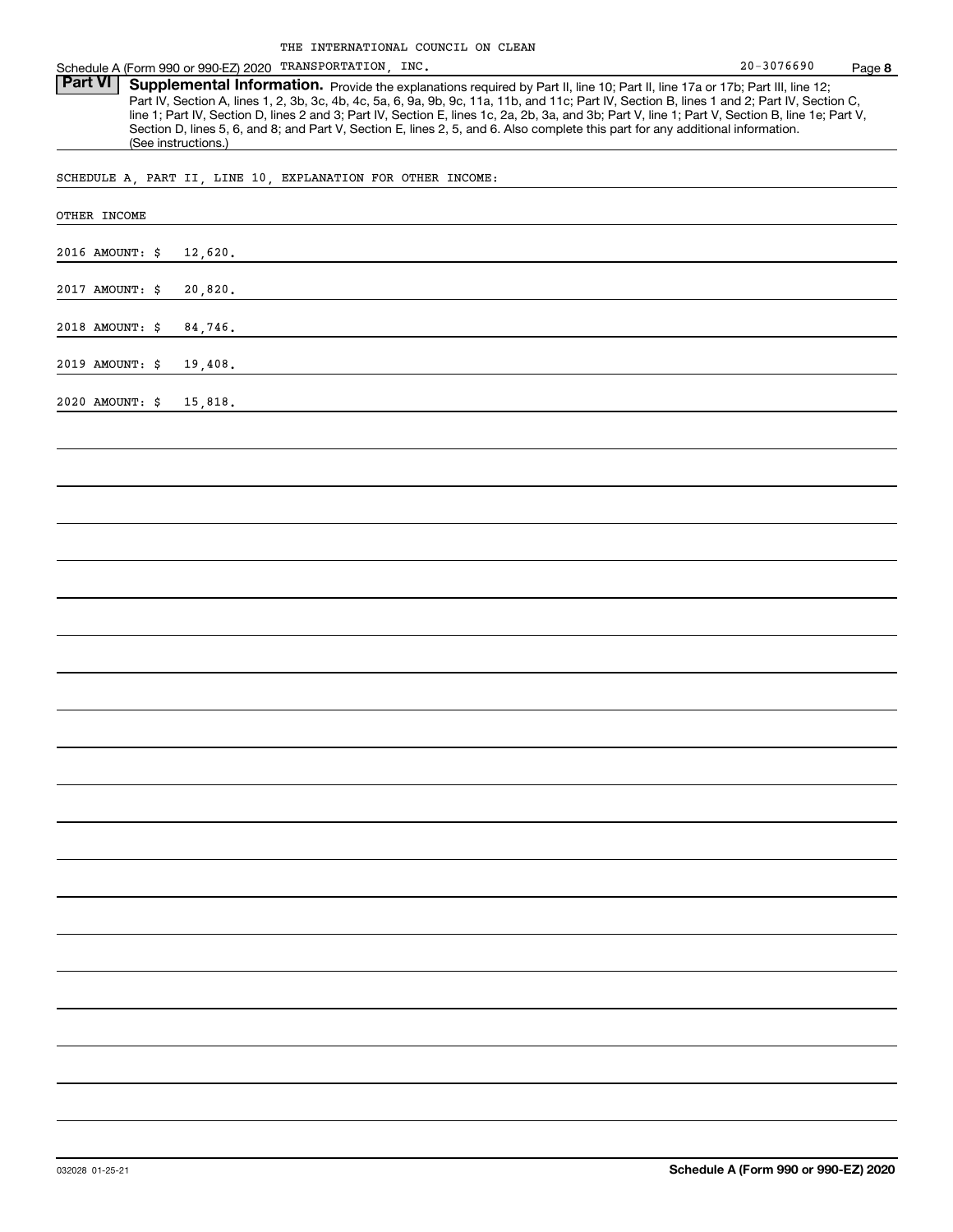Schedule A (Form 990 or 990-EZ) 2020 TRANSPORTATION,INC. 20-3076690 Page

Part VI | Supplemental Information. Provide the explanations required by Part II, line 10; Part II, line 17a or 17b; Part III, line 12; Part IV, Section A, lines 1, 2, 3b, 3c, 4b, 4c, 5a, 6, 9a, 9b, 9c, 11a, 11b, and 11c; Part IV, Section B, lines 1 and 2; Part IV, Section C, line 1; Part IV, Section D, lines 2 and 3; Part IV, Section E, lines 1c, 2a, 2b, 3a, and 3b; Part V, line 1; Part V, Section B, line 1e; Part V, Section D, lines 5, 6, and 8; and Part V, Section E, lines 2, 5, and 6. Also complete this part for any additional information. (See instructions.)

SCHEDULE A, PART II, LINE 10, EXPLANATION FOR OTHER INCOME:

| OTHER INCOME               |
|----------------------------|
| 2016 AMOUNT: \$<br>12,620. |
| 2017 AMOUNT: \$<br>20,820. |
| 2018 AMOUNT: \$<br>84,746. |
| 2019 AMOUNT: \$<br>19,408. |
| 2020 AMOUNT: \$<br>15,818. |
|                            |
|                            |
|                            |
|                            |
|                            |
|                            |
|                            |
|                            |
|                            |
|                            |
|                            |
|                            |
|                            |
|                            |
|                            |
|                            |
|                            |
|                            |
|                            |
|                            |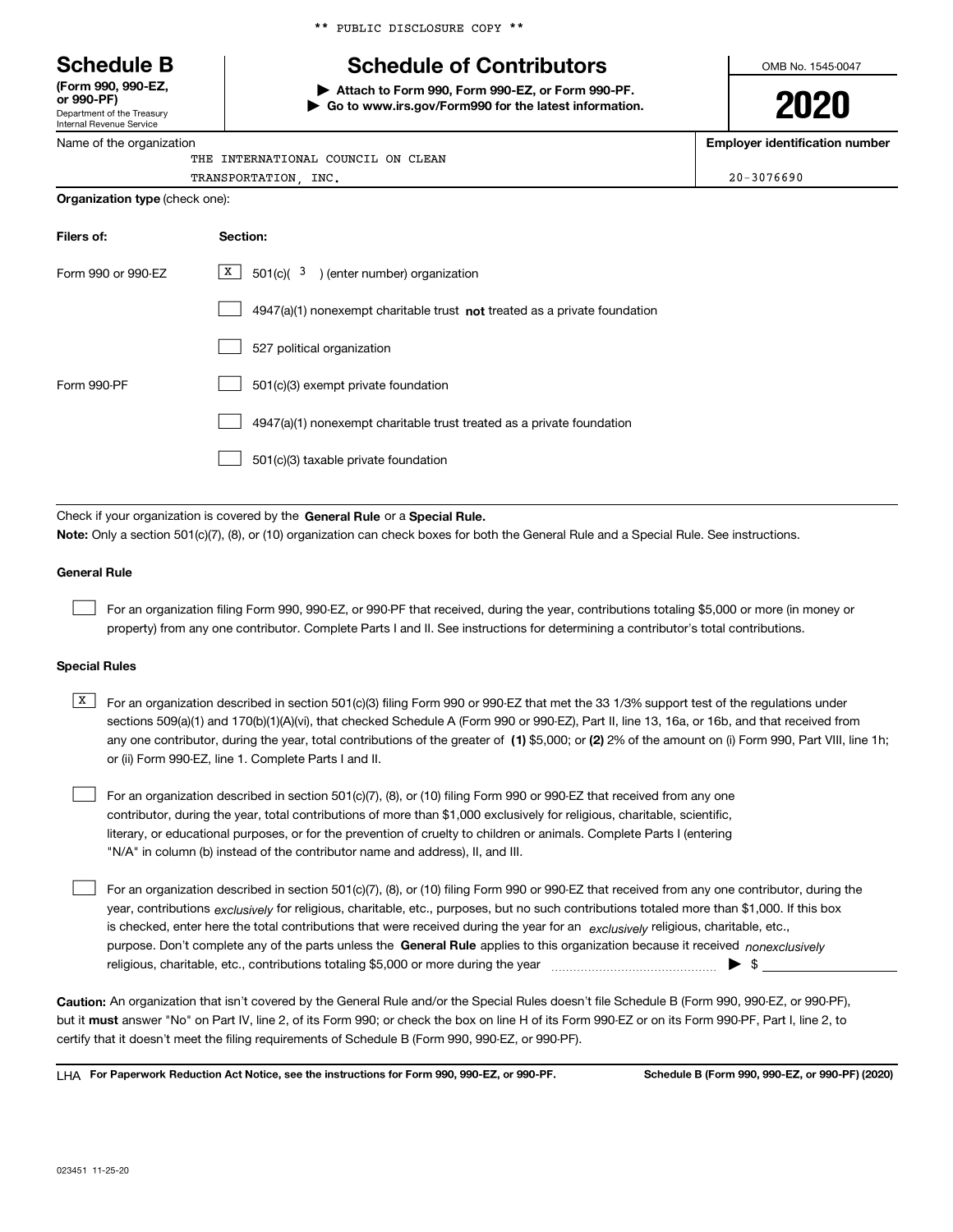Department of the Treasury **(Form 990, 990-EZ, or 990-PF)**

Internal Revenue Service Name of the organization \*\* PUBLIC DISCLOSURE COPY \*\*

# **Schedule B Schedule of Contributors**

**| Attach to Form 990, Form 990-EZ, or Form 990-PF. | Go to www.irs.gov/Form990 for the latest information.** OMB No. 1545-0047

**2020**

**Employer identification number**

| THE INTERNATIONAL COUNCIL ON CLEAN    |                |
|---------------------------------------|----------------|
| TRANSPORTATION INC.                   | $20 - 3076690$ |
| <b>Organization type</b> (check one): |                |

| Filers of:         | Section:                                                                    |  |  |  |
|--------------------|-----------------------------------------------------------------------------|--|--|--|
| Form 990 or 990-EZ | $X$ 501(c)( 3) (enter number) organization                                  |  |  |  |
|                    | $4947(a)(1)$ nonexempt charitable trust not treated as a private foundation |  |  |  |
|                    | 527 political organization                                                  |  |  |  |
| Form 990-PF        | 501(c)(3) exempt private foundation                                         |  |  |  |
|                    | 4947(a)(1) nonexempt charitable trust treated as a private foundation       |  |  |  |
|                    | 501(c)(3) taxable private foundation                                        |  |  |  |

Check if your organization is covered by the **General Rule** or a **Special Rule. Note:**  Only a section 501(c)(7), (8), or (10) organization can check boxes for both the General Rule and a Special Rule. See instructions.

#### **General Rule**

 $\mathcal{L}^{\text{max}}$ 

For an organization filing Form 990, 990-EZ, or 990-PF that received, during the year, contributions totaling \$5,000 or more (in money or property) from any one contributor. Complete Parts I and II. See instructions for determining a contributor's total contributions.

#### **Special Rules**

| X   For an organization described in section 501(c)(3) filing Form 990 or 990-EZ that met the 33 1/3% support test of the regulations under           |
|-------------------------------------------------------------------------------------------------------------------------------------------------------|
| sections 509(a)(1) and 170(b)(1)(A)(vi), that checked Schedule A (Form 990 or 990-EZ), Part II, line 13, 16a, or 16b, and that received from          |
| any one contributor, during the year, total contributions of the greater of (1) \$5,000; or (2) 2% of the amount on (i) Form 990, Part VIII, line 1h; |
| or (ii) Form 990-EZ, line 1. Complete Parts I and II.                                                                                                 |

For an organization described in section 501(c)(7), (8), or (10) filing Form 990 or 990-EZ that received from any one contributor, during the year, total contributions of more than \$1,000 exclusively for religious, charitable, scientific, literary, or educational purposes, or for the prevention of cruelty to children or animals. Complete Parts I (entering "N/A" in column (b) instead of the contributor name and address), II, and III.  $\mathcal{L}^{\text{max}}$ 

purpose. Don't complete any of the parts unless the **General Rule** applies to this organization because it received *nonexclusively* year, contributions <sub>exclusively</sub> for religious, charitable, etc., purposes, but no such contributions totaled more than \$1,000. If this box is checked, enter here the total contributions that were received during the year for an  $\;$ exclusively religious, charitable, etc., For an organization described in section 501(c)(7), (8), or (10) filing Form 990 or 990-EZ that received from any one contributor, during the religious, charitable, etc., contributions totaling \$5,000 or more during the year  $\Box$ — $\Box$   $\Box$  $\mathcal{L}^{\text{max}}$ 

**Caution:**  An organization that isn't covered by the General Rule and/or the Special Rules doesn't file Schedule B (Form 990, 990-EZ, or 990-PF),  **must** but it answer "No" on Part IV, line 2, of its Form 990; or check the box on line H of its Form 990-EZ or on its Form 990-PF, Part I, line 2, to certify that it doesn't meet the filing requirements of Schedule B (Form 990, 990-EZ, or 990-PF).

**For Paperwork Reduction Act Notice, see the instructions for Form 990, 990-EZ, or 990-PF. Schedule B (Form 990, 990-EZ, or 990-PF) (2020)** LHA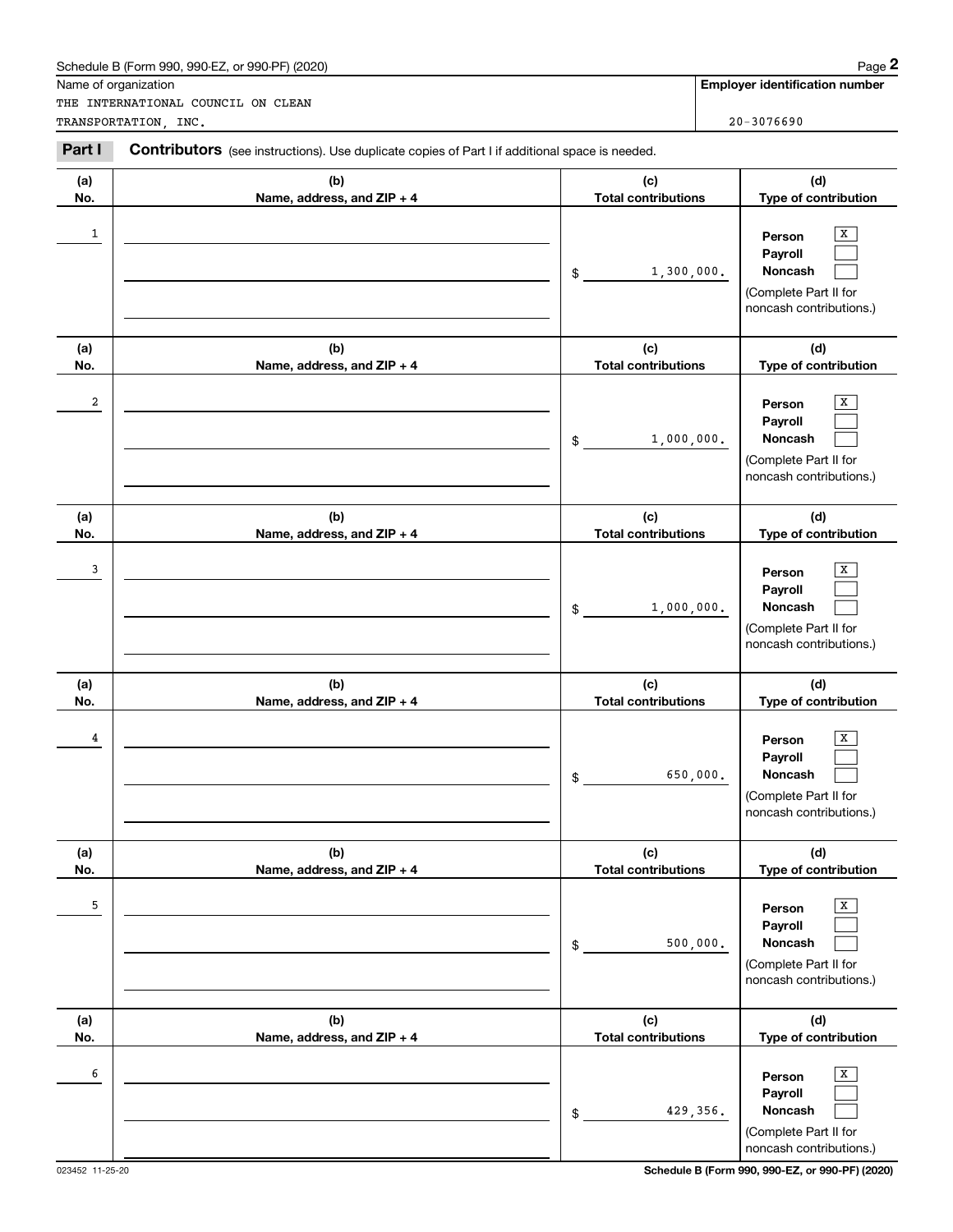|                      | Schedule B (Form 990, 990-EZ, or 990-PF) (2020)                                                |                                   | Page 2                                                                                |
|----------------------|------------------------------------------------------------------------------------------------|-----------------------------------|---------------------------------------------------------------------------------------|
| Name of organization | THE INTERNATIONAL COUNCIL ON CLEAN                                                             |                                   | <b>Employer identification number</b>                                                 |
|                      | TRANSPORTATION, INC.                                                                           |                                   | $20 - 3076690$                                                                        |
| Part I               | Contributors (see instructions). Use duplicate copies of Part I if additional space is needed. |                                   |                                                                                       |
| (a)<br>No.           | (b)<br>Name, address, and ZIP + 4                                                              | (c)<br><b>Total contributions</b> | (d)<br>Type of contribution                                                           |
| 1                    |                                                                                                | 1,300,000.<br>\$                  | х<br>Person<br>Payroll<br>Noncash<br>(Complete Part II for<br>noncash contributions.) |
| (a)<br>No.           | (b)<br>Name, address, and ZIP + 4                                                              | (c)<br><b>Total contributions</b> | (d)<br>Type of contribution                                                           |
| 2                    |                                                                                                | 1,000,000.<br>\$                  | х<br>Person<br>Payroll<br>Noncash<br>(Complete Part II for<br>noncash contributions.) |
| (a)<br>No.           | (b)<br>Name, address, and ZIP + 4                                                              | (c)<br><b>Total contributions</b> | (d)<br>Type of contribution                                                           |
| 3                    |                                                                                                | 1,000,000.<br>\$                  | х<br>Person<br>Payroll<br>Noncash<br>(Complete Part II for<br>noncash contributions.) |
| (a)<br>No.           | (b)<br>Name, address, and ZIP + 4                                                              | (c)<br><b>Total contributions</b> | (d)<br>Type of contribution                                                           |
| 4                    |                                                                                                | 650,000.<br>\$                    | х<br>Person<br>Payroll<br>Noncash<br>(Complete Part II for<br>noncash contributions.) |
| (a)<br>No.           | (b)<br>Name, address, and ZIP + 4                                                              | (c)<br><b>Total contributions</b> | (d)<br>Type of contribution                                                           |
| 5                    |                                                                                                | 500,000.<br>\$                    | Х<br>Person<br>Payroll<br>Noncash<br>(Complete Part II for<br>noncash contributions.) |
| (a)<br>No.           | (b)<br>Name, address, and ZIP + 4                                                              | (c)<br><b>Total contributions</b> | (d)<br>Type of contribution                                                           |
| 6                    |                                                                                                | 429,356.<br>\$                    | Х<br>Person<br>Payroll<br>Noncash<br>(Complete Part II for<br>noncash contributions.) |

023452 11-25-20 **Schedule B (Form 990, 990-EZ, or 990-PF) (2020)**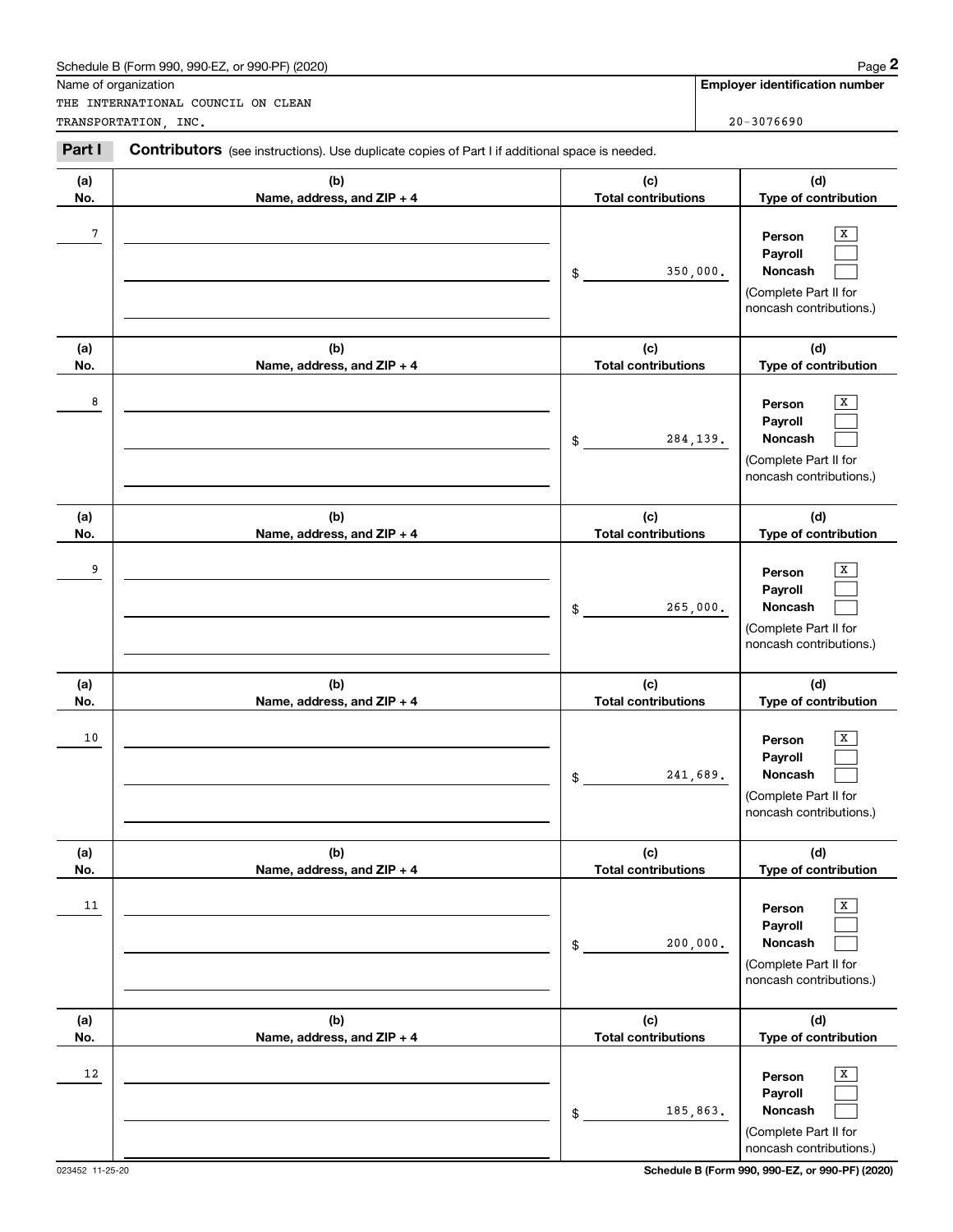|                      | Schedule B (Form 990, 990-EZ, or 990-PF) (2020)                                                |                                   | Page 2                                                                                       |
|----------------------|------------------------------------------------------------------------------------------------|-----------------------------------|----------------------------------------------------------------------------------------------|
| Name of organization | THE INTERNATIONAL COUNCIL ON CLEAN                                                             |                                   | <b>Employer identification number</b>                                                        |
|                      | TRANSPORTATION, INC.                                                                           |                                   | $20 - 3076690$                                                                               |
| Part I               | Contributors (see instructions). Use duplicate copies of Part I if additional space is needed. |                                   |                                                                                              |
| (a)<br>No.           | (b)<br>Name, address, and ZIP + 4                                                              | (c)<br><b>Total contributions</b> | (d)<br>Type of contribution                                                                  |
| 7                    |                                                                                                | 350,000.<br>$\frac{1}{2}$         | х<br>Person<br>Payroll<br><b>Noncash</b><br>(Complete Part II for<br>noncash contributions.) |
| (a)<br>No.           | (b)<br>Name, address, and ZIP + 4                                                              | (c)<br><b>Total contributions</b> | (d)<br>Type of contribution                                                                  |
| 8                    |                                                                                                | 284,139.<br>$\mathsf{\$}$         | x<br>Person<br>Payroll<br>Noncash<br>(Complete Part II for<br>noncash contributions.)        |
| (a)<br>No.           | (b)<br>Name, address, and ZIP + 4                                                              | (c)<br><b>Total contributions</b> | (d)<br>Type of contribution                                                                  |
| 9                    |                                                                                                | 265,000.<br>$\frac{1}{2}$         | x<br>Person<br>Payroll<br>Noncash<br>(Complete Part II for<br>noncash contributions.)        |
| (a)<br>No.           | (b)<br>Name, address, and ZIP + 4                                                              | (c)<br><b>Total contributions</b> | (d)<br>Type of contribution                                                                  |
| 10                   |                                                                                                | 241,689.<br>\$                    | X<br>Person<br>Payroll<br>Noncash<br>(Complete Part II for<br>noncash contributions.)        |
| (a)<br>No.           | (b)<br>Name, address, and ZIP + 4                                                              | (c)<br><b>Total contributions</b> | (d)<br>Type of contribution                                                                  |
| 11                   |                                                                                                | 200,000.<br>\$                    | X<br>Person<br>Payroll<br>Noncash<br>(Complete Part II for<br>noncash contributions.)        |
| (a)<br>No.           | (b)<br>Name, address, and ZIP + 4                                                              | (c)<br><b>Total contributions</b> | (d)<br>Type of contribution                                                                  |
| 12                   |                                                                                                | 185,863.<br>$$\tilde{}}$          | х<br>Person<br>Payroll<br>Noncash<br>(Complete Part II for<br>noncash contributions.)        |

023452 11-25-20 **Schedule B (Form 990, 990-EZ, or 990-PF) (2020)**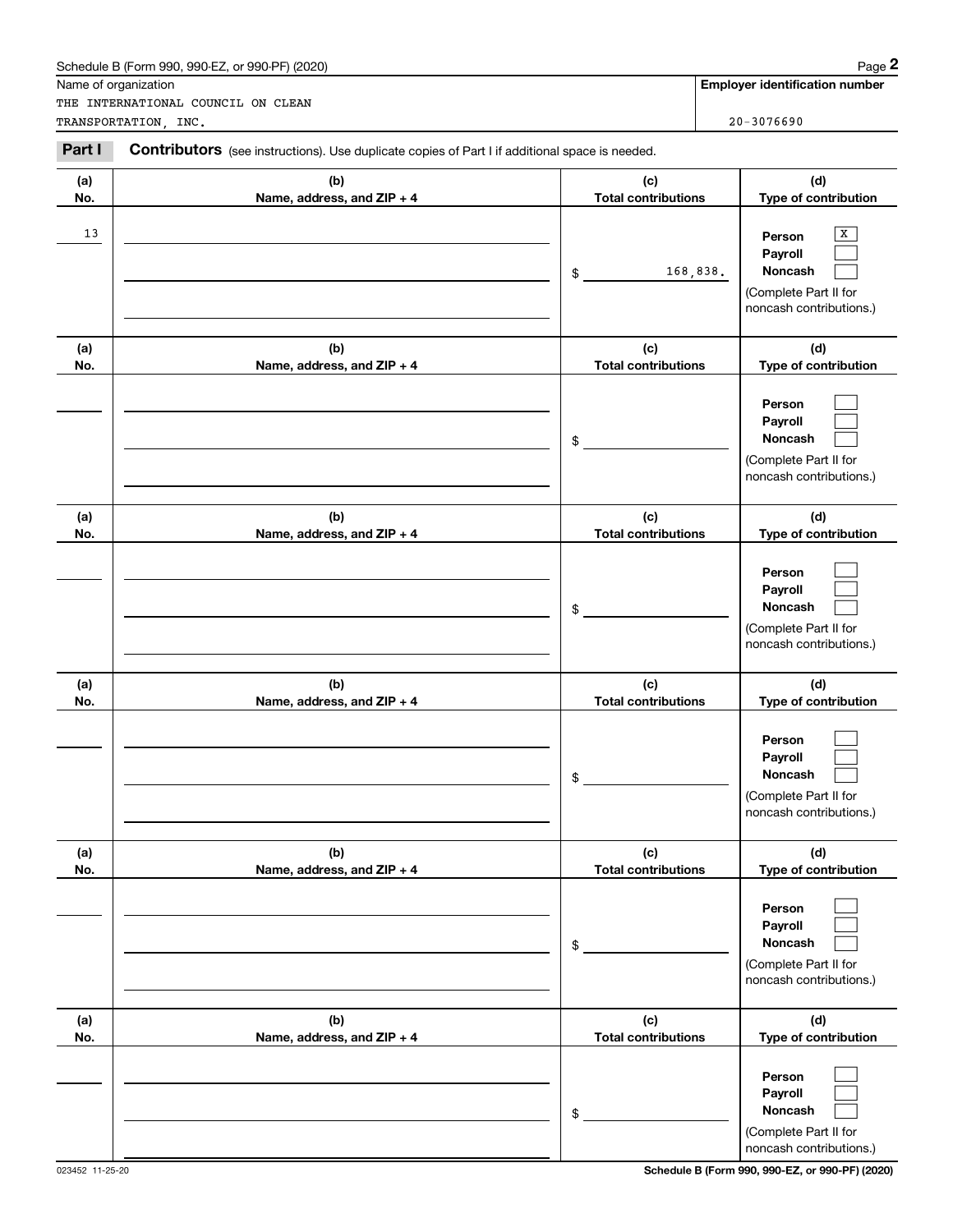|            | Schedule B (Form 990, 990-EZ, or 990-PF) (2020)                                                |                                   | Page 2                                                                                |
|------------|------------------------------------------------------------------------------------------------|-----------------------------------|---------------------------------------------------------------------------------------|
|            | Name of organization<br>THE INTERNATIONAL COUNCIL ON CLEAN                                     |                                   | <b>Employer identification number</b>                                                 |
|            | TRANSPORTATION, INC.                                                                           |                                   | $20 - 3076690$                                                                        |
| Part I     | Contributors (see instructions). Use duplicate copies of Part I if additional space is needed. |                                   |                                                                                       |
| (a)<br>No. | (b)<br>Name, address, and ZIP + 4                                                              | (c)<br><b>Total contributions</b> | (d)<br>Type of contribution                                                           |
| 13         |                                                                                                | 168,838.<br>\$                    | х<br>Person<br>Payroll<br>Noncash<br>(Complete Part II for<br>noncash contributions.) |
| (a)<br>No. | (b)<br>Name, address, and ZIP + 4                                                              | (c)<br><b>Total contributions</b> | (d)<br>Type of contribution                                                           |
|            |                                                                                                | \$                                | Person<br>Payroll<br>Noncash<br>(Complete Part II for<br>noncash contributions.)      |
| (a)<br>No. | (b)<br>Name, address, and ZIP + 4                                                              | (c)<br><b>Total contributions</b> | (d)<br>Type of contribution                                                           |
|            |                                                                                                | \$                                | Person<br>Payroll<br>Noncash<br>(Complete Part II for<br>noncash contributions.)      |
| (a)<br>No. | (b)<br>Name, address, and ZIP + 4                                                              | (c)<br><b>Total contributions</b> | (d)<br>Type of contribution                                                           |
|            |                                                                                                | \$                                | Person<br>Payroll<br>Noncash<br>(Complete Part II for<br>noncash contributions.)      |
| (a)<br>No. | (b)<br>Name, address, and ZIP + 4                                                              | (c)<br><b>Total contributions</b> | (d)<br>Type of contribution                                                           |
|            |                                                                                                | \$                                | Person<br>Payroll<br>Noncash<br>(Complete Part II for<br>noncash contributions.)      |
| (a)<br>No. | (b)<br>Name, address, and ZIP + 4                                                              | (c)<br><b>Total contributions</b> | (d)<br>Type of contribution                                                           |
|            |                                                                                                | \$                                | Person<br>Payroll<br>Noncash<br>(Complete Part II for<br>noncash contributions.)      |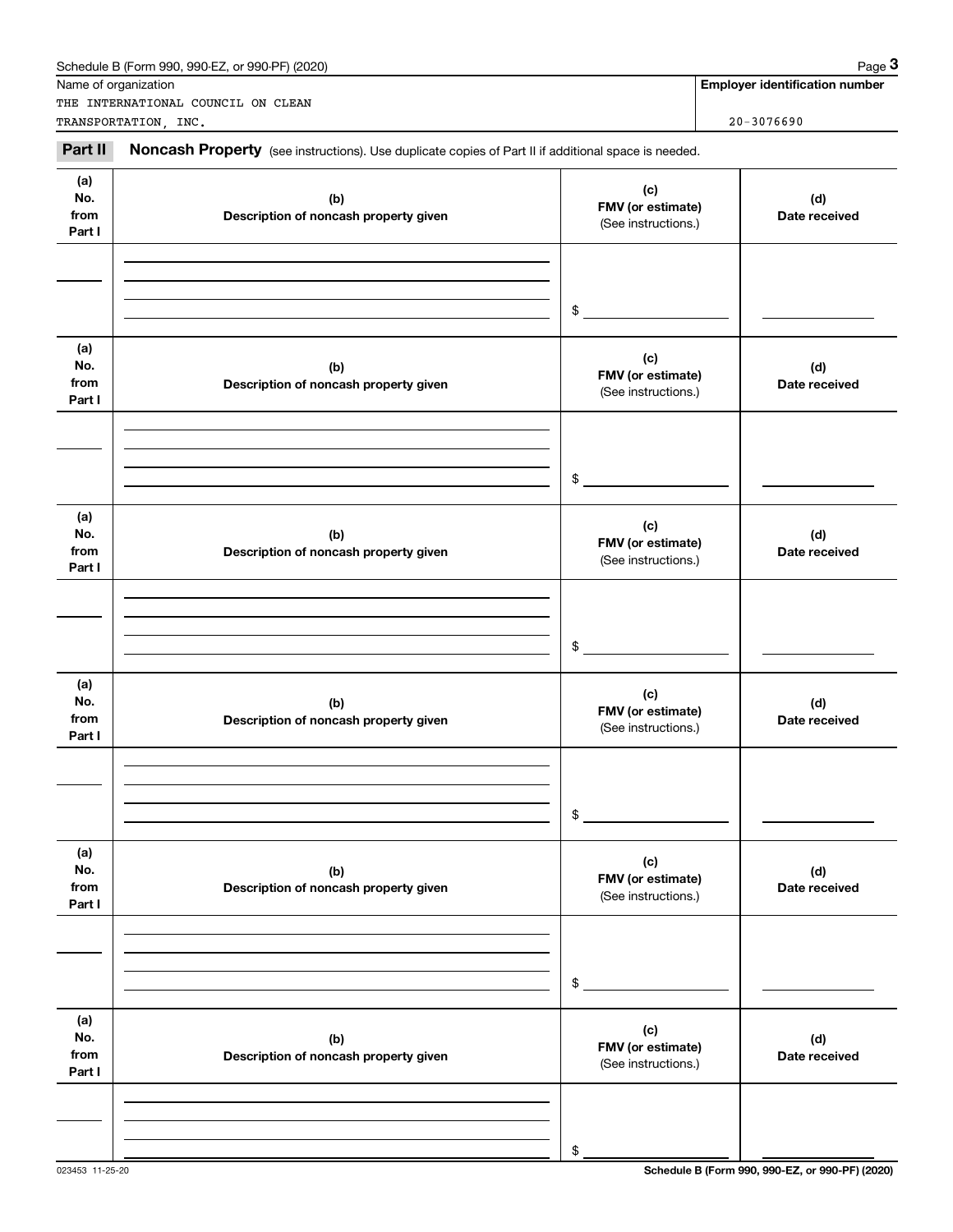|                              | Schedule B (Form 990, 990-EZ, or 990-PF) (2020)<br>Name of organization                             |                                                 | Page 3<br><b>Employer identification number</b> |
|------------------------------|-----------------------------------------------------------------------------------------------------|-------------------------------------------------|-------------------------------------------------|
|                              | THE INTERNATIONAL COUNCIL ON CLEAN<br>TRANSPORTATION, INC.                                          |                                                 | $20 - 3076690$                                  |
| Part II                      | Noncash Property (see instructions). Use duplicate copies of Part II if additional space is needed. |                                                 |                                                 |
| (a)<br>No.<br>from<br>Part I | (b)<br>Description of noncash property given                                                        | (c)<br>FMV (or estimate)<br>(See instructions.) | (d)<br>Date received                            |
|                              |                                                                                                     | \$                                              |                                                 |
| (a)<br>No.<br>from<br>Part I | (b)<br>Description of noncash property given                                                        | (c)<br>FMV (or estimate)<br>(See instructions.) | (d)<br>Date received                            |
|                              |                                                                                                     | \$                                              |                                                 |
| (a)<br>No.<br>from<br>Part I | (b)<br>Description of noncash property given                                                        | (c)<br>FMV (or estimate)<br>(See instructions.) | (d)<br>Date received                            |
|                              |                                                                                                     | \$                                              |                                                 |
| (a)<br>No.<br>from<br>Part I | (b)<br>Description of noncash property given                                                        | (c)<br>FMV (or estimate)<br>(See instructions.) | (d)<br>Date received                            |
|                              |                                                                                                     | \$                                              |                                                 |
| (a)<br>No.<br>from<br>Part I | (b)<br>Description of noncash property given                                                        | (c)<br>FMV (or estimate)<br>(See instructions.) | (d)<br>Date received                            |
|                              |                                                                                                     | \$                                              |                                                 |
| (a)<br>No.<br>from<br>Part I | (b)<br>Description of noncash property given                                                        | (c)<br>FMV (or estimate)<br>(See instructions.) | (d)<br>Date received                            |
|                              |                                                                                                     | \$                                              |                                                 |

023453 11-25-20 **Schedule B (Form 990, 990-EZ, or 990-PF) (2020)**

Schedule B (Form 990, 990-EZ, or 990-PF) (2020) Page 3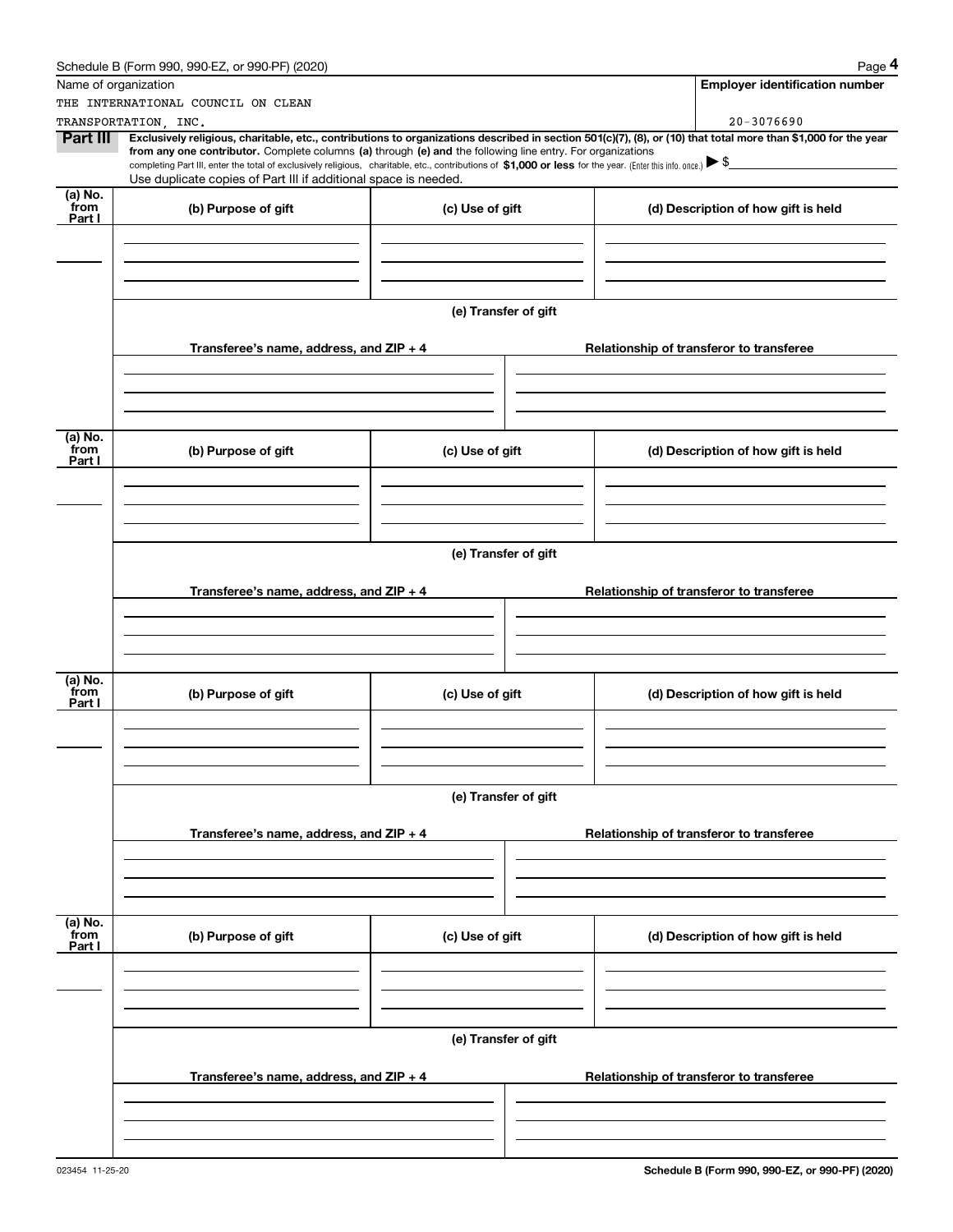|                           | Schedule B (Form 990, 990-EZ, or 990-PF) (2020)                                                                                                                                                                                                                                                                                                                                                                                                                                                                  |                      | Page 4                                   |
|---------------------------|------------------------------------------------------------------------------------------------------------------------------------------------------------------------------------------------------------------------------------------------------------------------------------------------------------------------------------------------------------------------------------------------------------------------------------------------------------------------------------------------------------------|----------------------|------------------------------------------|
| Name of organization      |                                                                                                                                                                                                                                                                                                                                                                                                                                                                                                                  |                      | <b>Employer identification number</b>    |
|                           | THE INTERNATIONAL COUNCIL ON CLEAN                                                                                                                                                                                                                                                                                                                                                                                                                                                                               |                      |                                          |
|                           | TRANSPORTATION, INC.                                                                                                                                                                                                                                                                                                                                                                                                                                                                                             |                      | $20 - 3076690$                           |
| <b>Part III</b>           | Exclusively religious, charitable, etc., contributions to organizations described in section 501(c)(7), (8), or (10) that total more than \$1,000 for the year<br>from any one contributor. Complete columns (a) through (e) and the following line entry. For organizations<br>completing Part III, enter the total of exclusively religious, charitable, etc., contributions of \$1,000 or less for the year. (Enter this info. once.) > \$<br>Use duplicate copies of Part III if additional space is needed. |                      |                                          |
| (a) No.<br>from           | (b) Purpose of gift                                                                                                                                                                                                                                                                                                                                                                                                                                                                                              | (c) Use of gift      | (d) Description of how gift is held      |
| Part I                    |                                                                                                                                                                                                                                                                                                                                                                                                                                                                                                                  |                      |                                          |
|                           |                                                                                                                                                                                                                                                                                                                                                                                                                                                                                                                  | (e) Transfer of gift |                                          |
|                           | Transferee's name, address, and $ZIP + 4$                                                                                                                                                                                                                                                                                                                                                                                                                                                                        |                      | Relationship of transferor to transferee |
| (a) No.                   |                                                                                                                                                                                                                                                                                                                                                                                                                                                                                                                  |                      |                                          |
| from<br>Part I            | (b) Purpose of gift                                                                                                                                                                                                                                                                                                                                                                                                                                                                                              | (c) Use of gift      | (d) Description of how gift is held      |
|                           |                                                                                                                                                                                                                                                                                                                                                                                                                                                                                                                  |                      |                                          |
|                           |                                                                                                                                                                                                                                                                                                                                                                                                                                                                                                                  |                      |                                          |
|                           |                                                                                                                                                                                                                                                                                                                                                                                                                                                                                                                  | (e) Transfer of gift |                                          |
|                           | Transferee's name, address, and $ZIP + 4$                                                                                                                                                                                                                                                                                                                                                                                                                                                                        |                      | Relationship of transferor to transferee |
|                           |                                                                                                                                                                                                                                                                                                                                                                                                                                                                                                                  |                      |                                          |
| (a) No.<br>from<br>Part I | (b) Purpose of gift                                                                                                                                                                                                                                                                                                                                                                                                                                                                                              | (c) Use of gift      | (d) Description of how gift is held      |
|                           |                                                                                                                                                                                                                                                                                                                                                                                                                                                                                                                  |                      |                                          |
|                           |                                                                                                                                                                                                                                                                                                                                                                                                                                                                                                                  | (e) Transfer of gift |                                          |
|                           | Transferee's name, address, and $ZIP + 4$                                                                                                                                                                                                                                                                                                                                                                                                                                                                        |                      | Relationship of transferor to transferee |
|                           |                                                                                                                                                                                                                                                                                                                                                                                                                                                                                                                  |                      |                                          |
| (a) No.<br>from           | (b) Purpose of gift                                                                                                                                                                                                                                                                                                                                                                                                                                                                                              | (c) Use of gift      | (d) Description of how gift is held      |
| Part I                    |                                                                                                                                                                                                                                                                                                                                                                                                                                                                                                                  |                      |                                          |
|                           |                                                                                                                                                                                                                                                                                                                                                                                                                                                                                                                  |                      |                                          |
|                           |                                                                                                                                                                                                                                                                                                                                                                                                                                                                                                                  | (e) Transfer of gift |                                          |
|                           | Transferee's name, address, and ZIP + 4                                                                                                                                                                                                                                                                                                                                                                                                                                                                          |                      | Relationship of transferor to transferee |
|                           |                                                                                                                                                                                                                                                                                                                                                                                                                                                                                                                  |                      |                                          |
|                           |                                                                                                                                                                                                                                                                                                                                                                                                                                                                                                                  |                      |                                          |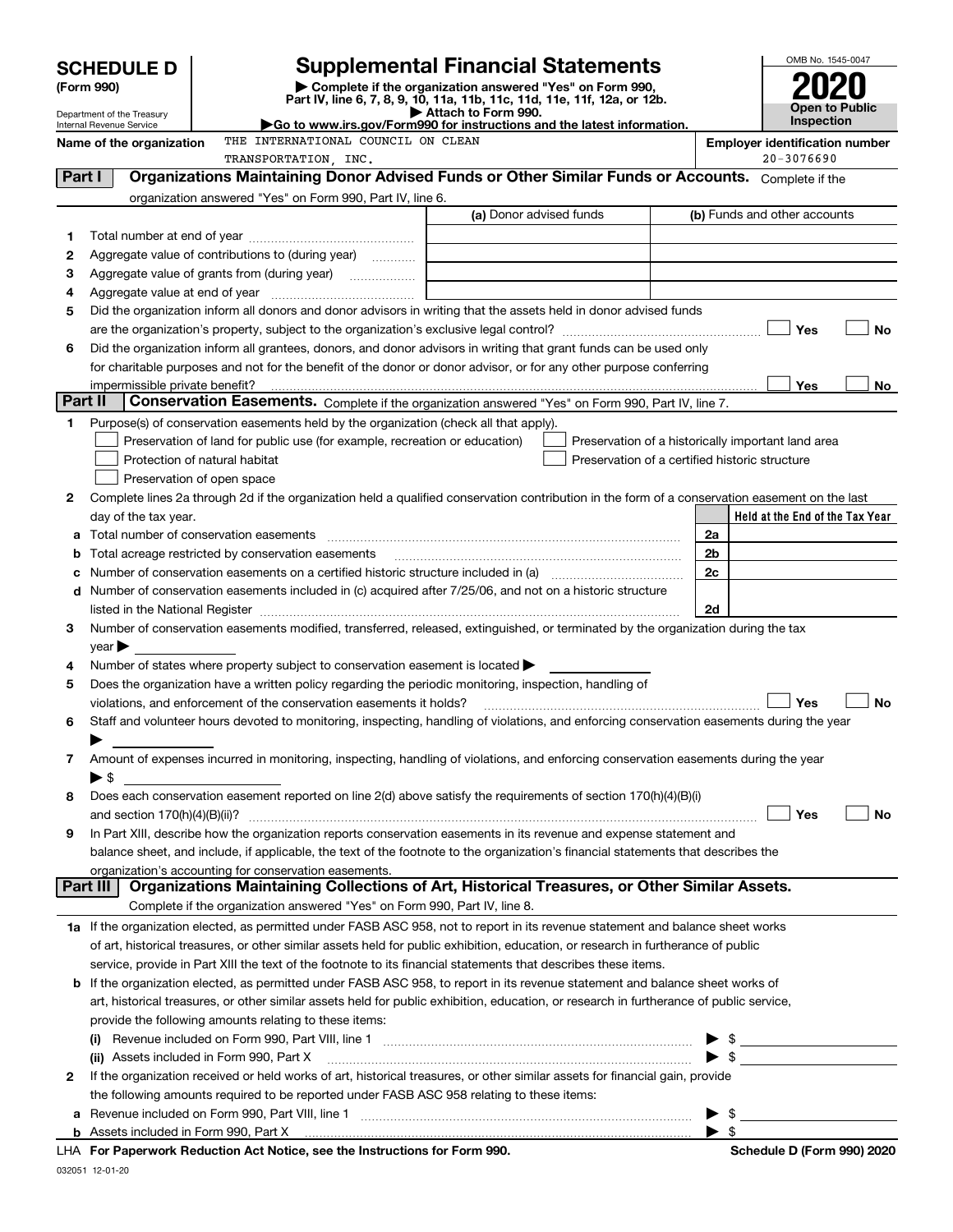|         |                                                                                                                                                                                            |  |                                                                                           |                                                                                                                                                |                                       |                      | OMB No. 1545-0047                                  |
|---------|--------------------------------------------------------------------------------------------------------------------------------------------------------------------------------------------|--|-------------------------------------------------------------------------------------------|------------------------------------------------------------------------------------------------------------------------------------------------|---------------------------------------|----------------------|----------------------------------------------------|
|         | <b>Supplemental Financial Statements</b><br><b>SCHEDULE D</b><br>(Form 990)<br>Complete if the organization answered "Yes" on Form 990,                                                    |  |                                                                                           |                                                                                                                                                |                                       |                      |                                                    |
|         |                                                                                                                                                                                            |  |                                                                                           | Part IV, line 6, 7, 8, 9, 10, 11a, 11b, 11c, 11d, 11e, 11f, 12a, or 12b.                                                                       |                                       |                      | Open to Public                                     |
|         | Attach to Form 990.<br>Department of the Treasury<br>► Go to www.irs.gov/Form990 for instructions and the latest information.<br>Internal Revenue Service                                  |  |                                                                                           |                                                                                                                                                |                                       |                      | <b>Inspection</b>                                  |
|         | THE INTERNATIONAL COUNCIL ON CLEAN<br>Name of the organization                                                                                                                             |  |                                                                                           |                                                                                                                                                | <b>Employer identification number</b> |                      |                                                    |
|         | TRANSPORTATION, INC.                                                                                                                                                                       |  |                                                                                           |                                                                                                                                                |                                       | 20-3076690           |                                                    |
| Part I  |                                                                                                                                                                                            |  |                                                                                           | Organizations Maintaining Donor Advised Funds or Other Similar Funds or Accounts. Complete if the                                              |                                       |                      |                                                    |
|         |                                                                                                                                                                                            |  | organization answered "Yes" on Form 990, Part IV, line 6.                                 |                                                                                                                                                |                                       |                      |                                                    |
|         |                                                                                                                                                                                            |  |                                                                                           | (a) Donor advised funds                                                                                                                        |                                       |                      | (b) Funds and other accounts                       |
| 1       |                                                                                                                                                                                            |  |                                                                                           |                                                                                                                                                |                                       |                      |                                                    |
| 2       |                                                                                                                                                                                            |  | Aggregate value of contributions to (during year)                                         |                                                                                                                                                |                                       |                      |                                                    |
| З<br>4  |                                                                                                                                                                                            |  |                                                                                           |                                                                                                                                                |                                       |                      |                                                    |
| 5       |                                                                                                                                                                                            |  |                                                                                           | Did the organization inform all donors and donor advisors in writing that the assets held in donor advised funds                               |                                       |                      |                                                    |
|         |                                                                                                                                                                                            |  |                                                                                           |                                                                                                                                                |                                       |                      | Yes<br>No                                          |
| 6       |                                                                                                                                                                                            |  |                                                                                           | Did the organization inform all grantees, donors, and donor advisors in writing that grant funds can be used only                              |                                       |                      |                                                    |
|         |                                                                                                                                                                                            |  |                                                                                           | for charitable purposes and not for the benefit of the donor or donor advisor, or for any other purpose conferring                             |                                       |                      |                                                    |
|         | impermissible private benefit?                                                                                                                                                             |  |                                                                                           |                                                                                                                                                |                                       |                      | Yes<br>No                                          |
| Part II |                                                                                                                                                                                            |  |                                                                                           | Conservation Easements. Complete if the organization answered "Yes" on Form 990, Part IV, line 7.                                              |                                       |                      |                                                    |
| 1.      |                                                                                                                                                                                            |  | Purpose(s) of conservation easements held by the organization (check all that apply).     |                                                                                                                                                |                                       |                      |                                                    |
|         |                                                                                                                                                                                            |  | Preservation of land for public use (for example, recreation or education)                |                                                                                                                                                |                                       |                      | Preservation of a historically important land area |
|         | Protection of natural habitat                                                                                                                                                              |  |                                                                                           | Preservation of a certified historic structure                                                                                                 |                                       |                      |                                                    |
|         | Preservation of open space                                                                                                                                                                 |  |                                                                                           |                                                                                                                                                |                                       |                      |                                                    |
| 2       |                                                                                                                                                                                            |  |                                                                                           | Complete lines 2a through 2d if the organization held a qualified conservation contribution in the form of a conservation easement on the last |                                       |                      |                                                    |
|         | day of the tax year.                                                                                                                                                                       |  |                                                                                           |                                                                                                                                                |                                       |                      | Held at the End of the Tax Year                    |
|         |                                                                                                                                                                                            |  |                                                                                           |                                                                                                                                                |                                       | 2a                   |                                                    |
|         |                                                                                                                                                                                            |  | Total acreage restricted by conservation easements                                        |                                                                                                                                                |                                       | 2 <sub>b</sub><br>2c |                                                    |
|         |                                                                                                                                                                                            |  |                                                                                           |                                                                                                                                                |                                       |                      |                                                    |
|         | Number of conservation easements included in (c) acquired after 7/25/06, and not on a historic structure<br>d<br>2d                                                                        |  |                                                                                           |                                                                                                                                                |                                       |                      |                                                    |
| 3       |                                                                                                                                                                                            |  |                                                                                           | Number of conservation easements modified, transferred, released, extinguished, or terminated by the organization during the tax               |                                       |                      |                                                    |
|         | $\vee$ ear                                                                                                                                                                                 |  |                                                                                           |                                                                                                                                                |                                       |                      |                                                    |
| 4       |                                                                                                                                                                                            |  | Number of states where property subject to conservation easement is located               |                                                                                                                                                |                                       |                      |                                                    |
| 5       |                                                                                                                                                                                            |  |                                                                                           | Does the organization have a written policy regarding the periodic monitoring, inspection, handling of                                         |                                       |                      |                                                    |
|         |                                                                                                                                                                                            |  | violations, and enforcement of the conservation easements it holds?                       |                                                                                                                                                |                                       |                      | Yes<br>No                                          |
|         |                                                                                                                                                                                            |  |                                                                                           | Staff and volunteer hours devoted to monitoring, inspecting, handling of violations, and enforcing conservation easements during the year      |                                       |                      |                                                    |
|         |                                                                                                                                                                                            |  |                                                                                           |                                                                                                                                                |                                       |                      |                                                    |
| 7       |                                                                                                                                                                                            |  |                                                                                           | Amount of expenses incurred in monitoring, inspecting, handling of violations, and enforcing conservation easements during the year            |                                       |                      |                                                    |
|         | $\blacktriangleright$ \$                                                                                                                                                                   |  |                                                                                           |                                                                                                                                                |                                       |                      |                                                    |
| 8       |                                                                                                                                                                                            |  |                                                                                           | Does each conservation easement reported on line 2(d) above satisfy the requirements of section 170(h)(4)(B)(i)                                |                                       |                      |                                                    |
| 9       | and section $170(h)(4)(B)(ii)$ ?                                                                                                                                                           |  |                                                                                           | In Part XIII, describe how the organization reports conservation easements in its revenue and expense statement and                            |                                       |                      | Yes<br>No                                          |
|         |                                                                                                                                                                                            |  |                                                                                           |                                                                                                                                                |                                       |                      |                                                    |
|         | balance sheet, and include, if applicable, the text of the footnote to the organization's financial statements that describes the<br>organization's accounting for conservation easements. |  |                                                                                           |                                                                                                                                                |                                       |                      |                                                    |
|         | Part III                                                                                                                                                                                   |  |                                                                                           | Organizations Maintaining Collections of Art, Historical Treasures, or Other Similar Assets.                                                   |                                       |                      |                                                    |
|         |                                                                                                                                                                                            |  | Complete if the organization answered "Yes" on Form 990, Part IV, line 8.                 |                                                                                                                                                |                                       |                      |                                                    |
|         |                                                                                                                                                                                            |  |                                                                                           | 1a If the organization elected, as permitted under FASB ASC 958, not to report in its revenue statement and balance sheet works                |                                       |                      |                                                    |
|         |                                                                                                                                                                                            |  |                                                                                           | of art, historical treasures, or other similar assets held for public exhibition, education, or research in furtherance of public              |                                       |                      |                                                    |
|         |                                                                                                                                                                                            |  |                                                                                           | service, provide in Part XIII the text of the footnote to its financial statements that describes these items.                                 |                                       |                      |                                                    |
|         |                                                                                                                                                                                            |  |                                                                                           | <b>b</b> If the organization elected, as permitted under FASB ASC 958, to report in its revenue statement and balance sheet works of           |                                       |                      |                                                    |
|         |                                                                                                                                                                                            |  |                                                                                           | art, historical treasures, or other similar assets held for public exhibition, education, or research in furtherance of public service,        |                                       |                      |                                                    |
|         |                                                                                                                                                                                            |  | provide the following amounts relating to these items:                                    |                                                                                                                                                |                                       |                      |                                                    |
|         | (i)                                                                                                                                                                                        |  |                                                                                           |                                                                                                                                                |                                       |                      |                                                    |
|         | (ii) Assets included in Form 990, Part X                                                                                                                                                   |  |                                                                                           |                                                                                                                                                |                                       |                      | $\frac{1}{2}$                                      |
| 2       |                                                                                                                                                                                            |  |                                                                                           | If the organization received or held works of art, historical treasures, or other similar assets for financial gain, provide                   |                                       |                      |                                                    |
|         |                                                                                                                                                                                            |  | the following amounts required to be reported under FASB ASC 958 relating to these items: |                                                                                                                                                |                                       |                      |                                                    |
| а       |                                                                                                                                                                                            |  |                                                                                           |                                                                                                                                                |                                       |                      | $\blacktriangleright$ \$                           |
|         |                                                                                                                                                                                            |  |                                                                                           | $\mathbf{r}$ $\mathbf{r}$ $\mathbf{r}$ $\mathbf{r}$ $\mathbf{r}$ $\mathbf{r}$ $\mathbf{r}$ $\mathbf{r}$                                        |                                       |                      |                                                    |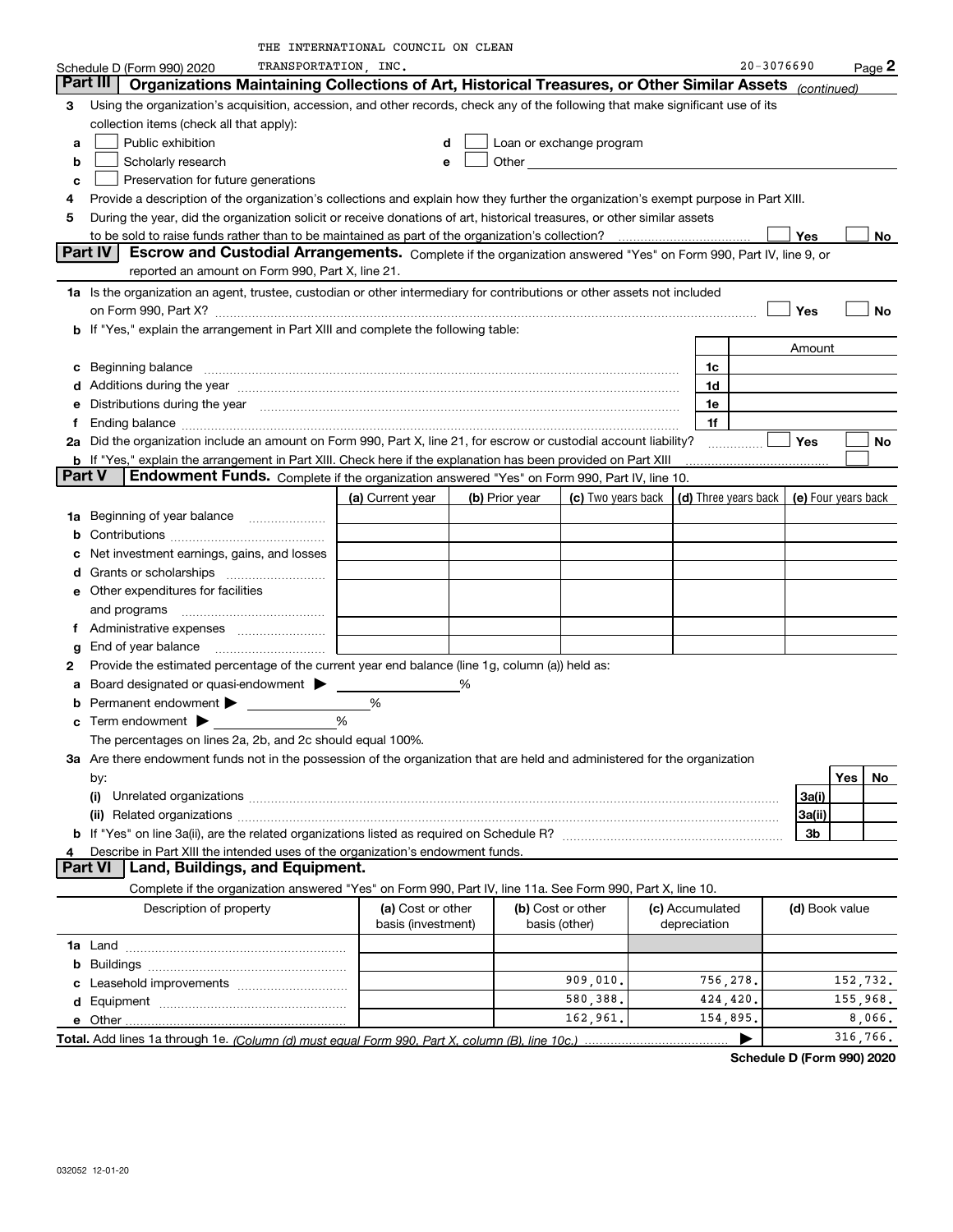|               |                                                                                                                                                                                                                                                                      | THE INTERNATIONAL COUNCIL ON CLEAN |   |                |                          |  |                                            |                |     |          |
|---------------|----------------------------------------------------------------------------------------------------------------------------------------------------------------------------------------------------------------------------------------------------------------------|------------------------------------|---|----------------|--------------------------|--|--------------------------------------------|----------------|-----|----------|
|               | TRANSPORTATION, INC.<br>Schedule D (Form 990) 2020                                                                                                                                                                                                                   |                                    |   |                |                          |  |                                            | 20-3076690     |     | $Page$ 2 |
|               | Part III<br>Organizations Maintaining Collections of Art, Historical Treasures, or Other Similar Assets                                                                                                                                                              |                                    |   |                |                          |  |                                            | (continued)    |     |          |
| 3             | Using the organization's acquisition, accession, and other records, check any of the following that make significant use of its                                                                                                                                      |                                    |   |                |                          |  |                                            |                |     |          |
|               | collection items (check all that apply):                                                                                                                                                                                                                             |                                    |   |                |                          |  |                                            |                |     |          |
| a             | Public exhibition                                                                                                                                                                                                                                                    |                                    |   |                | Loan or exchange program |  |                                            |                |     |          |
| b             | Scholarly research                                                                                                                                                                                                                                                   |                                    |   |                |                          |  |                                            |                |     |          |
| c             | Other and the contract of the contract of the contract of the contract of the contract of the contract of the contract of the contract of the contract of the contract of the contract of the contract of the contract of the<br>Preservation for future generations |                                    |   |                |                          |  |                                            |                |     |          |
|               | Provide a description of the organization's collections and explain how they further the organization's exempt purpose in Part XIII.                                                                                                                                 |                                    |   |                |                          |  |                                            |                |     |          |
| 5             |                                                                                                                                                                                                                                                                      |                                    |   |                |                          |  |                                            |                |     |          |
|               | During the year, did the organization solicit or receive donations of art, historical treasures, or other similar assets<br>to be sold to raise funds rather than to be maintained as part of the organization's collection?                                         |                                    |   |                |                          |  |                                            |                |     |          |
|               | Part IV<br>Escrow and Custodial Arrangements. Complete if the organization answered "Yes" on Form 990, Part IV, line 9, or                                                                                                                                           |                                    |   |                |                          |  |                                            | Yes            |     | No.      |
|               | reported an amount on Form 990, Part X, line 21.                                                                                                                                                                                                                     |                                    |   |                |                          |  |                                            |                |     |          |
|               |                                                                                                                                                                                                                                                                      |                                    |   |                |                          |  |                                            |                |     |          |
|               | 1a Is the organization an agent, trustee, custodian or other intermediary for contributions or other assets not included                                                                                                                                             |                                    |   |                |                          |  |                                            |                |     |          |
|               | on Form 990, Part X? [11] matter contracts and contracts and contracts are contracted and contracts are contracted and contract and contract of the contract of the contract of the contract of the contract of the contract o                                       |                                    |   |                |                          |  |                                            | Yes            |     | No       |
|               | b If "Yes," explain the arrangement in Part XIII and complete the following table:                                                                                                                                                                                   |                                    |   |                |                          |  |                                            |                |     |          |
|               |                                                                                                                                                                                                                                                                      |                                    |   |                |                          |  |                                            | Amount         |     |          |
| c             |                                                                                                                                                                                                                                                                      |                                    |   |                |                          |  | 1c                                         |                |     |          |
|               | Additions during the year manufacture content and the year manufacture of the year manufacture of the year manufacture of the state of the state of the state of the state of the state of the state of the state of the state                                       |                                    |   |                |                          |  | 1d                                         |                |     |          |
|               | Distributions during the year manufactured and continuum control of the year manufactured and control of the year manufactured and control of the year manufactured and control of the year manufactured and control of the ye                                       |                                    |   |                |                          |  | 1e                                         |                |     |          |
|               |                                                                                                                                                                                                                                                                      |                                    |   |                |                          |  | 1f                                         |                |     |          |
|               | 2a Did the organization include an amount on Form 990, Part X, line 21, for escrow or custodial account liability?                                                                                                                                                   |                                    |   |                |                          |  |                                            | Yes            |     | No       |
|               | b If "Yes," explain the arrangement in Part XIII. Check here if the explanation has been provided on Part XIII                                                                                                                                                       |                                    |   |                |                          |  |                                            |                |     |          |
| <b>Part V</b> | Endowment Funds. Complete if the organization answered "Yes" on Form 990, Part IV, line 10.                                                                                                                                                                          |                                    |   |                |                          |  |                                            |                |     |          |
|               |                                                                                                                                                                                                                                                                      | (a) Current year                   |   | (b) Prior year | (c) Two years back       |  | (d) Three years back   (e) Four years back |                |     |          |
| 1a            | Beginning of year balance                                                                                                                                                                                                                                            |                                    |   |                |                          |  |                                            |                |     |          |
|               |                                                                                                                                                                                                                                                                      |                                    |   |                |                          |  |                                            |                |     |          |
|               | Net investment earnings, gains, and losses                                                                                                                                                                                                                           |                                    |   |                |                          |  |                                            |                |     |          |
|               |                                                                                                                                                                                                                                                                      |                                    |   |                |                          |  |                                            |                |     |          |
|               | e Other expenditures for facilities                                                                                                                                                                                                                                  |                                    |   |                |                          |  |                                            |                |     |          |
|               |                                                                                                                                                                                                                                                                      |                                    |   |                |                          |  |                                            |                |     |          |
|               |                                                                                                                                                                                                                                                                      |                                    |   |                |                          |  |                                            |                |     |          |
|               |                                                                                                                                                                                                                                                                      |                                    |   |                |                          |  |                                            |                |     |          |
| g             | End of year balance                                                                                                                                                                                                                                                  |                                    |   |                |                          |  |                                            |                |     |          |
| 2             | Provide the estimated percentage of the current year end balance (line 1g, column (a)) held as:                                                                                                                                                                      |                                    |   |                |                          |  |                                            |                |     |          |
| а             | Board designated or quasi-endowment >                                                                                                                                                                                                                                |                                    | % |                |                          |  |                                            |                |     |          |
|               | Permanent endowment >                                                                                                                                                                                                                                                | %                                  |   |                |                          |  |                                            |                |     |          |
|               | %<br>$\mathbf c$ Term endowment $\blacktriangleright$                                                                                                                                                                                                                |                                    |   |                |                          |  |                                            |                |     |          |
|               | The percentages on lines 2a, 2b, and 2c should equal 100%.                                                                                                                                                                                                           |                                    |   |                |                          |  |                                            |                |     |          |
|               | 3a Are there endowment funds not in the possession of the organization that are held and administered for the organization                                                                                                                                           |                                    |   |                |                          |  |                                            |                |     |          |
|               | by:                                                                                                                                                                                                                                                                  |                                    |   |                |                          |  |                                            |                | Yes | No.      |
|               | (i)                                                                                                                                                                                                                                                                  |                                    |   |                |                          |  |                                            | 3a(i)          |     |          |
|               |                                                                                                                                                                                                                                                                      |                                    |   |                |                          |  |                                            | 3a(ii)         |     |          |
|               |                                                                                                                                                                                                                                                                      |                                    |   |                |                          |  |                                            | 3b             |     |          |
| 4             | Describe in Part XIII the intended uses of the organization's endowment funds.                                                                                                                                                                                       |                                    |   |                |                          |  |                                            |                |     |          |
|               | Land, Buildings, and Equipment.<br><b>Part VI</b>                                                                                                                                                                                                                    |                                    |   |                |                          |  |                                            |                |     |          |
|               | Complete if the organization answered "Yes" on Form 990, Part IV, line 11a. See Form 990, Part X, line 10.                                                                                                                                                           |                                    |   |                |                          |  |                                            |                |     |          |
|               | Description of property                                                                                                                                                                                                                                              | (a) Cost or other                  |   |                | (b) Cost or other        |  | (c) Accumulated                            | (d) Book value |     |          |
|               |                                                                                                                                                                                                                                                                      | basis (investment)                 |   |                | basis (other)            |  | depreciation                               |                |     |          |
|               |                                                                                                                                                                                                                                                                      |                                    |   |                |                          |  |                                            |                |     |          |
| b             |                                                                                                                                                                                                                                                                      |                                    |   |                |                          |  |                                            |                |     |          |
|               |                                                                                                                                                                                                                                                                      |                                    |   |                | 909,010.                 |  | 756,278.                                   |                |     | 152,732. |
| c             |                                                                                                                                                                                                                                                                      |                                    |   |                | 580,388.                 |  | 424,420.                                   |                |     | 155,968. |
| d             |                                                                                                                                                                                                                                                                      |                                    |   |                | 162,961.                 |  | 154,895.                                   |                |     | 8,066.   |
|               |                                                                                                                                                                                                                                                                      |                                    |   |                |                          |  |                                            |                |     | 316,766. |
|               |                                                                                                                                                                                                                                                                      |                                    |   |                |                          |  | ▶                                          |                |     |          |

**Schedule D (Form 990) 2020**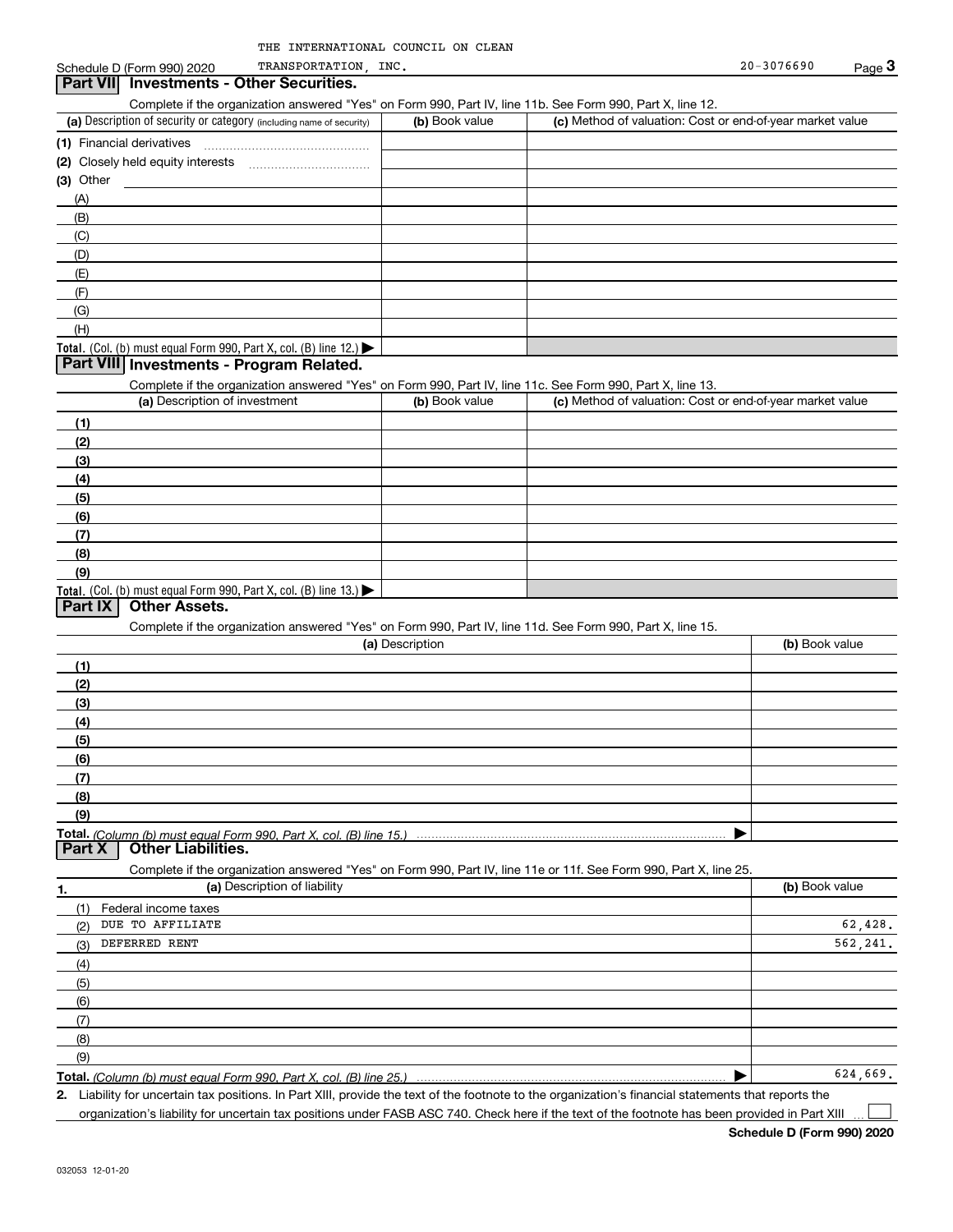| THE INTERNATIONAL COUNCIL ON CLEAN |  |  |
|------------------------------------|--|--|
|                                    |  |  |

#### (a) Description of security or category (including name of security)  $\vert$  (b) Book value  $\vert$  (c) Total. (Col. (b) must equal Form 990, Part X, col. (B) line 12.) Total. (Col. (b) must equal Form 990, Part X, col. (B) line 13.) **(1)** Financial derivatives ~~~~~~~~~~~~~~~ **(2)** Closely held equity interests ~~~~~~~~~~~ **(3)** Other (a) Description of investment **b (b)** Book value **(1)(2) (3)(4) (5)(6)(7)(8)(9)(a) (b)**  Description**(1)(2) (3)(4)(5) (6)(7)(8)(9)Total.**  *(Column (b) must equal Form 990, Part X, col. (B) line 15.)* **1.(a)** Description of liability **Book value** Book value Book value Book value Book value Complete if the organization answered "Yes" on Form 990, Part IV, line 11b. See Form 990, Part X, line 12.  $(b)$  Book value  $\vert$  (c) Method of valuation: Cost or end-of-year market value (A)(B)(C)(D)(E)(F)(G)(H)Complete if the organization answered "Yes" on Form 990, Part IV, line 11c. See Form 990, Part X, line 13. (c) Method of valuation: Cost or end-of-year market value Complete if the organization answered "Yes" on Form 990, Part IV, line 11d. See Form 990, Part X, line 15. (b) Book value  $\blacktriangleright$ Complete if the organization answered "Yes" on Form 990, Part IV, line 11e or 11f. See Form 990, Part X, line 25. (1)(2)(3)(4)(5)(6)(7)(8)(9)Federal income taxes  $\blacktriangleright$ **Part VII Investments - Other Securities. Part VIII Investments - Program Related. Part IX Other Assets. Part X Other Liabilities.** DUE TO AFFILIATE DEFERRED RENT 62,428. 562,241. 624,669.

**Total.**  *(Column (b) must equal Form 990, Part X, col. (B) line 25.)* 

**2.**Liability for uncertain tax positions. In Part XIII, provide the text of the footnote to the organization's financial statements that reports the organization's liability for uncertain tax positions under FASB ASC 740. Check here if the text of the footnote has been provided in Part XIII

**Schedule D (Form 990) 2020**

 $\mathcal{L}^{\text{max}}$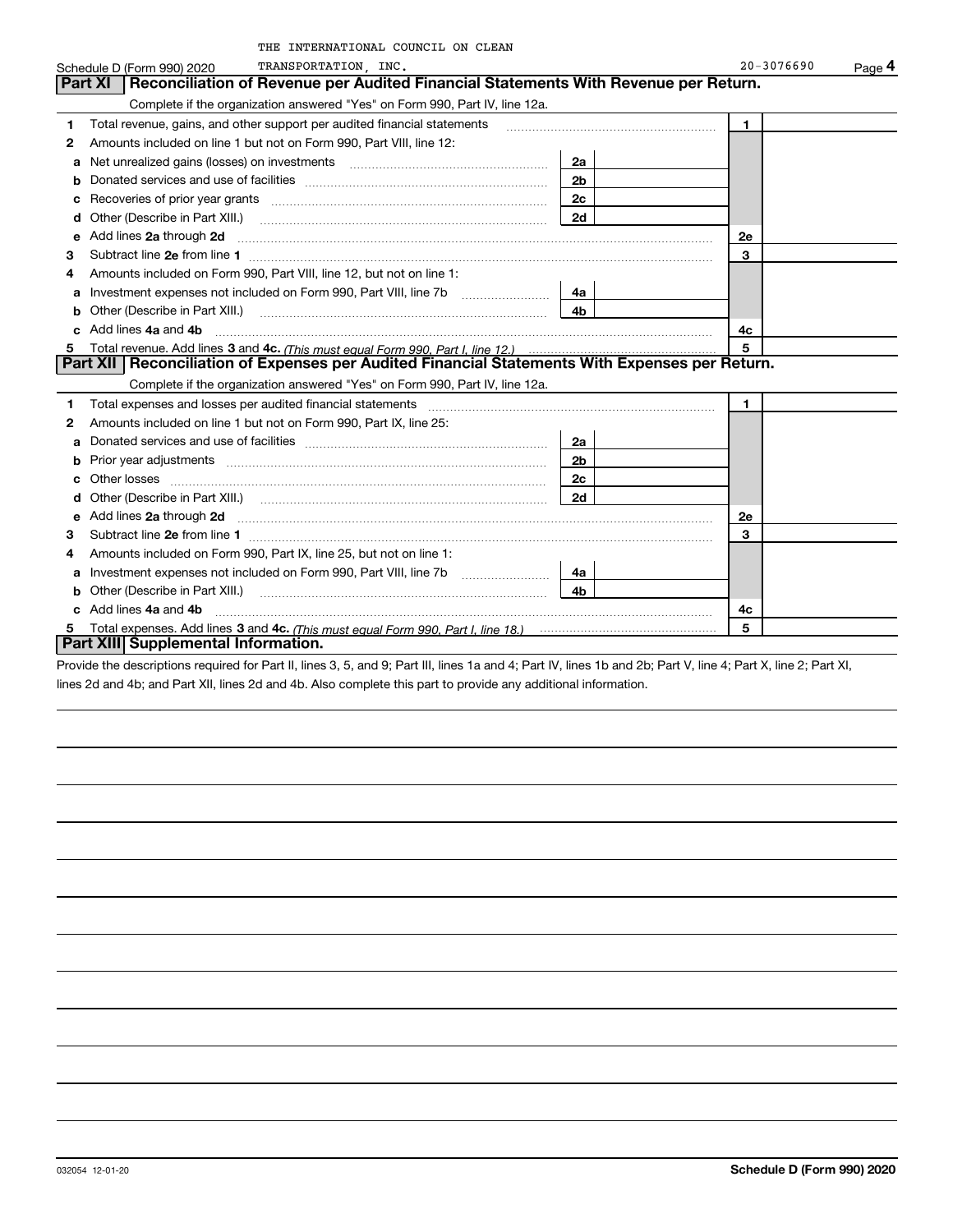|   | THE INTERNATIONAL COUNCIL ON CLEAN                                                                                         |                |                          |
|---|----------------------------------------------------------------------------------------------------------------------------|----------------|--------------------------|
|   | TRANSPORTATION, INC.<br>Schedule D (Form 990) 2020                                                                         |                | $20 - 3076690$<br>Page 4 |
|   | Reconciliation of Revenue per Audited Financial Statements With Revenue per Return.<br>Part XI                             |                |                          |
|   | Complete if the organization answered "Yes" on Form 990, Part IV, line 12a.                                                |                |                          |
| 1 | Total revenue, gains, and other support per audited financial statements                                                   |                | $\blacksquare$           |
| 2 | Amounts included on line 1 but not on Form 990, Part VIII, line 12:                                                        |                |                          |
| a |                                                                                                                            | 2a             |                          |
| b |                                                                                                                            | 2 <sub>b</sub> |                          |
| c |                                                                                                                            | 2c             |                          |
| d | Other (Describe in Part XIII.) <b>Construction Construction</b> Chern Construction Chern Chern Chern Chern Chern Chern     | 2d             |                          |
| е | Add lines 2a through 2d                                                                                                    |                | 2e                       |
| 3 |                                                                                                                            |                | 3                        |
| 4 | Amounts included on Form 990, Part VIII, line 12, but not on line 1:                                                       |                |                          |
| a |                                                                                                                            | 4a l           |                          |
| b | Other (Describe in Part XIII.) <b>Construction Contract Construction</b> Chemistry Chemistry Chemistry Chemistry Chemistry | 4b             |                          |
|   | Add lines 4a and 4b                                                                                                        |                | 4c                       |
|   |                                                                                                                            |                | 5                        |
|   | Part XII   Reconciliation of Expenses per Audited Financial Statements With Expenses per Return.                           |                |                          |
|   | Complete if the organization answered "Yes" on Form 990, Part IV, line 12a.                                                |                |                          |
| 1 |                                                                                                                            |                | $\mathbf{1}$             |
| 2 | Amounts included on line 1 but not on Form 990, Part IX, line 25:                                                          |                |                          |
| a |                                                                                                                            | 2a             |                          |
|   |                                                                                                                            | 2b             |                          |
|   |                                                                                                                            | 2c             |                          |
| d |                                                                                                                            | 2d             |                          |
| е | Add lines 2a through 2d                                                                                                    |                | 2e                       |
| 3 | Subtract line 2e from line 1                                                                                               |                | 3                        |
| 4 | Amounts included on Form 990, Part IX, line 25, but not on line 1:                                                         |                |                          |
| а | Investment expenses not included on Form 990, Part VIII, line 7b                                                           | 4a             |                          |
|   | Other (Describe in Part XIII.) <b>Construction Contract Construction</b> Chemistry Chemistry Chemistry Chemistry Chemistry | 4 <sub>b</sub> |                          |
|   | c Add lines 4a and 4b                                                                                                      |                | 4c                       |
| 5 |                                                                                                                            |                | 5                        |

#### **Part XIII Supplemental Information.**

Provide the descriptions required for Part II, lines 3, 5, and 9; Part III, lines 1a and 4; Part IV, lines 1b and 2b; Part V, line 4; Part X, line 2; Part XI, lines 2d and 4b; and Part XII, lines 2d and 4b. Also complete this part to provide any additional information.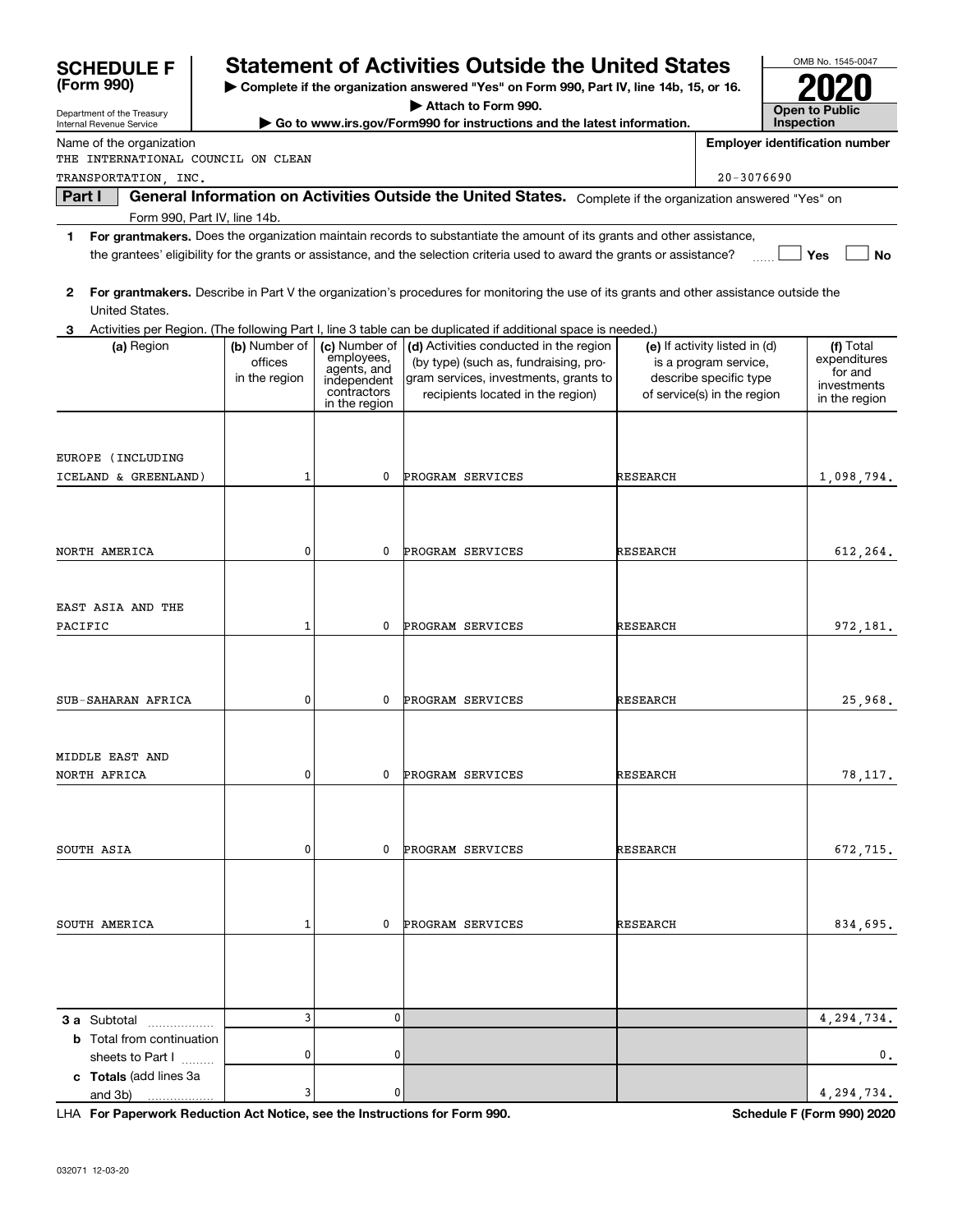| <b>SCHEDULE F</b>                                      |                                           |                                           |                                                                                           | <b>Statement of Activities Outside the United States</b>                                                                                                      |          |                                                                                                                 |            | OMB No. 1545-0047                                                    |
|--------------------------------------------------------|-------------------------------------------|-------------------------------------------|-------------------------------------------------------------------------------------------|---------------------------------------------------------------------------------------------------------------------------------------------------------------|----------|-----------------------------------------------------------------------------------------------------------------|------------|----------------------------------------------------------------------|
| (Form 990)                                             |                                           |                                           |                                                                                           | Complete if the organization answered "Yes" on Form 990, Part IV, line 14b, 15, or 16.                                                                        |          |                                                                                                                 |            |                                                                      |
| Department of the Treasury<br>Internal Revenue Service |                                           |                                           |                                                                                           | Attach to Form 990.<br>Go to www.irs.gov/Form990 for instructions and the latest information.                                                                 |          |                                                                                                                 | Inspection | <b>Open to Public</b>                                                |
|                                                        | Name of the organization                  |                                           |                                                                                           |                                                                                                                                                               |          |                                                                                                                 |            | <b>Employer identification number</b>                                |
|                                                        | THE INTERNATIONAL COUNCIL ON CLEAN        |                                           |                                                                                           |                                                                                                                                                               |          |                                                                                                                 |            |                                                                      |
|                                                        | TRANSPORTATION, INC.                      |                                           |                                                                                           |                                                                                                                                                               |          | $20 - 3076690$                                                                                                  |            |                                                                      |
| Part I                                                 | Form 990, Part IV, line 14b.              |                                           |                                                                                           | General Information on Activities Outside the United States. Complete if the organization answered "Yes" on                                                   |          |                                                                                                                 |            |                                                                      |
| 1                                                      |                                           |                                           |                                                                                           | For grantmakers. Does the organization maintain records to substantiate the amount of its grants and other assistance,                                        |          |                                                                                                                 |            |                                                                      |
|                                                        |                                           |                                           |                                                                                           | the grantees' eligibility for the grants or assistance, and the selection criteria used to award the grants or assistance?                                    |          |                                                                                                                 |            | <b>No</b><br>Yes                                                     |
| $\mathbf{2}$                                           | United States.                            |                                           |                                                                                           | For grantmakers. Describe in Part V the organization's procedures for monitoring the use of its grants and other assistance outside the                       |          |                                                                                                                 |            |                                                                      |
|                                                        |                                           |                                           |                                                                                           | 3 Activities per Region. (The following Part I, line 3 table can be duplicated if additional space is needed.)                                                |          |                                                                                                                 |            |                                                                      |
|                                                        | (a) Region                                | (b) Number of<br>offices<br>in the region | (c) Number of<br>employees,<br>agents, and<br>independent<br>contractors<br>in the region | (d) Activities conducted in the region<br>(by type) (such as, fundraising, pro-<br>gram services, investments, grants to<br>recipients located in the region) |          | (e) If activity listed in (d)<br>is a program service,<br>describe specific type<br>of service(s) in the region |            | (f) Total<br>expenditures<br>for and<br>investments<br>in the region |
|                                                        |                                           |                                           |                                                                                           |                                                                                                                                                               |          |                                                                                                                 |            |                                                                      |
|                                                        | EUROPE (INCLUDING<br>ICELAND & GREENLAND) | 1                                         | 0                                                                                         | PROGRAM SERVICES                                                                                                                                              | RESEARCH |                                                                                                                 |            | 1,098,794.                                                           |
|                                                        |                                           |                                           |                                                                                           |                                                                                                                                                               |          |                                                                                                                 |            |                                                                      |
|                                                        |                                           |                                           |                                                                                           |                                                                                                                                                               |          |                                                                                                                 |            |                                                                      |
|                                                        |                                           |                                           |                                                                                           |                                                                                                                                                               |          |                                                                                                                 |            |                                                                      |
| NORTH AMERICA                                          |                                           | 0                                         | 0                                                                                         | PROGRAM SERVICES                                                                                                                                              | RESEARCH |                                                                                                                 |            | 612,264.                                                             |
|                                                        |                                           |                                           |                                                                                           |                                                                                                                                                               |          |                                                                                                                 |            |                                                                      |
|                                                        | EAST ASIA AND THE                         |                                           |                                                                                           |                                                                                                                                                               |          |                                                                                                                 |            |                                                                      |
| PACIFIC                                                |                                           | 1                                         | 0                                                                                         | PROGRAM SERVICES                                                                                                                                              | RESEARCH |                                                                                                                 |            | 972,181.                                                             |
|                                                        |                                           |                                           |                                                                                           |                                                                                                                                                               |          |                                                                                                                 |            |                                                                      |
|                                                        |                                           |                                           |                                                                                           |                                                                                                                                                               |          |                                                                                                                 |            |                                                                      |
|                                                        |                                           |                                           |                                                                                           |                                                                                                                                                               |          |                                                                                                                 |            |                                                                      |
|                                                        | SUB-SAHARAN AFRICA                        | 0                                         | 0                                                                                         | PROGRAM SERVICES                                                                                                                                              | RESEARCH |                                                                                                                 |            | 25,968.                                                              |
|                                                        |                                           |                                           |                                                                                           |                                                                                                                                                               |          |                                                                                                                 |            |                                                                      |
| MIDDLE EAST AND                                        |                                           |                                           |                                                                                           |                                                                                                                                                               |          |                                                                                                                 |            |                                                                      |
| NORTH AFRICA                                           |                                           | 0                                         | 0                                                                                         | PROGRAM SERVICES                                                                                                                                              | RESEARCH |                                                                                                                 |            | 78,117.                                                              |
|                                                        |                                           |                                           |                                                                                           |                                                                                                                                                               |          |                                                                                                                 |            |                                                                      |
|                                                        |                                           |                                           |                                                                                           |                                                                                                                                                               |          |                                                                                                                 |            |                                                                      |
| SOUTH ASIA                                             |                                           | 0                                         | 0                                                                                         | PROGRAM SERVICES                                                                                                                                              | RESEARCH |                                                                                                                 |            | 672,715.                                                             |
|                                                        |                                           |                                           |                                                                                           |                                                                                                                                                               |          |                                                                                                                 |            |                                                                      |
|                                                        |                                           |                                           |                                                                                           |                                                                                                                                                               |          |                                                                                                                 |            |                                                                      |
|                                                        |                                           |                                           |                                                                                           |                                                                                                                                                               |          |                                                                                                                 |            |                                                                      |
| SOUTH AMERICA                                          |                                           | 1                                         | 0                                                                                         | PROGRAM SERVICES                                                                                                                                              | RESEARCH |                                                                                                                 |            | 834,695.                                                             |
|                                                        |                                           |                                           |                                                                                           |                                                                                                                                                               |          |                                                                                                                 |            |                                                                      |
|                                                        |                                           |                                           |                                                                                           |                                                                                                                                                               |          |                                                                                                                 |            |                                                                      |
|                                                        |                                           |                                           |                                                                                           |                                                                                                                                                               |          |                                                                                                                 |            |                                                                      |
|                                                        | <b>3 a</b> Subtotal                       | 3                                         | 0                                                                                         |                                                                                                                                                               |          |                                                                                                                 |            | 4,294,734.                                                           |
|                                                        | <b>b</b> Total from continuation          |                                           |                                                                                           |                                                                                                                                                               |          |                                                                                                                 |            |                                                                      |
|                                                        | sheets to Part I                          | 0                                         | 0                                                                                         |                                                                                                                                                               |          |                                                                                                                 |            | 0.                                                                   |
| and 3b)                                                | c Totals (add lines 3a                    | 3                                         | 0                                                                                         |                                                                                                                                                               |          |                                                                                                                 |            | 4,294,734.                                                           |

**For Paperwork Reduction Act Notice, see the Instructions for Form 990. Schedule F (Form 990) 2020** LHA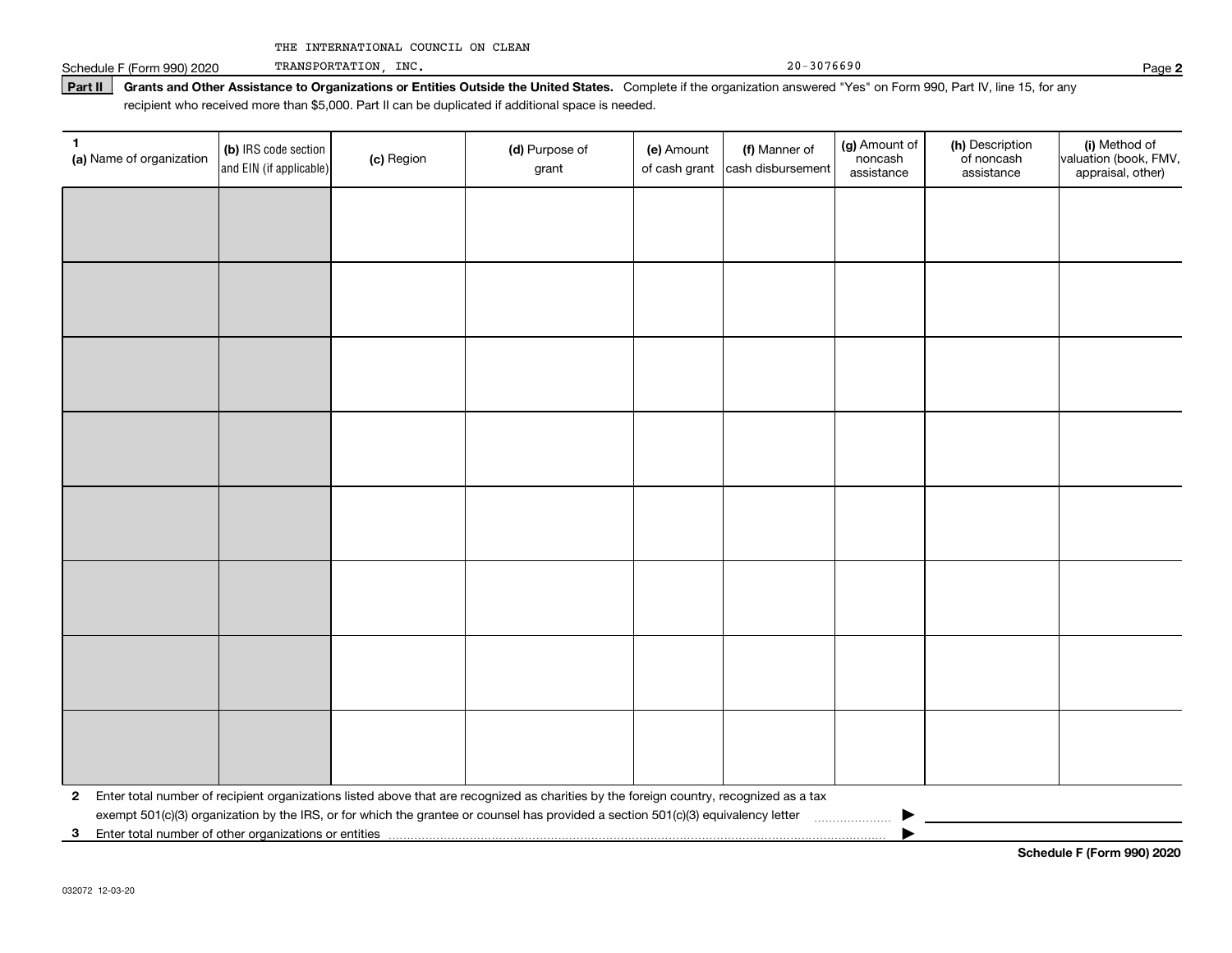Part II | Grants and Other Assistance to Organizations or Entities Outside the United States. Complete if the organization answered "Yes" on Form 990, Part IV, line 15, for any Schedule F (Form 990) 2020 Page TRANSPORTATION, INC.

recipient who received more than \$5,000. Part II can be duplicated if additional space is needed.

| 1<br>(a) Name of organization | (b) IRS code section<br>and EIN (if applicable) | (c) Region | (d) Purpose of<br>grant                                                                                                                 | (e) Amount<br>of cash grant | (f) Manner of<br>cash disbursement | (g) Amount of<br>noncash<br>assistance | (h) Description<br>of noncash<br>assistance | (i) Method of<br>valuation (book, FMV,<br>appraisal, other) |
|-------------------------------|-------------------------------------------------|------------|-----------------------------------------------------------------------------------------------------------------------------------------|-----------------------------|------------------------------------|----------------------------------------|---------------------------------------------|-------------------------------------------------------------|
|                               |                                                 |            |                                                                                                                                         |                             |                                    |                                        |                                             |                                                             |
|                               |                                                 |            |                                                                                                                                         |                             |                                    |                                        |                                             |                                                             |
|                               |                                                 |            |                                                                                                                                         |                             |                                    |                                        |                                             |                                                             |
|                               |                                                 |            |                                                                                                                                         |                             |                                    |                                        |                                             |                                                             |
|                               |                                                 |            |                                                                                                                                         |                             |                                    |                                        |                                             |                                                             |
|                               |                                                 |            |                                                                                                                                         |                             |                                    |                                        |                                             |                                                             |
|                               |                                                 |            |                                                                                                                                         |                             |                                    |                                        |                                             |                                                             |
|                               |                                                 |            |                                                                                                                                         |                             |                                    |                                        |                                             |                                                             |
|                               |                                                 |            |                                                                                                                                         |                             |                                    |                                        |                                             |                                                             |
|                               |                                                 |            |                                                                                                                                         |                             |                                    |                                        |                                             |                                                             |
|                               |                                                 |            |                                                                                                                                         |                             |                                    |                                        |                                             |                                                             |
|                               |                                                 |            |                                                                                                                                         |                             |                                    |                                        |                                             |                                                             |
|                               |                                                 |            |                                                                                                                                         |                             |                                    |                                        |                                             |                                                             |
|                               |                                                 |            |                                                                                                                                         |                             |                                    |                                        |                                             |                                                             |
|                               |                                                 |            |                                                                                                                                         |                             |                                    |                                        |                                             |                                                             |
|                               |                                                 |            |                                                                                                                                         |                             |                                    |                                        |                                             |                                                             |
| $\mathbf{2}$                  |                                                 |            | Enter total number of recipient organizations listed above that are recognized as charities by the foreign country, recognized as a tax |                             |                                    |                                        |                                             |                                                             |
|                               |                                                 |            | exempt 501(c)(3) organization by the IRS, or for which the grantee or counsel has provided a section 501(c)(3) equivalency letter       |                             |                                    |                                        |                                             |                                                             |
|                               |                                                 |            |                                                                                                                                         |                             |                                    |                                        |                                             |                                                             |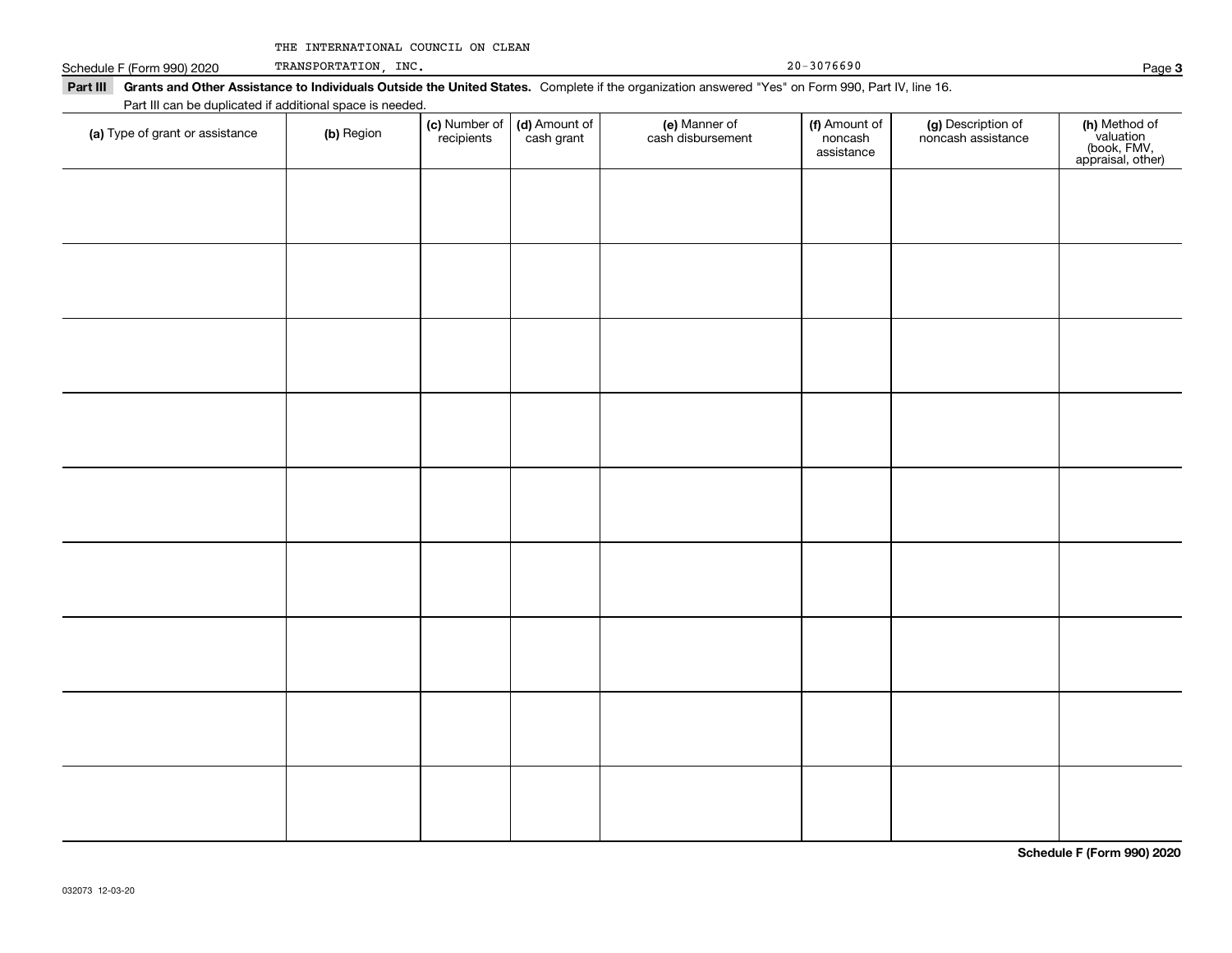|  | THE INTERNATIONAL COUNCIL ON CLEAN |  |  |  |
|--|------------------------------------|--|--|--|
|--|------------------------------------|--|--|--|

Schedule F (Form 990) 2020 Page TRANSPORTATION, INC.

| Part III can be duplicated if additional space is needed. |            |                             |                             |                                    |                                        |                                          |                                                                |
|-----------------------------------------------------------|------------|-----------------------------|-----------------------------|------------------------------------|----------------------------------------|------------------------------------------|----------------------------------------------------------------|
| (a) Type of grant or assistance                           | (b) Region | (c) Number of<br>recipients | (d) Amount of<br>cash grant | (e) Manner of<br>cash disbursement | (f) Amount of<br>noncash<br>assistance | (g) Description of<br>noncash assistance | (h) Method of<br>valuation<br>(book, FMV,<br>appraisal, other) |
|                                                           |            |                             |                             |                                    |                                        |                                          |                                                                |
|                                                           |            |                             |                             |                                    |                                        |                                          |                                                                |
|                                                           |            |                             |                             |                                    |                                        |                                          |                                                                |
|                                                           |            |                             |                             |                                    |                                        |                                          |                                                                |
|                                                           |            |                             |                             |                                    |                                        |                                          |                                                                |
|                                                           |            |                             |                             |                                    |                                        |                                          |                                                                |
|                                                           |            |                             |                             |                                    |                                        |                                          |                                                                |
|                                                           |            |                             |                             |                                    |                                        |                                          |                                                                |
|                                                           |            |                             |                             |                                    |                                        |                                          |                                                                |
|                                                           |            |                             |                             |                                    |                                        |                                          |                                                                |
|                                                           |            |                             |                             |                                    |                                        |                                          |                                                                |

**Schedule F (Form 990) 2020**

**3**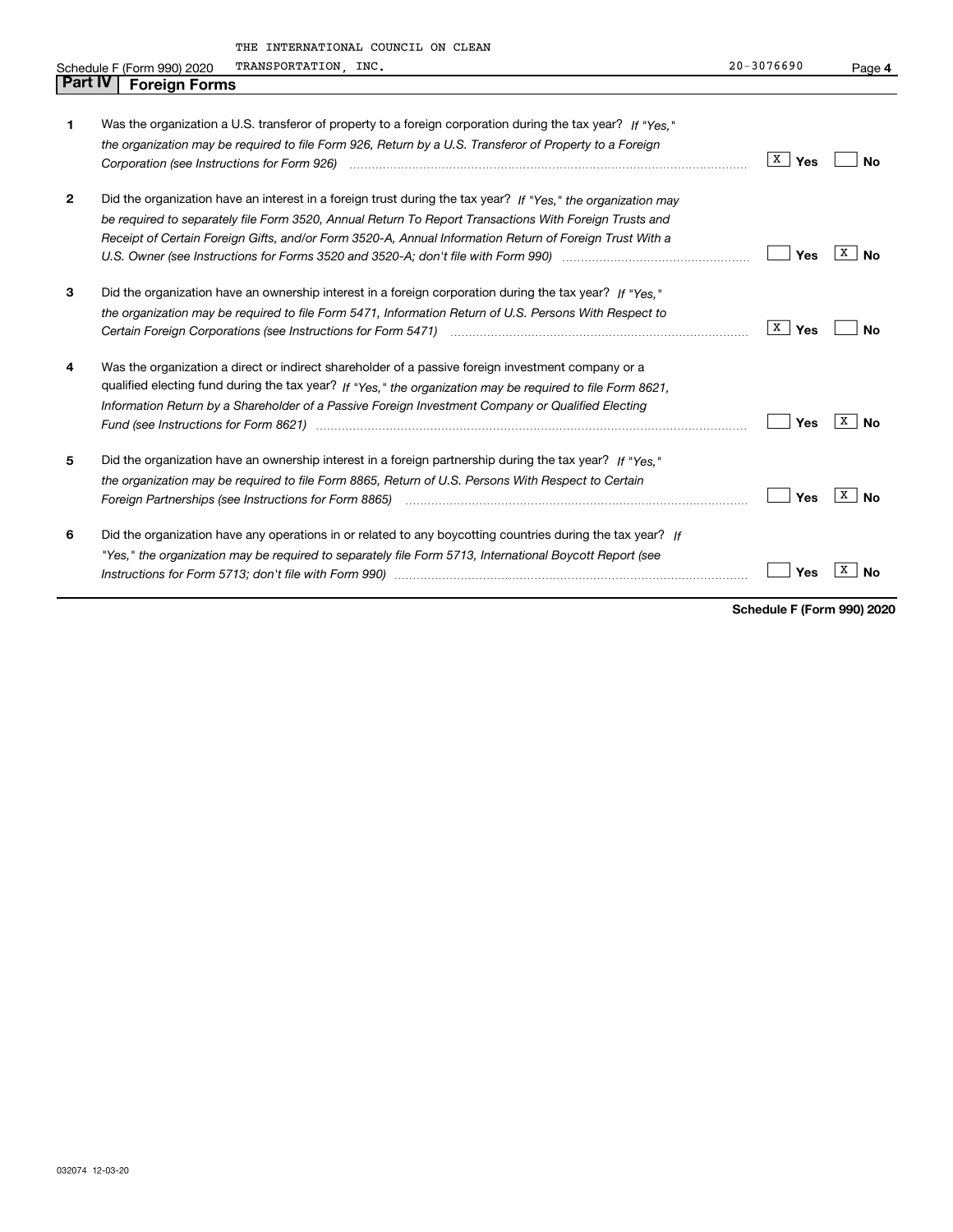|                | THE INTERNATIONAL COUNCIL ON CLEAN                                                                                                                  |                    |                |
|----------------|-----------------------------------------------------------------------------------------------------------------------------------------------------|--------------------|----------------|
|                | TRANSPORTATION, INC.<br>Schedule F (Form 990) 2020                                                                                                  | $20 - 3076690$     | Page 4         |
| <b>Part IV</b> | <b>Foreign Forms</b>                                                                                                                                |                    |                |
|                |                                                                                                                                                     |                    |                |
| 1              | Was the organization a U.S. transferor of property to a foreign corporation during the tax year? If "Yes."                                          |                    |                |
|                | the organization may be required to file Form 926, Return by a U.S. Transferor of Property to a Foreign                                             |                    |                |
|                |                                                                                                                                                     | $\overline{X}$ Yes | No             |
| 2              | Did the organization have an interest in a foreign trust during the tax year? If "Yes." the organization may                                        |                    |                |
|                | be required to separately file Form 3520, Annual Return To Report Transactions With Foreign Trusts and                                              |                    |                |
|                | Receipt of Certain Foreign Gifts, and/or Form 3520-A, Annual Information Return of Foreign Trust With a                                             |                    |                |
|                | U.S. Owner (see Instructions for Forms 3520 and 3520-A; don't file with Form 990) manufactured uncontrolled to                                      | Yes                | x<br><b>No</b> |
| 3              | Did the organization have an ownership interest in a foreign corporation during the tax year? If "Yes."                                             |                    |                |
|                | the organization may be required to file Form 5471, Information Return of U.S. Persons With Respect to                                              |                    |                |
|                | Certain Foreign Corporations (see Instructions for Form 5471) manufactured contain the content of the Corporations (see Instructions for Form 5471) | $X \mid Y$ es      | No             |
| 4              | Was the organization a direct or indirect shareholder of a passive foreign investment company or a                                                  |                    |                |
|                | qualified electing fund during the tax year? If "Yes," the organization may be required to file Form 8621,                                          |                    |                |
|                | Information Return by a Shareholder of a Passive Foreign Investment Company or Qualified Electing                                                   |                    |                |
|                |                                                                                                                                                     | Yes                | x<br><b>No</b> |
| 5              | Did the organization have an ownership interest in a foreign partnership during the tax year? If "Yes."                                             |                    |                |
|                | the organization may be required to file Form 8865, Return of U.S. Persons With Respect to Certain                                                  |                    |                |
|                |                                                                                                                                                     | Yes                | X<br><b>No</b> |
| 6              | Did the organization have any operations in or related to any boycotting countries during the tax year? If                                          |                    |                |
|                | "Yes," the organization may be required to separately file Form 5713, International Boycott Report (see                                             |                    |                |
|                |                                                                                                                                                     | Yes                | х<br>No        |

**Schedule F (Form 990) 2020**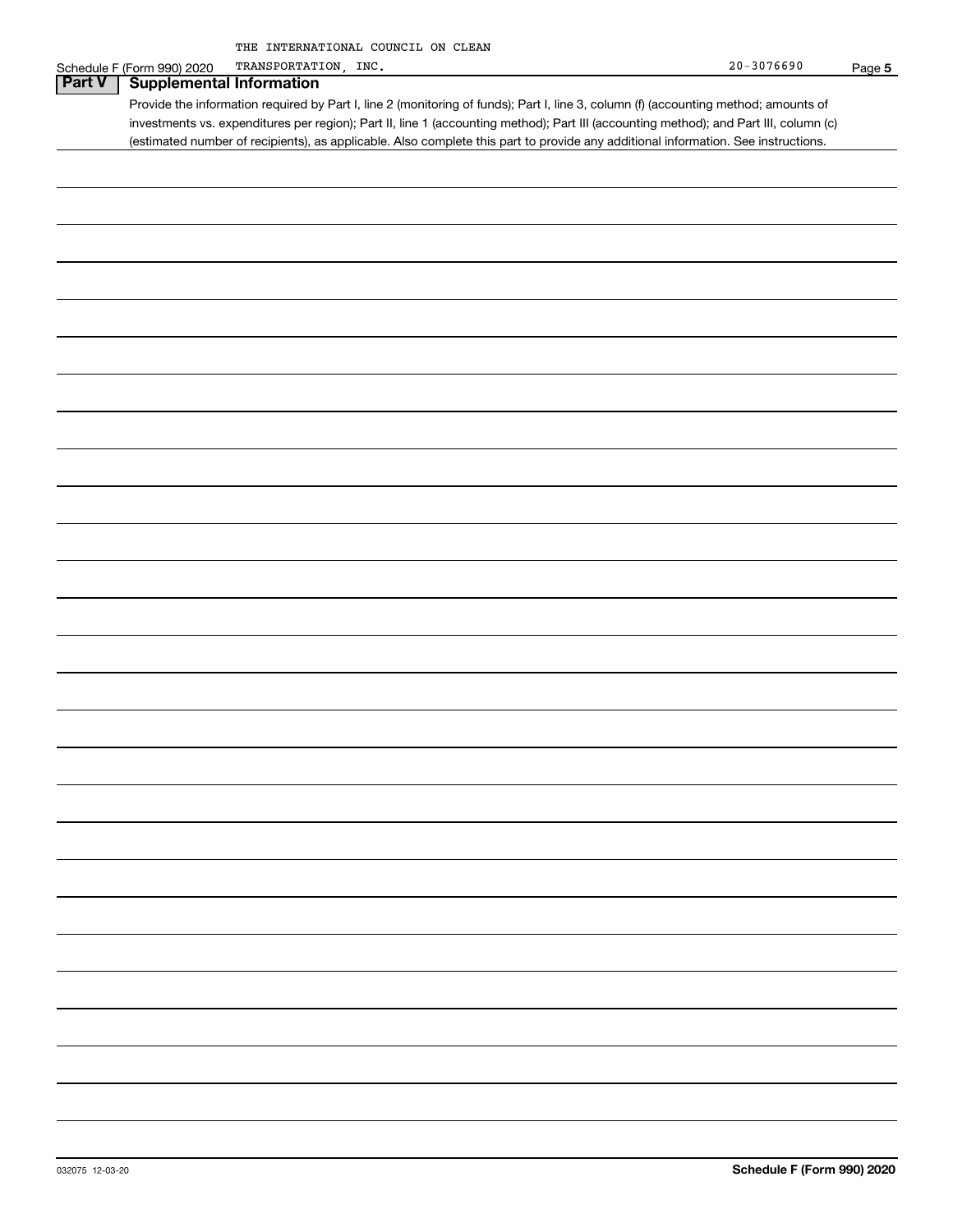|               | THE INTERNATIONAL COUNCIL ON CLEAN                                                                                                    |                |        |
|---------------|---------------------------------------------------------------------------------------------------------------------------------------|----------------|--------|
|               | TRANSPORTATION, INC.<br>Schedule F (Form 990) 2020                                                                                    | $20 - 3076690$ | Page 5 |
| <b>Part V</b> | <b>Supplemental Information</b>                                                                                                       |                |        |
|               |                                                                                                                                       |                |        |
|               | Provide the information required by Part I, line 2 (monitoring of funds); Part I, line 3, column (f) (accounting method; amounts of   |                |        |
|               | investments vs. expenditures per region); Part II, line 1 (accounting method); Part III (accounting method); and Part III, column (c) |                |        |
|               |                                                                                                                                       |                |        |
|               | (estimated number of recipients), as applicable. Also complete this part to provide any additional information. See instructions.     |                |        |
|               |                                                                                                                                       |                |        |
|               |                                                                                                                                       |                |        |
|               |                                                                                                                                       |                |        |
|               |                                                                                                                                       |                |        |
|               |                                                                                                                                       |                |        |
|               |                                                                                                                                       |                |        |
|               |                                                                                                                                       |                |        |
|               |                                                                                                                                       |                |        |
|               |                                                                                                                                       |                |        |
|               |                                                                                                                                       |                |        |
|               |                                                                                                                                       |                |        |
|               |                                                                                                                                       |                |        |
|               |                                                                                                                                       |                |        |
|               |                                                                                                                                       |                |        |
|               |                                                                                                                                       |                |        |
|               |                                                                                                                                       |                |        |
|               |                                                                                                                                       |                |        |
|               |                                                                                                                                       |                |        |
|               |                                                                                                                                       |                |        |
|               |                                                                                                                                       |                |        |
|               |                                                                                                                                       |                |        |
|               |                                                                                                                                       |                |        |
|               |                                                                                                                                       |                |        |
|               |                                                                                                                                       |                |        |
|               |                                                                                                                                       |                |        |
|               |                                                                                                                                       |                |        |
|               |                                                                                                                                       |                |        |
|               |                                                                                                                                       |                |        |
|               |                                                                                                                                       |                |        |
|               |                                                                                                                                       |                |        |
|               |                                                                                                                                       |                |        |
|               |                                                                                                                                       |                |        |
|               |                                                                                                                                       |                |        |
|               |                                                                                                                                       |                |        |
|               |                                                                                                                                       |                |        |
|               |                                                                                                                                       |                |        |
|               |                                                                                                                                       |                |        |
|               |                                                                                                                                       |                |        |
|               |                                                                                                                                       |                |        |
|               |                                                                                                                                       |                |        |
|               |                                                                                                                                       |                |        |
|               |                                                                                                                                       |                |        |
|               |                                                                                                                                       |                |        |
|               |                                                                                                                                       |                |        |
|               |                                                                                                                                       |                |        |
|               |                                                                                                                                       |                |        |
|               |                                                                                                                                       |                |        |
|               |                                                                                                                                       |                |        |
|               |                                                                                                                                       |                |        |
|               |                                                                                                                                       |                |        |
|               |                                                                                                                                       |                |        |
|               |                                                                                                                                       |                |        |
|               |                                                                                                                                       |                |        |
|               |                                                                                                                                       |                |        |
|               |                                                                                                                                       |                |        |
|               |                                                                                                                                       |                |        |
|               |                                                                                                                                       |                |        |
|               |                                                                                                                                       |                |        |
|               |                                                                                                                                       |                |        |
|               |                                                                                                                                       |                |        |
|               |                                                                                                                                       |                |        |
|               |                                                                                                                                       |                |        |
|               |                                                                                                                                       |                |        |
|               |                                                                                                                                       |                |        |
|               |                                                                                                                                       |                |        |
|               |                                                                                                                                       |                |        |
|               |                                                                                                                                       |                |        |
|               |                                                                                                                                       |                |        |
|               |                                                                                                                                       |                |        |
|               |                                                                                                                                       |                |        |
|               |                                                                                                                                       |                |        |
|               |                                                                                                                                       |                |        |
|               |                                                                                                                                       |                |        |
|               |                                                                                                                                       |                |        |
|               |                                                                                                                                       |                |        |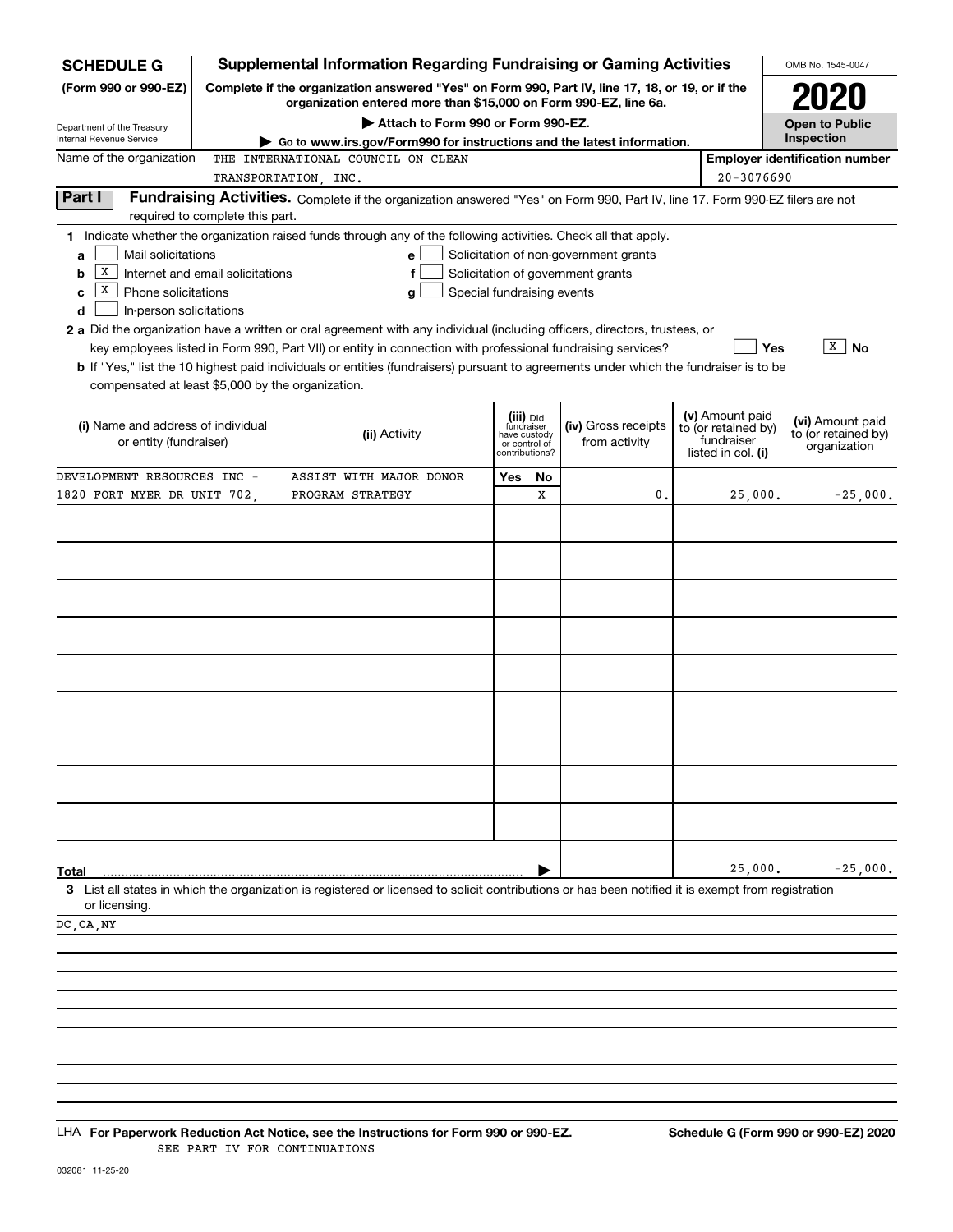| <b>SCHEDULE G</b>                                 |                                  | <b>Supplemental Information Regarding Fundraising or Gaming Activities</b>                                                                                          |                            |                                    |                                       |                                   | OMB No. 1545-0047                     |
|---------------------------------------------------|----------------------------------|---------------------------------------------------------------------------------------------------------------------------------------------------------------------|----------------------------|------------------------------------|---------------------------------------|-----------------------------------|---------------------------------------|
| (Form 990 or 990-EZ)                              |                                  | Complete if the organization answered "Yes" on Form 990, Part IV, line 17, 18, or 19, or if the<br>organization entered more than \$15,000 on Form 990-EZ, line 6a. |                            |                                    |                                       |                                   | <b>ZUZU</b>                           |
| Department of the Treasury                        |                                  | Attach to Form 990 or Form 990-EZ.                                                                                                                                  |                            |                                    |                                       |                                   | <b>Open to Public</b>                 |
| Internal Revenue Service                          |                                  | Go to www.irs.gov/Form990 for instructions and the latest information.                                                                                              |                            |                                    |                                       |                                   | Inspection                            |
| Name of the organization                          |                                  | THE INTERNATIONAL COUNCIL ON CLEAN                                                                                                                                  |                            |                                    |                                       |                                   | <b>Employer identification number</b> |
|                                                   | TRANSPORTATION, INC.             |                                                                                                                                                                     |                            |                                    |                                       | 20-3076690                        |                                       |
| Part I                                            | required to complete this part.  | Fundraising Activities. Complete if the organization answered "Yes" on Form 990, Part IV, line 17. Form 990-EZ filers are not                                       |                            |                                    |                                       |                                   |                                       |
|                                                   |                                  | 1 Indicate whether the organization raised funds through any of the following activities. Check all that apply.                                                     |                            |                                    |                                       |                                   |                                       |
| Mail solicitations<br>a                           |                                  | е                                                                                                                                                                   |                            |                                    | Solicitation of non-government grants |                                   |                                       |
| X<br>b                                            | Internet and email solicitations | f                                                                                                                                                                   |                            |                                    | Solicitation of government grants     |                                   |                                       |
| x<br>Phone solicitations<br>c                     |                                  | g                                                                                                                                                                   | Special fundraising events |                                    |                                       |                                   |                                       |
| In-person solicitations<br>d                      |                                  |                                                                                                                                                                     |                            |                                    |                                       |                                   |                                       |
|                                                   |                                  | 2 a Did the organization have a written or oral agreement with any individual (including officers, directors, trustees, or                                          |                            |                                    |                                       |                                   | $\boxed{\texttt{X}}$ No               |
|                                                   |                                  | key employees listed in Form 990, Part VII) or entity in connection with professional fundraising services?                                                         |                            |                                    |                                       |                                   | Yes                                   |
| compensated at least \$5,000 by the organization. |                                  | <b>b</b> If "Yes," list the 10 highest paid individuals or entities (fundraisers) pursuant to agreements under which the fundraiser is to be                        |                            |                                    |                                       |                                   |                                       |
|                                                   |                                  |                                                                                                                                                                     |                            |                                    |                                       |                                   |                                       |
| (i) Name and address of individual                |                                  |                                                                                                                                                                     |                            | (iii) <sub>Did</sub><br>fundraiser | (iv) Gross receipts                   | (v) Amount paid                   | (vi) Amount paid                      |
| or entity (fundraiser)                            |                                  | (ii) Activity                                                                                                                                                       | or control of              | have custody                       | from activity                         | to (or retained by)<br>fundraiser | to (or retained by)                   |
|                                                   |                                  |                                                                                                                                                                     | contributions?             |                                    |                                       | listed in col. (i)                | organization                          |
| DEVELOPMENT RESOURCES INC -                       |                                  | ASSIST WITH MAJOR DONOR                                                                                                                                             | Yes                        | No                                 |                                       |                                   |                                       |
| 1820 FORT MYER DR UNIT 702,                       |                                  | PROGRAM STRATEGY                                                                                                                                                    |                            | X                                  | 0.                                    | 25,000.                           | $-25,000.$                            |
|                                                   |                                  |                                                                                                                                                                     |                            |                                    |                                       |                                   |                                       |
|                                                   |                                  |                                                                                                                                                                     |                            |                                    |                                       |                                   |                                       |
|                                                   |                                  |                                                                                                                                                                     |                            |                                    |                                       |                                   |                                       |
|                                                   |                                  |                                                                                                                                                                     |                            |                                    |                                       |                                   |                                       |
|                                                   |                                  |                                                                                                                                                                     |                            |                                    |                                       |                                   |                                       |
|                                                   |                                  |                                                                                                                                                                     |                            |                                    |                                       |                                   |                                       |
|                                                   |                                  |                                                                                                                                                                     |                            |                                    |                                       |                                   |                                       |
|                                                   |                                  |                                                                                                                                                                     |                            |                                    |                                       |                                   |                                       |
|                                                   |                                  |                                                                                                                                                                     |                            |                                    |                                       |                                   |                                       |
|                                                   |                                  |                                                                                                                                                                     |                            |                                    |                                       |                                   |                                       |
|                                                   |                                  |                                                                                                                                                                     |                            |                                    |                                       |                                   |                                       |
|                                                   |                                  |                                                                                                                                                                     |                            |                                    |                                       |                                   |                                       |
|                                                   |                                  |                                                                                                                                                                     |                            |                                    |                                       |                                   |                                       |
|                                                   |                                  |                                                                                                                                                                     |                            |                                    |                                       |                                   |                                       |
|                                                   |                                  |                                                                                                                                                                     |                            |                                    |                                       |                                   |                                       |
|                                                   |                                  |                                                                                                                                                                     |                            |                                    |                                       |                                   |                                       |
|                                                   |                                  |                                                                                                                                                                     |                            |                                    |                                       |                                   |                                       |
| Total                                             |                                  |                                                                                                                                                                     |                            |                                    |                                       | 25,000.                           | $-25,000.$                            |
| or licensing.                                     |                                  | 3 List all states in which the organization is registered or licensed to solicit contributions or has been notified it is exempt from registration                  |                            |                                    |                                       |                                   |                                       |
| DC, CA, NY                                        |                                  |                                                                                                                                                                     |                            |                                    |                                       |                                   |                                       |
|                                                   |                                  |                                                                                                                                                                     |                            |                                    |                                       |                                   |                                       |
|                                                   |                                  |                                                                                                                                                                     |                            |                                    |                                       |                                   |                                       |
|                                                   |                                  |                                                                                                                                                                     |                            |                                    |                                       |                                   |                                       |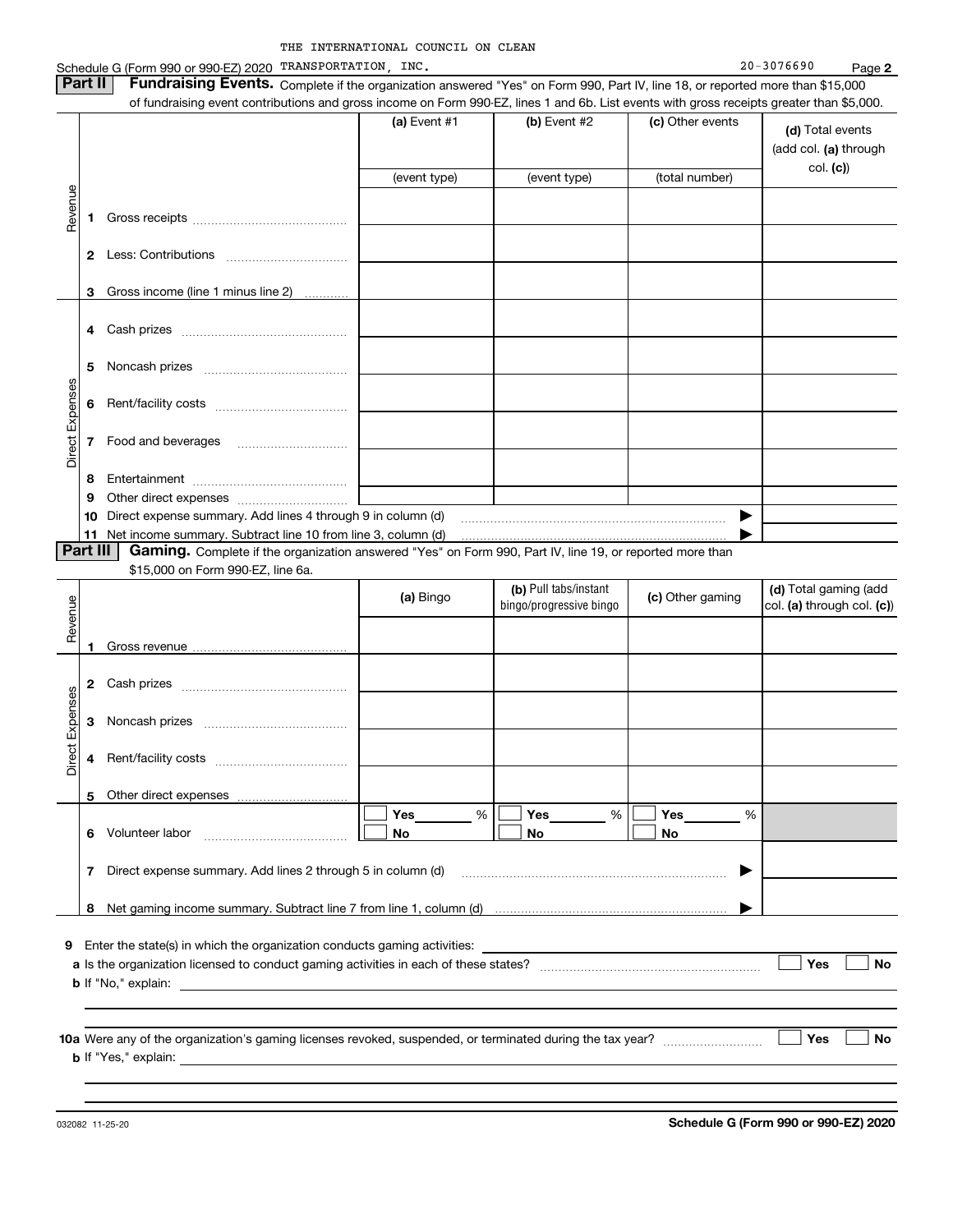|                 | Part II      | Schedule G (Form 990 or 990-EZ) 2020 TRANSPORTATION, INC.<br>Fundraising Events. Complete if the organization answered "Yes" on Form 990, Part IV, line 18, or reported more than \$15,000 |                |                                                  |                  | 20-3076690<br>Page 2                                |
|-----------------|--------------|--------------------------------------------------------------------------------------------------------------------------------------------------------------------------------------------|----------------|--------------------------------------------------|------------------|-----------------------------------------------------|
|                 |              | of fundraising event contributions and gross income on Form 990-EZ, lines 1 and 6b. List events with gross receipts greater than \$5,000.                                                  |                |                                                  |                  |                                                     |
|                 |              |                                                                                                                                                                                            | (a) Event $#1$ | $(b)$ Event #2                                   | (c) Other events | (d) Total events<br>(add col. (a) through           |
|                 |              |                                                                                                                                                                                            | (event type)   | (event type)                                     | (total number)   | col. (c)                                            |
| Revenue         |              |                                                                                                                                                                                            |                |                                                  |                  |                                                     |
|                 | 1            |                                                                                                                                                                                            |                |                                                  |                  |                                                     |
|                 | $\mathbf{2}$ |                                                                                                                                                                                            |                |                                                  |                  |                                                     |
|                 |              |                                                                                                                                                                                            |                |                                                  |                  |                                                     |
|                 | 3            | Gross income (line 1 minus line 2)                                                                                                                                                         |                |                                                  |                  |                                                     |
|                 | 4            |                                                                                                                                                                                            |                |                                                  |                  |                                                     |
|                 |              |                                                                                                                                                                                            |                |                                                  |                  |                                                     |
|                 | 5            |                                                                                                                                                                                            |                |                                                  |                  |                                                     |
|                 | 6            |                                                                                                                                                                                            |                |                                                  |                  |                                                     |
| Direct Expenses |              |                                                                                                                                                                                            |                |                                                  |                  |                                                     |
|                 | 7            | Food and beverages                                                                                                                                                                         |                |                                                  |                  |                                                     |
|                 | 8            |                                                                                                                                                                                            |                |                                                  |                  |                                                     |
|                 | 9            |                                                                                                                                                                                            |                |                                                  |                  |                                                     |
|                 | 10           | Direct expense summary. Add lines 4 through 9 in column (d)                                                                                                                                |                |                                                  | ▶                |                                                     |
|                 | 11           | Net income summary. Subtract line 10 from line 3, column (d)                                                                                                                               |                |                                                  |                  |                                                     |
|                 | Part III     | Gaming. Complete if the organization answered "Yes" on Form 990, Part IV, line 19, or reported more than                                                                                   |                |                                                  |                  |                                                     |
|                 |              | \$15,000 on Form 990-EZ, line 6a.                                                                                                                                                          |                |                                                  |                  |                                                     |
| Revenue         |              |                                                                                                                                                                                            | (a) Bingo      | (b) Pull tabs/instant<br>bingo/progressive bingo | (c) Other gaming | (d) Total gaming (add<br>col. (a) through col. (c)) |
|                 | 1            |                                                                                                                                                                                            |                |                                                  |                  |                                                     |
|                 |              |                                                                                                                                                                                            |                |                                                  |                  |                                                     |
|                 | 2            |                                                                                                                                                                                            |                |                                                  |                  |                                                     |
| Expenses        | 3            |                                                                                                                                                                                            |                |                                                  |                  |                                                     |
|                 |              |                                                                                                                                                                                            |                |                                                  |                  |                                                     |
| <b>tig</b><br>ă | 4            | Rent/facility costs                                                                                                                                                                        |                |                                                  |                  |                                                     |
|                 |              |                                                                                                                                                                                            |                |                                                  |                  |                                                     |
|                 | 5.           |                                                                                                                                                                                            | Yes %          | Yes<br>%                                         | Yes<br>%         |                                                     |
|                 | 6.           | Volunteer labor                                                                                                                                                                            | No.            | No                                               | No               |                                                     |
|                 |              |                                                                                                                                                                                            |                |                                                  |                  |                                                     |
|                 | 7            | Direct expense summary. Add lines 2 through 5 in column (d)                                                                                                                                |                |                                                  | ▶                |                                                     |
|                 | 8            |                                                                                                                                                                                            |                |                                                  |                  |                                                     |
|                 |              |                                                                                                                                                                                            |                |                                                  |                  |                                                     |
| 9               |              | Enter the state(s) in which the organization conducts gaming activities:                                                                                                                   |                |                                                  |                  |                                                     |
|                 |              |                                                                                                                                                                                            |                |                                                  |                  | Yes<br><b>No</b>                                    |
|                 |              |                                                                                                                                                                                            |                |                                                  |                  |                                                     |
|                 |              |                                                                                                                                                                                            |                |                                                  |                  |                                                     |
|                 |              |                                                                                                                                                                                            |                |                                                  |                  |                                                     |
|                 |              |                                                                                                                                                                                            |                |                                                  |                  |                                                     |
|                 |              |                                                                                                                                                                                            |                |                                                  |                  | Yes<br><b>No</b>                                    |
|                 |              |                                                                                                                                                                                            |                |                                                  |                  |                                                     |

032082 11-25-20

**Schedule G (Form 990 or 990-EZ) 2020**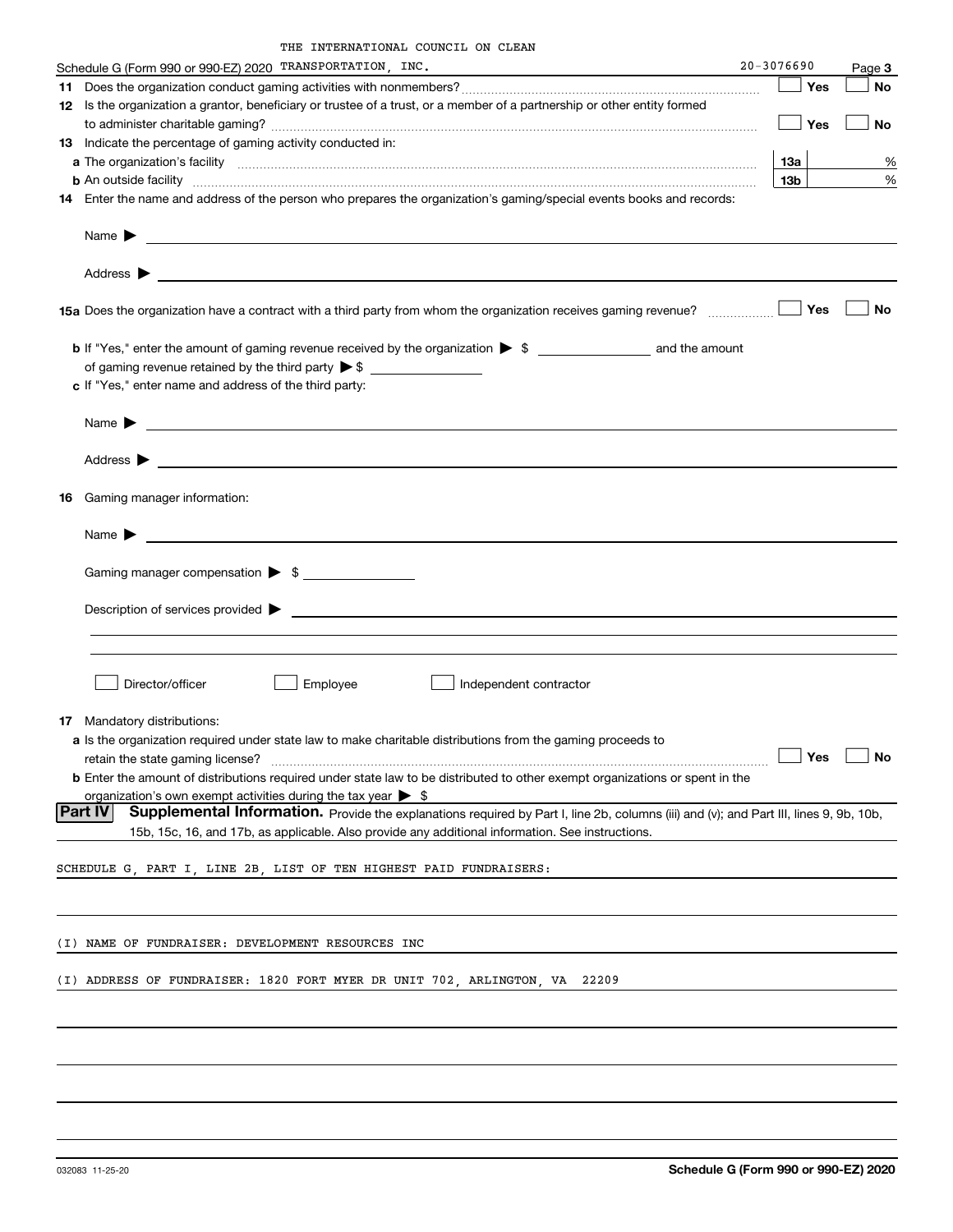| THE INTERNATIONAL COUNCIL ON CLEAN |  |  |
|------------------------------------|--|--|
|                                    |  |  |

| Schedule G (Form 990 or 990-EZ) 2020 TRANSPORTATION, INC.                                                                                                                                                                                                | $20 - 3076690$  |            | Page 3    |
|----------------------------------------------------------------------------------------------------------------------------------------------------------------------------------------------------------------------------------------------------------|-----------------|------------|-----------|
|                                                                                                                                                                                                                                                          |                 | Yes        | <b>No</b> |
| 12 Is the organization a grantor, beneficiary or trustee of a trust, or a member of a partnership or other entity formed                                                                                                                                 |                 |            |           |
|                                                                                                                                                                                                                                                          |                 | <b>Yes</b> | No        |
| 13 Indicate the percentage of gaming activity conducted in:                                                                                                                                                                                              |                 |            |           |
|                                                                                                                                                                                                                                                          | 13а             |            | %         |
| <b>b</b> An outside facility <b>contained and the contract of the contract of the contract of the contract of the contract of the contract of the contract of the contract of the contract of the contract of the contract of the con</b>                | 13 <sub>b</sub> |            | %         |
| 14 Enter the name and address of the person who prepares the organization's gaming/special events books and records:                                                                                                                                     |                 |            |           |
| Name $\blacktriangleright$ $\frac{1}{\sqrt{1-\frac{1}{2}}}\left\vert \frac{1}{2}\right\vert$<br>Address $\blacktriangleright$<br><u>some started and the started and the started and the started and the started and the started and the started and</u> |                 |            |           |
| 15 Yes The organization have a contract with a third party from whom the organization receives gaming revenue?                                                                                                                                           |                 |            | No        |
| <b>b</b> If "Yes," enter the amount of gaming revenue received by the organization $\triangleright$ \$                                                                                                                                                   |                 |            |           |
|                                                                                                                                                                                                                                                          |                 |            |           |
| c If "Yes," enter name and address of the third party:                                                                                                                                                                                                   |                 |            |           |
|                                                                                                                                                                                                                                                          |                 |            |           |
| Name $\blacktriangleright$<br><u> 1989 - Johann John Stein, markin fan it ferstjer fan de ferstjer fan it ferstjer fan de ferstjer fan it fers</u>                                                                                                       |                 |            |           |
| Address $\blacktriangleright$<br><u>and the contract of the contract of the contract of the contract of the contract of the contract of the contract of</u>                                                                                              |                 |            |           |
|                                                                                                                                                                                                                                                          |                 |            |           |
| 16 Gaming manager information:                                                                                                                                                                                                                           |                 |            |           |
| Name $\blacktriangleright$<br><u> 1980 - Jan Samuel Barbara, martin da shekara tsara 1980 - An tsara 1980 - An tsara 1980 - An tsara 1980 - An</u>                                                                                                       |                 |            |           |
| Gaming manager compensation > \$<br>Description of services provided $\blacktriangleright$<br><u> 1989 - Jan Barbara, martxa al II-lea (h. 1989).</u>                                                                                                    |                 |            |           |
| Director/officer<br>Employee<br>Independent contractor                                                                                                                                                                                                   |                 |            |           |
| 17 Mandatory distributions:<br>a Is the organization required under state law to make charitable distributions from the gaming proceeds to                                                                                                               |                 |            |           |
| retain the state gaming license?                                                                                                                                                                                                                         |                 | Yes        | No        |
| <b>b</b> Enter the amount of distributions required under state law to be distributed to other exempt organizations or spent in the                                                                                                                      |                 |            |           |
| organization's own exempt activities during the tax year $\triangleright$ \$                                                                                                                                                                             |                 |            |           |
| <b>Part IV</b><br>Supplemental Information. Provide the explanations required by Part I, line 2b, columns (iii) and (v); and Part III, lines 9, 9b, 10b,                                                                                                 |                 |            |           |
| 15b, 15c, 16, and 17b, as applicable. Also provide any additional information. See instructions.                                                                                                                                                         |                 |            |           |
|                                                                                                                                                                                                                                                          |                 |            |           |
| SCHEDULE G, PART I, LINE 2B, LIST OF TEN HIGHEST PAID FUNDRAISERS:                                                                                                                                                                                       |                 |            |           |
|                                                                                                                                                                                                                                                          |                 |            |           |
|                                                                                                                                                                                                                                                          |                 |            |           |
| (I) NAME OF FUNDRAISER: DEVELOPMENT RESOURCES INC                                                                                                                                                                                                        |                 |            |           |
|                                                                                                                                                                                                                                                          |                 |            |           |
| (I) ADDRESS OF FUNDRAISER: 1820 FORT MYER DR UNIT 702, ARLINGTON, VA 22209                                                                                                                                                                               |                 |            |           |
|                                                                                                                                                                                                                                                          |                 |            |           |
|                                                                                                                                                                                                                                                          |                 |            |           |
|                                                                                                                                                                                                                                                          |                 |            |           |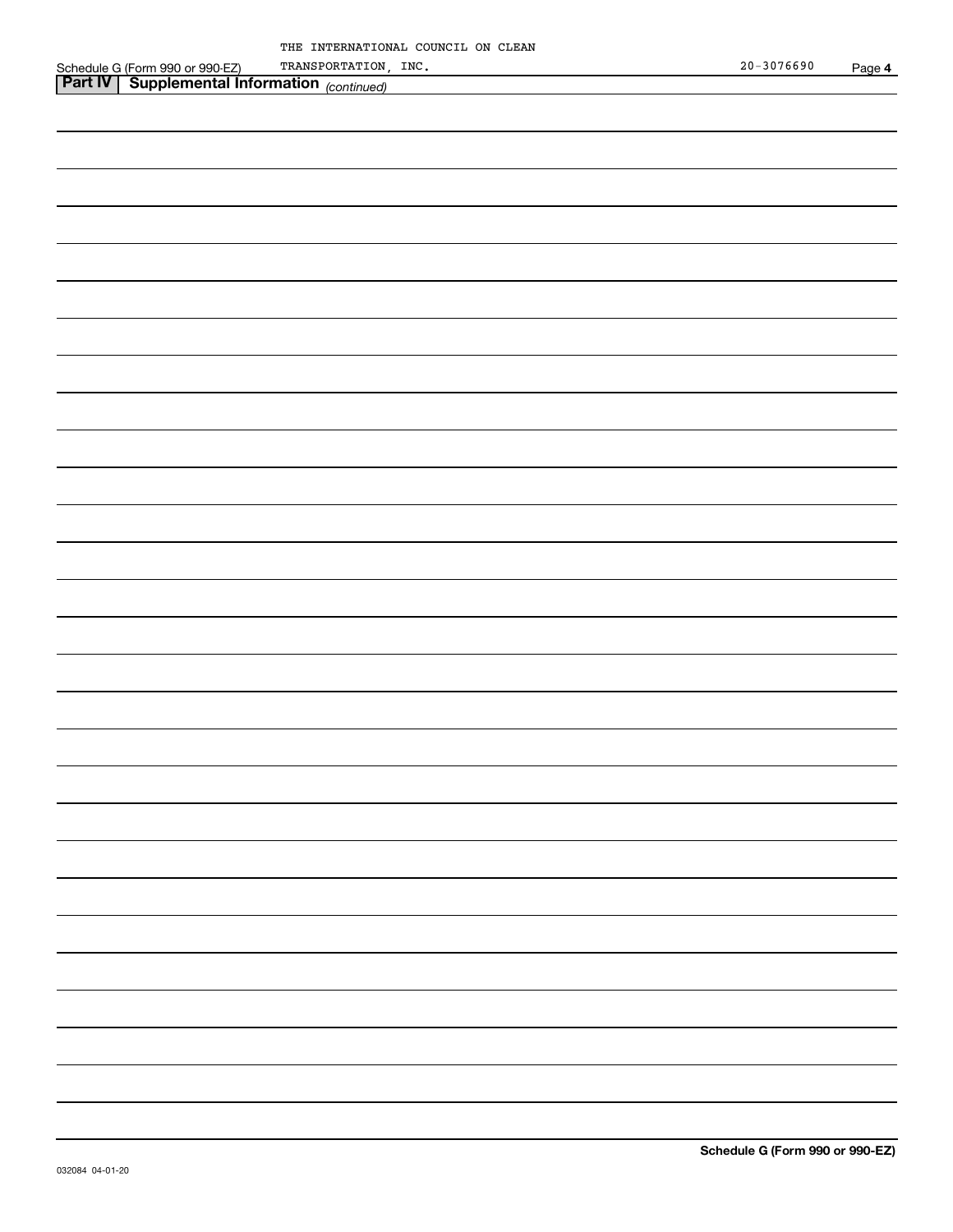|  | THE INTERNATIONAL COUNCIL ON CLEAN |  |  |
|--|------------------------------------|--|--|
|  | TRANSPORTATION, INC.               |  |  |

|                                                                                                          | TRANSPORTATION, INC. | $20 - 3076690$ | Page 4 |
|----------------------------------------------------------------------------------------------------------|----------------------|----------------|--------|
| Schedule G (Form 990 or 990-EZ) TRANSPORTATION,<br><b>Part IV   Supplemental Information</b> (continued) |                      |                |        |
|                                                                                                          |                      |                |        |
|                                                                                                          |                      |                |        |
|                                                                                                          |                      |                |        |
|                                                                                                          |                      |                |        |
|                                                                                                          |                      |                |        |
|                                                                                                          |                      |                |        |
|                                                                                                          |                      |                |        |
|                                                                                                          |                      |                |        |
|                                                                                                          |                      |                |        |
|                                                                                                          |                      |                |        |
|                                                                                                          |                      |                |        |
|                                                                                                          |                      |                |        |
|                                                                                                          |                      |                |        |
|                                                                                                          |                      |                |        |
|                                                                                                          |                      |                |        |
|                                                                                                          |                      |                |        |
|                                                                                                          |                      |                |        |
|                                                                                                          |                      |                |        |
|                                                                                                          |                      |                |        |
|                                                                                                          |                      |                |        |
|                                                                                                          |                      |                |        |
|                                                                                                          |                      |                |        |
|                                                                                                          |                      |                |        |
|                                                                                                          |                      |                |        |
|                                                                                                          |                      |                |        |
|                                                                                                          |                      |                |        |
|                                                                                                          |                      |                |        |
|                                                                                                          |                      |                |        |
|                                                                                                          |                      |                |        |
|                                                                                                          |                      |                |        |
|                                                                                                          |                      |                |        |
|                                                                                                          |                      |                |        |
|                                                                                                          |                      |                |        |
|                                                                                                          |                      |                |        |
|                                                                                                          |                      |                |        |
|                                                                                                          |                      |                |        |
|                                                                                                          |                      |                |        |
|                                                                                                          |                      |                |        |
|                                                                                                          |                      |                |        |
|                                                                                                          |                      |                |        |
|                                                                                                          |                      |                |        |
|                                                                                                          |                      |                |        |
|                                                                                                          |                      |                |        |
|                                                                                                          |                      |                |        |
|                                                                                                          |                      |                |        |
|                                                                                                          |                      |                |        |
|                                                                                                          |                      |                |        |
|                                                                                                          |                      |                |        |
|                                                                                                          |                      |                |        |
|                                                                                                          |                      |                |        |
|                                                                                                          |                      |                |        |
|                                                                                                          |                      |                |        |
|                                                                                                          |                      |                |        |
|                                                                                                          |                      |                |        |
|                                                                                                          |                      |                |        |
|                                                                                                          |                      |                |        |
|                                                                                                          |                      |                |        |
|                                                                                                          |                      |                |        |
|                                                                                                          |                      |                |        |
|                                                                                                          |                      |                |        |
|                                                                                                          |                      |                |        |
|                                                                                                          |                      |                |        |
|                                                                                                          |                      |                |        |
|                                                                                                          |                      |                |        |
|                                                                                                          |                      |                |        |
|                                                                                                          |                      |                |        |
|                                                                                                          |                      |                |        |
|                                                                                                          |                      |                |        |
|                                                                                                          |                      |                |        |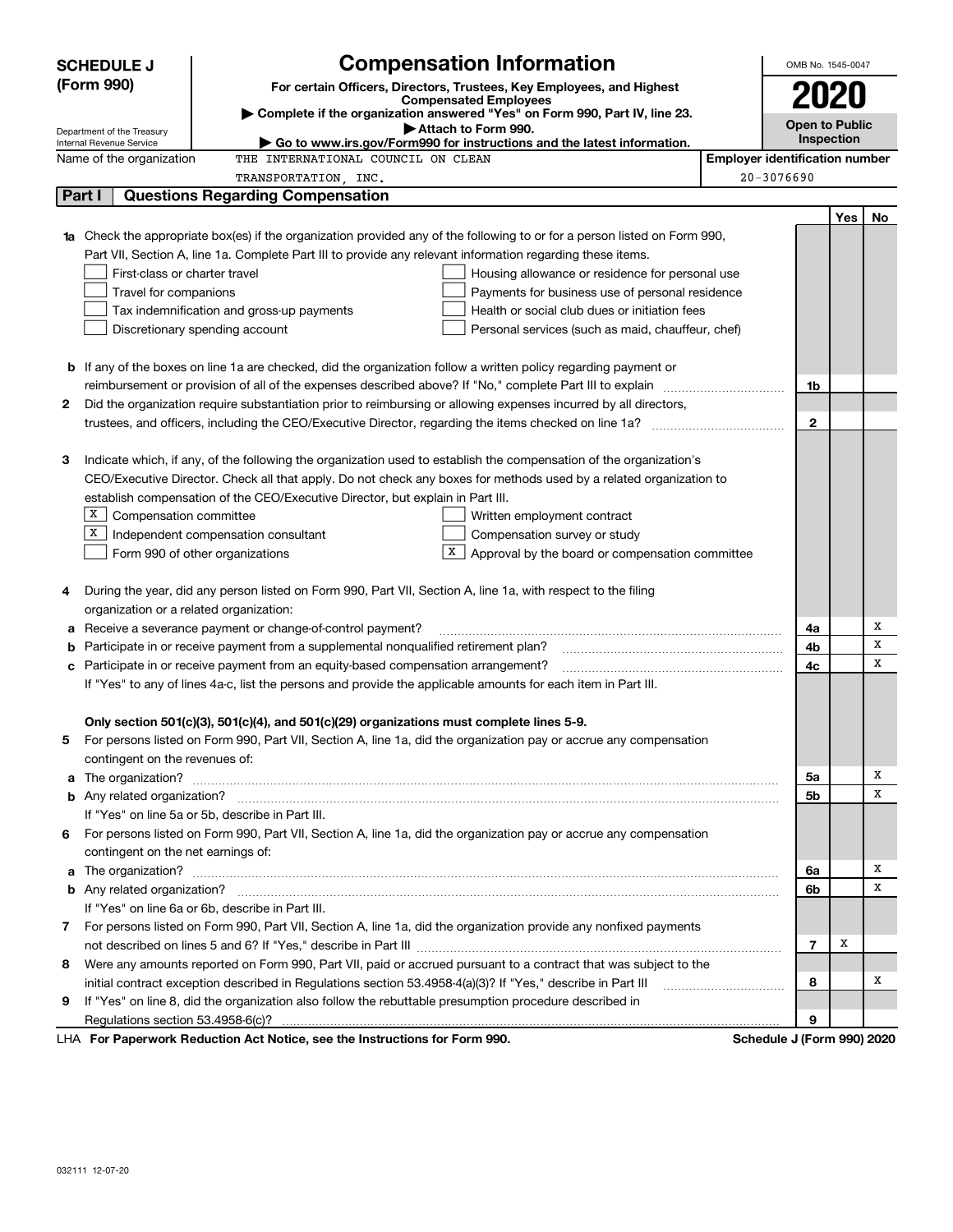|    | <b>SCHEDULE J</b>                                                                   | <b>Compensation Information</b>                                                                                                                                                                                                      |                                                 |                                       | OMB No. 1545-0047     |            |    |  |
|----|-------------------------------------------------------------------------------------|--------------------------------------------------------------------------------------------------------------------------------------------------------------------------------------------------------------------------------------|-------------------------------------------------|---------------------------------------|-----------------------|------------|----|--|
|    | (Form 990)                                                                          | For certain Officers, Directors, Trustees, Key Employees, and Highest                                                                                                                                                                |                                                 |                                       |                       |            |    |  |
|    |                                                                                     | <b>Compensated Employees</b>                                                                                                                                                                                                         |                                                 |                                       | 2020                  |            |    |  |
|    | Department of the Treasury                                                          | Complete if the organization answered "Yes" on Form 990, Part IV, line 23.<br>Attach to Form 990.                                                                                                                                    |                                                 |                                       | <b>Open to Public</b> |            |    |  |
|    | Internal Revenue Service                                                            | $\blacktriangleright$ Go to www.irs.gov/Form990 for instructions and the latest information.                                                                                                                                         |                                                 |                                       |                       | Inspection |    |  |
|    | Name of the organization                                                            | THE INTERNATIONAL COUNCIL ON CLEAN                                                                                                                                                                                                   |                                                 | <b>Employer identification number</b> |                       |            |    |  |
|    |                                                                                     | TRANSPORTATION, INC.                                                                                                                                                                                                                 |                                                 | $20 - 3076690$                        |                       |            |    |  |
|    | Part I                                                                              | <b>Questions Regarding Compensation</b>                                                                                                                                                                                              |                                                 |                                       |                       |            |    |  |
|    |                                                                                     |                                                                                                                                                                                                                                      |                                                 |                                       |                       | Yes        | No |  |
|    |                                                                                     | <b>1a</b> Check the appropriate box(es) if the organization provided any of the following to or for a person listed on Form 990,                                                                                                     |                                                 |                                       |                       |            |    |  |
|    |                                                                                     | Part VII, Section A, line 1a. Complete Part III to provide any relevant information regarding these items.                                                                                                                           |                                                 |                                       |                       |            |    |  |
|    | First-class or charter travel                                                       |                                                                                                                                                                                                                                      | Housing allowance or residence for personal use |                                       |                       |            |    |  |
|    | Travel for companions                                                               |                                                                                                                                                                                                                                      | Payments for business use of personal residence |                                       |                       |            |    |  |
|    |                                                                                     | Tax indemnification and gross-up payments                                                                                                                                                                                            | Health or social club dues or initiation fees   |                                       |                       |            |    |  |
|    | Discretionary spending account<br>Personal services (such as maid, chauffeur, chef) |                                                                                                                                                                                                                                      |                                                 |                                       |                       |            |    |  |
|    |                                                                                     |                                                                                                                                                                                                                                      |                                                 |                                       |                       |            |    |  |
|    |                                                                                     | <b>b</b> If any of the boxes on line 1a are checked, did the organization follow a written policy regarding payment or                                                                                                               |                                                 |                                       |                       |            |    |  |
|    |                                                                                     |                                                                                                                                                                                                                                      |                                                 |                                       | 1b                    |            |    |  |
| 2  |                                                                                     | Did the organization require substantiation prior to reimbursing or allowing expenses incurred by all directors,                                                                                                                     |                                                 |                                       |                       |            |    |  |
|    |                                                                                     |                                                                                                                                                                                                                                      |                                                 |                                       | $\mathbf{2}$          |            |    |  |
|    |                                                                                     |                                                                                                                                                                                                                                      |                                                 |                                       |                       |            |    |  |
| З  |                                                                                     | Indicate which, if any, of the following the organization used to establish the compensation of the organization's                                                                                                                   |                                                 |                                       |                       |            |    |  |
|    |                                                                                     | CEO/Executive Director. Check all that apply. Do not check any boxes for methods used by a related organization to                                                                                                                   |                                                 |                                       |                       |            |    |  |
|    | x                                                                                   | establish compensation of the CEO/Executive Director, but explain in Part III.                                                                                                                                                       |                                                 |                                       |                       |            |    |  |
|    | Compensation committee<br>x                                                         | Written employment contract                                                                                                                                                                                                          |                                                 |                                       |                       |            |    |  |
|    |                                                                                     | Independent compensation consultant<br>Compensation survey or study<br>X                                                                                                                                                             |                                                 |                                       |                       |            |    |  |
|    |                                                                                     | Form 990 of other organizations                                                                                                                                                                                                      | Approval by the board or compensation committee |                                       |                       |            |    |  |
| 4  |                                                                                     | During the year, did any person listed on Form 990, Part VII, Section A, line 1a, with respect to the filing                                                                                                                         |                                                 |                                       |                       |            |    |  |
|    | organization or a related organization:                                             |                                                                                                                                                                                                                                      |                                                 |                                       |                       |            |    |  |
| а  |                                                                                     | Receive a severance payment or change-of-control payment?                                                                                                                                                                            |                                                 |                                       | 4a                    |            | Х  |  |
| b  |                                                                                     | Participate in or receive payment from a supplemental nonqualified retirement plan?                                                                                                                                                  |                                                 |                                       | 4b                    |            | х  |  |
| c  |                                                                                     | Participate in or receive payment from an equity-based compensation arrangement?                                                                                                                                                     |                                                 |                                       | 4с                    |            | х  |  |
|    |                                                                                     | If "Yes" to any of lines 4a-c, list the persons and provide the applicable amounts for each item in Part III.                                                                                                                        |                                                 |                                       |                       |            |    |  |
|    |                                                                                     |                                                                                                                                                                                                                                      |                                                 |                                       |                       |            |    |  |
|    |                                                                                     | Only section 501(c)(3), 501(c)(4), and 501(c)(29) organizations must complete lines 5-9.                                                                                                                                             |                                                 |                                       |                       |            |    |  |
|    |                                                                                     | For persons listed on Form 990, Part VII, Section A, line 1a, did the organization pay or accrue any compensation                                                                                                                    |                                                 |                                       |                       |            |    |  |
|    | contingent on the revenues of:                                                      |                                                                                                                                                                                                                                      |                                                 |                                       |                       |            |    |  |
|    |                                                                                     | a The organization? <b>Constitution</b> and the organization?                                                                                                                                                                        |                                                 |                                       | 5а                    |            | х  |  |
|    |                                                                                     |                                                                                                                                                                                                                                      |                                                 |                                       | 5b                    |            | х  |  |
|    |                                                                                     | If "Yes" on line 5a or 5b, describe in Part III.                                                                                                                                                                                     |                                                 |                                       |                       |            |    |  |
| 6. |                                                                                     | For persons listed on Form 990, Part VII, Section A, line 1a, did the organization pay or accrue any compensation                                                                                                                    |                                                 |                                       |                       |            |    |  |
|    | contingent on the net earnings of:                                                  |                                                                                                                                                                                                                                      |                                                 |                                       |                       |            |    |  |
| a  |                                                                                     | The organization? <b>With the contract of the contract of the contract of the contract of the contract of the contract of the contract of the contract of the contract of the contract of the contract of the contract of the co</b> |                                                 |                                       | 6a                    |            | х  |  |
|    |                                                                                     |                                                                                                                                                                                                                                      |                                                 |                                       | 6b                    |            | х  |  |
|    |                                                                                     | If "Yes" on line 6a or 6b, describe in Part III.                                                                                                                                                                                     |                                                 |                                       |                       |            |    |  |
|    |                                                                                     | 7 For persons listed on Form 990, Part VII, Section A, line 1a, did the organization provide any nonfixed payments                                                                                                                   |                                                 |                                       |                       |            |    |  |
|    |                                                                                     |                                                                                                                                                                                                                                      |                                                 |                                       | 7                     | Х          |    |  |
| 8  |                                                                                     | Were any amounts reported on Form 990, Part VII, paid or accrued pursuant to a contract that was subject to the                                                                                                                      |                                                 |                                       |                       |            |    |  |
|    |                                                                                     | initial contract exception described in Regulations section 53.4958-4(a)(3)? If "Yes," describe in Part III                                                                                                                          |                                                 |                                       | 8                     |            | х  |  |
| 9  |                                                                                     | If "Yes" on line 8, did the organization also follow the rebuttable presumption procedure described in                                                                                                                               |                                                 |                                       |                       |            |    |  |
|    |                                                                                     |                                                                                                                                                                                                                                      |                                                 |                                       | 9                     |            |    |  |
|    |                                                                                     | LHA For Paperwork Reduction Act Notice, see the Instructions for Form 990.                                                                                                                                                           |                                                 | Schedule J (Form 990) 2020            |                       |            |    |  |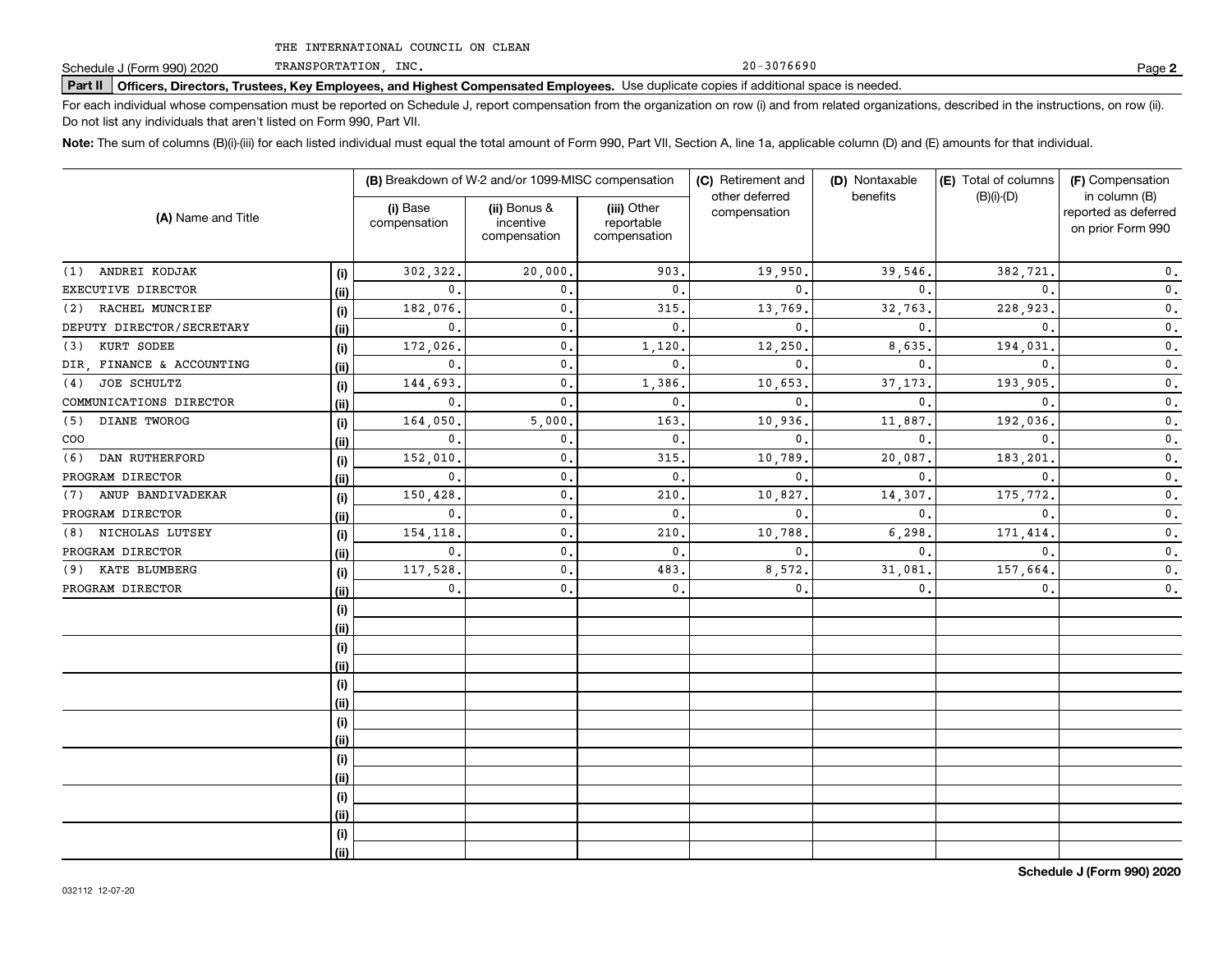TRANSPORTATION, INC.

**Part II Officers, Directors, Trustees, Key Employees, and Highest Compensated Employees.**  Schedule J (Form 990) 2020 Page Use duplicate copies if additional space is needed.

For each individual whose compensation must be reported on Schedule J, report compensation from the organization on row (i) and from related organizations, described in the instructions, on row (ii). Do not list any individuals that aren't listed on Form 990, Part VII.

20-3076690

**Note:**  The sum of columns (B)(i)-(iii) for each listed individual must equal the total amount of Form 990, Part VII, Section A, line 1a, applicable column (D) and (E) amounts for that individual.

| (A) Name and Title        |             | (B) Breakdown of W-2 and/or 1099-MISC compensation |                                           |                                           | (C) Retirement and<br>other deferred | (D) Nontaxable<br>benefits | (E) Total of columns<br>$(B)(i)-(D)$ | (F) Compensation<br>in column (B)         |  |
|---------------------------|-------------|----------------------------------------------------|-------------------------------------------|-------------------------------------------|--------------------------------------|----------------------------|--------------------------------------|-------------------------------------------|--|
|                           |             | (i) Base<br>compensation                           | (ii) Bonus &<br>incentive<br>compensation | (iii) Other<br>reportable<br>compensation | compensation                         |                            |                                      | reported as deferred<br>on prior Form 990 |  |
| (1) ANDREI KODJAK         | (i)         | 302,322.                                           | 20,000,                                   | 903                                       | 19,950                               | 39,546.                    | 382,721                              | $\mathbf 0$ .                             |  |
| EXECUTIVE DIRECTOR        | (ii)        | 0.                                                 | 0.                                        | $\mathbf 0$ .                             | 0                                    | $\mathbf{0}$ .             | $\mathbf{0}$ .                       | $\mathbf 0$ .                             |  |
| RACHEL MUNCRIEF<br>(2)    | (i)         | 182,076                                            | $\mathbf{0}$ .                            | 315.                                      | 13,769                               | 32,763                     | 228,923                              | $\mathbf 0$ .                             |  |
| DEPUTY DIRECTOR/SECRETARY | <u>(ii)</u> | 0.                                                 | $\mathbf{0}$ .                            | $\mathbf 0$ .                             | $\mathbf{0}$                         | $\mathbf{0}$ .             | $\mathbf{0}$ .                       | $\mathbf 0$ .                             |  |
| KURT SODEE<br>(3)         | (i)         | 172,026                                            | $\mathbf{0}$ .                            | 1,120                                     | 12,250                               | 8,635                      | 194,031                              | $\mathbf 0$ .                             |  |
| DIR, FINANCE & ACCOUNTING | (ii)        | $\mathbf 0$ .                                      | $\mathbf{0}$ .                            | $\mathbf{0}$ .                            | $\mathbf{0}$                         | $\mathbf{0}$               | $\mathbf{0}$ .                       | $\mathbf 0$ .                             |  |
| JOE SCHULTZ<br>(4)        | (i)         | 144,693                                            | $\mathbf{0}$ .                            | 1,386                                     | 10,653                               | 37, 173                    | 193,905                              | $\mathbf 0$ .                             |  |
| COMMUNICATIONS DIRECTOR   | (ii)        | 0.                                                 | $\mathbf{0}$ .                            | $\mathbf 0$ .                             | $\mathbf{0}$                         | $\mathbf{0}$               | $\mathbf{0}$ .                       | $\mathfrak o$ .                           |  |
| DIANE TWOROG<br>(5)       | (i)         | 164,050                                            | 5,000.                                    | 163                                       | 10,936                               | 11,887                     | 192,036                              | $\mathbf 0$ .                             |  |
| COO                       | (ii)        | 0.                                                 | $\mathbf{0}$ .                            | $\mathbf 0$ .                             | $\mathbf{0}$                         | $\mathbf{0}$ .             | $\mathbf{0}$ .                       | $\mathbf 0$ .                             |  |
| DAN RUTHERFORD<br>(6)     | (i)         | 152,010                                            | 0.                                        | 315                                       | 10,789                               | 20,087                     | 183,201                              | $\mathbf 0$ .                             |  |
| PROGRAM DIRECTOR          | (ii)        | 0.                                                 | $\mathbf 0$ .                             | $\mathbf 0$ .                             | $\mathbf{0}$                         | $\mathbf{0}$ .             | $\mathbf{0}$                         | $\mathbf 0$ .                             |  |
| ANUP BANDIVADEKAR<br>(7)  | (i)         | 150,428                                            | $\mathbf{0}$ .                            | 210                                       | 10,827                               | 14,307                     | 175,772                              | $\mathbf 0$ .                             |  |
| PROGRAM DIRECTOR          | (ii)        | $\mathbf{0}$ .                                     | 0.                                        | $\mathbf 0$ .                             | $\mathbf{0}$                         | $\mathbf{0}$ .             | $\mathbf{0}$ .                       | $\mathbf{0}$ .                            |  |
| NICHOLAS LUTSEY<br>(8)    | (i)         | 154,118                                            | $\mathbf{0}$ .                            | 210                                       | 10,788                               | 6,298                      | 171,414                              | $\mathbf{0}$ .                            |  |
| PROGRAM DIRECTOR          | (ii)        | 0.                                                 | $\mathbf{0}$ .                            | $\mathbf 0$ .                             | $\mathbf{0}$                         | $\mathbf{0}$ .             | $\mathbf{0}$ .                       | $\mathbf{0}$ .                            |  |
| KATE BLUMBERG<br>(9)      | (i)         | 117,528                                            | $\mathbf{0}$ .                            | 483                                       | 8,572                                | 31,081                     | 157,664.                             | $\mathbf{0}$ .                            |  |
| PROGRAM DIRECTOR          | (ii)        | 0.                                                 | $\mathbf{0}$ .                            | $\mathbf{0}$ .                            | $\mathbf{0}$ .                       | 0.                         | 0.                                   | $\mathbf 0$ .                             |  |
|                           | (i)         |                                                    |                                           |                                           |                                      |                            |                                      |                                           |  |
|                           | (ii)        |                                                    |                                           |                                           |                                      |                            |                                      |                                           |  |
|                           | (i)         |                                                    |                                           |                                           |                                      |                            |                                      |                                           |  |
|                           | (ii)        |                                                    |                                           |                                           |                                      |                            |                                      |                                           |  |
|                           | (i)         |                                                    |                                           |                                           |                                      |                            |                                      |                                           |  |
|                           | (ii)        |                                                    |                                           |                                           |                                      |                            |                                      |                                           |  |
|                           | (i)         |                                                    |                                           |                                           |                                      |                            |                                      |                                           |  |
|                           | (ii)        |                                                    |                                           |                                           |                                      |                            |                                      |                                           |  |
|                           | (i)         |                                                    |                                           |                                           |                                      |                            |                                      |                                           |  |
|                           | (ii)        |                                                    |                                           |                                           |                                      |                            |                                      |                                           |  |
|                           | (i)         |                                                    |                                           |                                           |                                      |                            |                                      |                                           |  |
|                           | (ii)        |                                                    |                                           |                                           |                                      |                            |                                      |                                           |  |
|                           | (i)         |                                                    |                                           |                                           |                                      |                            |                                      |                                           |  |
|                           | (ii)        |                                                    |                                           |                                           |                                      |                            |                                      |                                           |  |

**2**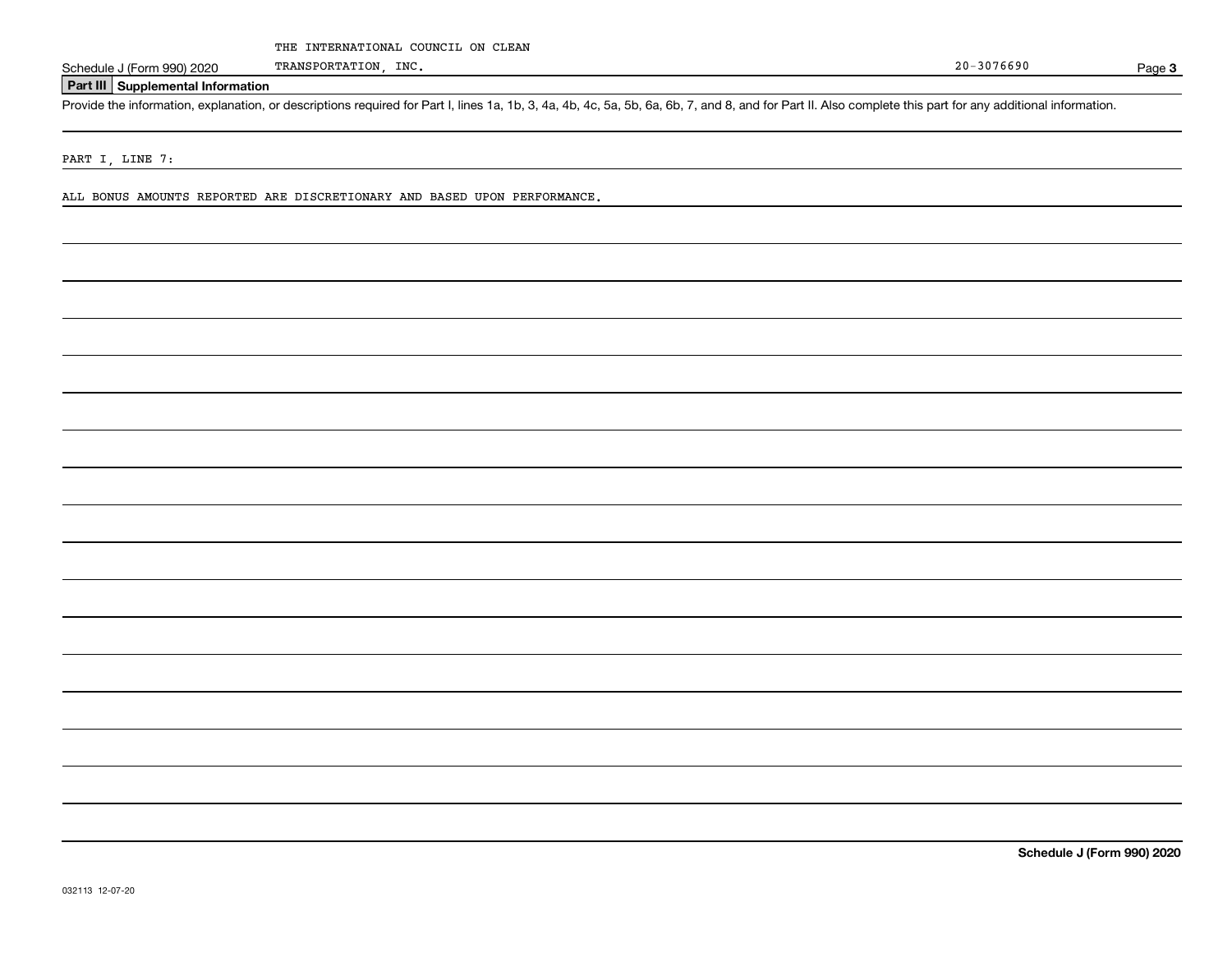Page 3

### **Part III Supplemental Information**

Schedule J (Form 990) 2020 TRANSPORTATION, INC.<br>
Part III Supplemental Information<br>
Provide the information, explanation, or descriptions required for Part I, lines 1a, 1b, 3, 4a, 4b, 4c, 5a, 5b, 6a, 6b, 7, and 8, and for

PART I, LINE 7:

ALL BONUS AMOUNTS REPORTED ARE DISCRETIONARY AND BASED UPON PERFORMANCE.

TRANSPORTATION, INC.

**Schedule J (Form 990) 2020**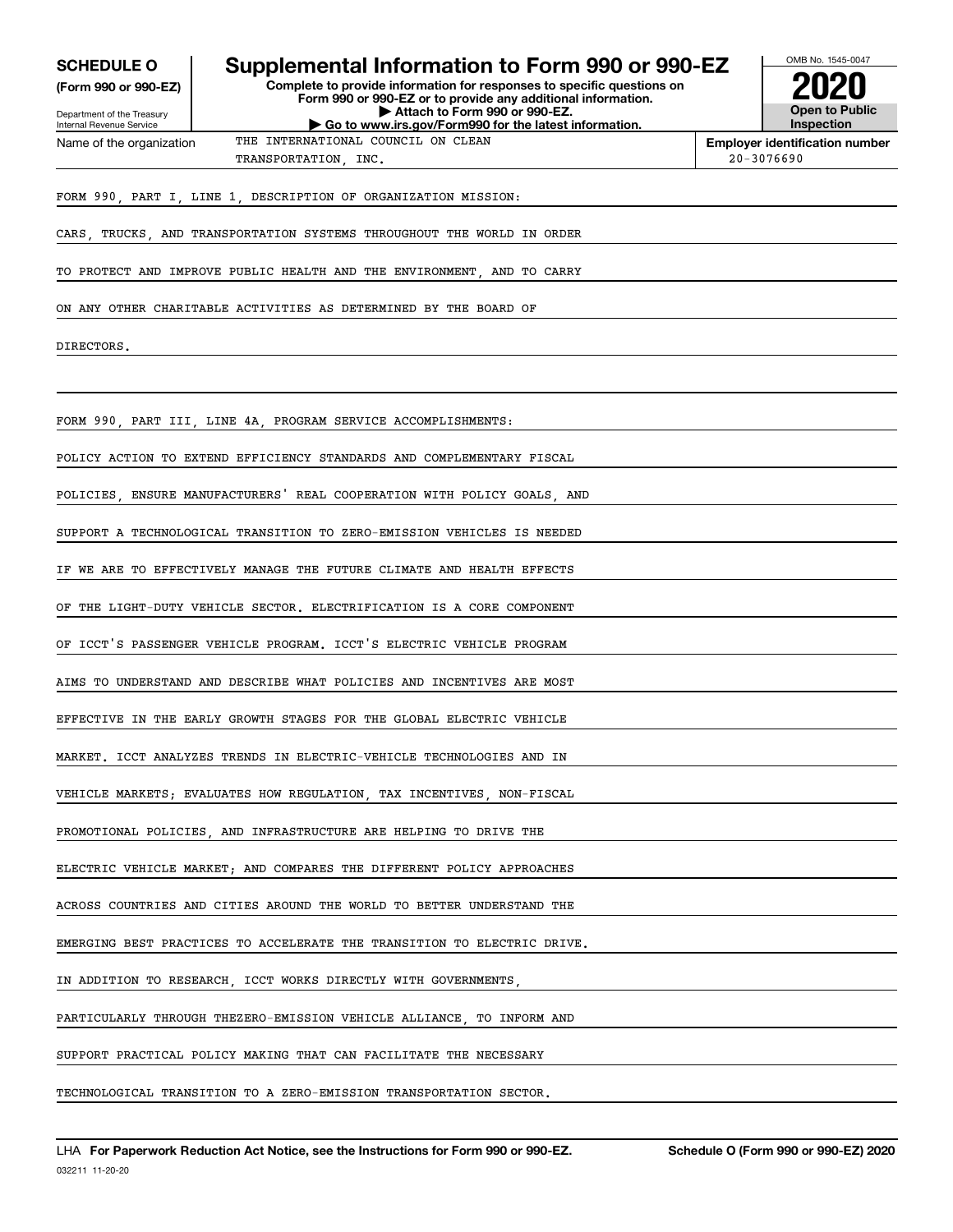| <b>SCHEDULE O</b>                                      |                                                                         | Supplemental Information to Form 990 or 990-EZ                                                                                         | OMB No. 1545-0047                     |
|--------------------------------------------------------|-------------------------------------------------------------------------|----------------------------------------------------------------------------------------------------------------------------------------|---------------------------------------|
| (Form 990 or 990-EZ)                                   |                                                                         | Complete to provide information for responses to specific questions on<br>Form 990 or 990-EZ or to provide any additional information. |                                       |
| Department of the Treasury<br>Internal Revenue Service |                                                                         | Attach to Form 990 or 990-EZ.<br>Go to www.irs.gov/Form990 for the latest information.                                                 | Open to Public<br><b>Inspection</b>   |
| Name of the organization                               | THE INTERNATIONAL COUNCIL ON CLEAN                                      |                                                                                                                                        | <b>Employer identification number</b> |
|                                                        | TRANSPORTATION, INC.                                                    |                                                                                                                                        | $20 - 3076690$                        |
|                                                        | FORM 990, PART I, LINE 1, DESCRIPTION OF ORGANIZATION MISSION:          |                                                                                                                                        |                                       |
|                                                        | CARS TRUCKS AND TRANSPORTATION SYSTEMS THROUGHOUT THE WORLD IN ORDER    |                                                                                                                                        |                                       |
|                                                        | TO PROTECT AND IMPROVE PUBLIC HEALTH AND THE ENVIRONMENT, AND TO CARRY  |                                                                                                                                        |                                       |
|                                                        | ON ANY OTHER CHARITABLE ACTIVITIES AS DETERMINED BY THE BOARD OF        |                                                                                                                                        |                                       |
| DIRECTORS.                                             |                                                                         |                                                                                                                                        |                                       |
|                                                        |                                                                         |                                                                                                                                        |                                       |
|                                                        | FORM 990, PART III, LINE 4A, PROGRAM SERVICE ACCOMPLISHMENTS:           |                                                                                                                                        |                                       |
|                                                        | POLICY ACTION TO EXTEND EFFICIENCY STANDARDS AND COMPLEMENTARY FISCAL   |                                                                                                                                        |                                       |
|                                                        | POLICIES, ENSURE MANUFACTURERS' REAL COOPERATION WITH POLICY GOALS, AND |                                                                                                                                        |                                       |
|                                                        | SUPPORT A TECHNOLOGICAL TRANSITION TO ZERO-EMISSION VEHICLES IS NEEDED  |                                                                                                                                        |                                       |
|                                                        | IF WE ARE TO EFFECTIVELY MANAGE THE FUTURE CLIMATE AND HEALTH EFFECTS   |                                                                                                                                        |                                       |
|                                                        | OF THE LIGHT-DUTY VEHICLE SECTOR. ELECTRIFICATION IS A CORE COMPONENT   |                                                                                                                                        |                                       |
|                                                        | OF ICCT'S PASSENGER VEHICLE PROGRAM. ICCT'S ELECTRIC VEHICLE PROGRAM    |                                                                                                                                        |                                       |
|                                                        | AIMS TO UNDERSTAND AND DESCRIBE WHAT POLICIES AND INCENTIVES ARE MOST   |                                                                                                                                        |                                       |
|                                                        | EFFECTIVE IN THE EARLY GROWTH STAGES FOR THE GLOBAL ELECTRIC VEHICLE    |                                                                                                                                        |                                       |
|                                                        | MARKET. ICCT ANALYZES TRENDS IN ELECTRIC-VEHICLE TECHNOLOGIES AND IN    |                                                                                                                                        |                                       |
|                                                        | VEHICLE MARKETS; EVALUATES HOW REGULATION, TAX INCENTIVES, NON-FISCAL   |                                                                                                                                        |                                       |
|                                                        | PROMOTIONAL POLICIES, AND INFRASTRUCTURE ARE HELPING TO DRIVE THE       |                                                                                                                                        |                                       |
|                                                        | ELECTRIC VEHICLE MARKET; AND COMPARES THE DIFFERENT POLICY APPROACHES   |                                                                                                                                        |                                       |
|                                                        | ACROSS COUNTRIES AND CITIES AROUND THE WORLD TO BETTER UNDERSTAND THE   |                                                                                                                                        |                                       |
|                                                        | EMERGING BEST PRACTICES TO ACCELERATE THE TRANSITION TO ELECTRIC DRIVE. |                                                                                                                                        |                                       |
|                                                        | IN ADDITION TO RESEARCH, ICCT WORKS DIRECTLY WITH GOVERNMENTS,          |                                                                                                                                        |                                       |
|                                                        | PARTICULARLY THROUGH THEZERO-EMISSION VEHICLE ALLIANCE, TO INFORM AND   |                                                                                                                                        |                                       |
|                                                        | SUPPORT PRACTICAL POLICY MAKING THAT CAN FACILITATE THE NECESSARY       |                                                                                                                                        |                                       |
|                                                        | TECHNOLOGICAL TRANSITION TO A ZERO-EMISSION TRANSPORTATION SECTOR.      |                                                                                                                                        |                                       |
|                                                        |                                                                         |                                                                                                                                        |                                       |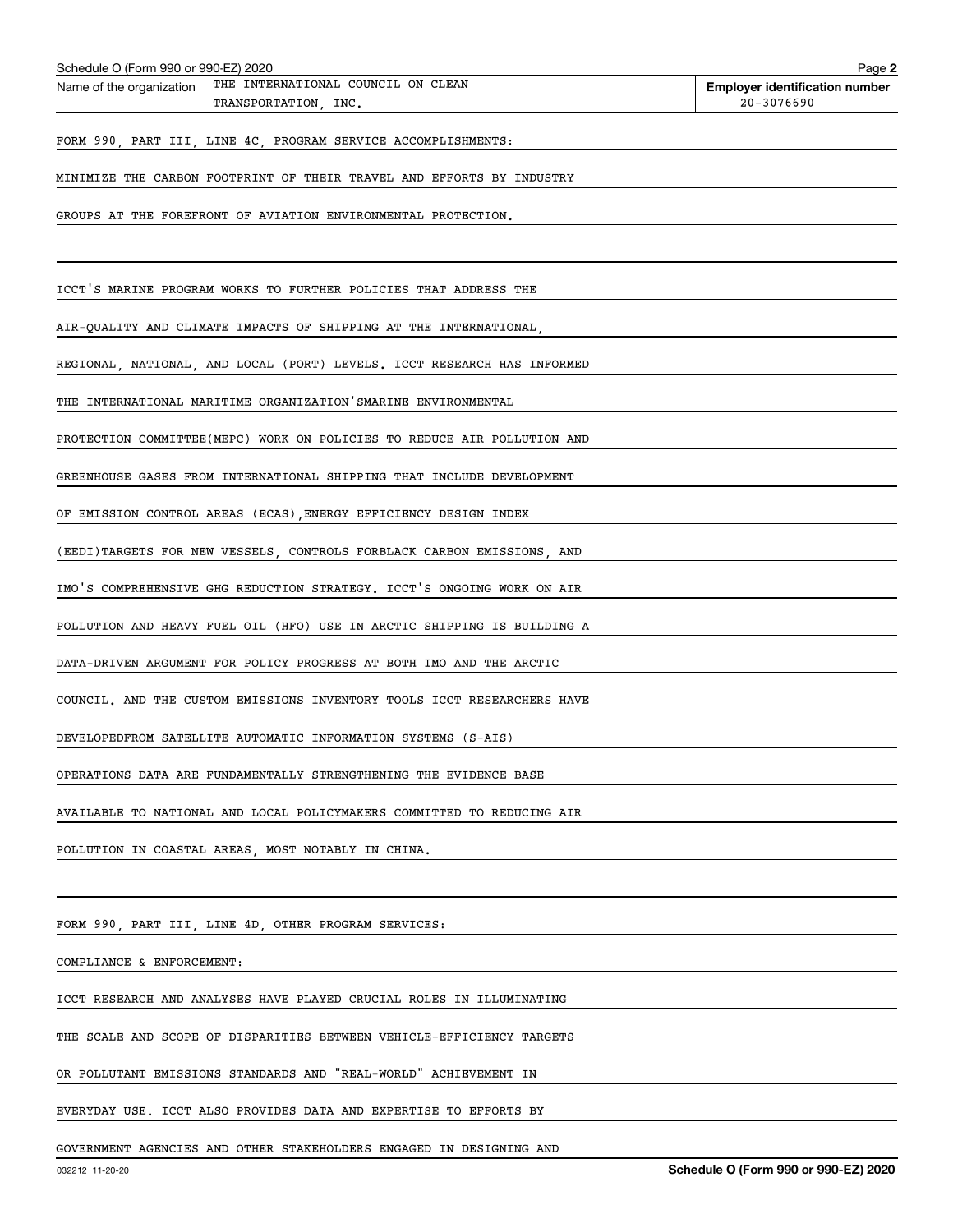| Schedule O (Form 990 or 990-EZ) 2020                                                   | Page 2                                                  |
|----------------------------------------------------------------------------------------|---------------------------------------------------------|
| THE INTERNATIONAL COUNCIL ON CLEAN<br>Name of the organization<br>TRANSPORTATION, INC. | <b>Employer identification number</b><br>$20 - 3076690$ |
| FORM 990, PART III, LINE 4C, PROGRAM SERVICE ACCOMPLISHMENTS:                          |                                                         |
| MINIMIZE THE CARBON FOOTPRINT OF THEIR TRAVEL AND EFFORTS BY INDUSTRY                  |                                                         |
| GROUPS AT THE FOREFRONT OF AVIATION ENVIRONMENTAL PROTECTION.                          |                                                         |
|                                                                                        |                                                         |
| ICCT'S MARINE PROGRAM WORKS TO FURTHER POLICIES THAT ADDRESS THE                       |                                                         |
| AIR-QUALITY AND CLIMATE IMPACTS OF SHIPPING AT THE INTERNATIONAL,                      |                                                         |
| REGIONAL, NATIONAL, AND LOCAL (PORT) LEVELS. ICCT RESEARCH HAS INFORMED                |                                                         |
| THE INTERNATIONAL MARITIME ORGANIZATION'SMARINE ENVIRONMENTAL                          |                                                         |
| PROTECTION COMMITTEE(MEPC) WORK ON POLICIES TO REDUCE AIR POLLUTION AND                |                                                         |
| GREENHOUSE GASES FROM INTERNATIONAL SHIPPING THAT INCLUDE DEVELOPMENT                  |                                                         |
| OF EMISSION CONTROL AREAS (ECAS), ENERGY EFFICIENCY DESIGN INDEX                       |                                                         |
| (EEDI)TARGETS FOR NEW VESSELS, CONTROLS FORBLACK CARBON EMISSIONS, AND                 |                                                         |
| IMO'S COMPREHENSIVE GHG REDUCTION STRATEGY. ICCT'S ONGOING WORK ON AIR                 |                                                         |
| POLLUTION AND HEAVY FUEL OIL (HFO) USE IN ARCTIC SHIPPING IS BUILDING A                |                                                         |
| DATA-DRIVEN ARGUMENT FOR POLICY PROGRESS AT BOTH IMO AND THE ARCTIC                    |                                                         |
| COUNCIL. AND THE CUSTOM EMISSIONS INVENTORY TOOLS ICCT RESEARCHERS HAVE                |                                                         |
| DEVELOPEDFROM SATELLITE AUTOMATIC INFORMATION SYSTEMS (S-AIS)                          |                                                         |
| OPERATIONS DATA ARE FUNDAMENTALLY STRENGTHENING THE EVIDENCE BASE                      |                                                         |
| AVAILABLE TO NATIONAL AND LOCAL POLICYMAKERS COMMITTED TO REDUCING AIR                 |                                                         |
| POLLUTION IN COASTAL AREAS, MOST NOTABLY IN CHINA.                                     |                                                         |
|                                                                                        |                                                         |
| FORM 990, PART III, LINE 4D, OTHER PROGRAM SERVICES:                                   |                                                         |
| COMPLIANCE & ENFORCEMENT:                                                              |                                                         |
| ICCT RESEARCH AND ANALYSES HAVE PLAYED CRUCIAL ROLES IN ILLUMINATING                   |                                                         |
| THE SCALE AND SCOPE OF DISPARITIES BETWEEN VEHICLE-EFFICIENCY TARGETS                  |                                                         |
| OR POLLUTANT EMISSIONS STANDARDS AND "REAL-WORLD" ACHIEVEMENT IN                       |                                                         |

EVERYDAY USE. ICCT ALSO PROVIDES DATA AND EXPERTISE TO EFFORTS BY

GOVERNMENT AGENCIES AND OTHER STAKEHOLDERS ENGAGED IN DESIGNING AND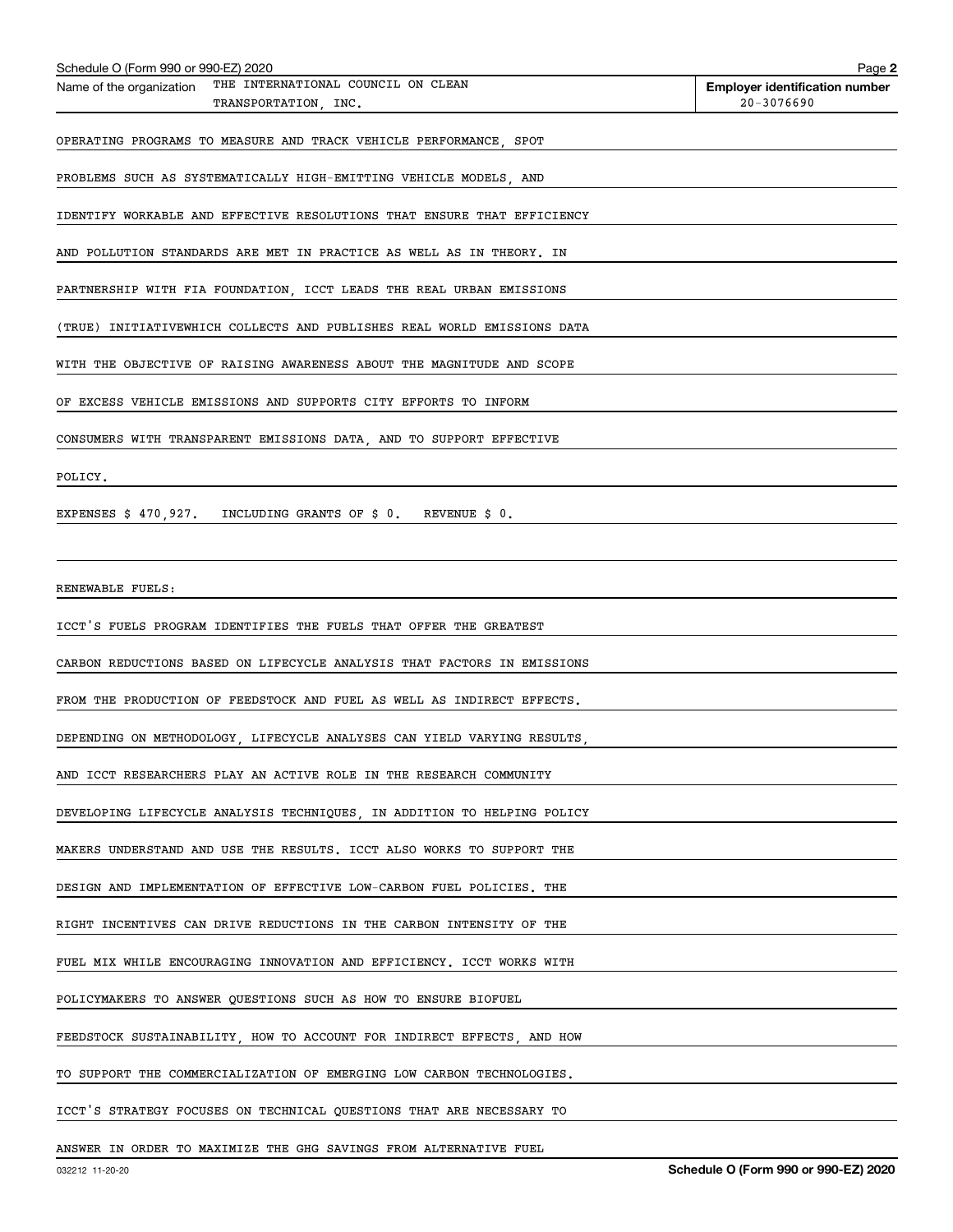| Schedule O (Form 990 or 990-EZ) 2020 |                                                                         | Page 2                                |
|--------------------------------------|-------------------------------------------------------------------------|---------------------------------------|
| Name of the organization             | THE INTERNATIONAL COUNCIL ON CLEAN                                      | <b>Employer identification number</b> |
|                                      | TRANSPORTATION, INC.                                                    | $20 - 3076690$                        |
|                                      | OPERATING PROGRAMS TO MEASURE AND TRACK VEHICLE PERFORMANCE, SPOT       |                                       |
|                                      | PROBLEMS SUCH AS SYSTEMATICALLY HIGH-EMITTING VEHICLE MODELS, AND       |                                       |
|                                      | IDENTIFY WORKABLE AND EFFECTIVE RESOLUTIONS THAT ENSURE THAT EFFICIENCY |                                       |
|                                      | AND POLLUTION STANDARDS ARE MET IN PRACTICE AS WELL AS IN THEORY. IN    |                                       |
|                                      | PARTNERSHIP WITH FIA FOUNDATION, ICCT LEADS THE REAL URBAN EMISSIONS    |                                       |
|                                      | (TRUE) INITIATIVEWHICH COLLECTS AND PUBLISHES REAL WORLD EMISSIONS DATA |                                       |
|                                      | WITH THE OBJECTIVE OF RAISING AWARENESS ABOUT THE MAGNITUDE AND SCOPE   |                                       |
|                                      | OF EXCESS VEHICLE EMISSIONS AND SUPPORTS CITY EFFORTS TO INFORM         |                                       |
|                                      | CONSUMERS WITH TRANSPARENT EMISSIONS DATA, AND TO SUPPORT EFFECTIVE     |                                       |
| POLICY.                              |                                                                         |                                       |
|                                      | EXPENSES \$ 470,927. INCLUDING GRANTS OF \$ 0. REVENUE \$ 0.            |                                       |
|                                      |                                                                         |                                       |
| RENEWABLE FUELS:                     |                                                                         |                                       |
|                                      | ICCT'S FUELS PROGRAM IDENTIFIES THE FUELS THAT OFFER THE GREATEST       |                                       |
|                                      | CARBON REDUCTIONS BASED ON LIFECYCLE ANALYSIS THAT FACTORS IN EMISSIONS |                                       |
|                                      | FROM THE PRODUCTION OF FEEDSTOCK AND FUEL AS WELL AS INDIRECT EFFECTS.  |                                       |
|                                      | DEPENDING ON METHODOLOGY, LIFECYCLE ANALYSES CAN YIELD VARYING RESULTS, |                                       |
|                                      | AND ICCT RESEARCHERS PLAY AN ACTIVE ROLE IN THE RESEARCH COMMUNITY      |                                       |
|                                      | DEVELOPING LIFECYCLE ANALYSIS TECHNIQUES, IN ADDITION TO HELPING POLICY |                                       |
|                                      | MAKERS UNDERSTAND AND USE THE RESULTS. ICCT ALSO WORKS TO SUPPORT THE   |                                       |
|                                      | DESIGN AND IMPLEMENTATION OF EFFECTIVE LOW-CARBON FUEL POLICIES. THE    |                                       |
|                                      | RIGHT INCENTIVES CAN DRIVE REDUCTIONS IN THE CARBON INTENSITY OF THE    |                                       |
|                                      | FUEL MIX WHILE ENCOURAGING INNOVATION AND EFFICIENCY. ICCT WORKS WITH   |                                       |
|                                      | POLICYMAKERS TO ANSWER QUESTIONS SUCH AS HOW TO ENSURE BIOFUEL          |                                       |
|                                      | FEEDSTOCK SUSTAINABILITY, HOW TO ACCOUNT FOR INDIRECT EFFECTS, AND HOW  |                                       |
|                                      | TO SUPPORT THE COMMERCIALIZATION OF EMERGING LOW CARBON TECHNOLOGIES.   |                                       |
|                                      | ICCT'S STRATEGY FOCUSES ON TECHNICAL QUESTIONS THAT ARE NECESSARY TO    |                                       |
|                                      |                                                                         |                                       |

ANSWER IN ORDER TO MAXIMIZE THE GHG SAVINGS FROM ALTERNATIVE FUEL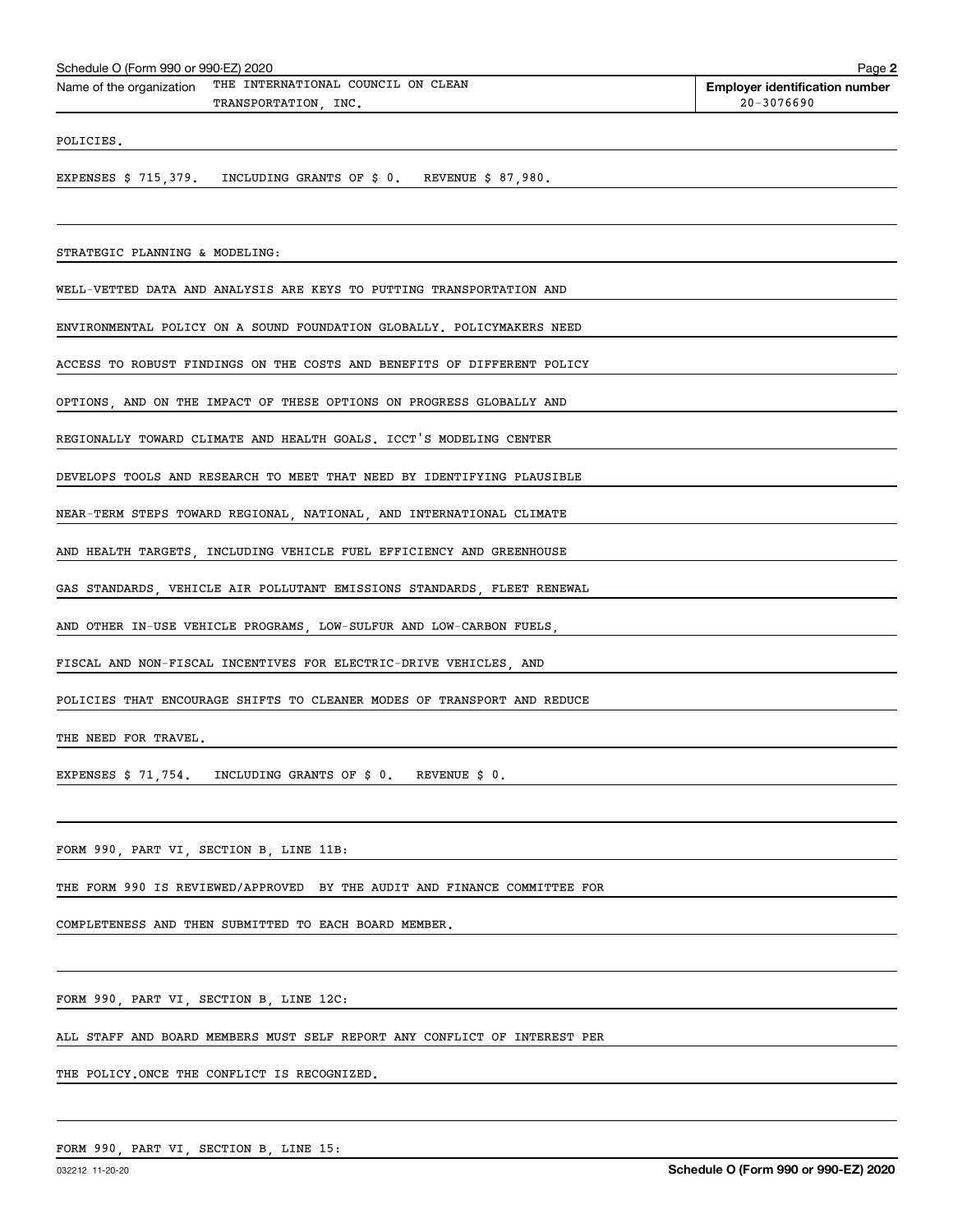| Schedule O (Form 990 or 990-EZ) 2020 |  |  |
|--------------------------------------|--|--|
|                                      |  |  |

Schedule O (Form 990 or 990-EZ) 2020<br>Name of the organization <sup>THE</sup> INTERNATIONAL COUNCIL ON CLEAN **Employer identification number** TRANSPORTATION, INC. 20.3076690

POLICIES.

EXPENSES \$ 715,379. INCLUDING GRANTS OF \$ 0. REVENUE \$ 87,980.

STRATEGIC PLANNING & MODELING:

WELL-VETTED DATA AND ANALYSIS ARE KEYS TO PUTTING TRANSPORTATION AND

ENVIRONMENTAL POLICY ON A SOUND FOUNDATION GLOBALLY. POLICYMAKERS NEED

ACCESS TO ROBUST FINDINGS ON THE COSTS AND BENEFITS OF DIFFERENT POLICY

OPTIONS, AND ON THE IMPACT OF THESE OPTIONS ON PROGRESS GLOBALLY AND

REGIONALLY TOWARD CLIMATE AND HEALTH GOALS. ICCT'S MODELING CENTER

DEVELOPS TOOLS AND RESEARCH TO MEET THAT NEED BY IDENTIFYING PLAUSIBLE

NEAR-TERM STEPS TOWARD REGIONAL, NATIONAL, AND INTERNATIONAL CLIMATE

AND HEALTH TARGETS, INCLUDING VEHICLE FUEL EFFICIENCY AND GREENHOUSE

GAS STANDARDS, VEHICLE AIR POLLUTANT EMISSIONS STANDARDS, FLEET RENEWAL

AND OTHER IN-USE VEHICLE PROGRAMS, LOW-SULFUR AND LOW-CARBON FUELS

FISCAL AND NON-FISCAL INCENTIVES FOR ELECTRIC-DRIVE VEHICLES, AND

POLICIES THAT ENCOURAGE SHIFTS TO CLEANER MODES OF TRANSPORT AND REDUCE

THE NEED FOR TRAVEL.

EXPENSES \$ 71,754. INCLUDING GRANTS OF \$ 0. REVENUE \$ 0.

FORM 990, PART VI, SECTION B, LINE 11B:

THE FORM 990 IS REVIEWED/APPROVED BY THE AUDIT AND FINANCE COMMITTEE FOR

COMPLETENESS AND THEN SUBMITTED TO EACH BOARD MEMBER.

FORM 990, PART VI, SECTION B, LINE 12C:

ALL STAFF AND BOARD MEMBERS MUST SELF REPORT ANY CONFLICT OF INTEREST PER

THE POLICY.ONCE THE CONFLICT IS RECOGNIZED.

FORM 990, PART VI, SECTION B, LINE 15: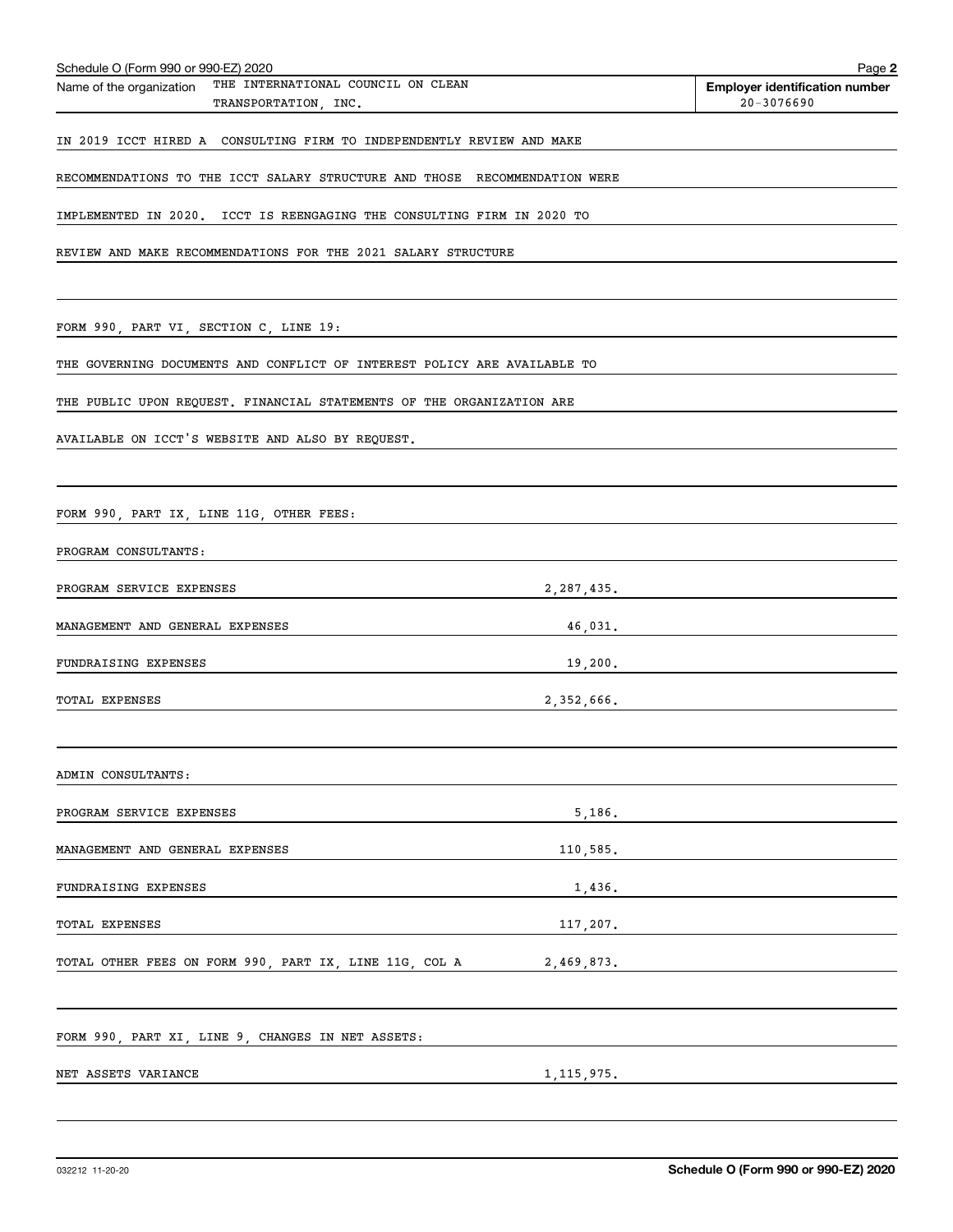| Schedule O (Form 990 or 990-EZ) 2020                                                   |              | Page 2                                              |
|----------------------------------------------------------------------------------------|--------------|-----------------------------------------------------|
| THE INTERNATIONAL COUNCIL ON CLEAN<br>Name of the organization<br>TRANSPORTATION, INC. |              | <b>Employer identification number</b><br>20-3076690 |
|                                                                                        |              |                                                     |
| IN 2019 ICCT HIRED A CONSULTING FIRM TO INDEPENDENTLY REVIEW AND MAKE                  |              |                                                     |
| RECOMMENDATIONS TO THE ICCT SALARY STRUCTURE AND THOSE RECOMMENDATION WERE             |              |                                                     |
| IMPLEMENTED IN 2020. ICCT IS REENGAGING THE CONSULTING FIRM IN 2020 TO                 |              |                                                     |
| REVIEW AND MAKE RECOMMENDATIONS FOR THE 2021 SALARY STRUCTURE                          |              |                                                     |
|                                                                                        |              |                                                     |
|                                                                                        |              |                                                     |
| FORM 990, PART VI, SECTION C, LINE 19:                                                 |              |                                                     |
| THE GOVERNING DOCUMENTS AND CONFLICT OF INTEREST POLICY ARE AVAILABLE TO               |              |                                                     |
| THE PUBLIC UPON REQUEST. FINANCIAL STATEMENTS OF THE ORGANIZATION ARE                  |              |                                                     |
| AVAILABLE ON ICCT'S WEBSITE AND ALSO BY REQUEST.                                       |              |                                                     |
|                                                                                        |              |                                                     |
|                                                                                        |              |                                                     |
| FORM 990, PART IX, LINE 11G, OTHER FEES:                                               |              |                                                     |
| PROGRAM CONSULTANTS:                                                                   |              |                                                     |
| PROGRAM SERVICE EXPENSES                                                               | 2,287,435.   |                                                     |
| MANAGEMENT AND GENERAL EXPENSES                                                        | 46,031.      |                                                     |
| FUNDRAISING EXPENSES                                                                   | 19,200.      |                                                     |
|                                                                                        |              |                                                     |
| <b>TOTAL EXPENSES</b>                                                                  | 2,352,666.   |                                                     |
|                                                                                        |              |                                                     |
| ADMIN CONSULTANTS:                                                                     |              |                                                     |
| PROGRAM SERVICE EXPENSES                                                               | 5,186.       |                                                     |
| MANAGEMENT AND GENERAL EXPENSES                                                        | 110,585.     |                                                     |
| FUNDRAISING EXPENSES                                                                   | 1,436.       |                                                     |
|                                                                                        |              |                                                     |
| <b>TOTAL EXPENSES</b>                                                                  | 117,207.     |                                                     |
| TOTAL OTHER FEES ON FORM 990, PART IX, LINE 11G, COL A                                 | 2,469,873.   |                                                     |
|                                                                                        |              |                                                     |
| FORM 990, PART XI, LINE 9, CHANGES IN NET ASSETS:                                      |              |                                                     |
| NET ASSETS VARIANCE                                                                    | 1, 115, 975. |                                                     |
|                                                                                        |              |                                                     |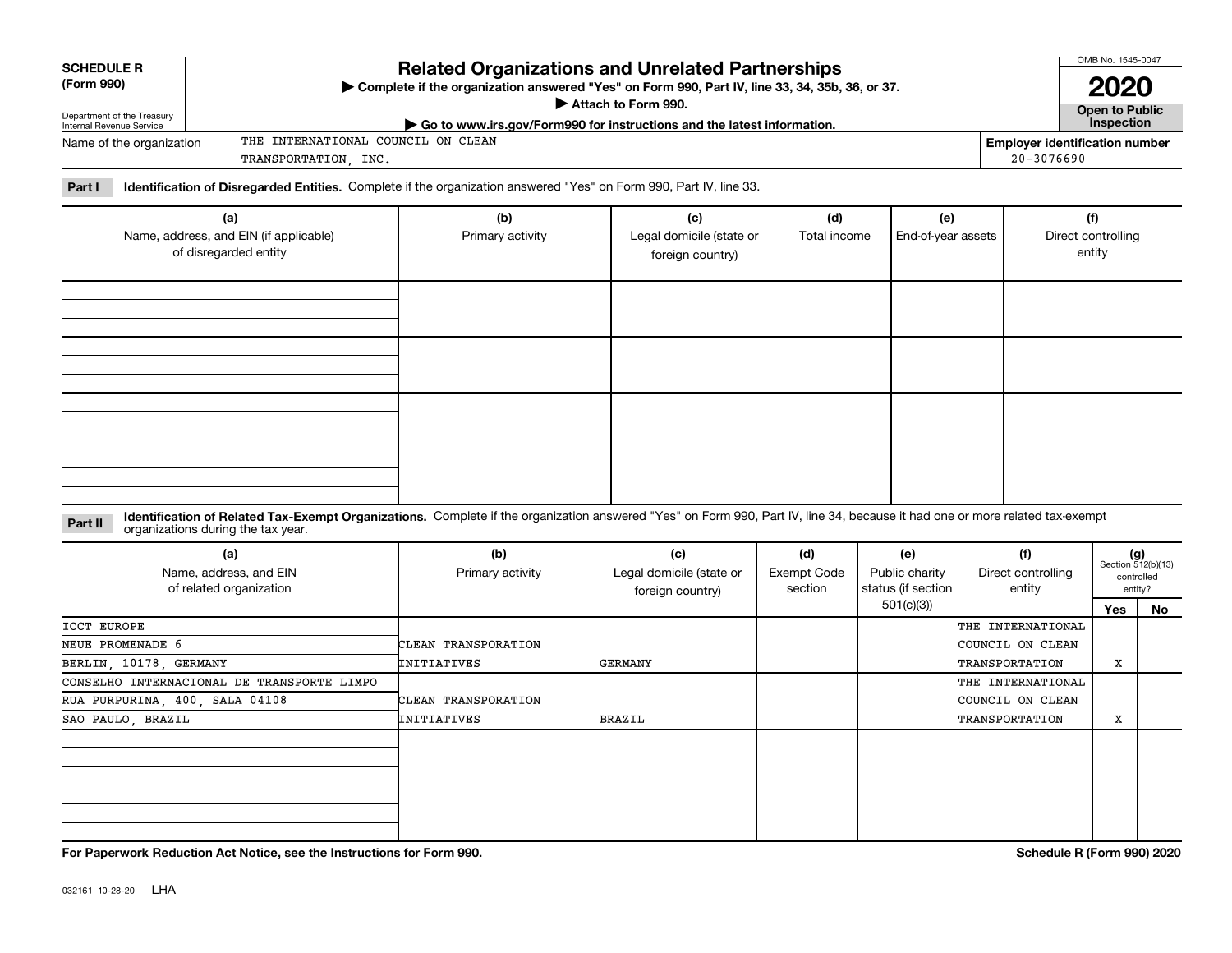| <b>SCHEDULE R</b> |
|-------------------|
|                   |

Department of the Treasury

#### **(Form 990)**

## **Related Organizations and Unrelated Partnerships**

**Complete if the organization answered "Yes" on Form 990, Part IV, line 33, 34, 35b, 36, or 37.** |

**Attach to Form 990.**  |

OMB No. 1545-0047

**Open to Public 2020**

|  |  | , han ta tanna    |  |
|--|--|-------------------|--|
|  |  | <b>Inspection</b> |  |
|  |  |                   |  |

| Internal Revenue Service | $\triangleright$ Go to www.irs.gov/Form990 for instructions and the latest information. |                | Inspection                     |
|--------------------------|-----------------------------------------------------------------------------------------|----------------|--------------------------------|
| Name of the organization | INTERNATIONAL COUNCIL ON CLEAN<br>THE                                                   |                | Emplover identification number |
|                          | INC.<br>TRANSPORTATION                                                                  | $20 - 3076690$ |                                |

**Part I Identification of Disregarded Entities.**  Complete if the organization answered "Yes" on Form 990, Part IV, line 33.

| (a)<br>Name, address, and EIN (if applicable)<br>of disregarded entity | (b)<br>Primary activity | (c)<br>Legal domicile (state or<br>foreign country) | (d)<br>Total income | (e)<br>End-of-year assets | (f)<br>Direct controlling<br>entity |
|------------------------------------------------------------------------|-------------------------|-----------------------------------------------------|---------------------|---------------------------|-------------------------------------|
|                                                                        |                         |                                                     |                     |                           |                                     |
|                                                                        |                         |                                                     |                     |                           |                                     |
|                                                                        |                         |                                                     |                     |                           |                                     |
|                                                                        |                         |                                                     |                     |                           |                                     |

**Identification of Related Tax-Exempt Organizations.** Complete if the organization answered "Yes" on Form 990, Part IV, line 34, because it had one or more related tax-exempt **Part II** organizations during the tax year.

| (a)<br>Name, address, and EIN<br>of related organization | (b)<br>Primary activity | (c)<br>Legal domicile (state or<br>foreign country) | (d)<br>Exempt Code<br>section | (e)<br>Public charity<br>status (if section | (f)<br>Direct controlling<br>entity |     | $(g)$<br>Section 512(b)(13)<br>controlled<br>entity? |
|----------------------------------------------------------|-------------------------|-----------------------------------------------------|-------------------------------|---------------------------------------------|-------------------------------------|-----|------------------------------------------------------|
|                                                          |                         |                                                     |                               | 501(c)(3))                                  |                                     | Yes | No                                                   |
| ICCT EUROPE                                              |                         |                                                     |                               |                                             | THE INTERNATIONAL                   |     |                                                      |
| NEUE PROMENADE 6                                         | CLEAN TRANSPORATION     |                                                     |                               |                                             | COUNCIL ON CLEAN                    |     |                                                      |
| BERLIN, 10178, GERMANY                                   | INITIATIVES             | GERMANY                                             |                               |                                             | TRANSPORTATION                      | X   |                                                      |
| CONSELHO INTERNACIONAL DE TRANSPORTE LIMPO               |                         |                                                     |                               |                                             | THE INTERNATIONAL                   |     |                                                      |
| RUA PURPURINA, 400, SALA 04108                           | CLEAN TRANSPORATION     |                                                     |                               |                                             | COUNCIL ON CLEAN                    |     |                                                      |
| SAO PAULO, BRAZIL                                        | INITIATIVES             | <b>BRAZIL</b>                                       |                               |                                             | TRANSPORTATION                      | X   |                                                      |
|                                                          |                         |                                                     |                               |                                             |                                     |     |                                                      |
|                                                          |                         |                                                     |                               |                                             |                                     |     |                                                      |

**For Paperwork Reduction Act Notice, see the Instructions for Form 990. Schedule R (Form 990) 2020**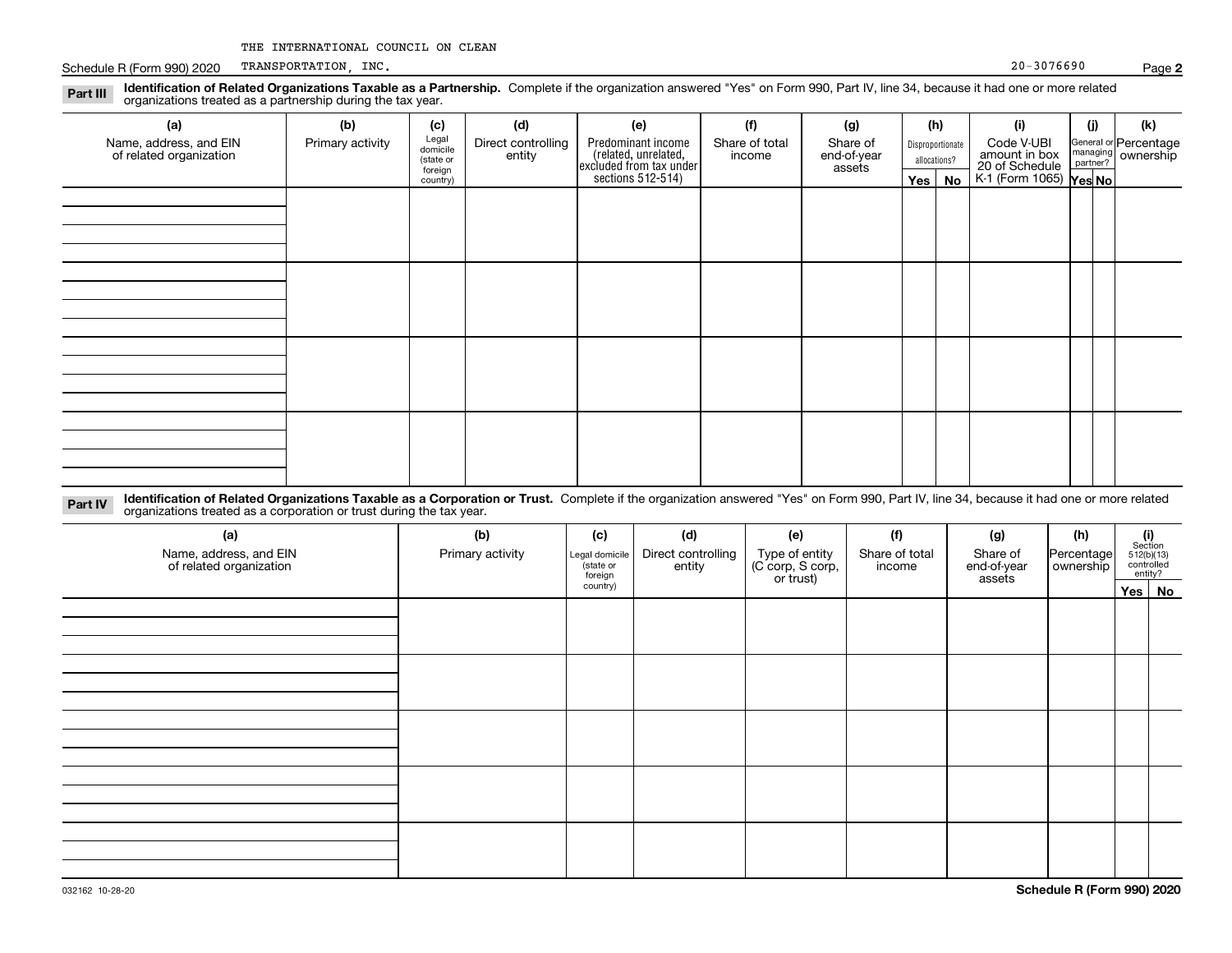Schedule R (Form 990) 2020 TRANSPORTATION, INC. Schedule R (Form 990) 2020 TRANSPORTATION, INC. TRANSPORTATION, INC.

**Part III**

| .4.1.1<br>organizations treated as a partnership during the tax year. |                  |                                           |                              |                                                                                           |                          |                                   |                                  |          |                                               |     |                                             |
|-----------------------------------------------------------------------|------------------|-------------------------------------------|------------------------------|-------------------------------------------------------------------------------------------|--------------------------|-----------------------------------|----------------------------------|----------|-----------------------------------------------|-----|---------------------------------------------|
| (a)                                                                   | (b)              | (c)                                       | (d)                          | (e)                                                                                       | (f)                      | (g)                               | (h)                              |          | (i)                                           | (j) | (k)                                         |
| Name, address, and EIN<br>of related organization                     | Primary activity | Legal<br>domicile<br>(state or<br>foreign | Direct controlling<br>entity | Predominant income<br>related, unrelated,<br>excluded from tax under<br>sections 512-514) | Share of total<br>income | Share of<br>end-of-year<br>assets | Disproportionate<br>allocations? |          | Code V-UBI<br>amount in box<br>20 of Schedule |     | General or Percentage<br>managing ownership |
|                                                                       |                  | country)                                  |                              |                                                                                           |                          |                                   |                                  | Yes   No | $K-1$ (Form 1065) $\sqrt{res}$ No             |     |                                             |
|                                                                       |                  |                                           |                              |                                                                                           |                          |                                   |                                  |          |                                               |     |                                             |
|                                                                       |                  |                                           |                              |                                                                                           |                          |                                   |                                  |          |                                               |     |                                             |
|                                                                       |                  |                                           |                              |                                                                                           |                          |                                   |                                  |          |                                               |     |                                             |
|                                                                       |                  |                                           |                              |                                                                                           |                          |                                   |                                  |          |                                               |     |                                             |
|                                                                       |                  |                                           |                              |                                                                                           |                          |                                   |                                  |          |                                               |     |                                             |
|                                                                       |                  |                                           |                              |                                                                                           |                          |                                   |                                  |          |                                               |     |                                             |
|                                                                       |                  |                                           |                              |                                                                                           |                          |                                   |                                  |          |                                               |     |                                             |
|                                                                       |                  |                                           |                              |                                                                                           |                          |                                   |                                  |          |                                               |     |                                             |
|                                                                       |                  |                                           |                              |                                                                                           |                          |                                   |                                  |          |                                               |     |                                             |
|                                                                       |                  |                                           |                              |                                                                                           |                          |                                   |                                  |          |                                               |     |                                             |
|                                                                       |                  |                                           |                              |                                                                                           |                          |                                   |                                  |          |                                               |     |                                             |
|                                                                       |                  |                                           |                              |                                                                                           |                          |                                   |                                  |          |                                               |     |                                             |
|                                                                       |                  |                                           |                              |                                                                                           |                          |                                   |                                  |          |                                               |     |                                             |
|                                                                       |                  |                                           |                              |                                                                                           |                          |                                   |                                  |          |                                               |     |                                             |
|                                                                       |                  |                                           |                              |                                                                                           |                          |                                   |                                  |          |                                               |     |                                             |
|                                                                       |                  |                                           |                              |                                                                                           |                          |                                   |                                  |          |                                               |     |                                             |

**Identification of Related Organizations Taxable as a Partnership.** Complete if the organization answered "Yes" on Form 990, Part IV, line 34, because it had one or more related

**Identification of Related Organizations Taxable as a Corporation or Trust.** Complete if the organization answered "Yes" on Form 990, Part IV, line 34, because it had one or more related **Part IV** organizations treated as a corporation or trust during the tax year.

| (a)<br>Name, address, and EIN<br>of related organization | (b)<br>Primary activity | (d)<br>(f)<br>(c)<br>(e)<br>Direct controlling<br>Type of entity<br>(C corp, S corp,<br>Legal domicile<br>state or<br>entity<br>foreign<br>or trust) |  |  | Share of total<br>income | (g)<br>Share of<br>end-of-year<br>assets | (h)<br>Percentage<br>ownership | $\begin{array}{c} \textbf{(i)}\\ \text{Section}\\ 512 \text{(b)} \text{(13)}\\ \text{controlled}\end{array}$<br>entity? |  |
|----------------------------------------------------------|-------------------------|------------------------------------------------------------------------------------------------------------------------------------------------------|--|--|--------------------------|------------------------------------------|--------------------------------|-------------------------------------------------------------------------------------------------------------------------|--|
|                                                          |                         | country)                                                                                                                                             |  |  |                          |                                          |                                | Yes No                                                                                                                  |  |
|                                                          |                         |                                                                                                                                                      |  |  |                          |                                          |                                |                                                                                                                         |  |
|                                                          |                         |                                                                                                                                                      |  |  |                          |                                          |                                |                                                                                                                         |  |
|                                                          |                         |                                                                                                                                                      |  |  |                          |                                          |                                |                                                                                                                         |  |
|                                                          |                         |                                                                                                                                                      |  |  |                          |                                          |                                |                                                                                                                         |  |
|                                                          |                         |                                                                                                                                                      |  |  |                          |                                          |                                |                                                                                                                         |  |

**2**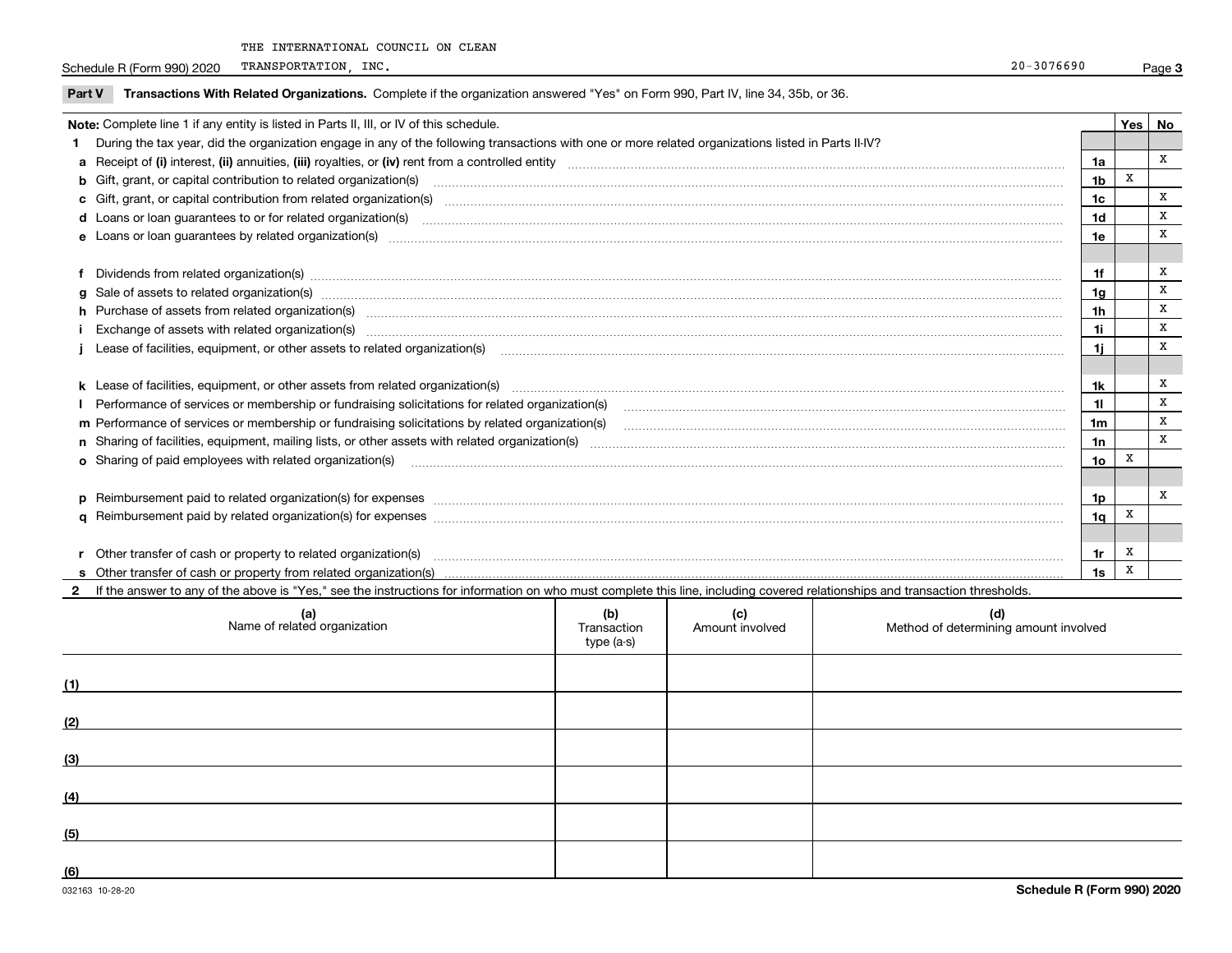Schedule R (Form 990) 2020 TRANSPORTATION, INC. Schedule R (Form 990) 2020 TRANSPORTATION, INC. TRANSPORTATION, INC.

**Part V** T**ransactions With Related Organizations.** Complete if the organization answered "Yes" on Form 990, Part IV, line 34, 35b, or 36.

| Note: Complete line 1 if any entity is listed in Parts II, III, or IV of this schedule.                                                                                                                                        |                | Yes l | No           |
|--------------------------------------------------------------------------------------------------------------------------------------------------------------------------------------------------------------------------------|----------------|-------|--------------|
| During the tax year, did the organization engage in any of the following transactions with one or more related organizations listed in Parts II-IV?                                                                            |                |       |              |
|                                                                                                                                                                                                                                | 1a             |       | X            |
|                                                                                                                                                                                                                                | 1 <sub>b</sub> | X     |              |
| c Gift, grant, or capital contribution from related organization(s) material content and contribution from related organization(s) material content and content and contribution from related organization(s) material content | 1 <sub>c</sub> |       | x            |
|                                                                                                                                                                                                                                | 1d             |       | X            |
|                                                                                                                                                                                                                                | 1e             |       | X            |
|                                                                                                                                                                                                                                |                |       |              |
| Dividends from related organization(s) Encourance and the contract of the contract of the contract of the contract of the contract of the contract of the contract of the contract of the contract of the contract of the cont | 1f             |       | x            |
| g Sale of assets to related organization(s) www.assettion.com/www.assettion.com/www.assettion.com/www.assettion.com/www.assettion.com/www.assettion.com/www.assettion.com/www.assettion.com/www.assettion.com/www.assettion.co | 1a             |       | X            |
| h Purchase of assets from related organization(s) manufactured and content to content the content of assets from related organization(s)                                                                                       | 1 <sub>h</sub> |       | x            |
| Exchange of assets with related organization(s) www.wallen.com/www.wallen.com/www.wallen.com/www.wallen.com/www.wallen.com/www.wallen.com/www.wallen.com/www.wallen.com/www.wallen.com/www.wallen.com/www.wallen.com/www.walle | 1i             |       | x            |
|                                                                                                                                                                                                                                | 11             |       | x            |
|                                                                                                                                                                                                                                |                |       |              |
| k Lease of facilities, equipment, or other assets from related organization(s) manufaction content and content to the assets from related organization(s) manufaction content and content and content and content and content  | 1k             |       | x            |
| Performance of services or membership or fundraising solicitations for related organization(s) manufaction manufaction and the manufaction of the manufacture of services or membership or fundraising solicitations for relat | 11             |       | x            |
| m Performance of services or membership or fundraising solicitations by related organization(s)                                                                                                                                | 1 <sub>m</sub> |       | x            |
|                                                                                                                                                                                                                                | 1n             |       | x            |
| <b>o</b> Sharing of paid employees with related organization(s)                                                                                                                                                                | 1o             | х     |              |
|                                                                                                                                                                                                                                |                |       |              |
| p Reimbursement paid to related organization(s) for expenses [111] resummand content to content the set of the set of the set of the set of the set of the set of the set of the set of the set of the set of the set of the s | 1p             |       | $\mathbf{x}$ |
|                                                                                                                                                                                                                                | 1 <sub>q</sub> | X     |              |
|                                                                                                                                                                                                                                |                |       |              |
| r Other transfer of cash or property to related organization(s)                                                                                                                                                                | 1r             | х     |              |
|                                                                                                                                                                                                                                | 1s             | X     |              |
| 2 If the answer to any of the above is "Yes," see the instructions for information on who must complete this line, including covered relationships and transaction thresholds.                                                 |                |       |              |

| (a)<br>Name of related organization | (b)<br>Transaction<br>type (a-s) | (c)<br>Amount involved | (d)<br>Method of determining amount involved |
|-------------------------------------|----------------------------------|------------------------|----------------------------------------------|
| (1)                                 |                                  |                        |                                              |
| (2)                                 |                                  |                        |                                              |
| (3)                                 |                                  |                        |                                              |
| (4)                                 |                                  |                        |                                              |
| (5)                                 |                                  |                        |                                              |
| (6)                                 |                                  |                        |                                              |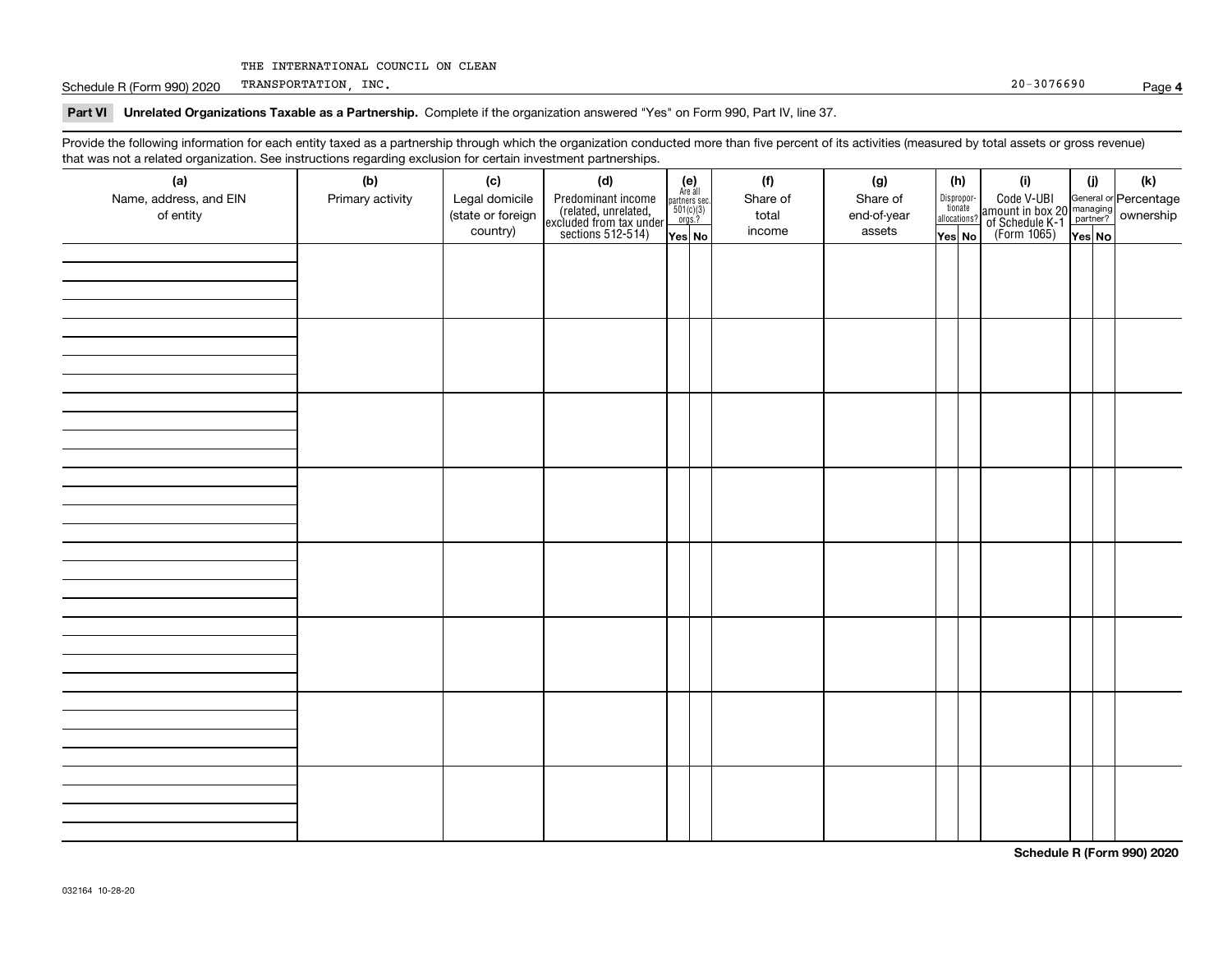Schedule R (Form 990) 2020 TRANSPORTATION, INC. Schedule R (Form 990) 2020 TRANSPORTATION, INC. TRANSPORTATION, INC.

#### **4**

#### **Part VI Unrelated Organizations Taxable as a Partnership. Complete if the organization answered "Yes" on Form 990, Part IV, line 37.**

Provide the following information for each entity taxed as a partnership through which the organization conducted more than five percent of its activities (measured by total assets or gross revenue) that was not a related organization. See instructions regarding exclusion for certain investment partnerships.

| ັ<br>(a)<br>Name, address, and EIN<br>of entity | ັ<br>ັ<br>(b)<br>Primary activity | (c)<br>Legal domicile<br>(state or foreign | and the state of the state<br>(d)<br>Predominant income<br>(related, unrelated,<br>excluded from tax under<br>sections 512-514) | (e)<br>Are all<br>partners sec.<br>$\frac{501(c)(3)}{0rgs.?}$ | (f)<br>Share of<br>total | (g)<br>Share of<br>end-of-year |        | (h)<br>Dispropor-<br>tionate<br>allocations? | (i)<br>Code V-UBI<br>amount in box 20 managing<br>of Schedule K-1<br>(Form 1065)<br>$\overline{Yes}$ No | (i)    | (k) |
|-------------------------------------------------|-----------------------------------|--------------------------------------------|---------------------------------------------------------------------------------------------------------------------------------|---------------------------------------------------------------|--------------------------|--------------------------------|--------|----------------------------------------------|---------------------------------------------------------------------------------------------------------|--------|-----|
|                                                 |                                   | country)                                   |                                                                                                                                 | Yes No                                                        | income                   | assets                         | Yes No |                                              |                                                                                                         | Yes No |     |
|                                                 |                                   |                                            |                                                                                                                                 |                                                               |                          |                                |        |                                              |                                                                                                         |        |     |
|                                                 |                                   |                                            |                                                                                                                                 |                                                               |                          |                                |        |                                              |                                                                                                         |        |     |
|                                                 |                                   |                                            |                                                                                                                                 |                                                               |                          |                                |        |                                              |                                                                                                         |        |     |
|                                                 |                                   |                                            |                                                                                                                                 |                                                               |                          |                                |        |                                              |                                                                                                         |        |     |
|                                                 |                                   |                                            |                                                                                                                                 |                                                               |                          |                                |        |                                              |                                                                                                         |        |     |
|                                                 |                                   |                                            |                                                                                                                                 |                                                               |                          |                                |        |                                              |                                                                                                         |        |     |
|                                                 |                                   |                                            |                                                                                                                                 |                                                               |                          |                                |        |                                              |                                                                                                         |        |     |
|                                                 |                                   |                                            |                                                                                                                                 |                                                               |                          |                                |        |                                              |                                                                                                         |        |     |
|                                                 |                                   |                                            |                                                                                                                                 |                                                               |                          |                                |        |                                              |                                                                                                         |        |     |
|                                                 |                                   |                                            |                                                                                                                                 |                                                               |                          |                                |        |                                              |                                                                                                         |        |     |
|                                                 |                                   |                                            |                                                                                                                                 |                                                               |                          |                                |        |                                              |                                                                                                         |        |     |
|                                                 |                                   |                                            |                                                                                                                                 |                                                               |                          |                                |        |                                              |                                                                                                         |        |     |
|                                                 |                                   |                                            |                                                                                                                                 |                                                               |                          |                                |        |                                              |                                                                                                         |        |     |
|                                                 |                                   |                                            |                                                                                                                                 |                                                               |                          |                                |        |                                              |                                                                                                         |        |     |
|                                                 |                                   |                                            |                                                                                                                                 |                                                               |                          |                                |        |                                              |                                                                                                         |        |     |
|                                                 |                                   |                                            |                                                                                                                                 |                                                               |                          |                                |        |                                              |                                                                                                         |        |     |
|                                                 |                                   |                                            |                                                                                                                                 |                                                               |                          |                                |        |                                              |                                                                                                         |        |     |
|                                                 |                                   |                                            |                                                                                                                                 |                                                               |                          |                                |        |                                              |                                                                                                         |        |     |
|                                                 |                                   |                                            |                                                                                                                                 |                                                               |                          |                                |        |                                              |                                                                                                         |        |     |
|                                                 |                                   |                                            |                                                                                                                                 |                                                               |                          |                                |        |                                              |                                                                                                         |        |     |
|                                                 |                                   |                                            |                                                                                                                                 |                                                               |                          |                                |        |                                              |                                                                                                         |        |     |
|                                                 |                                   |                                            |                                                                                                                                 |                                                               |                          |                                |        |                                              |                                                                                                         |        |     |
|                                                 |                                   |                                            |                                                                                                                                 |                                                               |                          |                                |        |                                              |                                                                                                         |        |     |
|                                                 |                                   |                                            |                                                                                                                                 |                                                               |                          |                                |        |                                              |                                                                                                         |        |     |
|                                                 |                                   |                                            |                                                                                                                                 |                                                               |                          |                                |        |                                              |                                                                                                         |        |     |
|                                                 |                                   |                                            |                                                                                                                                 |                                                               |                          |                                |        |                                              |                                                                                                         |        |     |
|                                                 |                                   |                                            |                                                                                                                                 |                                                               |                          |                                |        |                                              |                                                                                                         |        |     |
|                                                 |                                   |                                            |                                                                                                                                 |                                                               |                          |                                |        |                                              |                                                                                                         |        |     |
|                                                 |                                   |                                            |                                                                                                                                 |                                                               |                          |                                |        |                                              |                                                                                                         |        |     |
|                                                 |                                   |                                            |                                                                                                                                 |                                                               |                          |                                |        |                                              |                                                                                                         |        |     |
|                                                 |                                   |                                            |                                                                                                                                 |                                                               |                          |                                |        |                                              |                                                                                                         |        |     |

**Schedule R (Form 990) 2020**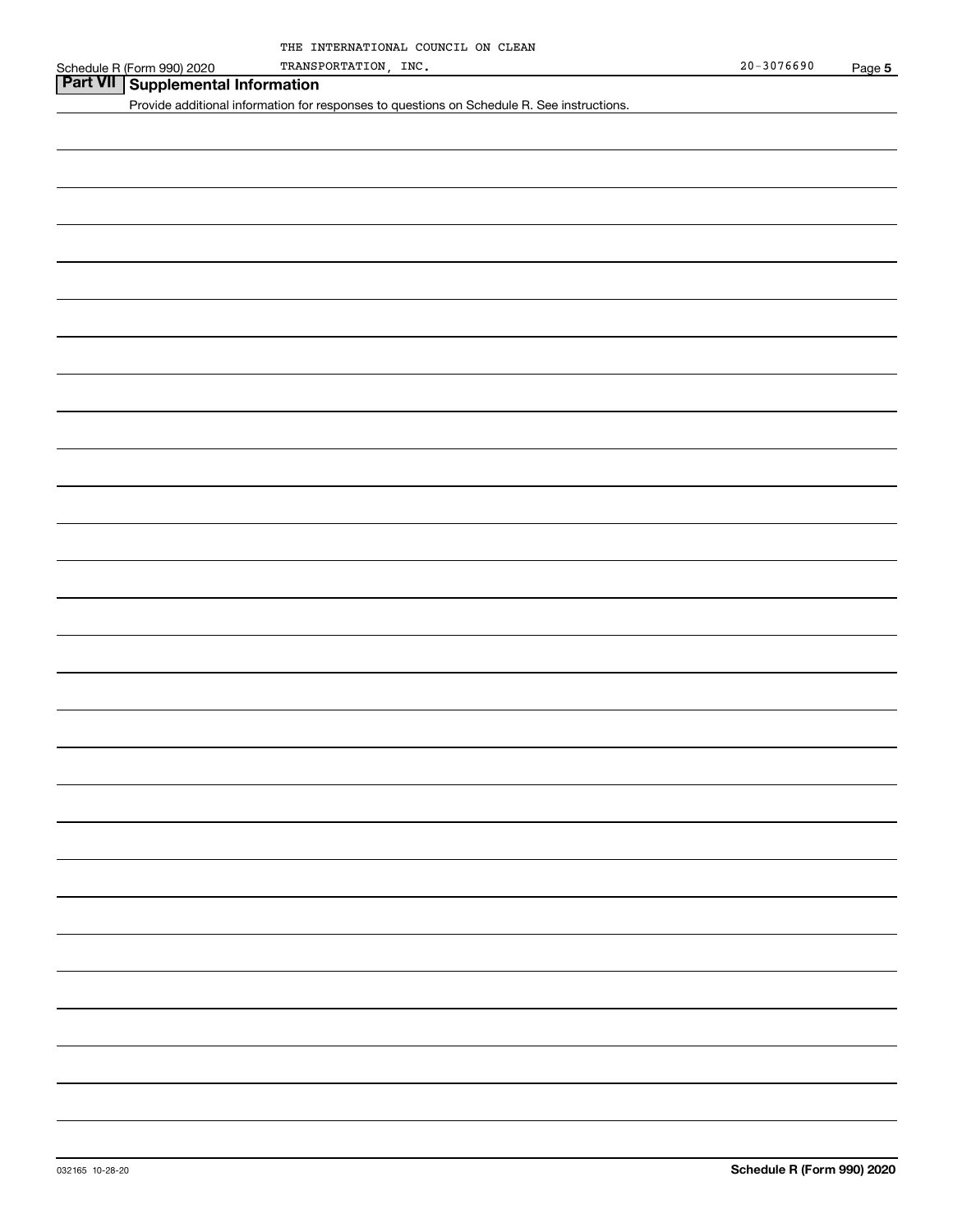## **Part VII Supplemental Information**

Provide additional information for responses to questions on Schedule R. See instructions.